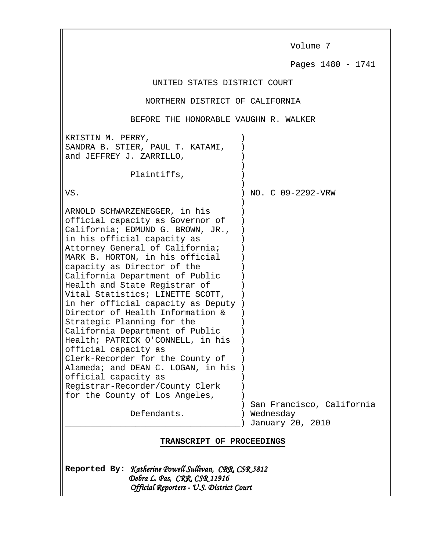Volume 7

Pages 1480 - 1741

## UNITED STATES DISTRICT COURT

## NORTHERN DISTRICT OF CALIFORNIA

## BEFORE THE HONORABLE VAUGHN R. WALKER

| KRISTIN M. PERRY,<br>SANDRA B. STIER, PAUL T. KATAMI,<br>and JEFFREY J. ZARRILLO,                                                                                                                                                                                                                                                                                                                                                                                                                                                                                                                                                                                                                                                                |                                                            |
|--------------------------------------------------------------------------------------------------------------------------------------------------------------------------------------------------------------------------------------------------------------------------------------------------------------------------------------------------------------------------------------------------------------------------------------------------------------------------------------------------------------------------------------------------------------------------------------------------------------------------------------------------------------------------------------------------------------------------------------------------|------------------------------------------------------------|
| Plaintiffs,                                                                                                                                                                                                                                                                                                                                                                                                                                                                                                                                                                                                                                                                                                                                      |                                                            |
| VS.                                                                                                                                                                                                                                                                                                                                                                                                                                                                                                                                                                                                                                                                                                                                              | NO. C 09-2292-VRW                                          |
| ARNOLD SCHWARZENEGGER, in his<br>official capacity as Governor of<br>California; EDMUND G. BROWN, JR.,<br>in his official capacity as<br>Attorney General of California;<br>MARK B. HORTON, in his official<br>capacity as Director of the<br>California Department of Public<br>Health and State Registrar of<br>Vital Statistics; LINETTE SCOTT,<br>in her official capacity as Deputy<br>Director of Health Information &<br>Strategic Planning for the<br>California Department of Public<br>Health; PATRICK O'CONNELL, in his<br>official capacity as<br>Clerk-Recorder for the County of<br>Alameda; and DEAN C. LOGAN, in his<br>official capacity as<br>Registrar-Recorder/County Clerk<br>for the County of Los Angeles,<br>Defendants. | San Francisco, California<br>Wednesday<br>January 20, 2010 |
| <b>TRANSCRIPT OF PROCEEDINGS</b>                                                                                                                                                                                                                                                                                                                                                                                                                                                                                                                                                                                                                                                                                                                 |                                                            |

Reported By: Katherine Powell Sullivan, CRR, CSR 5812 Debra L. Pas, CRR, CSR 11916 Official Reporters - U.S. District Court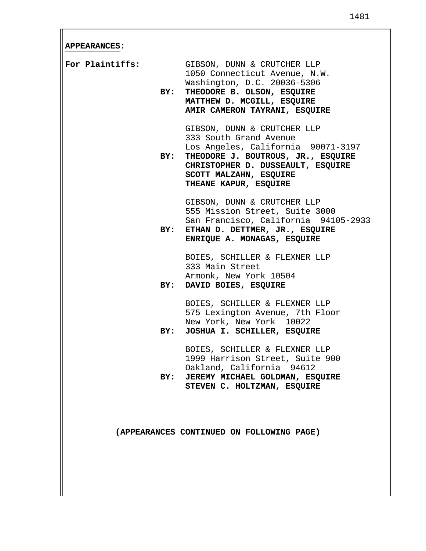**APPEARANCES**:

| For Plaintiffs:<br>BY: | GIBSON, DUNN & CRUTCHER LLP<br>1050 Connecticut Avenue, N.W.<br>Washington, D.C. 20036-5306<br>THEODORE B. OLSON, ESQUIRE<br>MATTHEW D. MCGILL, ESQUIRE<br>AMIR CAMERON TAYRANI, ESQUIRE                                      |
|------------------------|-------------------------------------------------------------------------------------------------------------------------------------------------------------------------------------------------------------------------------|
|                        | GIBSON, DUNN & CRUTCHER LLP<br>333 South Grand Avenue<br>Los Angeles, California 90071-3197<br>BY: THEODORE J. BOUTROUS, JR., ESQUIRE<br>CHRISTOPHER D. DUSSEAULT, ESQUIRE<br>SCOTT MALZAHN, ESQUIRE<br>THEANE KAPUR, ESQUIRE |
|                        | GIBSON, DUNN & CRUTCHER LLP<br>555 Mission Street, Suite 3000<br>San Francisco, California 94105-2933<br>BY: ETHAN D. DETTMER, JR., ESQUIRE<br>ENRIQUE A. MONAGAS, ESQUIRE                                                    |
| BY:                    | BOIES, SCHILLER & FLEXNER LLP<br>333 Main Street<br>Armonk, New York 10504<br>DAVID BOIES, ESQUIRE                                                                                                                            |
| BY:                    | BOIES, SCHILLER & FLEXNER LLP<br>575 Lexington Avenue, 7th Floor<br>New York, New York 10022<br>JOSHUA I. SCHILLER, ESQUIRE                                                                                                   |
|                        | BOIES, SCHILLER & FLEXNER LLP<br>1999 Harrison Street, Suite 900<br>Oakland, California 94612<br>BY: JEREMY MICHAEL GOLDMAN, ESQUIRE<br>STEVEN C. HOLTZMAN, ESQUIRE                                                           |
|                        | (APPEARANCES CONTINUED ON FOLLOWING PAGE)                                                                                                                                                                                     |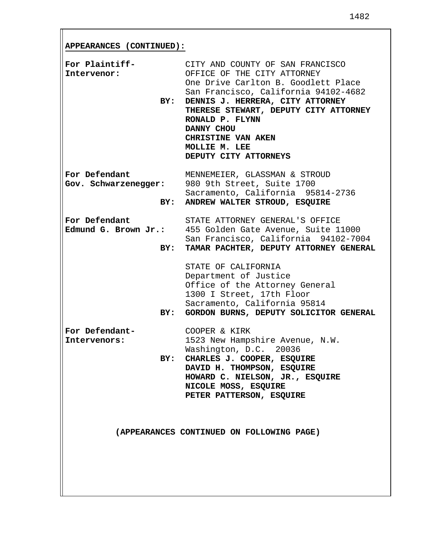**APPEARANCES (CONTINUED):**

| For Plaintiff-<br>Intervenor:<br>BY:  | CITY AND COUNTY OF SAN FRANCISCO<br>OFFICE OF THE CITY ATTORNEY<br>One Drive Carlton B. Goodlett Place<br>San Francisco, California 94102-4682<br>DENNIS J. HERRERA, CITY ATTORNEY<br>THERESE STEWART, DEPUTY CITY ATTORNEY<br>RONALD P. FLYNN<br>DANNY CHOU<br>CHRISTINE VAN AKEN<br>MOLLIE M. LEE<br>DEPUTY CITY ATTORNEYS |
|---------------------------------------|------------------------------------------------------------------------------------------------------------------------------------------------------------------------------------------------------------------------------------------------------------------------------------------------------------------------------|
|                                       | MENNEMEIER, GLASSMAN & STROUD<br>For Defendant MENNEMEIER, GLASSMAN & STROW. Schwarzenegger: 980 9th Street, Suite 1700<br>Sacramento, California 95814-2736<br>BY: ANDREW WALTER STROUD, ESQUIRE                                                                                                                            |
| For Defendant<br>BY:                  | STATE ATTORNEY GENERAL'S OFFICE<br>Edmund G. Brown Jr.: 455 Golden Gate Avenue, Suite 11000<br>San Francisco, California 94102-7004<br>TAMAR PACHTER, DEPUTY ATTORNEY GENERAL                                                                                                                                                |
| BY:                                   | STATE OF CALIFORNIA<br>Department of Justice<br>Office of the Attorney General<br>1300 I Street, 17th Floor<br>Sacramento, California 95814<br>GORDON BURNS, DEPUTY SOLICITOR GENERAL                                                                                                                                        |
| For Defendant-<br>Intervenors:<br>BY: | COOPER & KIRK<br>1523 New Hampshire Avenue, N.W.<br>Washington, D.C. 20036<br>CHARLES J. COOPER, ESQUIRE<br>DAVID H. THOMPSON, ESQUIRE<br>HOWARD C. NIELSON, JR., ESQUIRE<br>NICOLE MOSS, ESQUIRE<br>PETER PATTERSON, ESQUIRE                                                                                                |
|                                       | (APPEARANCES CONTINUED ON FOLLOWING PAGE)                                                                                                                                                                                                                                                                                    |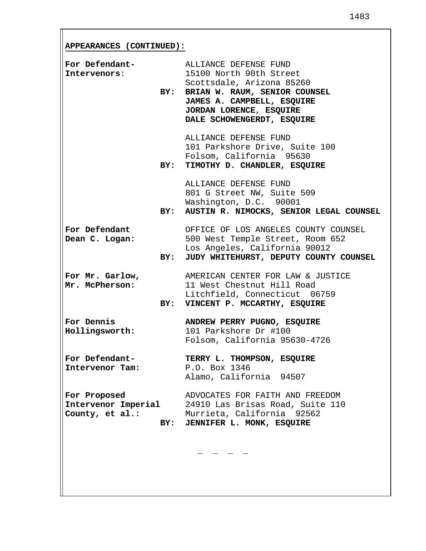**APPEARANCES (CONTINUED):**

| For Defendant-<br>Intervenors:                         | BY: | ALLIANCE DEFENSE FUND<br>15100 North 90th Street<br>Scottsdale, Arizona 85260<br>BRIAN W. RAUM, SENIOR COUNSEL<br>JAMES A. CAMPBELL, ESQUIRE<br>JORDAN LORENCE, ESQUIRE<br>DALE SCHOWENGERDT, ESQUIRE |
|--------------------------------------------------------|-----|-------------------------------------------------------------------------------------------------------------------------------------------------------------------------------------------------------|
|                                                        |     | ALLIANCE DEFENSE FUND<br>101 Parkshore Drive, Suite 100<br>Folsom, California 95630<br>BY: TIMOTHY D. CHANDLER, ESQUIRE                                                                               |
|                                                        |     | ALLIANCE DEFENSE FUND<br>801 G Street NW, Suite 509<br>Washington, D.C. 90001<br>BY: AUSTIN R. NIMOCKS, SENIOR LEGAL COUNSEL                                                                          |
| For Defendant<br>Dean C. Logan:                        |     | OFFICE OF LOS ANGELES COUNTY COUNSEL<br>500 West Temple Street, Room 652<br>Los Angeles, California 90012<br>BY: JUDY WHITEHURST, DEPUTY COUNTY COUNSEL                                               |
| For Mr. Garlow,<br>Mr. McPherson:                      |     | AMERICAN CENTER FOR LAW & JUSTICE<br>11 West Chestnut Hill Road<br>Litchfield, Connecticut 06759<br>BY: VINCENT P. MCCARTHY, ESQUIRE                                                                  |
| For Dennis<br>Hollingsworth:                           |     | ANDREW PERRY PUGNO, ESQUIRE<br>101 Parkshore Dr #100<br>Folsom, California 95630-4726                                                                                                                 |
| For Defendant-<br>Intervenor Tam:                      |     | TERRY L. THOMPSON, ESQUIRE<br>P.O. Box 1346<br>Alamo, California 94507                                                                                                                                |
| For Proposed<br>Intervenor Imperial<br>County, et al.: | BY: | ADVOCATES FOR FAITH AND FREEDOM<br>24910 Las Brisas Road, Suite 110<br>Murrieta, California 92562<br>JENNIFER L. MONK, ESQUIRE                                                                        |
|                                                        |     |                                                                                                                                                                                                       |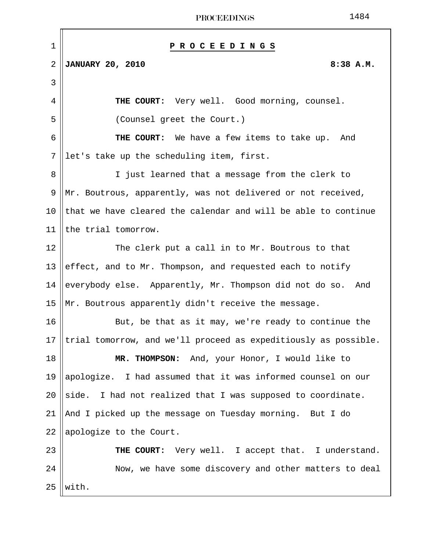| 1              | P R O C E E D I N G S                                           |
|----------------|-----------------------------------------------------------------|
| $\overline{2}$ | <b>JANUARY 20, 2010</b><br>8:38 A.M.                            |
| 3              |                                                                 |
| 4              | THE COURT: Very well. Good morning, counsel.                    |
| 5              | (Counsel greet the Court.)                                      |
| 6              | THE COURT: We have a few items to take up. And                  |
| 7              | let's take up the scheduling item, first.                       |
| 8              | I just learned that a message from the clerk to                 |
| 9              | Mr. Boutrous, apparently, was not delivered or not received,    |
| 10             | that we have cleared the calendar and will be able to continue  |
| 11             | the trial tomorrow.                                             |
| 12             | The clerk put a call in to Mr. Boutrous to that                 |
| 13             | effect, and to Mr. Thompson, and requested each to notify       |
| 14             | everybody else. Apparently, Mr. Thompson did not do so. And     |
| 15             | Mr. Boutrous apparently didn't receive the message.             |
| 16             | But, be that as it may, we're ready to continue the             |
| 17             | trial tomorrow, and we'll proceed as expeditiously as possible. |
| 18             | MR. THOMPSON: And, your Honor, I would like to                  |
| 19             | apologize. I had assumed that it was informed counsel on our    |
| 20             | side. I had not realized that I was supposed to coordinate.     |
| 21             | And I picked up the message on Tuesday morning. But I do        |
| 22             | apologize to the Court.                                         |
| 23             | THE COURT: Very well. I accept that. I understand.              |
| 24             | Now, we have some discovery and other matters to deal           |
| 25             | with.                                                           |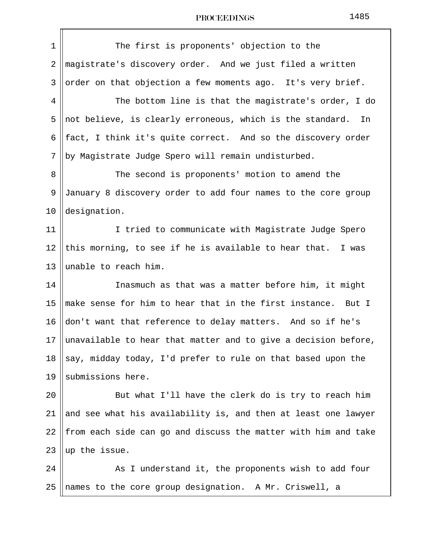| The first is proponents' objection to the                       |
|-----------------------------------------------------------------|
| magistrate's discovery order. And we just filed a written       |
| order on that objection a few moments ago. It's very brief.     |
| The bottom line is that the magistrate's order, I do            |
| not believe, is clearly erroneous, which is the standard.<br>In |
| fact, I think it's quite correct. And so the discovery order    |
| by Magistrate Judge Spero will remain undisturbed.              |
| The second is proponents' motion to amend the                   |
| January 8 discovery order to add four names to the core group   |
| designation.                                                    |
| I tried to communicate with Magistrate Judge Spero              |
| this morning, to see if he is available to hear that. I was     |
| unable to reach him.                                            |
| Inasmuch as that was a matter before him, it might              |
| make sense for him to hear that in the first instance. But I    |
| don't want that reference to delay matters. And so if he's      |
| unavailable to hear that matter and to give a decision before,  |
| say, midday today, I'd prefer to rule on that based upon the    |
| submissions here.                                               |
| But what I'll have the clerk do is try to reach him             |
| and see what his availability is, and then at least one lawyer  |
| from each side can go and discuss the matter with him and take  |
| up the issue.                                                   |
| As I understand it, the proponents wish to add four             |
| names to the core group designation. A Mr. Criswell, a          |
|                                                                 |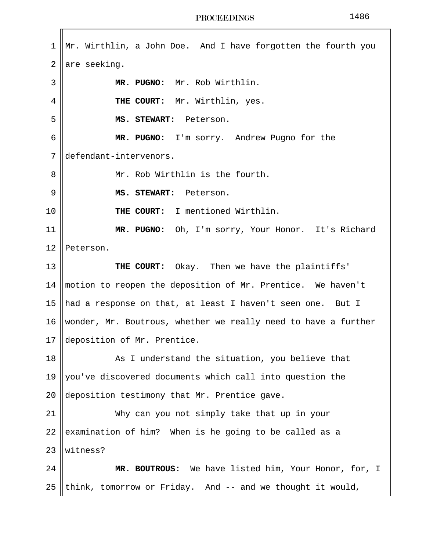$1 \parallel Mr.$  Wirthlin, a John Doe. And I have forgotten the fourth you  $2$  are seeking. 3 **MR. PUGNO:** Mr. Rob Wirthlin. 4 **|| THE COURT:** Mr. Wirthlin, yes. 5 **MS. STEWART:** Peterson. 6 **MR. PUGNO:** I'm sorry. Andrew Pugno for the 7 defendant-intervenors. 8 || Mr. Rob Wirthlin is the fourth. 9 **MS. STEWART:** Peterson. 10 || THE COURT: I mentioned Wirthlin. 11 **MR. PUGNO:** Oh, I'm sorry, Your Honor. It's Richard 12 Peterson. 13 **THE COURT:** Okay. Then we have the plaintiffs' 14 motion to reopen the deposition of Mr. Prentice. We haven't 15 || had a response on that, at least I haven't seen one. But I 16 || wonder, Mr. Boutrous, whether we really need to have a further 17 deposition of Mr. Prentice. 18 || As I understand the situation, you believe that 19  $\parallel$  you've discovered documents which call into question the 20 deposition testimony that Mr. Prentice gave. 21 Why can you not simply take that up in your 22 examination of him? When is he going to be called as a 23 Witness? 24 **MR. BOUTROUS:** We have listed him, Your Honor, for, I 25 ||think, tomorrow or Friday. And  $-$  and we thought it would,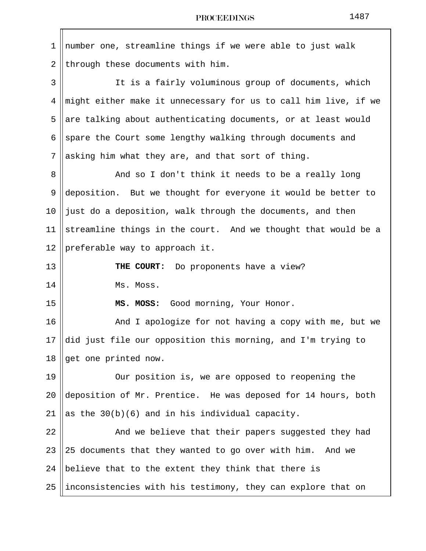| 1  | number one, streamline things if we were able to just walk      |
|----|-----------------------------------------------------------------|
| 2  | through these documents with him.                               |
| 3  | It is a fairly voluminous group of documents, which             |
| 4  | might either make it unnecessary for us to call him live, if we |
| 5  | are talking about authenticating documents, or at least would   |
| 6  | spare the Court some lengthy walking through documents and      |
| 7  | asking him what they are, and that sort of thing.               |
| 8  | And so I don't think it needs to be a really long               |
| 9  | deposition. But we thought for everyone it would be better to   |
| 10 | just do a deposition, walk through the documents, and then      |
| 11 | streamline things in the court. And we thought that would be a  |
| 12 | preferable way to approach it.                                  |
| 13 | THE COURT: Do proponents have a view?                           |
| 14 | Ms. Moss.                                                       |
| 15 | Good morning, Your Honor.<br>MS. MOSS:                          |
| 16 | And I apologize for not having a copy with me, but we           |
| 17 | did just file our opposition this morning, and I'm trying to    |
| 18 | get one printed now.                                            |
| 19 | Our position is, we are opposed to reopening the                |
| 20 | deposition of Mr. Prentice. He was deposed for 14 hours, both   |
| 21 | as the $30(b)(6)$ and in his individual capacity.               |
| 22 | And we believe that their papers suggested they had             |
| 23 | 25 documents that they wanted to go over with him. And we       |
| 24 | believe that to the extent they think that there is             |
| 25 | inconsistencies with his testimony, they can explore that on    |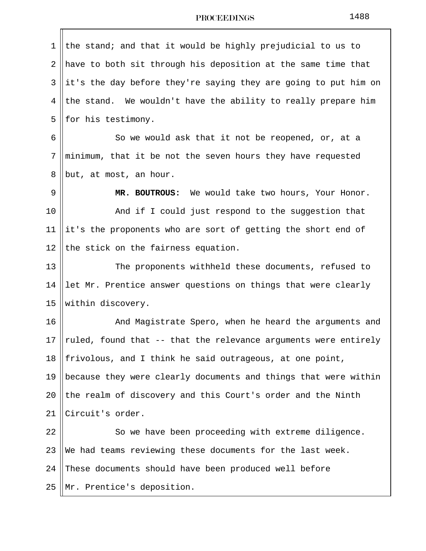| 1  | the stand; and that it would be highly prejudicial to us to     |
|----|-----------------------------------------------------------------|
| 2  | have to both sit through his deposition at the same time that   |
| 3  | it's the day before they're saying they are going to put him on |
| 4  | the stand. We wouldn't have the ability to really prepare him   |
| 5  | for his testimony.                                              |
| 6  | So we would ask that it not be reopened, or, at a               |
| 7  | minimum, that it be not the seven hours they have requested     |
| 8  | but, at most, an hour.                                          |
| 9  | MR. BOUTROUS: We would take two hours, Your Honor.              |
| 10 | And if I could just respond to the suggestion that              |
| 11 | it's the proponents who are sort of getting the short end of    |
| 12 | the stick on the fairness equation.                             |
| 13 | The proponents withheld these documents, refused to             |
| 14 | let Mr. Prentice answer questions on things that were clearly   |
| 15 | within discovery.                                               |
| 16 | And Magistrate Spero, when he heard the arguments and           |
| 17 | ruled, found that -- that the relevance arguments were entirely |
| 18 | frivolous, and I think he said outrageous, at one point,        |
| 19 | because they were clearly documents and things that were within |
| 20 | the realm of discovery and this Court's order and the Ninth     |
| 21 | Circuit's order.                                                |
| 22 | So we have been proceeding with extreme diligence.              |
| 23 | We had teams reviewing these documents for the last week.       |
| 24 | These documents should have been produced well before           |
| 25 | Mr. Prentice's deposition.                                      |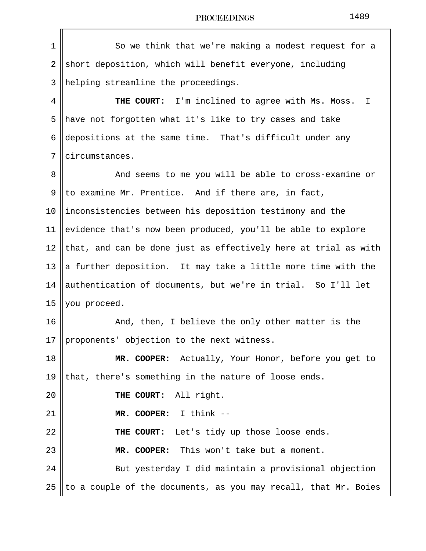| 1  | So we think that we're making a modest request for a            |
|----|-----------------------------------------------------------------|
| 2  | short deposition, which will benefit everyone, including        |
| 3  | helping streamline the proceedings.                             |
| 4  | THE COURT: I'm inclined to agree with Ms. Moss. I               |
| 5  | have not forgotten what it's like to try cases and take         |
| 6  | depositions at the same time. That's difficult under any        |
| 7  | circumstances.                                                  |
| 8  | And seems to me you will be able to cross-examine or            |
| 9  | to examine Mr. Prentice. And if there are, in fact,             |
| 10 | inconsistencies between his deposition testimony and the        |
| 11 | evidence that's now been produced, you'll be able to explore    |
| 12 | that, and can be done just as effectively here at trial as with |
| 13 | a further deposition. It may take a little more time with the   |
| 14 | authentication of documents, but we're in trial. So I'll let    |
| 15 | you proceed.                                                    |
| 16 | And, then, I believe the only other matter is the               |
| 17 | proponents' objection to the next witness.                      |
| 18 | MR. COOPER: Actually, Your Honor, before you get to             |
| 19 | that, there's something in the nature of loose ends.            |
| 20 | THE COURT: All right.                                           |
| 21 | MR. COOPER: I think --                                          |
| 22 | THE COURT: Let's tidy up those loose ends.                      |
| 23 | MR. COOPER: This won't take but a moment.                       |
| 24 | But yesterday I did maintain a provisional objection            |
| 25 | to a couple of the documents, as you may recall, that Mr. Boies |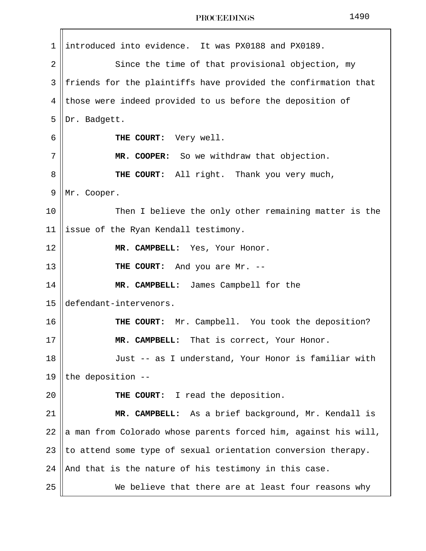| $\mathbf 1$ | introduced into evidence. It was PX0188 and PX0189.             |
|-------------|-----------------------------------------------------------------|
| 2           | Since the time of that provisional objection, my                |
| 3           | friends for the plaintiffs have provided the confirmation that  |
| 4           | those were indeed provided to us before the deposition of       |
| 5           | Dr. Badgett.                                                    |
| 6           | THE COURT: Very well.                                           |
| 7           | MR. COOPER: So we withdraw that objection.                      |
| 8           | THE COURT: All right. Thank you very much,                      |
| 9           | Mr. Cooper.                                                     |
| 10          | Then I believe the only other remaining matter is the           |
| 11          | issue of the Ryan Kendall testimony.                            |
| 12          | MR. CAMPBELL: Yes, Your Honor.                                  |
| 13          | THE COURT: And you are Mr. --                                   |
| 14          | MR. CAMPBELL: James Campbell for the                            |
| 15          | defendant-intervenors.                                          |
| 16          | THE COURT: Mr. Campbell. You took the deposition?               |
| 17          | MR. CAMPBELL: That is correct, Your Honor.                      |
| 18          | Just -- as I understand, Your Honor is familiar with            |
| 19          | the deposition --                                               |
| 20          | THE COURT: I read the deposition.                               |
| 21          | MR. CAMPBELL: As a brief background, Mr. Kendall is             |
| 22          | a man from Colorado whose parents forced him, against his will, |
| 23          | to attend some type of sexual orientation conversion therapy.   |
| 24          | And that is the nature of his testimony in this case.           |
| 25          | We believe that there are at least four reasons why             |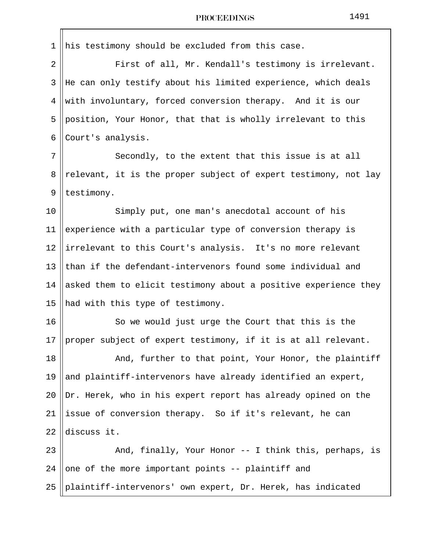$\mathbf{r}$ 

| $\mathbf 1$    | his testimony should be excluded from this case.                                                 |
|----------------|--------------------------------------------------------------------------------------------------|
| $\overline{2}$ | First of all, Mr. Kendall's testimony is irrelevant.                                             |
| 3              | He can only testify about his limited experience, which deals                                    |
| 4              | with involuntary, forced conversion therapy. And it is our                                       |
| 5              | position, Your Honor, that that is wholly irrelevant to this                                     |
| 6              | Court's analysis.                                                                                |
| 7              | Secondly, to the extent that this issue is at all                                                |
| 8              | relevant, it is the proper subject of expert testimony, not lay                                  |
| 9              | testimony.                                                                                       |
| 10             | Simply put, one man's anecdotal account of his                                                   |
| 11             | experience with a particular type of conversion therapy is                                       |
| 12             | irrelevant to this Court's analysis. It's no more relevant                                       |
| 13             | than if the defendant-intervenors found some individual and                                      |
| 14             | asked them to elicit testimony about a positive experience they                                  |
| 15             | had with this type of testimony.                                                                 |
| 16             | So we would just urge the Court that this is the                                                 |
| 17             | $\left\vert \mathrm{proper}% \right\vert$ subject of expert testimony, if it is at all relevant. |
| 18             | And, further to that point, Your Honor, the plaintiff                                            |
| 19             | and plaintiff-intervenors have already identified an expert,                                     |
| 20             | Dr. Herek, who in his expert report has already opined on the                                    |
| 21             | issue of conversion therapy. So if it's relevant, he can                                         |
| 22             | discuss it.                                                                                      |
| 23             | And, finally, Your Honor -- I think this, perhaps, is                                            |
| 24             | one of the more important points -- plaintiff and                                                |
| 25             | plaintiff-intervenors' own expert, Dr. Herek, has indicated                                      |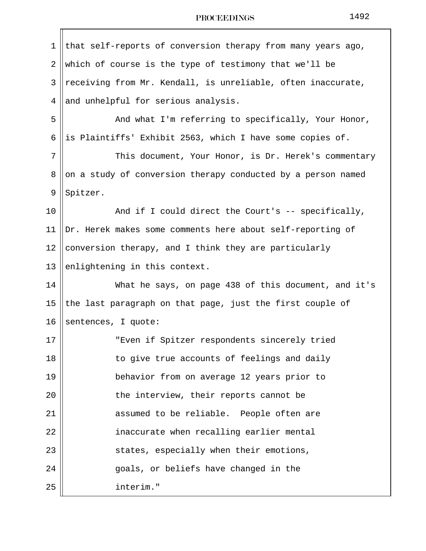| 1              | that self-reports of conversion therapy from many years ago, |
|----------------|--------------------------------------------------------------|
| $\overline{2}$ | which of course is the type of testimony that we'll be       |
| 3              | receiving from Mr. Kendall, is unreliable, often inaccurate, |
| 4              | and unhelpful for serious analysis.                          |
| 5              | And what I'm referring to specifically, Your Honor,          |
| 6              | is Plaintiffs' Exhibit 2563, which I have some copies of.    |
| 7              | This document, Your Honor, is Dr. Herek's commentary         |
| 8              | on a study of conversion therapy conducted by a person named |
| 9              | Spitzer.                                                     |
| 10             | And if I could direct the Court's -- specifically,           |
| 11             | Dr. Herek makes some comments here about self-reporting of   |
| 12             | conversion therapy, and I think they are particularly        |
| 13             | enlightening in this context.                                |
| 14             | What he says, on page 438 of this document, and it's         |
| 15             | the last paragraph on that page, just the first couple of    |
| 16             | sentences, I quote:                                          |
| 17             | "Even if Spitzer respondents sincerely tried                 |
| 18             | to give true accounts of feelings and daily                  |
| 19             | behavior from on average 12 years prior to                   |
| 20             | the interview, their reports cannot be                       |
| 21             | assumed to be reliable. People often are                     |
| 22             | inaccurate when recalling earlier mental                     |
| 23             | states, especially when their emotions,                      |
| 24             | goals, or beliefs have changed in the                        |
| 25             | interim."                                                    |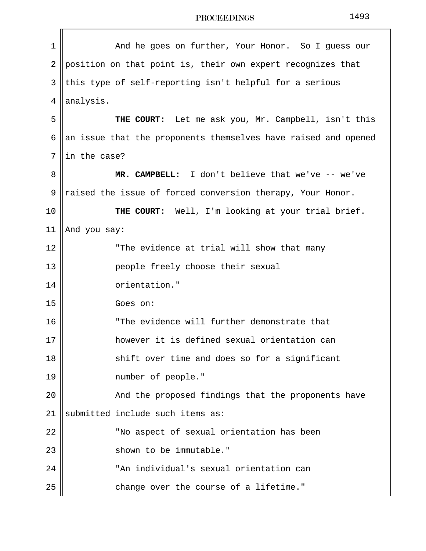1 And he goes on further, Your Honor. So I guess our  $2$  ||position on that point is, their own expert recognizes that 3 || this type of self-reporting isn't helpful for a serious  $4$  ||analysis. 5 **THE COURT:** Let me ask you, Mr. Campbell, isn't this 6 an issue that the proponents themselves have raised and opened  $7$  || in the case? 8 **MR. CAMPBELL:** I don't believe that we've -- we've 9  $\parallel$  raised the issue of forced conversion therapy, Your Honor. 10 **THE COURT:** Well, I'm looking at your trial brief. 11 | And you say: 12 || The evidence at trial will show that many 13 people freely choose their sexual 14 || orientation." 15 Goes on: 16 || The evidence will further demonstrate that 17 however it is defined sexual orientation can 18 shift over time and does so for a significant 19 number of people." 20 || The Proposed findings that the proponents have 21 Submitted include such items as: 22 || Wo aspect of sexual orientation has been 23 || Shown to be immutable." 24 "An individual's sexual orientation can 25 || change over the course of a lifetime."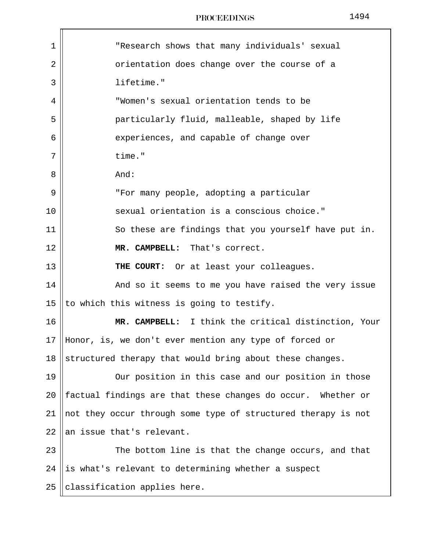| PROCEEDINGS |
|-------------|
|-------------|

| 1  | "Research shows that many individuals' sexual                 |
|----|---------------------------------------------------------------|
| 2  | orientation does change over the course of a                  |
| 3  | lifetime."                                                    |
| 4  | "Women's sexual orientation tends to be                       |
| 5  | particularly fluid, malleable, shaped by life                 |
| 6  | experiences, and capable of change over                       |
| 7  | time."                                                        |
| 8  | And:                                                          |
| 9  | "For many people, adopting a particular                       |
| 10 | sexual orientation is a conscious choice."                    |
| 11 | So these are findings that you yourself have put in.          |
| 12 | MR. CAMPBELL: That's correct.                                 |
| 13 | THE COURT: Or at least your colleagues.                       |
| 14 | And so it seems to me you have raised the very issue          |
| 15 | to which this witness is going to testify.                    |
| 16 | MR. CAMPBELL: I think the critical distinction, Your          |
| 17 | Honor, is, we don't ever mention any type of forced or        |
| 18 | structured therapy that would bring about these changes.      |
| 19 | Our position in this case and our position in those           |
| 20 | factual findings are that these changes do occur. Whether or  |
| 21 | not they occur through some type of structured therapy is not |
| 22 | an issue that's relevant.                                     |
| 23 | The bottom line is that the change occurs, and that           |
| 24 | is what's relevant to determining whether a suspect           |
| 25 | classification applies here.                                  |

1494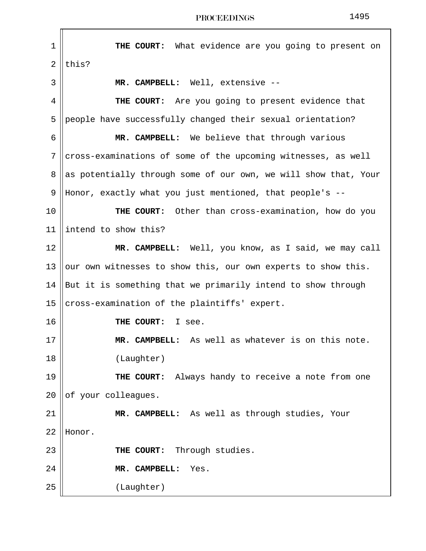1 **THE COURT:** What evidence are you going to present on  $2$  Lthis? 3 **MR. CAMPBELL:** Well, extensive -- 4 **THE COURT:** Are you going to present evidence that 5 people have successfully changed their sexual orientation? 6 **MR. CAMPBELL:** We believe that through various  $7$  cross-examinations of some of the upcoming witnesses, as well 8 as potentially through some of our own, we will show that, Your 9 Honor, exactly what you just mentioned, that people's -- 10 **THE COURT:** Other than cross-examination, how do you 11 ||intend to show this? 12 **MR. CAMPBELL:** Well, you know, as I said, we may call 13 ||our own witnesses to show this, our own experts to show this. 14 But it is something that we primarily intend to show through 15  $\vert$  cross-examination of the plaintiffs' expert. 16 **THE COURT:** I see. 17 **MR. CAMPBELL:** As well as whatever is on this note. 18 (Laughter) 19 **THE COURT:** Always handy to receive a note from one  $20$  of your colleagues. 21 **MR. CAMPBELL:** As well as through studies, Your 22 Honor. 23 **THE COURT:** Through studies. 24 **MR. CAMPBELL:** Yes. 25 (Laughter)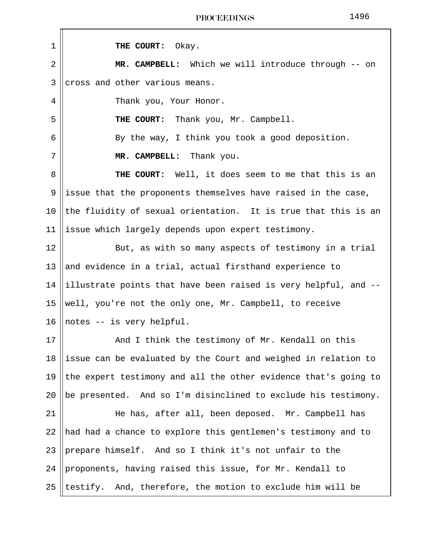| $\mathbf 1$ | THE COURT: Okay.                                                |
|-------------|-----------------------------------------------------------------|
|             |                                                                 |
| 2           | MR. CAMPBELL: Which we will introduce through -- on             |
| 3           | cross and other various means.                                  |
| 4           | Thank you, Your Honor.                                          |
| 5           | THE COURT: Thank you, Mr. Campbell.                             |
| 6           | By the way, I think you took a good deposition.                 |
| 7           | MR. CAMPBELL: Thank you.                                        |
| 8           | <b>THE COURT:</b> Well, it does seem to me that this is an      |
| 9           | issue that the proponents themselves have raised in the case,   |
| 10          | the fluidity of sexual orientation. It is true that this is an  |
| 11          | issue which largely depends upon expert testimony.              |
| 12          | But, as with so many aspects of testimony in a trial            |
| 13          | and evidence in a trial, actual firsthand experience to         |
| 14          | illustrate points that have been raised is very helpful, and -- |
| 15          | well, you're not the only one, Mr. Campbell, to receive         |
| 16          | notes -- is very helpful.                                       |
| 17          | And I think the testimony of Mr. Kendall on this                |
| 18          | issue can be evaluated by the Court and weighed in relation to  |
| 19          | the expert testimony and all the other evidence that's going to |
| 20          | be presented. And so I'm disinclined to exclude his testimony.  |
| 21          | He has, after all, been deposed. Mr. Campbell has               |
| 22          | had had a chance to explore this gentlemen's testimony and to   |
| 23          | prepare himself. And so I think it's not unfair to the          |
| 24          | proponents, having raised this issue, for Mr. Kendall to        |
| 25          | testify. And, therefore, the motion to exclude him will be      |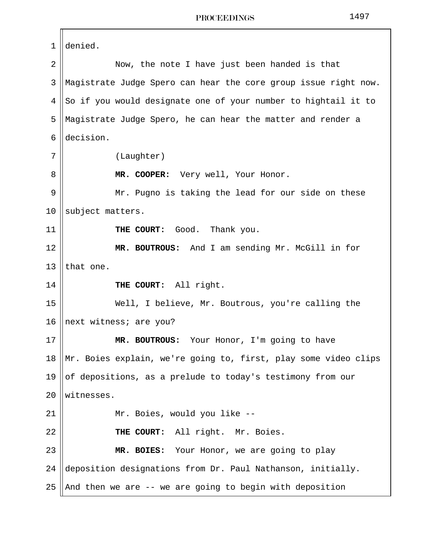1 denied. 2 || Now, the note I have just been handed is that 3 Magistrate Judge Spero can hear the core group issue right now.  $4 \parallel$  So if you would designate one of your number to hightail it to 5 Magistrate Judge Spero, he can hear the matter and render a 6 decision. 7 || (Laughter) 8 || **MR. COOPER:** Very well, Your Honor. 9 || Mr. Pugno is taking the lead for our side on these 10 subject matters. 11 **THE COURT:** Good. Thank you. 12 **MR. BOUTROUS:** And I am sending Mr. McGill in for 13  $l$  that one. 14 **THE COURT:** All right. 15 Well, I believe, Mr. Boutrous, you're calling the 16 || next witness; are you? 17 **MR. BOUTROUS:** Your Honor, I'm going to have 18 Mr. Boies explain, we're going to, first, play some video clips 19  $\parallel$  of depositions, as a prelude to today's testimony from our 20 witnesses. 21 || Mr. Boies, would you like --22 **THE COURT:** All right. Mr. Boies. 23 **MR. BOIES:** Your Honor, we are going to play 24 deposition designations from  $Dr.$  Paul Nathanson, initially. 25 || And then we are  $-$ - we are going to begin with deposition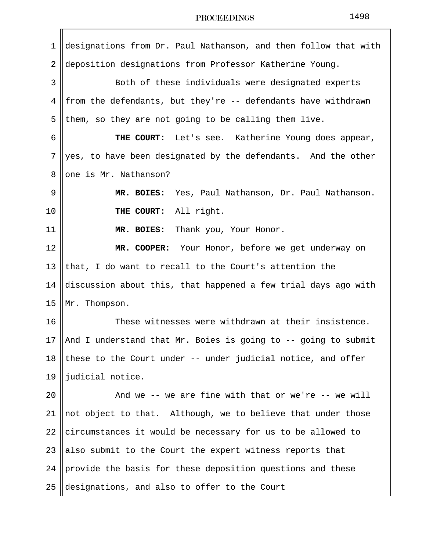| 1              | designations from Dr. Paul Nathanson, and then follow that with |  |  |  |  |
|----------------|-----------------------------------------------------------------|--|--|--|--|
| $\overline{2}$ | deposition designations from Professor Katherine Young.         |  |  |  |  |
| 3              | Both of these individuals were designated experts               |  |  |  |  |
| 4              | from the defendants, but they're -- defendants have withdrawn   |  |  |  |  |
| 5              | them, so they are not going to be calling them live.            |  |  |  |  |
| 6              | THE COURT: Let's see. Katherine Young does appear,              |  |  |  |  |
| 7              | yes, to have been designated by the defendants. And the other   |  |  |  |  |
| 8              | one is Mr. Nathanson?                                           |  |  |  |  |
| 9              | MR. BOIES:<br>Yes, Paul Nathanson, Dr. Paul Nathanson.          |  |  |  |  |
| 10             | THE COURT:<br>All right.                                        |  |  |  |  |
| 11             | Thank you, Your Honor.<br>MR. BOIES:                            |  |  |  |  |
| 12             | MR. COOPER: Your Honor, before we get underway on               |  |  |  |  |
| 13             | that, I do want to recall to the Court's attention the          |  |  |  |  |
| 14             | discussion about this, that happened a few trial days ago with  |  |  |  |  |
| 15             | Mr. Thompson.                                                   |  |  |  |  |
| 16             | These witnesses were withdrawn at their insistence.             |  |  |  |  |
| 17             | And I understand that Mr. Boies is going to -- going to submit  |  |  |  |  |
| 18             | these to the Court under -- under judicial notice, and offer    |  |  |  |  |
| 19             | judicial notice.                                                |  |  |  |  |
| 20             | And we -- we are fine with that or we're -- we will             |  |  |  |  |
| 21             | not object to that. Although, we to believe that under those    |  |  |  |  |
| 22             | circumstances it would be necessary for us to be allowed to     |  |  |  |  |
| 23             | also submit to the Court the expert witness reports that        |  |  |  |  |
| 24             | provide the basis for these deposition questions and these      |  |  |  |  |
| 25             | designations, and also to offer to the Court                    |  |  |  |  |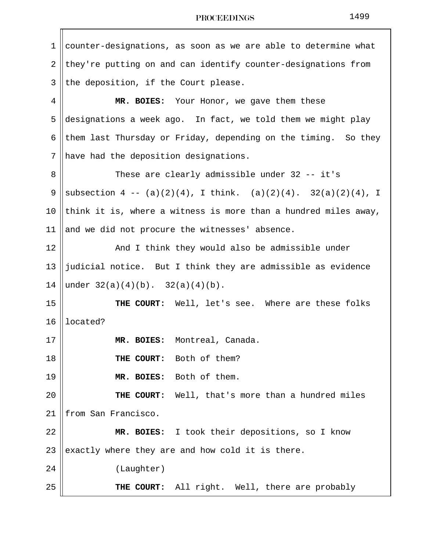| 1  | counter-designations, as soon as we are able to determine what     |  |  |  |
|----|--------------------------------------------------------------------|--|--|--|
| 2  | they're putting on and can identify counter-designations from      |  |  |  |
| 3  | the deposition, if the Court please.                               |  |  |  |
| 4  | MR. BOIES: Your Honor, we gave them these                          |  |  |  |
| 5  | designations a week ago. In fact, we told them we might play       |  |  |  |
| 6  | them last Thursday or Friday, depending on the timing. So they     |  |  |  |
| 7  | have had the deposition designations.                              |  |  |  |
| 8  | These are clearly admissible under 32 -- it's                      |  |  |  |
| 9  | subsection $4 - (a)(2)(4)$ , I think. $(a)(2)(4)$ . 32(a)(2)(4), I |  |  |  |
| 10 | think it is, where a witness is more than a hundred miles away,    |  |  |  |
| 11 | and we did not procure the witnesses' absence.                     |  |  |  |
| 12 | And I think they would also be admissible under                    |  |  |  |
| 13 | judicial notice. But I think they are admissible as evidence       |  |  |  |
| 14 | under $32(a)(4)(b)$ . $32(a)(4)(b)$ .                              |  |  |  |
| 15 | THE COURT: Well, let's see. Where are these folks                  |  |  |  |
| 16 | located?                                                           |  |  |  |
| 17 | MR. BOIES: Montreal, Canada.                                       |  |  |  |
| 18 | Both of them?<br>THE COURT:                                        |  |  |  |
| 19 | MR. BOIES: Both of them.                                           |  |  |  |
| 20 | Well, that's more than a hundred miles<br>THE COURT:               |  |  |  |
| 21 | from San Francisco.                                                |  |  |  |
| 22 | MR. BOIES: I took their depositions, so I know                     |  |  |  |
| 23 | exactly where they are and how cold it is there.                   |  |  |  |
| 24 | (Laughter)                                                         |  |  |  |
| 25 | THE COURT: All right. Well, there are probably                     |  |  |  |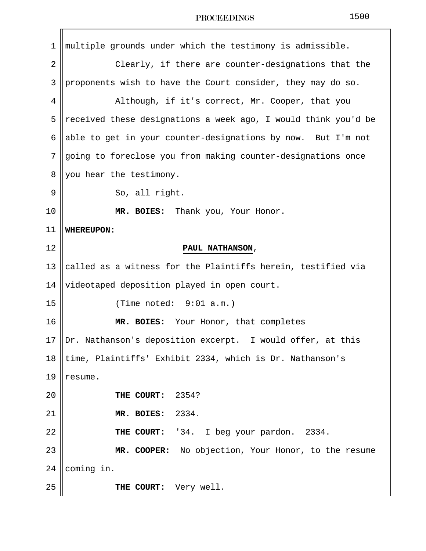| 1  | multiple grounds under which the testimony is admissible.      |
|----|----------------------------------------------------------------|
| 2  | Clearly, if there are counter-designations that the            |
| 3  | proponents wish to have the Court consider, they may do so.    |
| 4  | Although, if it's correct, Mr. Cooper, that you                |
| 5  | received these designations a week ago, I would think you'd be |
| 6  | able to get in your counter-designations by now. But I'm not   |
| 7  | going to foreclose you from making counter-designations once   |
| 8  | you hear the testimony.                                        |
| 9  | So, all right.                                                 |
| 10 | MR. BOIES: Thank you, Your Honor.                              |
| 11 | <b>WHEREUPON:</b>                                              |
| 12 | PAUL NATHANSON,                                                |
| 13 | called as a witness for the Plaintiffs herein, testified via   |
| 14 | videotaped deposition played in open court.                    |
| 15 | (Time noted: $9:01$ a.m.)                                      |
| 16 | MR. BOIES: Your Honor, that completes                          |
| 17 | Dr. Nathanson's deposition excerpt. I would offer, at this     |
| 18 | time, Plaintiffs' Exhibit 2334, which is Dr. Nathanson's       |
| 19 | resume.                                                        |
| 20 | THE COURT:<br>2354?                                            |
| 21 | 2334.<br>MR. BOIES:                                            |
| 22 | THE COURT:<br>'34. I beg your pardon. 2334.                    |
| 23 | MR. COOPER: No objection, Your Honor, to the resume            |
| 24 | coming in.                                                     |
| 25 | THE COURT:<br>Very well.                                       |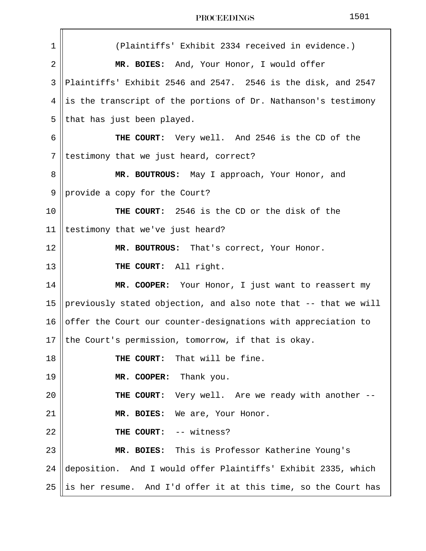| PROCEEDINGS |
|-------------|
|-------------|

| 1              | (Plaintiffs' Exhibit 2334 received in evidence.)                |
|----------------|-----------------------------------------------------------------|
| $\overline{2}$ | MR. BOIES: And, Your Honor, I would offer                       |
| 3              | Plaintiffs' Exhibit 2546 and 2547. 2546 is the disk, and 2547   |
| 4              | is the transcript of the portions of Dr. Nathanson's testimony  |
| 5              | that has just been played.                                      |
| 6              | THE COURT: Very well. And 2546 is the CD of the                 |
| 7              | testimony that we just heard, correct?                          |
| 8              | MR. BOUTROUS: May I approach, Your Honor, and                   |
| $\mathsf 9$    | provide a copy for the Court?                                   |
| 10             | THE COURT: 2546 is the CD or the disk of the                    |
| 11             | testimony that we've just heard?                                |
| 12             | MR. BOUTROUS: That's correct, Your Honor.                       |
| 13             | THE COURT: All right.                                           |
| 14             | MR. COOPER: Your Honor, I just want to reassert my              |
| 15             | previously stated objection, and also note that -- that we will |
| 16             | offer the Court our counter-designations with appreciation to   |
|                | 17    the Court's permission, tomorrow, if that is okay.        |
| 18             | THE COURT: That will be fine.                                   |
| 19             | MR. COOPER: Thank you.                                          |
| 20             | THE COURT: Very well. Are we ready with another --              |
| 21             | MR. BOIES: We are, Your Honor.                                  |
| 22             | THE COURT: -- witness?                                          |
| 23             | MR. BOIES: This is Professor Katherine Young's                  |
| 24             | deposition. And I would offer Plaintiffs' Exhibit 2335, which   |
| 25             | is her resume. And I'd offer it at this time, so the Court has  |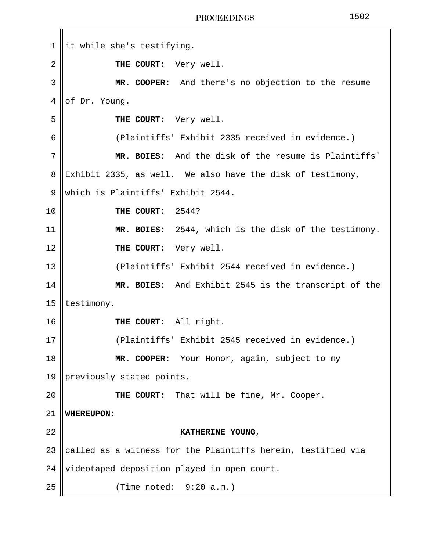||it while she's testifying. **THE COURT:** Very well. **MR. COOPER:** And there's no objection to the resume of Dr. Young. **THE COURT:** Very well. 6 (Plaintiffs' Exhibit 2335 received in evidence.) **MR. BOIES:** And the disk of the resume is Plaintiffs' 8 Exhibit 2335, as well. We also have the disk of testimony, 9 Which is Plaintiffs' Exhibit 2544. **THE COURT:** 2544? **MR. BOIES:** 2544, which is the disk of the testimony. **THE COURT:** Very well. 13 || (Plaintiffs' Exhibit 2544 received in evidence.) **MR. BOIES:** And Exhibit 2545 is the transcript of the | testimony. **THE COURT:** All right. 17 (Plaintiffs' Exhibit 2545 received in evidence.) **MR. COOPER:** Your Honor, again, subject to my 19 || previously stated points. **THE COURT:** That will be fine, Mr. Cooper. **WHEREUPON: KATHERINE YOUNG**, 23 called as a witness for the Plaintiffs herein, testified via 24 || videotaped deposition played in open court. 25 (Time noted: 9:20 a.m.)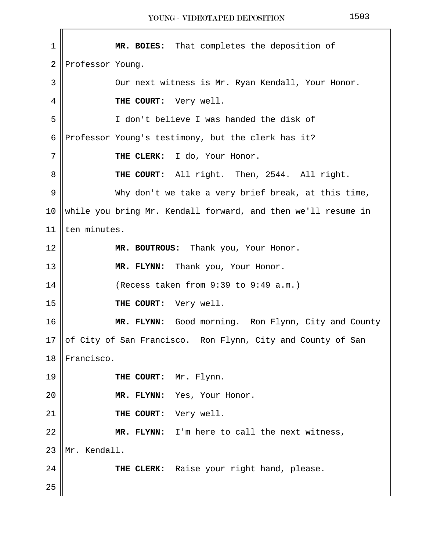**MR. BOIES:** That completes the deposition of Professor Young. 3 || Our next witness is Mr. Ryan Kendall, Your Honor. **HE COURT:** Very well. 5 I don't believe I was handed the disk of 6 Professor Young's testimony, but the clerk has it? 7 || THE CLERK: I do, Your Honor. **THE COURT:** All right. Then, 2544. All right. 9 Why don't we take a very brief break, at this time, 10 while you bring Mr. Kendall forward, and then we'll resume in  $|$  ten minutes. **MR. BOUTROUS:** Thank you, Your Honor. **MR. FLYNN:** Thank you, Your Honor. | (Recess taken from 9:39 to 9:49 a.m.) **THE COURT:** Very well. **MR. FLYNN:** Good morning. Ron Flynn, City and County  $\vert$  of City of San Francisco. Ron Flynn, City and County of San **I**Francisco. **THE COURT:** Mr. Flynn. **MR. FLYNN:** Yes, Your Honor. **THE COURT:** Very well. 22 | MR. FLYNN: I'm here to call the next witness, 23 Mr. Kendall. **THE CLERK:** Raise your right hand, please.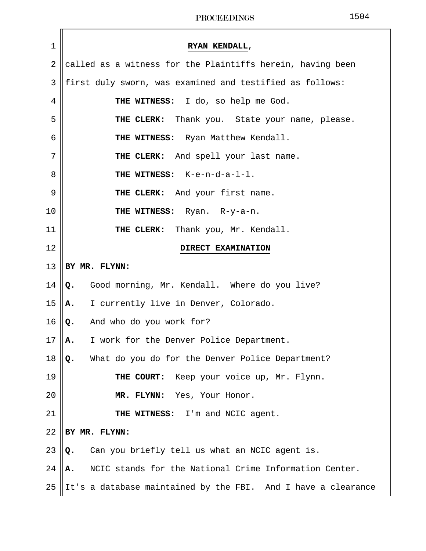| $1\,$          | RYAN KENDALL,                                                 |
|----------------|---------------------------------------------------------------|
| $\overline{2}$ | called as a witness for the Plaintiffs herein, having been    |
| 3              | first duly sworn, was examined and testified as follows:      |
| $\overline{4}$ | THE WITNESS: I do, so help me God.                            |
| 5              | THE CLERK: Thank you. State your name, please.                |
| 6              | THE WITNESS: Ryan Matthew Kendall.                            |
| 7              | THE CLERK: And spell your last name.                          |
| 8              | THE WITNESS: K-e-n-d-a-1-1.                                   |
| $\mathsf 9$    | THE CLERK: And your first name.                               |
| 10             | THE WITNESS: Ryan. R-y-a-n.                                   |
| 11             | THE CLERK: Thank you, Mr. Kendall.                            |
| 12             | DIRECT EXAMINATION                                            |
| 13             | BY MR. FLYNN:                                                 |
| 14             | Good morning, Mr. Kendall. Where do you live?<br>Q.           |
| 15             | I currently live in Denver, Colorado.<br>Α.                   |
| 16             | And who do you work for?<br>Q.                                |
| 17             | I work for the Denver Police Department.<br>Α.                |
| 18             | What do you do for the Denver Police Department?<br>Q.        |
| 19             | THE COURT: Keep your voice up, Mr. Flynn.                     |
| 20             | MR. FLYNN: Yes, Your Honor.                                   |
| 21             | THE WITNESS: I'm and NCIC agent.                              |
| 22             | BY MR. FLYNN:                                                 |
| 23             | Can you briefly tell us what an NCIC agent is.<br>Q.          |
| 24             | NCIC stands for the National Crime Information Center.<br>Α.  |
| 25             | It's a database maintained by the FBI. And I have a clearance |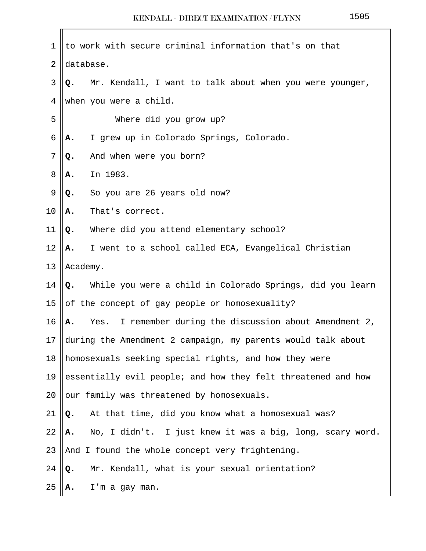| 1  | to work with secure criminal information that's on that           |  |  |  |
|----|-------------------------------------------------------------------|--|--|--|
| 2  | database.                                                         |  |  |  |
| 3  | Mr. Kendall, I want to talk about when you were younger,<br>Q.    |  |  |  |
| 4  | when you were a child.                                            |  |  |  |
| 5  | Where did you grow up?                                            |  |  |  |
| 6  | I grew up in Colorado Springs, Colorado.<br>Α.                    |  |  |  |
| 7  | And when were you born?<br>Q.                                     |  |  |  |
| 8  | In 1983.<br>А.                                                    |  |  |  |
| 9  | So you are 26 years old now?<br>Q.                                |  |  |  |
| 10 | That's correct.<br>Α.                                             |  |  |  |
| 11 | Where did you attend elementary school?<br>Q.                     |  |  |  |
| 12 | I went to a school called ECA, Evangelical Christian<br>А.        |  |  |  |
| 13 | Academy.                                                          |  |  |  |
| 14 | While you were a child in Colorado Springs, did you learn<br>Q.   |  |  |  |
| 15 | of the concept of gay people or homosexuality?                    |  |  |  |
| 16 | I remember during the discussion about Amendment 2,<br>Yes.<br>А. |  |  |  |
| 17 | during the Amendment 2 campaign, my parents would talk about      |  |  |  |
| 18 | homosexuals seeking special rights, and how they were             |  |  |  |
| 19 | essentially evil people; and how they felt threatened and how     |  |  |  |
| 20 | our family was threatened by homosexuals.                         |  |  |  |
| 21 | At that time, did you know what a homosexual was?<br>Q.           |  |  |  |
| 22 | No, I didn't. I just knew it was a big, long, scary word.<br>Α.   |  |  |  |
| 23 | And I found the whole concept very frightening.                   |  |  |  |
| 24 | Mr. Kendall, what is your sexual orientation?<br>Q.               |  |  |  |
| 25 | I'm a gay man.<br>А.                                              |  |  |  |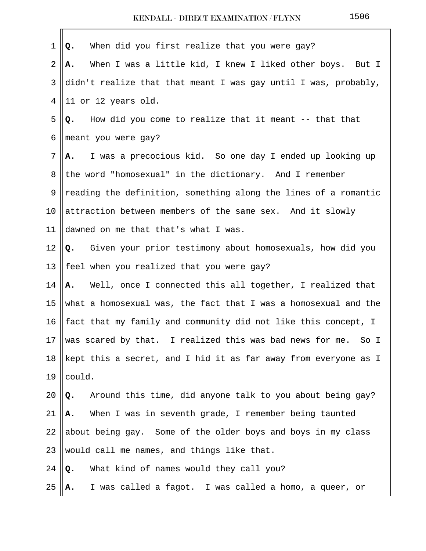| 1  | When did you first realize that you were gay?<br>Q.             |
|----|-----------------------------------------------------------------|
| 2  | When I was a little kid, I knew I liked other boys. But I<br>Α. |
| 3  | didn't realize that that meant I was gay until I was, probably, |
| 4  | 11 or 12 years old.                                             |
| 5  | How did you come to realize that it meant -- that that<br>Q.    |
| 6  | meant you were gay?                                             |
| 7  | I was a precocious kid. So one day I ended up looking up<br>A.  |
| 8  | the word "homosexual" in the dictionary. And I remember         |
| 9  | reading the definition, something along the lines of a romantic |
| 10 | attraction between members of the same sex. And it slowly       |
| 11 | dawned on me that that's what I was.                            |
| 12 | Q. Given your prior testimony about homosexuals, how did you    |
| 13 | feel when you realized that you were gay?                       |
| 14 | A. Well, once I connected this all together, I realized that    |
| 15 | what a homosexual was, the fact that I was a homosexual and the |
| 16 | fact that my family and community did not like this concept, I  |
| 17 | was scared by that. I realized this was bad news for me. So I   |
| 18 | kept this a secret, and I hid it as far away from everyone as I |
| 19 | could.                                                          |
| 20 | Around this time, did anyone talk to you about being gay?<br>Q. |
| 21 | When I was in seventh grade, I remember being taunted<br>А.     |
| 22 | about being gay. Some of the older boys and boys in my class    |
| 23 | would call me names, and things like that.                      |
| 24 | What kind of names would they call you?<br>Q.                   |
| 25 | I was called a fagot. I was called a homo, a queer, or<br>А.    |
|    |                                                                 |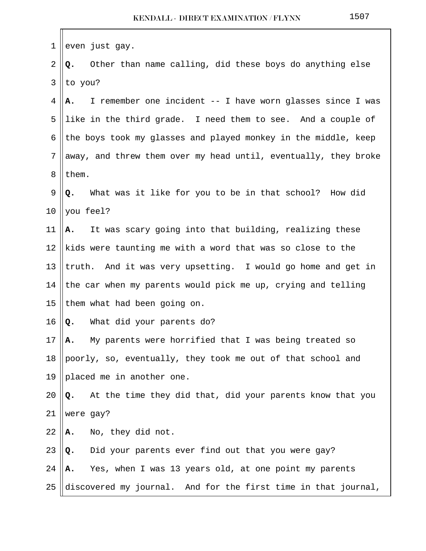| 1  | even just gay.                                                   |
|----|------------------------------------------------------------------|
| 2  | Other than name calling, did these boys do anything else<br>Q.   |
| 3  | to you?                                                          |
| 4  | I remember one incident -- I have worn glasses since I was<br>А. |
| 5  | like in the third grade. I need them to see. And a couple of     |
| 6  | the boys took my glasses and played monkey in the middle, keep   |
| 7  | away, and threw them over my head until, eventually, they broke  |
| 8  | them.                                                            |
| 9  | What was it like for you to be in that school? How did<br>Q.     |
| 10 | you feel?                                                        |
| 11 | It was scary going into that building, realizing these<br>А.     |
| 12 | kids were taunting me with a word that was so close to the       |
| 13 | truth. And it was very upsetting. I would go home and get in     |
| 14 | the car when my parents would pick me up, crying and telling     |
| 15 | them what had been going on.                                     |
| 16 | What did your parents do?<br>Q.                                  |
| 17 | My parents were horrified that I was being treated so<br>А.      |
| 18 | poorly, so, eventually, they took me out of that school and      |
| 19 | placed me in another one.                                        |
| 20 | At the time they did that, did your parents know that you<br>Q.  |
| 21 | were gay?                                                        |
| 22 | No, they did not.<br>Α.                                          |
| 23 | Did your parents ever find out that you were gay?<br>Q.          |
| 24 | Yes, when I was 13 years old, at one point my parents<br>А.      |
| 25 | discovered my journal. And for the first time in that journal,   |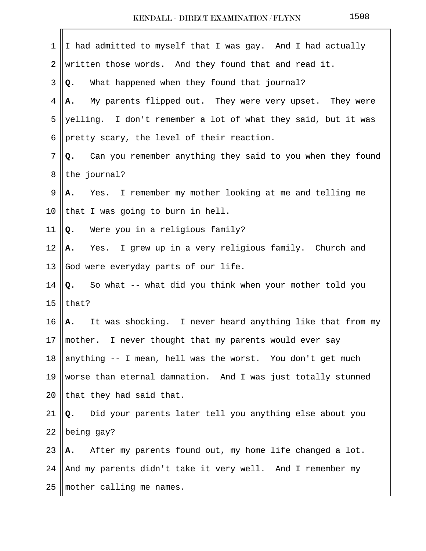$\mathbf{r}$ 

| 1  | I had admitted to myself that I was gay. And I had actually        |
|----|--------------------------------------------------------------------|
| 2  | written those words. And they found that and read it.              |
| 3  | What happened when they found that journal?<br>Q.                  |
| 4  | My parents flipped out. They were very upset. They were<br>Α.      |
| 5  | yelling. I don't remember a lot of what they said, but it was      |
| 6  | pretty scary, the level of their reaction.                         |
| 7  | Can you remember anything they said to you when they found<br>Q.   |
| 8  | the journal?                                                       |
| 9  | Yes. I remember my mother looking at me and telling me<br>Α.       |
| 10 | that I was going to burn in hell.                                  |
| 11 | Were you in a religious family?<br>Q.                              |
| 12 | A. Yes. I grew up in a very religious family. Church and           |
| 13 | God were everyday parts of our life.                               |
| 14 | So what -- what did you think when your mother told you<br>Q.      |
| 15 | that?                                                              |
| 16 | A. It was shocking. I never heard anything like that from my       |
| 17 | $\parallel$ mother. I never thought that my parents would ever say |
| 18 | anything -- I mean, hell was the worst. You don't get much         |
| 19 | worse than eternal damnation. And I was just totally stunned       |
| 20 | that they had said that.                                           |
| 21 | Did your parents later tell you anything else about you<br>Q.      |
| 22 | being gay?                                                         |
| 23 | After my parents found out, my home life changed a lot.<br>А.      |
| 24 | And my parents didn't take it very well. And I remember my         |
| 25 | mother calling me names.                                           |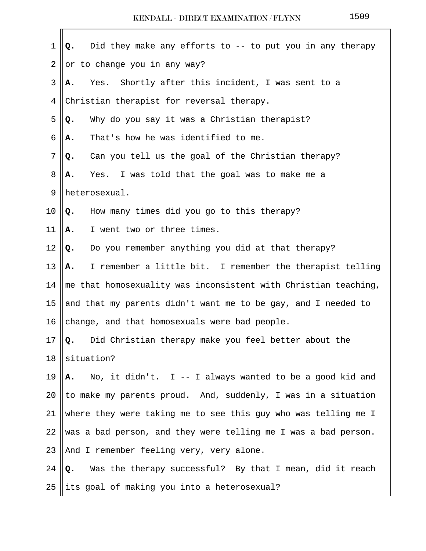| 1  | Did they make any efforts to -- to put you in any therapy<br>Q.         |
|----|-------------------------------------------------------------------------|
| 2  | or to change you in any way?                                            |
| 3  | Yes. Shortly after this incident, I was sent to a<br>А.                 |
| 4  | Christian therapist for reversal therapy.                               |
| 5  | Why do you say it was a Christian therapist?<br>Q.                      |
| 6  | That's how he was identified to me.<br>Α.                               |
| 7  | Can you tell us the goal of the Christian therapy?<br>Q.                |
| 8  | Yes. I was told that the goal was to make me a<br>А.                    |
| 9  | heterosexual.                                                           |
| 10 | How many times did you go to this therapy?<br>Q.                        |
| 11 | I went two or three times.<br>Α.                                        |
| 12 | Do you remember anything you did at that therapy?<br>Q.                 |
| 13 | I remember a little bit. I remember the therapist telling<br>А.         |
| 14 | $\vert$ me that homosexuality was inconsistent with Christian teaching, |
| 15 | and that my parents didn't want me to be gay, and I needed to           |
| 16 | change, and that homosexuals were bad people.                           |
| 17 | Q. Did Christian therapy make you feel better about the                 |
| 18 | situation?                                                              |
| 19 | No, it didn't. I -- I always wanted to be a good kid and<br>А.          |
| 20 | to make my parents proud. And, suddenly, I was in a situation           |
| 21 | where they were taking me to see this guy who was telling me I          |
| 22 | was a bad person, and they were telling me I was a bad person.          |
| 23 | And I remember feeling very, very alone.                                |
| 24 | Was the therapy successful? By that I mean, did it reach<br>Q.          |
| 25 | its goal of making you into a heterosexual?                             |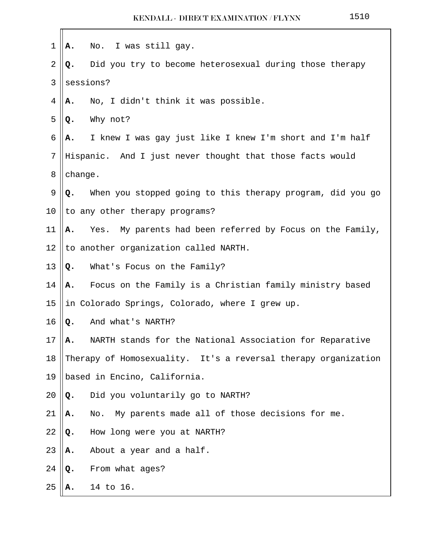| 1              | А. | No. I was still gay.                                           |
|----------------|----|----------------------------------------------------------------|
| $\overline{2}$ | Q. | Did you try to become heterosexual during those therapy        |
| 3              |    | sessions?                                                      |
| 4              | А. | No, I didn't think it was possible.                            |
| 5              | Q. | Why not?                                                       |
| 6              | А. | I knew I was gay just like I knew I'm short and I'm half       |
| 7              |    | Hispanic. And I just never thought that those facts would      |
| 8              |    | change.                                                        |
| 9              | Q. | When you stopped going to this therapy program, did you go     |
| 10             |    | to any other therapy programs?                                 |
| 11             | Α. | Yes. My parents had been referred by Focus on the Family,      |
| 12             |    | to another organization called NARTH.                          |
| 13             | Q. | What's Focus on the Family?                                    |
| 14             | Α. | Focus on the Family is a Christian family ministry based       |
| 15             |    | in Colorado Springs, Colorado, where I grew up.                |
| 16             | Q. | And what's NARTH?                                              |
| 17             | А. | NARTH stands for the National Association for Reparative       |
| 18             |    | Therapy of Homosexuality. It's a reversal therapy organization |
| 19             |    | based in Encino, California.                                   |
| 20             | Q. | Did you voluntarily go to NARTH?                               |
| 21             | А. | No.<br>My parents made all of those decisions for me.          |
| 22             | Q. | How long were you at NARTH?                                    |
| 23             | Α. | About a year and a half.                                       |
| 24             | Q. | From what ages?                                                |
| 25             |    | 14 to 16.                                                      |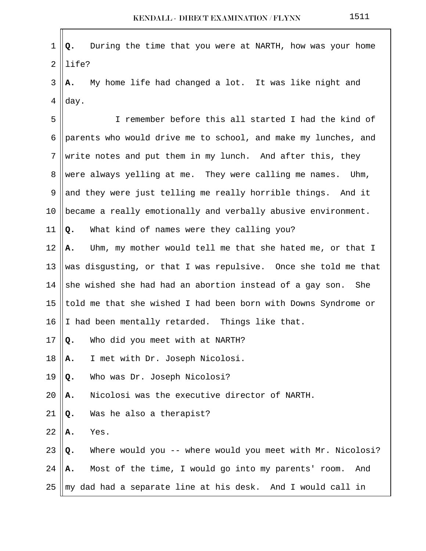| $\mathbf 1$    | During the time that you were at NARTH, how was your home<br>Q.  |
|----------------|------------------------------------------------------------------|
| $\overline{2}$ | life?                                                            |
| 3              | My home life had changed a lot. It was like night and<br>А.      |
| 4              | day.                                                             |
| 5              | I remember before this all started I had the kind of             |
| 6              | parents who would drive me to school, and make my lunches, and   |
| 7              | write notes and put them in my lunch. And after this, they       |
| 8              | were always yelling at me. They were calling me names. Uhm,      |
| 9              | and they were just telling me really horrible things. And it     |
| 10             | became a really emotionally and verbally abusive environment.    |
| 11             | What kind of names were they calling you?<br>Q.                  |
| 12             | Uhm, my mother would tell me that she hated me, or that I<br>Α.  |
| 13             | was disgusting, or that I was repulsive. Once she told me that   |
| 14             | she wished she had had an abortion instead of a gay son. She     |
| 15             | told me that she wished I had been born with Downs Syndrome or   |
| 16             | I had been mentally retarded. Things like that.                  |
| 17             | Who did you meet with at NARTH?<br>Q.                            |
| 18             | I met with Dr. Joseph Nicolosi.<br>Α.                            |
| 19             | Who was Dr. Joseph Nicolosi?<br>Q.                               |
| 20             | Nicolosi was the executive director of NARTH.<br>Α.              |
| 21             | Was he also a therapist?<br>Q.                                   |
| 22             | Yes.<br>Α.                                                       |
| 23             | Where would you -- where would you meet with Mr. Nicolosi?<br>Q. |
| 24             | Most of the time, I would go into my parents' room.<br>And<br>Α. |
| 25             | my dad had a separate line at his desk. And I would call in      |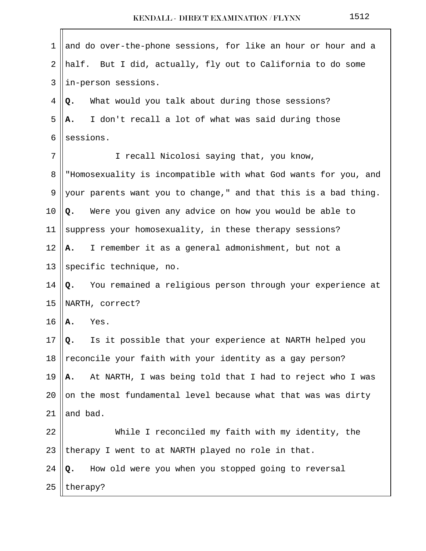$\blacksquare$ 

| 1       | and do over-the-phone sessions, for like an hour or hour and a   |
|---------|------------------------------------------------------------------|
| 2       | half. But I did, actually, fly out to California to do some      |
| 3       | in-person sessions.                                              |
| 4       | What would you talk about during those sessions?<br>Q.           |
| 5       | I don't recall a lot of what was said during those<br>Α.         |
| 6       | sessions.                                                        |
| 7       | I recall Nicolosi saying that, you know,                         |
| 8       | "Homosexuality is incompatible with what God wants for you, and  |
| 9       | your parents want you to change," and that this is a bad thing.  |
| 10      | Were you given any advice on how you would be able to<br>Q.      |
| 11      | suppress your homosexuality, in these therapy sessions?          |
| 12      | I remember it as a general admonishment, but not a<br>A.,        |
| 13      | specific technique, no.                                          |
| 14      | You remained a religious person through your experience at<br>Q. |
| 15      | NARTH, correct?                                                  |
| 16      | Yes.<br>Α.                                                       |
| $17 \,$ | Is it possible that your experience at NARTH helped you<br>Q.    |
| 18      | reconcile your faith with your identity as a gay person?         |
| 19      | At NARTH, I was being told that I had to reject who I was<br>Α.  |
| 20      | on the most fundamental level because what that was was dirty    |
| 21      | and bad.                                                         |
| 22      | While I reconciled my faith with my identity, the                |
| 23      | therapy I went to at NARTH played no role in that.               |
| 24      | How old were you when you stopped going to reversal<br>Q.        |
| 25      | therapy?                                                         |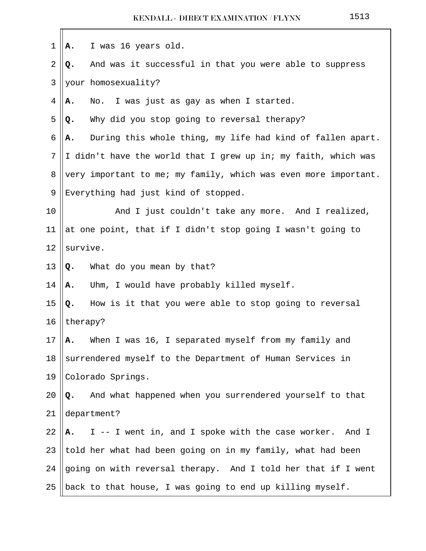| $\mathbf 1$    | I was 16 years old.<br>Α.                                        |  |
|----------------|------------------------------------------------------------------|--|
| $\overline{2}$ | And was it successful in that you were able to suppress<br>Q.    |  |
| 3              | your homosexuality?                                              |  |
| 4              | No. I was just as gay as when I started.<br>Α.                   |  |
| 5              | Why did you stop going to reversal therapy?<br>Q.                |  |
| 6              | During this whole thing, my life had kind of fallen apart.<br>Α. |  |
| 7              | I didn't have the world that I grew up in; my faith, which was   |  |
| 8              | very important to me; my family, which was even more important.  |  |
| 9              | Everything had just kind of stopped.                             |  |
| 10             | And I just couldn't take any more. And I realized,               |  |
| 11             | at one point, that if I didn't stop going I wasn't going to      |  |
| 12             | survive.                                                         |  |
| 13             | What do you mean by that?<br>Q.                                  |  |
| 14             | Uhm, I would have probably killed myself.<br>Α.                  |  |
| 15             | How is it that you were able to stop going to reversal<br>Q.     |  |
| 16             | therapy?                                                         |  |
| 17             | When I was 16, I separated myself from my family and<br>А.       |  |
| 18             | surrendered myself to the Department of Human Services in        |  |
| 19             | Colorado Springs.                                                |  |
| 20             | And what happened when you surrendered yourself to that<br>Q.    |  |
| 21             | department?                                                      |  |
| 22             | I -- I went in, and I spoke with the case worker. And I<br>A.    |  |
| 23             | told her what had been going on in my family, what had been      |  |
| 24             | going on with reversal therapy. And I told her that if I went    |  |
| 25             | back to that house, I was going to end up killing myself.        |  |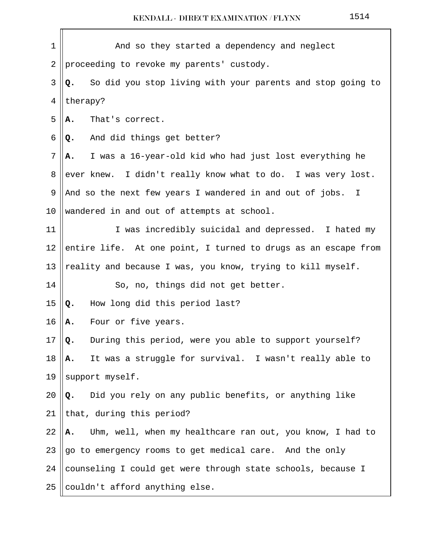| $\mathbf 1$ | And so they started a dependency and neglect                     |
|-------------|------------------------------------------------------------------|
| 2           | proceeding to revoke my parents' custody.                        |
| 3           | So did you stop living with your parents and stop going to<br>Q. |
| 4           | therapy?                                                         |
| 5           | That's correct.<br>Α.                                            |
| 6           | And did things get better?<br>Q.                                 |
| 7           | I was a 16-year-old kid who had just lost everything he<br>А.    |
| 8           | ever knew. I didn't really know what to do. I was very lost.     |
| 9           | And so the next few years I wandered in and out of jobs. I       |
| 10          | wandered in and out of attempts at school.                       |
| 11          | I was incredibly suicidal and depressed. I hated my              |
| 12          | entire life. At one point, I turned to drugs as an escape from   |
| 13          | reality and because I was, you know, trying to kill myself.      |
| 14          | So, no, things did not get better.                               |
| 15          | How long did this period last?<br>Q.                             |
| 16          | Four or five years.<br>Α.                                        |
| 17          | During this period, were you able to support yourself?<br>Q.     |
| 18          | It was a struggle for survival. I wasn't really able to<br>Α.    |
| 19          | support myself.                                                  |
| 20          | Did you rely on any public benefits, or anything like<br>Q.      |
| 21          | that, during this period?                                        |
| 22          | Uhm, well, when my healthcare ran out, you know, I had to<br>Α.  |
| 23          | go to emergency rooms to get medical care. And the only          |
| 24          | counseling I could get were through state schools, because I     |
| 25          | couldn't afford anything else.                                   |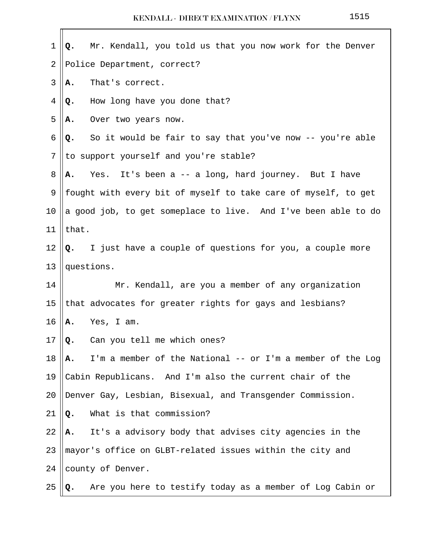| $\mathbf 1$ | Mr. Kendall, you told us that you now work for the Denver<br>Q.  |
|-------------|------------------------------------------------------------------|
| 2           | Police Department, correct?                                      |
| 3           | That's correct.<br>А.                                            |
| 4           | How long have you done that?<br>Q.                               |
| 5           | Over two years now.<br>А.                                        |
| 6           | So it would be fair to say that you've now -- you're able<br>Q.  |
| 7           | to support yourself and you're stable?                           |
| 8           | Yes. It's been a -- a long, hard journey. But I have<br>А.       |
| 9           | fought with every bit of myself to take care of myself, to get   |
| 10          | a good job, to get someplace to live. And I've been able to do   |
| 11          | that.                                                            |
| 12          | I just have a couple of questions for you, a couple more<br>Q.   |
| 13          | questions.                                                       |
| 14          | Mr. Kendall, are you a member of any organization                |
| 15          | that advocates for greater rights for gays and lesbians?         |
| 16          | Yes, I am.<br>А.                                                 |
| $17$        | Can you tell me which ones?<br>Q.                                |
| 18          | I'm a member of the National -- or I'm a member of the Log<br>Α. |
| 19          | Cabin Republicans. And I'm also the current chair of the         |
| 20          | Denver Gay, Lesbian, Bisexual, and Transgender Commission.       |
| 21          | What is that commission?<br>Q.                                   |
| 22          | It's a advisory body that advises city agencies in the<br>А.     |
| 23          | mayor's office on GLBT-related issues within the city and        |
| 24          | county of Denver.                                                |
| 25          | Are you here to testify today as a member of Log Cabin or<br>Q.  |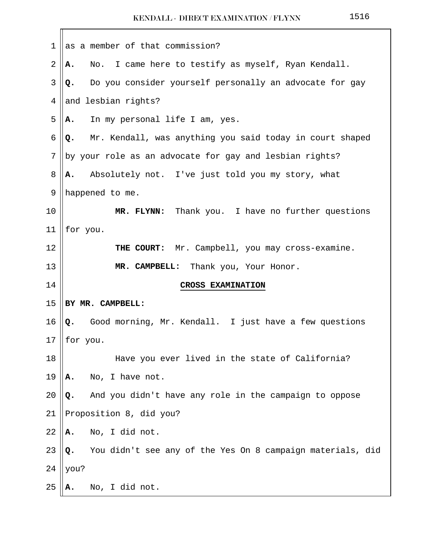| $\mathbf{1}$ | as a member of that commission?                                  |  |  |
|--------------|------------------------------------------------------------------|--|--|
| 2            | No. I came here to testify as myself, Ryan Kendall.<br>Α.        |  |  |
| 3            | Do you consider yourself personally an advocate for gay<br>Q.    |  |  |
| 4            | and lesbian rights?                                              |  |  |
| 5            | In my personal life I am, yes.<br>Α.                             |  |  |
| $\epsilon$   | Mr. Kendall, was anything you said today in court shaped<br>Q.   |  |  |
| 7            | by your role as an advocate for gay and lesbian rights?          |  |  |
| 8            | Absolutely not. I've just told you my story, what<br>А.          |  |  |
| 9            | happened to me.                                                  |  |  |
| 10           | MR. FLYNN: Thank you. I have no further questions                |  |  |
| 11           | for you.                                                         |  |  |
| 12           | Mr. Campbell, you may cross-examine.<br>THE COURT:               |  |  |
| 13           | MR. CAMPBELL: Thank you, Your Honor.                             |  |  |
| 14           | <b>CROSS EXAMINATION</b>                                         |  |  |
| 15           | BY MR. CAMPBELL:                                                 |  |  |
| 16           | Good morning, Mr. Kendall. I just have a few questions<br>Q.     |  |  |
| 17           | for you.                                                         |  |  |
| 18           | Have you ever lived in the state of California?                  |  |  |
| 19           | No, I have not.<br>Α.                                            |  |  |
| 20           | And you didn't have any role in the campaign to oppose<br>Q.     |  |  |
| 21           | Proposition 8, did you?                                          |  |  |
| 22           | No, I did not.<br>Α.                                             |  |  |
| 23           | You didn't see any of the Yes On 8 campaign materials, did<br>Q. |  |  |
| 24           | you?                                                             |  |  |
| 25           | No, I did not.<br>А.                                             |  |  |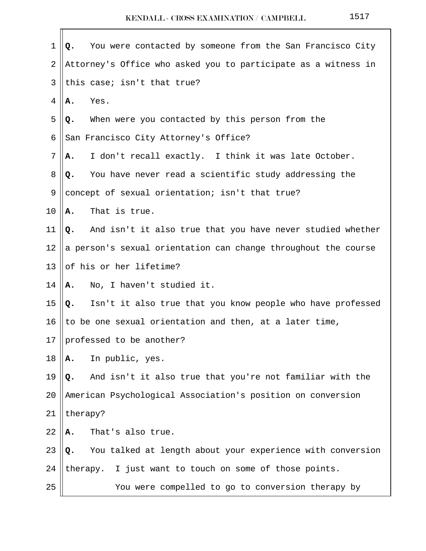| 1  | You were contacted by someone from the San Francisco City<br>Q.  |  |  |
|----|------------------------------------------------------------------|--|--|
| 2  | Attorney's Office who asked you to participate as a witness in   |  |  |
| 3  | this case; isn't that true?                                      |  |  |
| 4  | Yes.<br>Α.                                                       |  |  |
| 5  | When were you contacted by this person from the<br>Q.            |  |  |
| 6  | San Francisco City Attorney's Office?                            |  |  |
| 7  | I don't recall exactly. I think it was late October.<br>А.       |  |  |
| 8  | You have never read a scientific study addressing the<br>Q.      |  |  |
| 9  | concept of sexual orientation; isn't that true?                  |  |  |
| 10 | That is true.<br>Α.                                              |  |  |
| 11 | Q. And isn't it also true that you have never studied whether    |  |  |
| 12 | a person's sexual orientation can change throughout the course   |  |  |
| 13 | of his or her lifetime?                                          |  |  |
| 14 | No, I haven't studied it.<br>А.                                  |  |  |
| 15 | Isn't it also true that you know people who have professed<br>Q. |  |  |
| 16 | to be one sexual orientation and then, at a later time,          |  |  |
| 17 | professed to be another?                                         |  |  |
| 18 | In public, yes.<br>Α.                                            |  |  |
| 19 | And isn't it also true that you're not familiar with the<br>Q.   |  |  |
| 20 | American Psychological Association's position on conversion      |  |  |
| 21 | therapy?                                                         |  |  |
| 22 | That's also true.<br>Α.                                          |  |  |
| 23 | You talked at length about your experience with conversion<br>Q. |  |  |
| 24 | therapy. I just want to touch on some of those points.           |  |  |
| 25 | You were compelled to go to conversion therapy by                |  |  |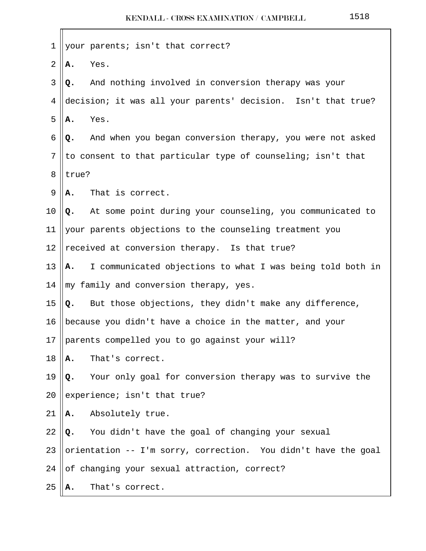| 1              |                                                              | your parents; isn't that correct?                              |  |  |  |  |
|----------------|--------------------------------------------------------------|----------------------------------------------------------------|--|--|--|--|
| $\overline{2}$ | Α.                                                           | Yes.                                                           |  |  |  |  |
| 3              | Q.                                                           | And nothing involved in conversion therapy was your            |  |  |  |  |
| 4              |                                                              | decision; it was all your parents' decision. Isn't that true?  |  |  |  |  |
| 5              | А.                                                           | Yes.                                                           |  |  |  |  |
| 6              | Q.                                                           | And when you began conversion therapy, you were not asked      |  |  |  |  |
| 7              | to consent to that particular type of counseling; isn't that |                                                                |  |  |  |  |
| 8              | true?                                                        |                                                                |  |  |  |  |
| 9              | А.                                                           | That is correct.                                               |  |  |  |  |
| 10             |                                                              | Q. At some point during your counseling, you communicated to   |  |  |  |  |
| 11             |                                                              | your parents objections to the counseling treatment you        |  |  |  |  |
| 12             |                                                              | received at conversion therapy. Is that true?                  |  |  |  |  |
| 13             | Α.                                                           | I communicated objections to what I was being told both in     |  |  |  |  |
| 14             |                                                              | my family and conversion therapy, yes.                         |  |  |  |  |
| 15             | Q.                                                           | But those objections, they didn't make any difference,         |  |  |  |  |
| 16             | because you didn't have a choice in the matter, and your     |                                                                |  |  |  |  |
| 17             |                                                              | parents compelled you to go against your will?                 |  |  |  |  |
| 18             | Α.                                                           | That's correct.                                                |  |  |  |  |
| 19             | Q.                                                           | Your only goal for conversion therapy was to survive the       |  |  |  |  |
| 20             |                                                              | experience; isn't that true?                                   |  |  |  |  |
| 21             | А.                                                           | Absolutely true.                                               |  |  |  |  |
| 22             | Q.                                                           | You didn't have the goal of changing your sexual               |  |  |  |  |
| 23             |                                                              | orientation -- I'm sorry, correction. You didn't have the goal |  |  |  |  |
| 24             |                                                              | of changing your sexual attraction, correct?                   |  |  |  |  |
| 25             | А.                                                           | That's correct.                                                |  |  |  |  |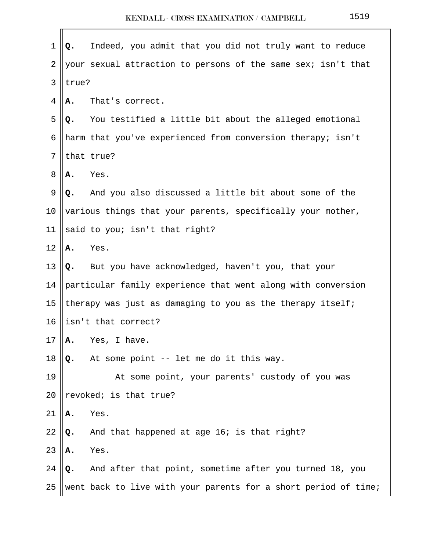| $\mathbf 1$    | Q.                                                           | Indeed, you admit that you did not truly want to reduce         |  |  |  |  |
|----------------|--------------------------------------------------------------|-----------------------------------------------------------------|--|--|--|--|
| $\overline{2}$ |                                                              | your sexual attraction to persons of the same sex; isn't that   |  |  |  |  |
| 3              | true?                                                        |                                                                 |  |  |  |  |
| 4              | Α.                                                           | That's correct.                                                 |  |  |  |  |
| 5              | Q.                                                           | You testified a little bit about the alleged emotional          |  |  |  |  |
| 6              |                                                              | harm that you've experienced from conversion therapy; isn't     |  |  |  |  |
| 7              | that true?                                                   |                                                                 |  |  |  |  |
| 8              | Α.                                                           | Yes.                                                            |  |  |  |  |
| 9              | Q.                                                           | And you also discussed a little bit about some of the           |  |  |  |  |
| 10             | various things that your parents, specifically your mother,  |                                                                 |  |  |  |  |
| 11             |                                                              | said to you; isn't that right?                                  |  |  |  |  |
| 12             | Α.                                                           | Yes.                                                            |  |  |  |  |
| 13             | Q.                                                           | But you have acknowledged, haven't you, that your               |  |  |  |  |
| 14             | particular family experience that went along with conversion |                                                                 |  |  |  |  |
| 15             | therapy was just as damaging to you as the therapy itself;   |                                                                 |  |  |  |  |
| 16             |                                                              | isn't that correct?                                             |  |  |  |  |
| 17             | Α.                                                           | Yes, I have.                                                    |  |  |  |  |
| 18             | Q.                                                           | At some point -- let me do it this way.                         |  |  |  |  |
| 19             |                                                              | At some point, your parents' custody of you was                 |  |  |  |  |
| 20             |                                                              | revoked; is that true?                                          |  |  |  |  |
| 21             | Α.                                                           | Yes.                                                            |  |  |  |  |
| 22             | Q.                                                           | And that happened at age 16; is that right?                     |  |  |  |  |
| 23             | Α.                                                           | Yes.                                                            |  |  |  |  |
| 24             | Q.                                                           | And after that point, sometime after you turned 18, you         |  |  |  |  |
| 25             |                                                              | went back to live with your parents for a short period of time; |  |  |  |  |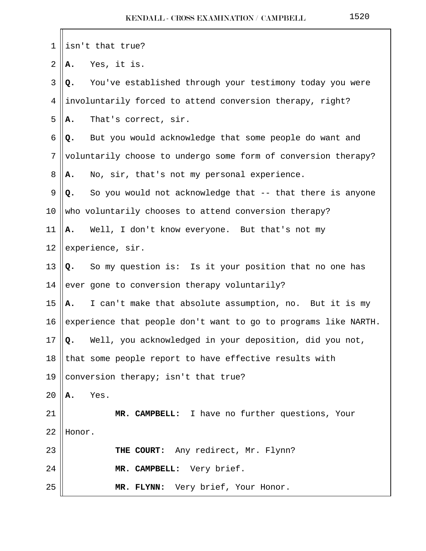| $\mathbf 1$    | isn't that true?                                                |  |  |
|----------------|-----------------------------------------------------------------|--|--|
| $\overline{2}$ | Yes, it is.<br>Α.                                               |  |  |
| 3              | You've established through your testimony today you were<br>Q.  |  |  |
| 4              | involuntarily forced to attend conversion therapy, right?       |  |  |
| 5              | That's correct, sir.<br>Α.                                      |  |  |
| $\epsilon$     | But you would acknowledge that some people do want and<br>Q.    |  |  |
| 7              | voluntarily choose to undergo some form of conversion therapy?  |  |  |
| 8              | No, sir, that's not my personal experience.<br>А.               |  |  |
| 9              | So you would not acknowledge that -- that there is anyone<br>Q. |  |  |
| 10             | who voluntarily chooses to attend conversion therapy?           |  |  |
| 11             | Well, I don't know everyone. But that's not my<br>Α.            |  |  |
| 12             | experience, sir.                                                |  |  |
| 13             | Q. So my question is: Is it your position that no one has       |  |  |
| 14             | ever gone to conversion therapy voluntarily?                    |  |  |
| 15             | I can't make that absolute assumption, no. But it is my<br>A.   |  |  |
| 16             | experience that people don't want to go to programs like NARTH. |  |  |
| 17             | Q. Well, you acknowledged in your deposition, did you not,      |  |  |
| 18             | that some people report to have effective results with          |  |  |
| 19             | conversion therapy; isn't that true?                            |  |  |
| 20             | Yes.<br>А.                                                      |  |  |
| 21             | MR. CAMPBELL: I have no further questions, Your                 |  |  |
| 22             | Honor.                                                          |  |  |
| 23             | THE COURT: Any redirect, Mr. Flynn?                             |  |  |
| 24             | MR. CAMPBELL: Very brief.                                       |  |  |
| 25             | MR. FLYNN: Very brief, Your Honor.                              |  |  |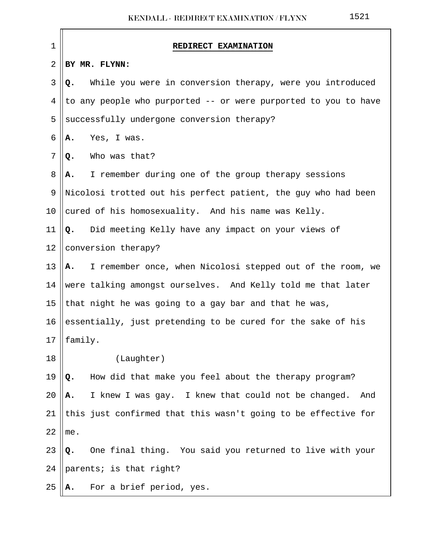| $\mathbf 1$ | REDIRECT EXAMINATION                                             |
|-------------|------------------------------------------------------------------|
| 2           | BY MR. FLYNN:                                                    |
| 3           | While you were in conversion therapy, were you introduced<br>Q.  |
| 4           | to any people who purported -- or were purported to you to have  |
| 5           | successfully undergone conversion therapy?                       |
| 6           | Yes, I was.<br>Α.                                                |
| 7           | Who was that?<br>Q.                                              |
| 8           | I remember during one of the group therapy sessions<br>А.        |
| 9           | Nicolosi trotted out his perfect patient, the guy who had been   |
| $10 \,$     | cured of his homosexuality. And his name was Kelly.              |
| 11          | Did meeting Kelly have any impact on your views of<br>Q.         |
| 12          | conversion therapy?                                              |
| 13          | A. I remember once, when Nicolosi stepped out of the room, we    |
| 14          | were talking amongst ourselves. And Kelly told me that later     |
| 15          | that night he was going to a gay bar and that he was,            |
| 16          | essentially, just pretending to be cured for the sake of his     |
|             | 17 $\ $ family.                                                  |
| 18          | (Laughter)                                                       |
| 19          | How did that make you feel about the therapy program?<br>Q.      |
| 20          | I knew I was gay. I knew that could not be changed.<br>And<br>А. |
| 21          | this just confirmed that this wasn't going to be effective for   |
| 22          | me.                                                              |
| 23          | One final thing. You said you returned to live with your<br>Q.   |
| 24          | parents; is that right?                                          |
| 25          | For a brief period, yes.<br>Α.                                   |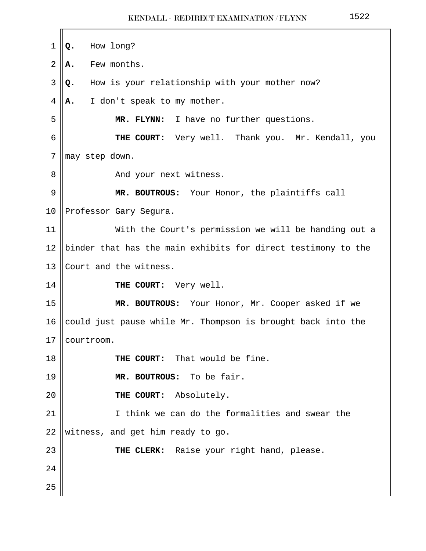| 1  | How long?<br>Q.                                               |  |  |  |  |
|----|---------------------------------------------------------------|--|--|--|--|
| 2  | Few months.<br>Α.                                             |  |  |  |  |
| 3  | How is your relationship with your mother now?<br>Q.          |  |  |  |  |
| 4  | I don't speak to my mother.<br>А.                             |  |  |  |  |
| 5  | MR. FLYNN: I have no further questions.                       |  |  |  |  |
| 6  | THE COURT: Very well. Thank you. Mr. Kendall, you             |  |  |  |  |
| 7  | may step down.                                                |  |  |  |  |
| 8  | And your next witness.                                        |  |  |  |  |
| 9  | MR. BOUTROUS: Your Honor, the plaintiffs call                 |  |  |  |  |
| 10 | Professor Gary Segura.                                        |  |  |  |  |
| 11 | With the Court's permission we will be handing out a          |  |  |  |  |
| 12 | binder that has the main exhibits for direct testimony to the |  |  |  |  |
| 13 | Court and the witness.                                        |  |  |  |  |
| 14 | THE COURT: Very well.                                         |  |  |  |  |
| 15 | MR. BOUTROUS: Your Honor, Mr. Cooper asked if we              |  |  |  |  |
| 16 | could just pause while Mr. Thompson is brought back into the  |  |  |  |  |
| 17 | courtroom.                                                    |  |  |  |  |
| 18 | THE COURT: That would be fine.                                |  |  |  |  |
| 19 | MR. BOUTROUS: To be fair.                                     |  |  |  |  |
| 20 | THE COURT: Absolutely.                                        |  |  |  |  |
| 21 | I think we can do the formalities and swear the               |  |  |  |  |
| 22 | witness, and get him ready to go.                             |  |  |  |  |
| 23 | THE CLERK: Raise your right hand, please.                     |  |  |  |  |
| 24 |                                                               |  |  |  |  |
| 25 |                                                               |  |  |  |  |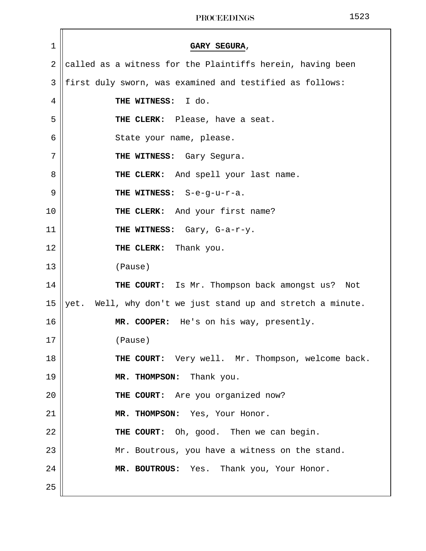| 1              | GARY SEGURA,                                                |
|----------------|-------------------------------------------------------------|
| $\overline{2}$ | called as a witness for the Plaintiffs herein, having been  |
| 3              | first duly sworn, was examined and testified as follows:    |
| 4              | THE WITNESS: I do.                                          |
| 5              | THE CLERK: Please, have a seat.                             |
| 6              | State your name, please.                                    |
| 7              | THE WITNESS: Gary Segura.                                   |
| 8              | THE CLERK: And spell your last name.                        |
| 9              | THE WITNESS: S-e-g-u-r-a.                                   |
| 10             | THE CLERK: And your first name?                             |
| 11             | THE WITNESS: Gary, G-a-r-y.                                 |
| 12             | THE CLERK: Thank you.                                       |
| 13             | (Pause)                                                     |
| 14             | THE COURT: Is Mr. Thompson back amongst us? Not             |
| 15             | yet. Well, why don't we just stand up and stretch a minute. |
| 16             | MR. COOPER: He's on his way, presently.                     |
| 17             | (Pause)                                                     |
| 18             | THE COURT: Very well. Mr. Thompson, welcome back.           |
| 19             | MR. THOMPSON: Thank you.                                    |
| 20             | THE COURT: Are you organized now?                           |
| 21             | MR. THOMPSON: Yes, Your Honor.                              |
| 22             | THE COURT: Oh, good. Then we can begin.                     |
| 23             | Mr. Boutrous, you have a witness on the stand.              |
| 24             | MR. BOUTROUS: Yes. Thank you, Your Honor.                   |
| 25             |                                                             |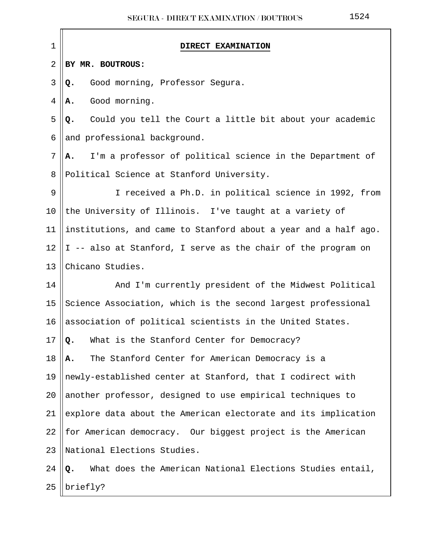| 1  | <b>DIRECT EXAMINATION</b>                                       |
|----|-----------------------------------------------------------------|
| 2  | BY MR. BOUTROUS:                                                |
| 3  | Good morning, Professor Segura.<br>Q.                           |
| 4  | Good morning.<br>А.                                             |
| 5  | Could you tell the Court a little bit about your academic<br>Q. |
| 6  | and professional background.                                    |
| 7  | I'm a professor of political science in the Department of<br>А. |
| 8  | Political Science at Stanford University.                       |
| 9  | I received a Ph.D. in political science in 1992, from           |
| 10 | the University of Illinois. I've taught at a variety of         |
| 11 | institutions, and came to Stanford about a year and a half ago. |
| 12 | I -- also at Stanford, I serve as the chair of the program on   |
| 13 | Chicano Studies.                                                |
| 14 | And I'm currently president of the Midwest Political            |
| 15 | Science Association, which is the second largest professional   |
| 16 | association of political scientists in the United States.       |
| 17 | What is the Stanford Center for Democracy?<br>Q.                |
| 18 | The Stanford Center for American Democracy is a<br>Α.           |
| 19 | newly-established center at Stanford, that I codirect with      |
| 20 | another professor, designed to use empirical techniques to      |
| 21 | explore data about the American electorate and its implication  |
| 22 | for American democracy. Our biggest project is the American     |
| 23 | National Elections Studies.                                     |
| 24 | What does the American National Elections Studies entail,<br>o. |
| 25 | briefly?                                                        |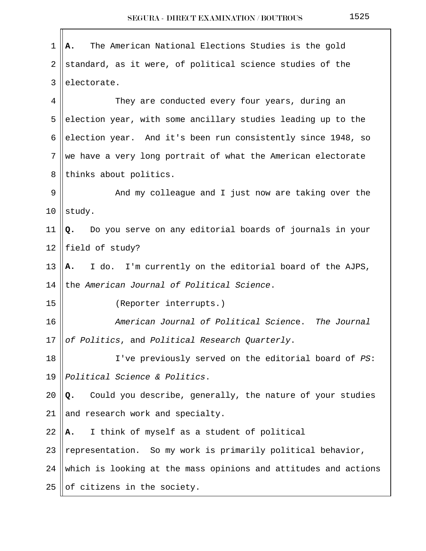| $\mathbf{1}$   | The American National Elections Studies is the gold<br>Α.       |
|----------------|-----------------------------------------------------------------|
| $\overline{2}$ | standard, as it were, of political science studies of the       |
| 3              | electorate.                                                     |
| 4              | They are conducted every four years, during an                  |
| 5              | election year, with some ancillary studies leading up to the    |
| 6              | election year. And it's been run consistently since 1948, so    |
| 7              | we have a very long portrait of what the American electorate    |
| 8              | thinks about politics.                                          |
| 9              | And my colleague and I just now are taking over the             |
| 10             | study.                                                          |
| 11             | Do you serve on any editorial boards of journals in your<br>Q.  |
| 12             | field of study?                                                 |
| 13             | I do. I'm currently on the editorial board of the AJPS,<br>A.   |
| 14             | the American Journal of Political Science.                      |
| 15             | (Reporter interrupts.)                                          |
| 16             | American Journal of Political Science. The Journal              |
| 17             | of Politics, and Political Research Quarterly.                  |
| 18             | I've previously served on the editorial board of PS:            |
| 19             | Political Science & Politics.                                   |
| 20             | Could you describe, generally, the nature of your studies<br>Q. |
| 21             | and research work and specialty.                                |
| 22             | I think of myself as a student of political<br>Α.               |
| 23             | representation. So my work is primarily political behavior,     |
| 24             | which is looking at the mass opinions and attitudes and actions |
| 25             | of citizens in the society.                                     |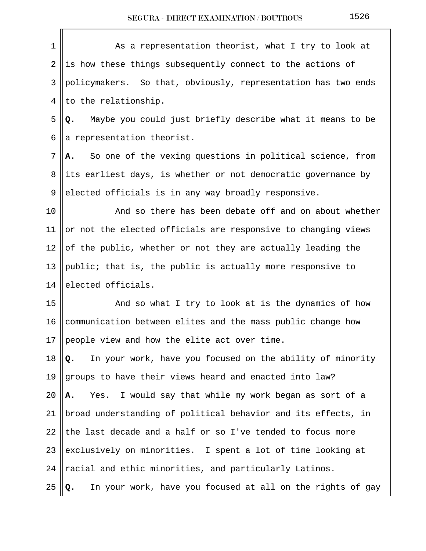| $\mathbf 1$ | As a representation theorist, what I try to look at              |
|-------------|------------------------------------------------------------------|
| 2           | is how these things subsequently connect to the actions of       |
| 3           | policymakers. So that, obviously, representation has two ends    |
| 4           | to the relationship.                                             |
| 5           | Maybe you could just briefly describe what it means to be<br>Q.  |
| 6           | a representation theorist.                                       |
| 7           | So one of the vexing questions in political science, from<br>А.  |
| 8           | its earliest days, is whether or not democratic governance by    |
| 9           | elected officials is in any way broadly responsive.              |
| 10          | And so there has been debate off and on about whether            |
| 11          | or not the elected officials are responsive to changing views    |
| 12          | of the public, whether or not they are actually leading the      |
| 13          | public; that is, the public is actually more responsive to       |
| 14          | elected officials.                                               |
| 15          | And so what I try to look at is the dynamics of how              |
| 16          | communication between elites and the mass public change how      |
| 17          | people view and how the elite act over time.                     |
| 18          | In your work, have you focused on the ability of minority<br>Q.  |
| 19          | groups to have their views heard and enacted into law?           |
| 20          | Yes. I would say that while my work began as sort of a<br>Α.     |
| 21          | broad understanding of political behavior and its effects, in    |
| 22          | the last decade and a half or so I've tended to focus more       |
| 23          | exclusively on minorities. I spent a lot of time looking at      |
| 24          | racial and ethic minorities, and particularly Latinos.           |
| 25          | In your work, have you focused at all on the rights of gay<br>Q. |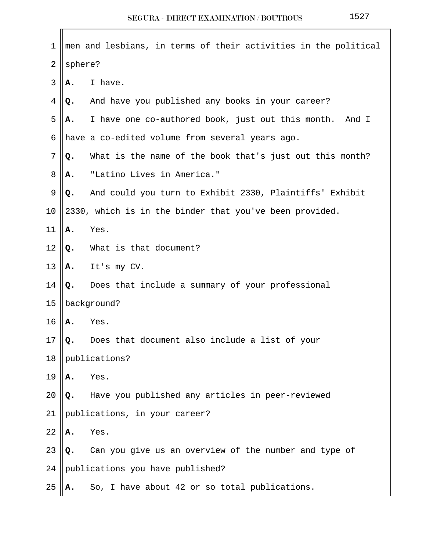| 1  |         | men and lesbians, in terms of their activities in the political |
|----|---------|-----------------------------------------------------------------|
| 2  | sphere? |                                                                 |
| 3  | А.      | I have.                                                         |
| 4  | Q.      | And have you published any books in your career?                |
| 5  | А.      | I have one co-authored book, just out this month. And I         |
| 6  |         | have a co-edited volume from several years ago.                 |
| 7  | Q.      | What is the name of the book that's just out this month?        |
| 8  | А.      | "Latino Lives in America."                                      |
| 9  | Q.      | And could you turn to Exhibit 2330, Plaintiffs' Exhibit         |
| 10 |         | 2330, which is in the binder that you've been provided.         |
| 11 | Α.      | Yes.                                                            |
| 12 | Q.      | What is that document?                                          |
| 13 | Α.      | It's my CV.                                                     |
| 14 | Q.      | Does that include a summary of your professional                |
| 15 |         | background?                                                     |
| 16 | Α.      | Yes.                                                            |
| 17 | Q.      | Does that document also include a list of your                  |
| 18 |         | publications?                                                   |
| 19 | Α.      | Yes.                                                            |
| 20 | Q.      | Have you published any articles in peer-reviewed                |
| 21 |         | publications, in your career?                                   |
| 22 | Α.      | Yes.                                                            |
| 23 | Q.      | Can you give us an overview of the number and type of           |
| 24 |         | publications you have published?                                |
| 25 | Α.      | So, I have about 42 or so total publications.                   |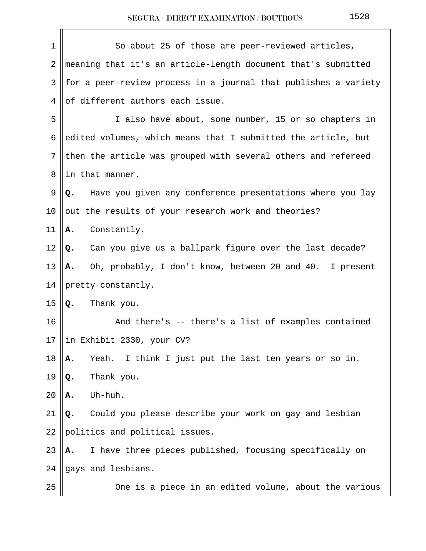| $\mathbf 1$    | So about 25 of those are peer-reviewed articles,                |
|----------------|-----------------------------------------------------------------|
| $\overline{2}$ | meaning that it's an article-length document that's submitted   |
| 3              | for a peer-review process in a journal that publishes a variety |
| 4              | of different authors each issue.                                |
| 5              | I also have about, some number, 15 or so chapters in            |
| 6              | edited volumes, which means that I submitted the article, but   |
| 7              | then the article was grouped with several others and refereed   |
| 8              | in that manner.                                                 |
| 9              | Have you given any conference presentations where you lay<br>Q. |
| 10             | out the results of your research work and theories?             |
| 11             | Constantly.<br>Α.                                               |
| 12             | Can you give us a ballpark figure over the last decade?<br>Q.   |
| 13             | Oh, probably, I don't know, between 20 and 40. I present<br>Α.  |
| 14             | pretty constantly.                                              |
| 15             | Thank you.<br>Q.                                                |
| 16             | And there's -- there's a list of examples contained             |
| 17             | in Exhibit 2330, your CV?                                       |
| 18             | Yeah.<br>I think I just put the last ten years or so in.<br>Α.  |
| 19             | Thank you.<br>Q.                                                |
| 20             | Uh-huh.<br>А.                                                   |
| 21             | Could you please describe your work on gay and lesbian<br>Q.    |
| 22             | politics and political issues.                                  |
| 23             | I have three pieces published, focusing specifically on<br>А.   |
| 24             | gays and lesbians.                                              |
| 25             | One is a piece in an edited volume, about the various           |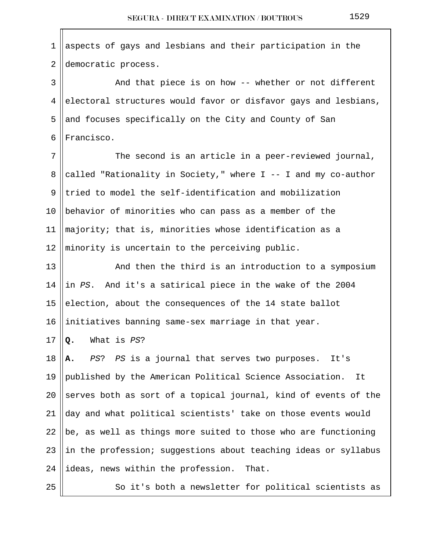$1$  aspects of gays and lesbians and their participation in the 2 democratic process. 3 And that piece is on how -- whether or not different  $4$  electoral structures would favor or disfavor gays and lesbians, 5 and focuses specifically on the City and County of San  $6$  | Francisco.  $7 \parallel$  The second is an article in a peer-reviewed journal, 8 called "Rationality in Society," where  $I$  -- I and my co-author  $9$  tried to model the self-identification and mobilization 10  $\parallel$  behavior of minorities who can pass as a member of the 11  $\parallel$  majority; that is, minorities whose identification as a 12  $\parallel$  minority is uncertain to the perceiving public. 13 || And then the third is an introduction to a symposium 14 ||in PS. And it's a satirical piece in the wake of the 2004 15 election, about the consequences of the 14 state ballot 16 || initiatives banning same-sex marriage in that year. 17  $\vert \Omega$ . What is *PS*? 18 **A.** PS? PS is a journal that serves two purposes. It's 19 published by the American Political Science Association. It 20 Serves both as sort of a topical journal, kind of events of the 21 day and what political scientists' take on those events would 22  $\vert$ be, as well as things more suited to those who are functioning 23 ||in the profession; suggestions about teaching ideas or syllabus 24 dideas, news within the profession. That.  $25$   $\parallel$  So it's both a newsletter for political scientists as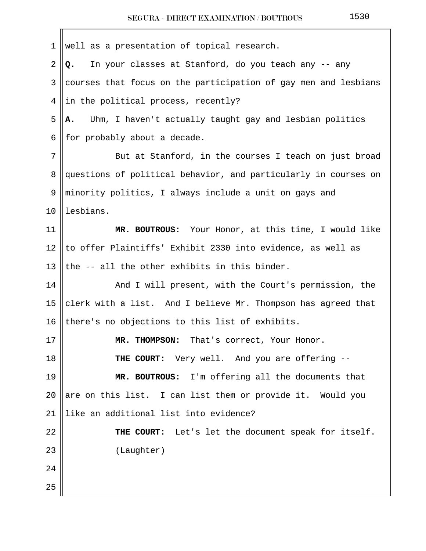| 1  | well as a presentation of topical research.                     |
|----|-----------------------------------------------------------------|
| 2  | In your classes at Stanford, do you teach any -- any<br>Q.      |
| 3  | courses that focus on the participation of gay men and lesbians |
| 4  | in the political process, recently?                             |
| 5  | Uhm, I haven't actually taught gay and lesbian politics<br>Α.   |
| 6  | for probably about a decade.                                    |
| 7  | But at Stanford, in the courses I teach on just broad           |
| 8  | questions of political behavior, and particularly in courses on |
| 9  | minority politics, I always include a unit on gays and          |
| 10 | lesbians.                                                       |
| 11 | MR. BOUTROUS: Your Honor, at this time, I would like            |
| 12 | to offer Plaintiffs' Exhibit 2330 into evidence, as well as     |
| 13 | the -- all the other exhibits in this binder.                   |
| 14 | And I will present, with the Court's permission, the            |
| 15 | clerk with a list. And I believe Mr. Thompson has agreed that   |
| 16 | there's no objections to this list of exhibits.                 |
| 17 | MR. THOMPSON: That's correct, Your Honor.                       |
| 18 | <b>THE COURT:</b> Very well. And you are offering --            |
| 19 | MR. BOUTROUS: I'm offering all the documents that               |
| 20 | are on this list. I can list them or provide it. Would you      |
| 21 | like an additional list into evidence?                          |
| 22 | THE COURT: Let's let the document speak for itself.             |
| 23 | (Laughter)                                                      |
| 24 |                                                                 |
| 25 |                                                                 |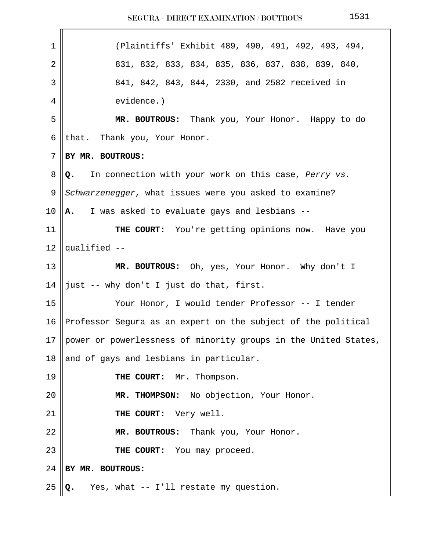| $\mathbf 1$ | (Plaintiffs' Exhibit 489, 490, 491, 492, 493, 494,              |
|-------------|-----------------------------------------------------------------|
| 2           | 831, 832, 833, 834, 835, 836, 837, 838, 839, 840,               |
| 3           | 841, 842, 843, 844, 2330, and 2582 received in                  |
| 4           | evidence.)                                                      |
| 5           | MR. BOUTROUS: Thank you, Your Honor. Happy to do                |
| 6           | that. Thank you, Your Honor.                                    |
| 7           | BY MR. BOUTROUS:                                                |
| 8           | In connection with your work on this case, Perry vs.<br>Q.      |
| 9           | Schwarzenegger, what issues were you asked to examine?          |
| 10          | A. I was asked to evaluate gays and lesbians --                 |
| 11          | THE COURT: You're getting opinions now. Have you                |
| 12          | qualified --                                                    |
| 13          | MR. BOUTROUS: Oh, yes, Your Honor. Why don't I                  |
| 14          | just -- why don't I just do that, first.                        |
| 15          | Your Honor, I would tender Professor -- I tender                |
| 16          | Professor Segura as an expert on the subject of the political   |
| 17          | power or powerlessness of minority groups in the United States, |
| 18          | and of gays and lesbians in particular.                         |
| 19          | THE COURT: Mr. Thompson.                                        |
| 20          | MR. THOMPSON: No objection, Your Honor.                         |
| 21          | THE COURT: Very well.                                           |
| 22          | MR. BOUTROUS: Thank you, Your Honor.                            |
| 23          | THE COURT: You may proceed.                                     |
| 24          | BY MR. BOUTROUS:                                                |
| 25          | Yes, what -- I'll restate my question.<br>Q.                    |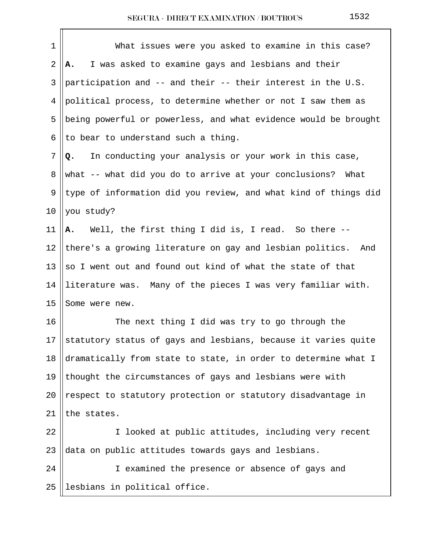| 1  | What issues were you asked to examine in this case?             |
|----|-----------------------------------------------------------------|
| 2  | I was asked to examine gays and lesbians and their<br>А.        |
| 3  | participation and -- and their -- their interest in the U.S.    |
| 4  | political process, to determine whether or not I saw them as    |
| 5  | being powerful or powerless, and what evidence would be brought |
| 6  | to bear to understand such a thing.                             |
| 7  | In conducting your analysis or your work in this case,<br>Q.    |
| 8  | what -- what did you do to arrive at your conclusions?<br>What  |
| 9  | type of information did you review, and what kind of things did |
| 10 | you study?                                                      |
| 11 | A. Well, the first thing I did is, I read. So there --          |
| 12 | there's a growing literature on gay and lesbian politics. And   |
| 13 | so I went out and found out kind of what the state of that      |
| 14 | literature was. Many of the pieces I was very familiar with.    |
| 15 | Some were new.                                                  |
| 16 | The next thing I did was try to go through the                  |
| 17 | statutory status of gays and lesbians, because it varies quite  |
| 18 | dramatically from state to state, in order to determine what I  |
| 19 | thought the circumstances of gays and lesbians were with        |
| 20 | respect to statutory protection or statutory disadvantage in    |
| 21 | the states.                                                     |
| 22 | I looked at public attitudes, including very recent             |
| 23 | data on public attitudes towards gays and lesbians.             |
| 24 | I examined the presence or absence of gays and                  |
| 25 | lesbians in political office.                                   |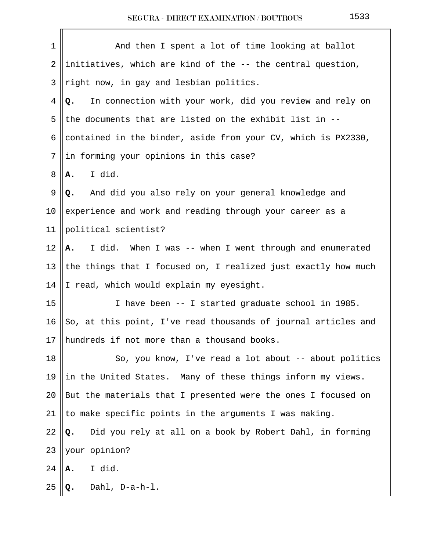| $\mathbf 1$ | And then I spent a lot of time looking at ballot               |
|-------------|----------------------------------------------------------------|
| 2           | initiatives, which are kind of the -- the central question,    |
| 3           | right now, in gay and lesbian politics.                        |
| 4           | In connection with your work, did you review and rely on<br>Q. |
| 5           | the documents that are listed on the exhibit list in --        |
| 6           | contained in the binder, aside from your CV, which is PX2330,  |
| 7           | in forming your opinions in this case?                         |
| 8           | I did.<br>А.                                                   |
| 9           | And did you also rely on your general knowledge and<br>Q.      |
| $10 \,$     | experience and work and reading through your career as a       |
| 11          | political scientist?                                           |
| 12          | I did. When I was -- when I went through and enumerated<br>Α.  |
| 13          | the things that I focused on, I realized just exactly how much |
| 14          | I read, which would explain my eyesight.                       |
| 15          | I have been -- I started graduate school in 1985.              |
| 16          | So, at this point, I've read thousands of journal articles and |
|             | 17    hundreds if not more than a thousand books.              |
| 18          | So, you know, I've read a lot about -- about politics          |
| 19          | in the United States. Many of these things inform my views.    |
| 20          | But the materials that I presented were the ones I focused on  |
| 21          | to make specific points in the arguments I was making.         |
| 22          | Did you rely at all on a book by Robert Dahl, in forming<br>Q. |
| 23          | your opinion?                                                  |
| 24          | I did.<br>Α.                                                   |
| 25          | Dahl, D-a-h-l.<br>Q.                                           |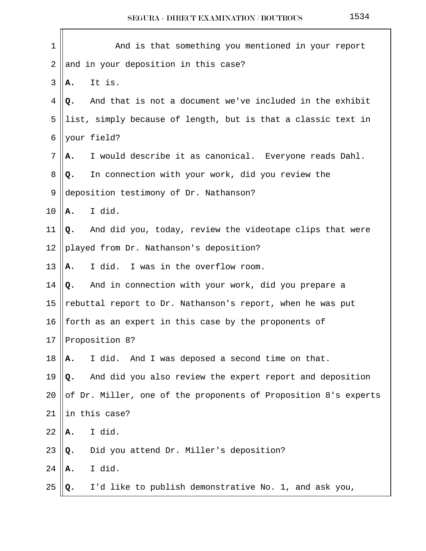| 1  | And is that something you mentioned in your report              |
|----|-----------------------------------------------------------------|
| 2  | and in your deposition in this case?                            |
| 3  | It is.<br>А.                                                    |
| 4  | And that is not a document we've included in the exhibit<br>Q.  |
| 5  | list, simply because of length, but is that a classic text in   |
| 6  | your field?                                                     |
| 7  | I would describe it as canonical. Everyone reads Dahl.<br>А.    |
| 8  | In connection with your work, did you review the<br>Q.          |
| 9  | deposition testimony of Dr. Nathanson?                          |
| 10 | I did.<br>А.                                                    |
| 11 | And did you, today, review the videotape clips that were<br>Q.  |
| 12 | played from Dr. Nathanson's deposition?                         |
| 13 | I did. I was in the overflow room.<br>Α.                        |
| 14 | Q. And in connection with your work, did you prepare a          |
| 15 | rebuttal report to Dr. Nathanson's report, when he was put      |
| 16 | forth as an expert in this case by the proponents of            |
| 17 | Proposition 8?                                                  |
| 18 | I did. And I was deposed a second time on that.<br>Α.           |
| 19 | And did you also review the expert report and deposition<br>Q.  |
| 20 | of Dr. Miller, one of the proponents of Proposition 8's experts |
| 21 | in this case?                                                   |
| 22 | I did.<br>Α.                                                    |
| 23 | Did you attend Dr. Miller's deposition?<br>Q.                   |
| 24 | I did.<br>Α.                                                    |
| 25 | I'd like to publish demonstrative No. 1, and ask you,<br>Q.     |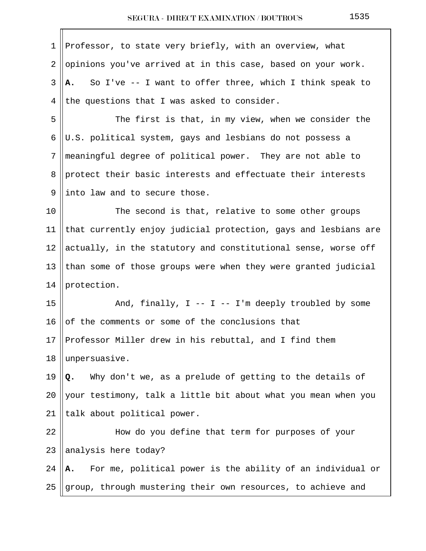| 1  | Professor, to state very briefly, with an overview, what         |
|----|------------------------------------------------------------------|
| 2  | opinions you've arrived at in this case, based on your work.     |
| 3  | So I've -- I want to offer three, which I think speak to<br>А.   |
| 4  | the questions that I was asked to consider.                      |
| 5  | The first is that, in my view, when we consider the              |
| 6  | U.S. political system, gays and lesbians do not possess a        |
| 7  | meaningful degree of political power. They are not able to       |
| 8  | protect their basic interests and effectuate their interests     |
| 9  | into law and to secure those.                                    |
| 10 | The second is that, relative to some other groups                |
| 11 | that currently enjoy judicial protection, gays and lesbians are  |
| 12 | actually, in the statutory and constitutional sense, worse off   |
| 13 | than some of those groups were when they were granted judicial   |
| 14 | protection.                                                      |
| 15 | And, finally, $I - - I - I'm$ deeply troubled by some            |
| 16 | of the comments or some of the conclusions that                  |
| 17 | Professor Miller drew in his rebuttal, and I find them           |
| 18 | unpersuasive.                                                    |
| 19 | Why don't we, as a prelude of getting to the details of<br>Q.    |
| 20 | your testimony, talk a little bit about what you mean when you   |
| 21 | talk about political power.                                      |
| 22 | How do you define that term for purposes of your                 |
| 23 | analysis here today?                                             |
| 24 | For me, political power is the ability of an individual or<br>А. |
| 25 | group, through mustering their own resources, to achieve and     |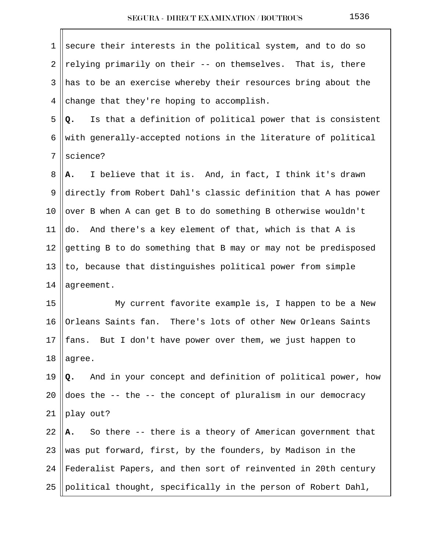| 1              | secure their interests in the political system, and to do so     |
|----------------|------------------------------------------------------------------|
| $\overline{2}$ | relying primarily on their -- on themselves. That is, there      |
| 3              | has to be an exercise whereby their resources bring about the    |
| 4              | change that they're hoping to accomplish.                        |
| 5              | Is that a definition of political power that is consistent<br>Q. |
| 6              | with generally-accepted notions in the literature of political   |
| 7              | science?                                                         |
| 8              | I believe that it is. And, in fact, I think it's drawn<br>Α.     |
| 9              | directly from Robert Dahl's classic definition that A has power  |
| 10             | over B when A can get B to do something B otherwise wouldn't     |
| 11             | And there's a key element of that, which is that A is<br>do.     |
| 12             | getting B to do something that B may or may not be predisposed   |
| 13             | to, because that distinguishes political power from simple       |
| 14             | agreement.                                                       |
| 15             | My current favorite example is, I happen to be a New             |
| 16             | Orleans Saints fan. There's lots of other New Orleans Saints     |
| 17             | fans. But I don't have power over them, we just happen to        |
| 18             | agree.                                                           |
| 19             | And in your concept and definition of political power, how<br>Q. |
| 20             | does the -- the -- the concept of pluralism in our democracy     |
| 21             | play out?                                                        |
| 22             | So there -- there is a theory of American government that<br>А.  |
| 23             | was put forward, first, by the founders, by Madison in the       |
| 24             | Federalist Papers, and then sort of reinvented in 20th century   |
| 25             | political thought, specifically in the person of Robert Dahl,    |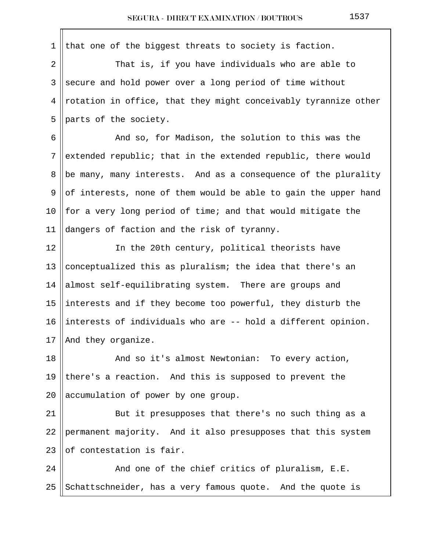1 that one of the biggest threats to society is faction. 2 || That is, if you have individuals who are able to  $3 \parallel$  secure and hold power over a long period of time without  $4 \parallel$  rotation in office, that they might conceivably tyrannize other 5 || parts of the society.  $6 \parallel$  And so, for Madison, the solution to this was the 7 extended republic; that in the extended republic, there would 8 be many, many interests. And as a consequence of the plurality 9 || of interests, none of them would be able to gain the upper hand 10  $\parallel$  for a very long period of time; and that would mitigate the 11 dangers of faction and the risk of tyranny. 12 || In the 20th century, political theorists have 13 || conceptualized this as pluralism; the idea that there's an 14  $\parallel$  almost self-equilibrating system. There are groups and 15 ||interests and if they become too powerful, they disturb the 16 ||interests of individuals who are  $-$ - hold a different opinion. 17 | And they organize. 18 || And so it's almost Newtonian: To every action, 19 || there's a reaction. And this is supposed to prevent the 20  $\parallel$  accumulation of power by one group. 21 || But it presupposes that there's no such thing as a 22 || permanent majority. And it also presupposes that this system  $23$  of contestation is fair.  $24$  || The chief critics of pluralism, E.E. 25 Schattschneider, has a very famous quote. And the quote is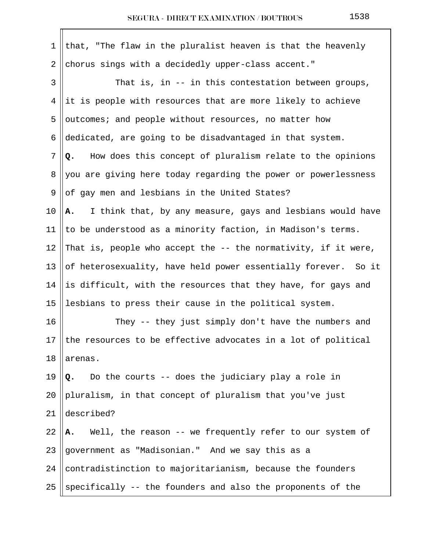| 1               | that, "The flaw in the pluralist heaven is that the heavenly     |
|-----------------|------------------------------------------------------------------|
| 2               | chorus sings with a decidedly upper-class accent."               |
| 3               | That is, in -- in this contestation between groups,              |
| 4               | it is people with resources that are more likely to achieve      |
| 5               | outcomes; and people without resources, no matter how            |
| 6               | dedicated, are going to be disadvantaged in that system.         |
| 7               | How does this concept of pluralism relate to the opinions<br>Q.  |
| 8               | you are giving here today regarding the power or powerlessness   |
| 9               | of gay men and lesbians in the United States?                    |
| 10 <sub>o</sub> | I think that, by any measure, gays and lesbians would have<br>Α. |
| 11              | to be understood as a minority faction, in Madison's terms.      |
| 12              | That is, people who accept the -- the normativity, if it were,   |
| 13              | of heterosexuality, have held power essentially forever. So it   |
| 14              | is difficult, with the resources that they have, for gays and    |
| 15              | lesbians to press their cause in the political system.           |
| 16              | They -- they just simply don't have the numbers and              |
| 17              | the resources to be effective advocates in a lot of political    |
| 18              | arenas.                                                          |
| 19              | Do the courts -- does the judiciary play a role in<br>Q.         |
| 20              | pluralism, in that concept of pluralism that you've just         |
| 21              | described?                                                       |
| 22              | Well, the reason -- we frequently refer to our system of<br>А.   |
| 23              | government as "Madisonian." And we say this as a                 |
| 24              | contradistinction to majoritarianism, because the founders       |
| 25              | specifically -- the founders and also the proponents of the      |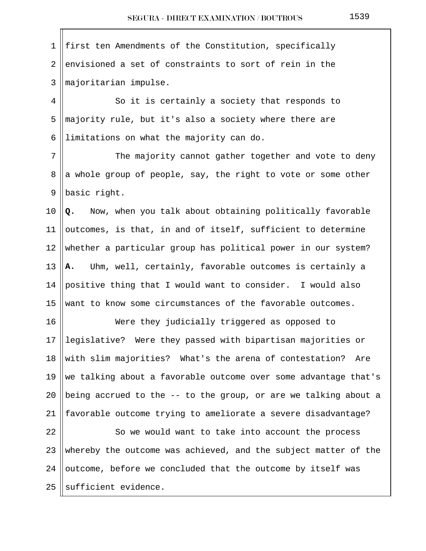| 1          | first ten Amendments of the Constitution, specifically          |
|------------|-----------------------------------------------------------------|
| $\sqrt{2}$ | envisioned a set of constraints to sort of rein in the          |
| 3          | majoritarian impulse.                                           |
| 4          | So it is certainly a society that responds to                   |
| 5          | majority rule, but it's also a society where there are          |
| 6          | limitations on what the majority can do.                        |
| 7          | The majority cannot gather together and vote to deny            |
| 8          | a whole group of people, say, the right to vote or some other   |
| 9          | basic right.                                                    |
| 10         | Now, when you talk about obtaining politically favorable<br>Q.  |
| 11         | outcomes, is that, in and of itself, sufficient to determine    |
| 12         | whether a particular group has political power in our system?   |
| 13         | Uhm, well, certainly, favorable outcomes is certainly a<br>A.   |
| 14         | positive thing that I would want to consider. I would also      |
| 15         | want to know some circumstances of the favorable outcomes.      |
| 16         | Were they judicially triggered as opposed to                    |
| 17         | legislative? Were they passed with bipartisan majorities or     |
| 18         | with slim majorities? What's the arena of contestation?<br>Are  |
| 19         | we talking about a favorable outcome over some advantage that's |
| 20         | being accrued to the -- to the group, or are we talking about a |
| 21         | favorable outcome trying to ameliorate a severe disadvantage?   |
| 22         | So we would want to take into account the process               |
| 23         | whereby the outcome was achieved, and the subject matter of the |
| 24         | outcome, before we concluded that the outcome by itself was     |
| 25         | sufficient evidence.                                            |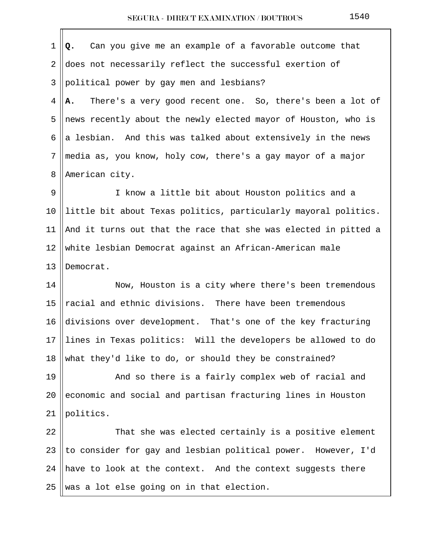1 **Q.** Can you give me an example of a favorable outcome that 2 does not necessarily reflect the successful exertion of 3 political power by gay men and lesbians? 4 **A.** There's a very good recent one. So, there's been a lot of 5 || news recently about the newly elected mayor of Houston, who is 6 a lesbian. And this was talked about extensively in the news 7 media as, you know, holy cow, there's a gay mayor of a major 8 | American city. 9 || I know a little bit about Houston politics and a

10 little bit about Texas politics, particularly mayoral politics. 11  $\parallel$  And it turns out that the race that she was elected in pitted a 12 white lesbian Democrat against an African-American male 13 IDemocrat.

14 || Now, Houston is a city where there's been tremendous 15  $\parallel$  racial and ethnic divisions. There have been tremendous 16 divisions over development. That's one of the key fracturing 17 lines in Texas politics: Will the developers be allowed to do 18 what they'd like to do, or should they be constrained?

19 || And so there is a fairly complex web of racial and 20  $\parallel$  economic and social and partisan fracturing lines in Houston 21 ||politics.

 $22$   $\parallel$  That she was elected certainly is a positive element 23 || to consider for gay and lesbian political power. However, I'd 24  $\parallel$  have to look at the context. And the context suggests there 25 Was a lot else going on in that election.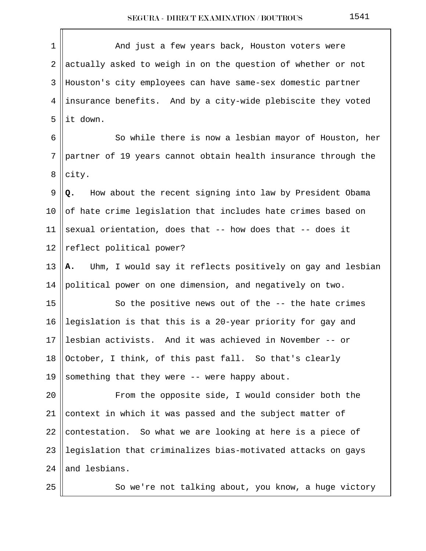| $\mathbf 1$    | And just a few years back, Houston voters were                   |
|----------------|------------------------------------------------------------------|
| 2              | actually asked to weigh in on the question of whether or not     |
| 3              | Houston's city employees can have same-sex domestic partner      |
| 4              | insurance benefits. And by a city-wide plebiscite they voted     |
| 5              | it down.                                                         |
| 6              | So while there is now a lesbian mayor of Houston, her            |
| $7\phantom{.}$ | partner of 19 years cannot obtain health insurance through the   |
| 8              | city.                                                            |
| 9              | How about the recent signing into law by President Obama<br>Q.   |
| 10             | of hate crime legislation that includes hate crimes based on     |
| 11             | sexual orientation, does that -- how does that -- does it        |
| 12             | reflect political power?                                         |
| 13             | Uhm, I would say it reflects positively on gay and lesbian<br>А. |
| 14             | political power on one dimension, and negatively on two.         |
| 15             | So the positive news out of the -- the hate crimes               |
| 16             | legislation is that this is a 20-year priority for gay and       |
| 17             | lesbian activists. And it was achieved in November -- or         |
| 18             | October, I think, of this past fall. So that's clearly           |
| 19             | something that they were -- were happy about.                    |
| 20             | From the opposite side, I would consider both the                |
| 21             | context in which it was passed and the subject matter of         |
| 22             | contestation. So what we are looking at here is a piece of       |
| 23             | legislation that criminalizes bias-motivated attacks on gays     |
| 24             | and lesbians.                                                    |
| 25             | So we're not talking about, you know, a huge victory             |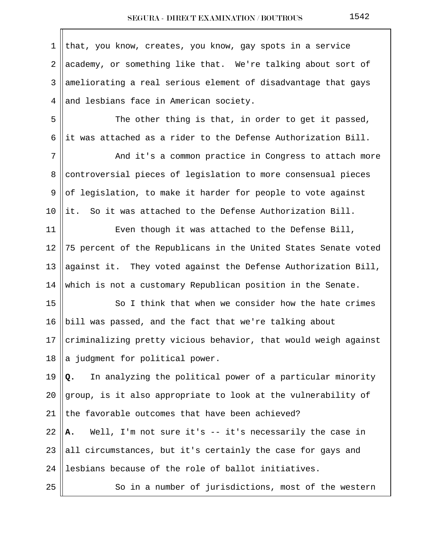| $\mathbf{1}$   | that, you know, creates, you know, gay spots in a service       |
|----------------|-----------------------------------------------------------------|
| $\overline{2}$ | academy, or something like that. We're talking about sort of    |
| 3              | ameliorating a real serious element of disadvantage that gays   |
| 4              | and lesbians face in American society.                          |
| 5              | The other thing is that, in order to get it passed,             |
| 6              | it was attached as a rider to the Defense Authorization Bill.   |
| 7              | And it's a common practice in Congress to attach more           |
| 8              | controversial pieces of legislation to more consensual pieces   |
| 9              | of legislation, to make it harder for people to vote against    |
| 10             | it. So it was attached to the Defense Authorization Bill.       |
| 11             | Even though it was attached to the Defense Bill,                |
| 12             | 75 percent of the Republicans in the United States Senate voted |
| 13             | against it. They voted against the Defense Authorization Bill,  |
| 14             | which is not a customary Republican position in the Senate.     |
| 15             | So I think that when we consider how the hate crimes            |
| 16             | bill was passed, and the fact that we're talking about          |
| 17             | criminalizing pretty vicious behavior, that would weigh against |
| 18             | a judgment for political power.                                 |
| 19             | In analyzing the political power of a particular minority<br>Q. |
| 20             | group, is it also appropriate to look at the vulnerability of   |
| 21             | the favorable outcomes that have been achieved?                 |
| 22             | Well, I'm not sure it's -- it's necessarily the case in<br>Α.   |
| 23             | all circumstances, but it's certainly the case for gays and     |
| 24             | lesbians because of the role of ballot initiatives.             |
| 25             | So in a number of jurisdictions, most of the western            |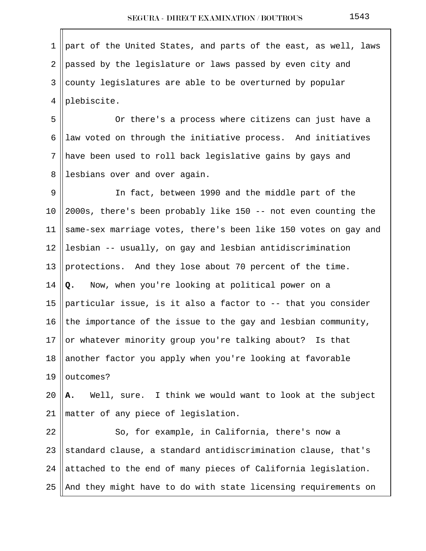1 || part of the United States, and parts of the east, as well, laws 2 || passed by the legislature or laws passed by even city and  $3 \parallel$  county legislatures are able to be overturned by popular 4 | plebiscite.

 5 Or there's a process where citizens can just have a 6 || law voted on through the initiative process. And initiatives 7 have been used to roll back legislative gains by gays and 8 || lesbians over and over again.

9 || In fact, between 1990 and the middle part of the 10  $\parallel$  2000s, there's been probably like 150 -- not even counting the 11  $\parallel$  same-sex marriage votes, there's been like 150 votes on gay and 12 || lesbian  $-$  usually, on gay and lesbian antidiscrimination 13 || protections. And they lose about 70 percent of the time. 14 **Q.** Now, when you're looking at political power on a 15 || particular issue, is it also a factor to  $-$ - that you consider 16 the importance of the issue to the gay and lesbian community, 17 || or whatever minority group you're talking about? Is that 18 another factor you apply when you're looking at favorable 19  $\vert$  outcomes?

20 **A.** Well, sure. I think we would want to look at the subject 21 matter of any piece of legislation.

  $\parallel$  So, for example, in California, there's now a  $\parallel$  standard clause, a standard antidiscrimination clause, that's  $\parallel$  attached to the end of many pieces of California legislation.  $\parallel$  And they might have to do with state licensing requirements on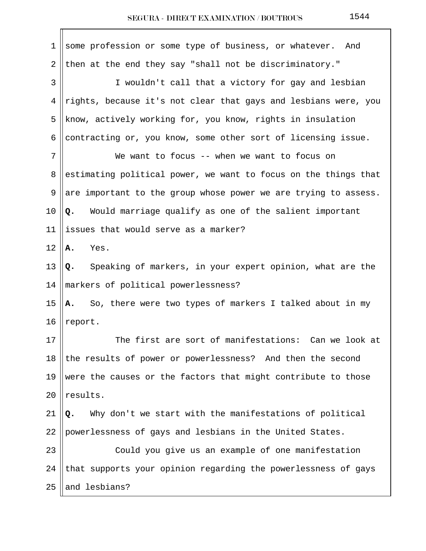| $\mathbf 1$ | some profession or some type of business, or whatever.<br>And   |
|-------------|-----------------------------------------------------------------|
| 2           | then at the end they say "shall not be discriminatory."         |
| 3           | I wouldn't call that a victory for gay and lesbian              |
| 4           | rights, because it's not clear that gays and lesbians were, you |
| 5           | know, actively working for, you know, rights in insulation      |
| 6           | contracting or, you know, some other sort of licensing issue.   |
| 7           | We want to focus -- when we want to focus on                    |
| 8           | estimating political power, we want to focus on the things that |
| 9           | are important to the group whose power we are trying to assess. |
| 10          | Q. Would marriage qualify as one of the salient important       |
| 11          | issues that would serve as a marker?                            |
| 12          | Yes.<br>Α.                                                      |
| 13          | Speaking of markers, in your expert opinion, what are the<br>Q. |
| 14          | markers of political powerlessness?                             |
| 15          | So, there were two types of markers I talked about in my<br>А.  |
| 16          | report.                                                         |
| 17          | The first are sort of manifestations: Can we look at            |
| 18          | the results of power or powerlessness? And then the second      |
| 19          | were the causes or the factors that might contribute to those   |
| 20          | results.                                                        |
| 21          | Why don't we start with the manifestations of political<br>Q.   |
| 22          | powerlessness of gays and lesbians in the United States.        |
| 23          | Could you give us an example of one manifestation               |
| 24          | that supports your opinion regarding the powerlessness of gays  |
| 25          | and lesbians?                                                   |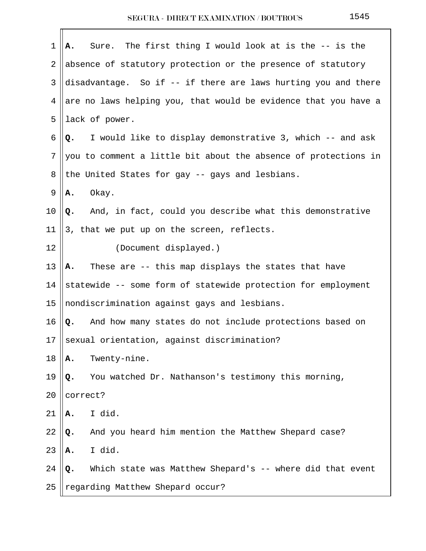| 1       | Sure. The first thing I would look at is the -- is the<br>Α.    |
|---------|-----------------------------------------------------------------|
| 2       | absence of statutory protection or the presence of statutory    |
| 3       | disadvantage. So if -- if there are laws hurting you and there  |
| 4       | are no laws helping you, that would be evidence that you have a |
| 5       | lack of power.                                                  |
| 6       | I would like to display demonstrative 3, which -- and ask<br>Q. |
| 7       | you to comment a little bit about the absence of protections in |
| 8       | the United States for gay -- gays and lesbians.                 |
| 9       | Okay.<br>Α.                                                     |
| $10 \,$ | Q. And, in fact, could you describe what this demonstrative     |
| 11      | 3, that we put up on the screen, reflects.                      |
| 12      | (Document displayed.)                                           |
| 13      | These are -- this map displays the states that have<br>A.       |
| 14      | statewide -- some form of statewide protection for employment   |
| 15      | nondiscrimination against gays and lesbians.                    |
| 16      | Q.<br>And how many states do not include protections based on   |
| 17      | sexual orientation, against discrimination?                     |
| 18      | Twenty-nine.<br>Α.                                              |
| 19      | You watched Dr. Nathanson's testimony this morning,<br>Q.       |
| 20      | correct?                                                        |
| 21      | I did.<br>Α.                                                    |
| 22      | And you heard him mention the Matthew Shepard case?<br>Q.       |
| 23      | I did.<br>Α.                                                    |
| 24      | Which state was Matthew Shepard's -- where did that event<br>Q. |
| 25      | regarding Matthew Shepard occur?                                |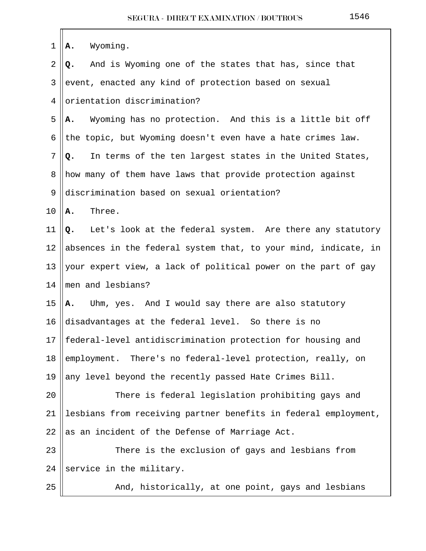| $\mathbf 1$    | Wyoming.<br>Α.                                                  |
|----------------|-----------------------------------------------------------------|
| $\overline{2}$ | And is Wyoming one of the states that has, since that<br>Q.     |
| 3              | event, enacted any kind of protection based on sexual           |
| 4              | orientation discrimination?                                     |
| 5              | Wyoming has no protection. And this is a little bit off<br>А.   |
| 6              | the topic, but Wyoming doesn't even have a hate crimes law.     |
| 7              | In terms of the ten largest states in the United States,<br>Q.  |
| 8              | how many of them have laws that provide protection against      |
| 9              | discrimination based on sexual orientation?                     |
| 10             | Three.<br>Α.                                                    |
| 11             | Let's look at the federal system. Are there any statutory<br>Q. |
| 12             | absences in the federal system that, to your mind, indicate, in |
| 13             | your expert view, a lack of political power on the part of gay  |
| 14             | men and lesbians?                                               |
| 15             | Uhm, yes. And I would say there are also statutory<br>Α.        |
| 16             | disadvantages at the federal level. So there is no              |
| 17             | federal-level antidiscrimination protection for housing and     |
| 18             | employment. There's no federal-level protection, really, on     |
| 19             | any level beyond the recently passed Hate Crimes Bill.          |
| 20             | There is federal legislation prohibiting gays and               |
| 21             | lesbians from receiving partner benefits in federal employment, |
| 22             | as an incident of the Defense of Marriage Act.                  |
| 23             | There is the exclusion of gays and lesbians from                |
| 24             | service in the military.                                        |
| 25             | And, historically, at one point, gays and lesbians              |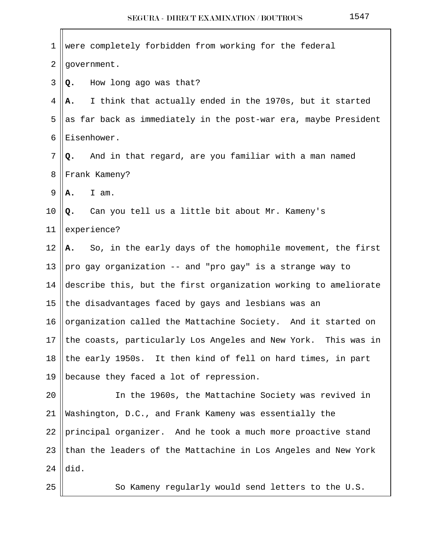| 1              | were completely forbidden from working for the federal           |
|----------------|------------------------------------------------------------------|
| $\overline{2}$ | government.                                                      |
| 3              | How long ago was that?<br>Q.                                     |
| 4              | I think that actually ended in the 1970s, but it started<br>А.   |
| 5              | as far back as immediately in the post-war era, maybe President  |
| 6              | Eisenhower.                                                      |
| 7              | And in that regard, are you familiar with a man named<br>Q.      |
| 8              | Frank Kameny?                                                    |
| 9              | I am.<br>Α.                                                      |
| 10             | Q. Can you tell us a little bit about Mr. Kameny's               |
| 11             | experience?                                                      |
| 12             | So, in the early days of the homophile movement, the first<br>А. |
| 13             | pro gay organization -- and "pro gay" is a strange way to        |
| 14             | describe this, but the first organization working to ameliorate  |
| 15             | the disadvantages faced by gays and lesbians was an              |
| 16             | organization called the Mattachine Society. And it started on    |
| 17             | the coasts, particularly Los Angeles and New York. This was in   |
| 18             | the early 1950s. It then kind of fell on hard times, in part     |
| 19             | because they faced a lot of repression.                          |
| 20             | In the 1960s, the Mattachine Society was revived in              |
| 21             | Washington, D.C., and Frank Kameny was essentially the           |
| 22             | principal organizer. And he took a much more proactive stand     |
| 23             | than the leaders of the Mattachine in Los Angeles and New York   |
| 24             | did.                                                             |
| 25             | So Kameny regularly would send letters to the U.S.               |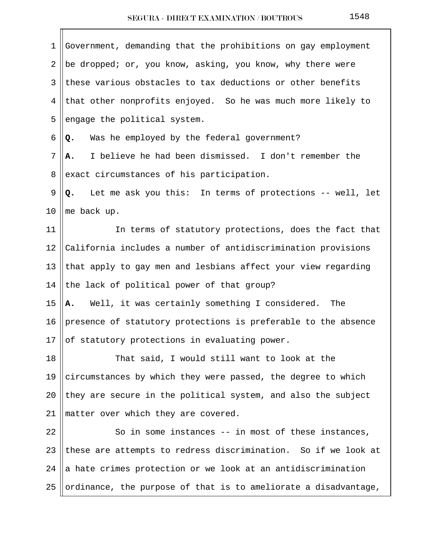| 1     | Government, demanding that the prohibitions on gay employment   |
|-------|-----------------------------------------------------------------|
| 2     | be dropped; or, you know, asking, you know, why there were      |
| 3     | these various obstacles to tax deductions or other benefits     |
| 4     | that other nonprofits enjoyed. So he was much more likely to    |
| 5     | engage the political system.                                    |
| 6     | Was he employed by the federal government?<br>Q.                |
| 7     | I believe he had been dismissed. I don't remember the<br>А.     |
| 8     | exact circumstances of his participation.                       |
| 9     | Q. Let me ask you this: In terms of protections -- well, let    |
| 10    | me back up.                                                     |
| 11    | In terms of statutory protections, does the fact that           |
| 12    | California includes a number of antidiscrimination provisions   |
| 13    | that apply to gay men and lesbians affect your view regarding   |
| 14    | the lack of political power of that group?                      |
| 15    | A. Well, it was certainly something I considered. The           |
| 16    | presence of statutory protections is preferable to the absence  |
| 17 II | of statutory protections in evaluating power.                   |
| 18    | That said, I would still want to look at the                    |
| 19    | circumstances by which they were passed, the degree to which    |
| 20    | they are secure in the political system, and also the subject   |
| 21    | matter over which they are covered.                             |
| 22    | So in some instances -- in most of these instances,             |
| 23    | these are attempts to redress discrimination. So if we look at  |
| 24    | a hate crimes protection or we look at an antidiscrimination    |
| 25    | ordinance, the purpose of that is to ameliorate a disadvantage, |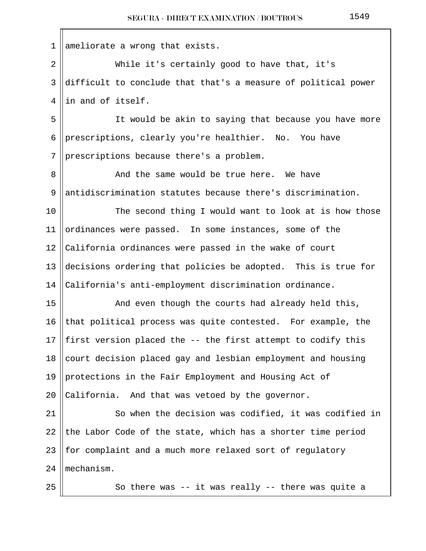| 1              | ameliorate a wrong that exists.                                |
|----------------|----------------------------------------------------------------|
| $\overline{2}$ | While it's certainly good to have that, it's                   |
| 3              | difficult to conclude that that's a measure of political power |
| 4              | in and of itself.                                              |
| 5              | It would be akin to saying that because you have more          |
| 6              | prescriptions, clearly you're healthier. No. You have          |
| 7              | prescriptions because there's a problem.                       |
| 8              | And the same would be true here. We have                       |
| 9              | antidiscrimination statutes because there's discrimination.    |
| 10             | The second thing I would want to look at is how those          |
| 11             | ordinances were passed. In some instances, some of the         |
| 12             | California ordinances were passed in the wake of court         |
| 13             | decisions ordering that policies be adopted. This is true for  |
| 14             | California's anti-employment discrimination ordinance.         |
| 15             | And even though the courts had already held this,              |
| 16             | that political process was quite contested. For example, the   |
| 17             | first version placed the -- the first attempt to codify this   |
| 18             | court decision placed gay and lesbian employment and housing   |
| 19             | protections in the Fair Employment and Housing Act of          |
| 20             | California. And that was vetoed by the governor.               |
| 21             | So when the decision was codified, it was codified in          |
| 22             | the Labor Code of the state, which has a shorter time period   |
| 23             | for complaint and a much more relaxed sort of regulatory       |
| 24             | mechanism.                                                     |
| 25             | So there was -- it was really -- there was quite a             |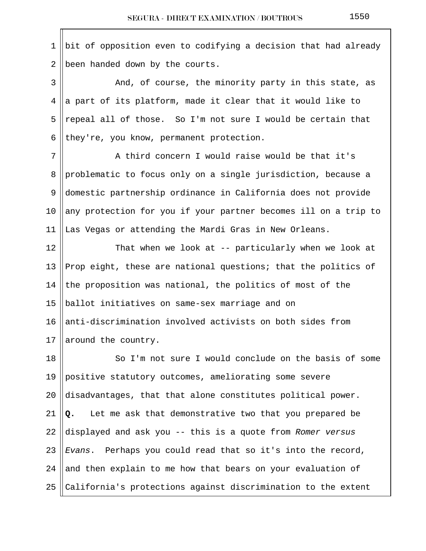1 || bit of opposition even to codifying a decision that had already 2 | been handed down by the courts.

 3 And, of course, the minority party in this state, as 4 a part of its platform, made it clear that it would like to 5 || repeal all of those. So I'm not sure I would be certain that 6 they're, you know, permanent protection.

7 || A third concern I would raise would be that it's 8 problematic to focus only on a single jurisdiction, because a 9 domestic partnership ordinance in California does not provide 10  $\parallel$  any protection for you if your partner becomes ill on a trip to 11 Las Vegas or attending the Mardi Gras in New Orleans.

12 || That when we look at -- particularly when we look at 13 Prop eight, these are national questions; that the politics of 14 the proposition was national, the politics of most of the 15 || ballot initiatives on same-sex marriage and on 16  $\parallel$  anti-discrimination involved activists on both sides from 17 || around the country.

18 || So I'm not sure I would conclude on the basis of some 19 positive statutory outcomes, ameliorating some severe  $\parallel$  disadvantages, that that alone constitutes political power. **Q.** Let me ask that demonstrative two that you prepared be  $\parallel$  displayed and ask you -- this is a quote from Romer versus  $\parallel$  Evans. Perhaps you could read that so it's into the record, 24 and then explain to me how that bears on your evaluation of  $\parallel$  California's protections against discrimination to the extent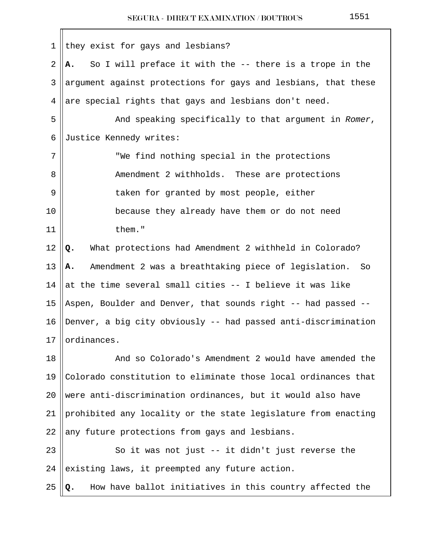| 1  | they exist for gays and lesbians?                                |
|----|------------------------------------------------------------------|
| 2  | So I will preface it with the -- there is a trope in the<br>A.,  |
| 3  | argument against protections for gays and lesbians, that these   |
| 4  | are special rights that gays and lesbians don't need.            |
| 5  | And speaking specifically to that argument in Romer,             |
| 6  | Justice Kennedy writes:                                          |
| 7  | "We find nothing special in the protections                      |
| 8  | Amendment 2 withholds. These are protections                     |
| 9  | taken for granted by most people, either                         |
| 10 | because they already have them or do not need                    |
| 11 | them."                                                           |
| 12 | What protections had Amendment 2 withheld in Colorado?<br>Q.     |
| 13 | Amendment 2 was a breathtaking piece of legislation.<br>So<br>А. |
| 14 | at the time several small cities -- I believe it was like        |
| 15 | Aspen, Boulder and Denver, that sounds right -- had passed --    |
| 16 | Denver, a big city obviously -- had passed anti-discrimination   |
| 17 | ordinances.                                                      |
| 18 | And so Colorado's Amendment 2 would have amended the             |
| 19 | Colorado constitution to eliminate those local ordinances that   |
| 20 | were anti-discrimination ordinances, but it would also have      |
| 21 | prohibited any locality or the state legislature from enacting   |
| 22 | any future protections from gays and lesbians.                   |
| 23 | So it was not just -- it didn't just reverse the                 |
| 24 | existing laws, it preempted any future action.                   |
| 25 | How have ballot initiatives in this country affected the         |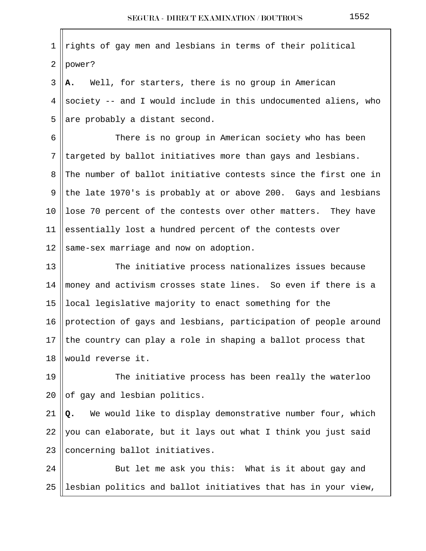$1$  rights of gay men and lesbians in terms of their political  $2$  | power? 3 **A.** Well, for starters, there is no group in American 4 Society -- and I would include in this undocumented aliens, who 5 are probably a distant second. 6 || There is no group in American society who has been  $7$  || targeted by ballot initiatives more than gays and lesbians. 8 The number of ballot initiative contests since the first one in 9 the late 1970's is probably at or above 200. Gays and lesbians 10 || lose 70 percent of the contests over other matters. They have 11 essentially lost a hundred percent of the contests over 12  $\parallel$  same-sex marriage and now on adoption. 13 || The initiative process nationalizes issues because 14 money and activism crosses state lines. So even if there is a 15 local legislative majority to enact something for the 16 | protection of gays and lesbians, participation of people around 17 the country can play a role in shaping a ballot process that 18 would reverse it. 19 || The initiative process has been really the waterloo  $20$  of gay and lesbian politics. 21 **Q.** We would like to display demonstrative number four, which 22 you can elaborate, but it lays out what I think you just said 23  $|concerning$  ballot initiatives. 24 || But let me ask you this: What is it about gay and 25 ||lesbian politics and ballot initiatives that has in your view,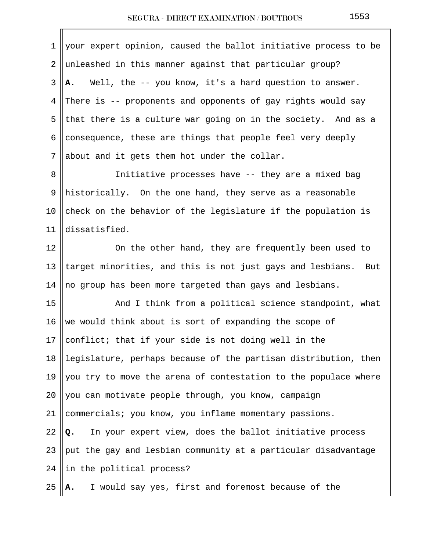| $\mathbf 1$ | your expert opinion, caused the ballot initiative process to be   |
|-------------|-------------------------------------------------------------------|
| 2           | unleashed in this manner against that particular group?           |
| 3           | Well, the -- you know, it's a hard question to answer.<br>А.      |
| 4           | There is -- proponents and opponents of gay rights would say      |
| 5           | that there is a culture war going on in the society. And as a     |
| 6           | consequence, these are things that people feel very deeply        |
| 7           | about and it gets them hot under the collar.                      |
| 8           | Initiative processes have -- they are a mixed bag                 |
| 9           | historically. On the one hand, they serve as a reasonable         |
| 10          | check on the behavior of the legislature if the population is     |
| 11          | dissatisfied.                                                     |
| 12          | On the other hand, they are frequently been used to               |
| 13          | target minorities, and this is not just gays and lesbians.<br>But |
| 14          | no group has been more targeted than gays and lesbians.           |
| 15          | And I think from a political science standpoint, what             |
| 16          | we would think about is sort of expanding the scope of            |
| 17          | conflict; that if your side is not doing well in the              |
| 18          | legislature, perhaps because of the partisan distribution, then   |
| 19          | you try to move the arena of contestation to the populace where   |
| 20          | you can motivate people through, you know, campaign               |
| 21          | commercials; you know, you inflame momentary passions.            |
| 22          | In your expert view, does the ballot initiative process<br>Q.     |
| 23          | put the gay and lesbian community at a particular disadvantage    |
| 24          | in the political process?                                         |
| 25          | I would say yes, first and foremost because of the<br>А.          |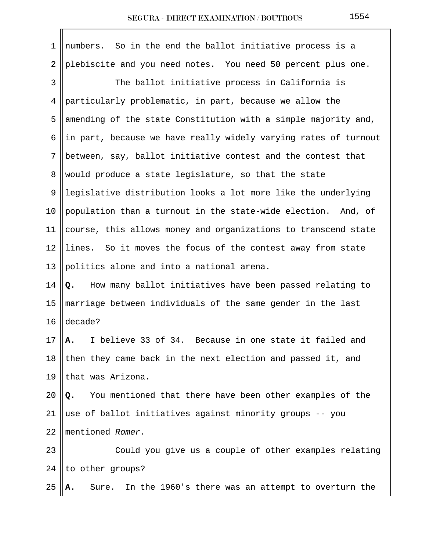| 1              | numbers. So in the end the ballot initiative process is a       |
|----------------|-----------------------------------------------------------------|
| $\overline{2}$ | plebiscite and you need notes. You need 50 percent plus one.    |
| 3              | The ballot initiative process in California is                  |
| 4              | particularly problematic, in part, because we allow the         |
| 5              | amending of the state Constitution with a simple majority and,  |
| 6              | in part, because we have really widely varying rates of turnout |
| 7              | between, say, ballot initiative contest and the contest that    |
| 8              | would produce a state legislature, so that the state            |
| 9              | legislative distribution looks a lot more like the underlying   |
| 10             | population than a turnout in the state-wide election. And, of   |
| 11             | course, this allows money and organizations to transcend state  |
| 12             | lines. So it moves the focus of the contest away from state     |
| 13             | politics alone and into a national arena.                       |
| 14             | How many ballot initiatives have been passed relating to<br>Q.  |
| 15             | marriage between individuals of the same gender in the last     |
| 16             | decade?                                                         |
| 17             | I believe 33 of 34. Because in one state it failed and<br>А.    |
| 18             | then they came back in the next election and passed it, and     |
| 19             | that was Arizona.                                               |
| 20             | You mentioned that there have been other examples of the<br>Q.  |
| 21             | use of ballot initiatives against minority groups -- you        |
| 22             | mentioned Romer.                                                |
| 23             | Could you give us a couple of other examples relating           |
| 24             | to other groups?                                                |
| 25             | In the 1960's there was an attempt to overturn the<br>Sure.     |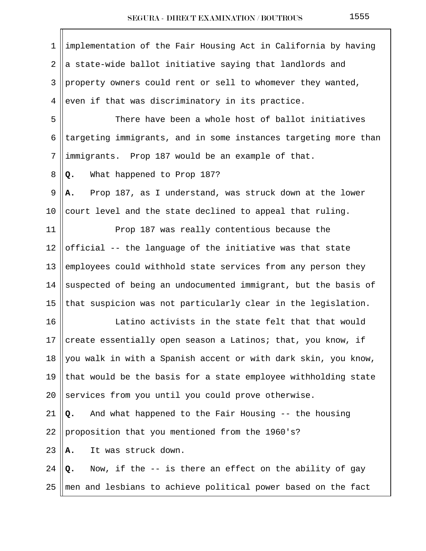| $\mathbf 1$    | implementation of the Fair Housing Act in California by having  |
|----------------|-----------------------------------------------------------------|
| $\overline{2}$ | a state-wide ballot initiative saying that landlords and        |
| 3              | property owners could rent or sell to whomever they wanted,     |
| 4              | even if that was discriminatory in its practice.                |
| 5              | There have been a whole host of ballot initiatives              |
| 6              | targeting immigrants, and in some instances targeting more than |
| 7              | immigrants. Prop 187 would be an example of that.               |
| 8              | What happened to Prop 187?<br>Q.                                |
| 9              | Prop 187, as I understand, was struck down at the lower<br>Α.   |
| 10             | court level and the state declined to appeal that ruling.       |
| 11             | Prop 187 was really contentious because the                     |
| 12             | official -- the language of the initiative was that state       |
| 13             | employees could withhold state services from any person they    |
| 14             | suspected of being an undocumented immigrant, but the basis of  |
| 15             | that suspicion was not particularly clear in the legislation.   |
| 16             | Latino activists in the state felt that that would              |
| 17             | create essentially open season a Latinos; that, you know, if    |
| 18             | you walk in with a Spanish accent or with dark skin, you know,  |
| 19             | that would be the basis for a state employee withholding state  |
| 20             | services from you until you could prove otherwise.              |
| 21             | And what happened to the Fair Housing -- the housing<br>Q.      |
| 22             | proposition that you mentioned from the 1960's?                 |
| 23             | It was struck down.<br>Α.                                       |
| 24             | Now, if the -- is there an effect on the ability of gay<br>Q.   |
| 25             | men and lesbians to achieve political power based on the fact   |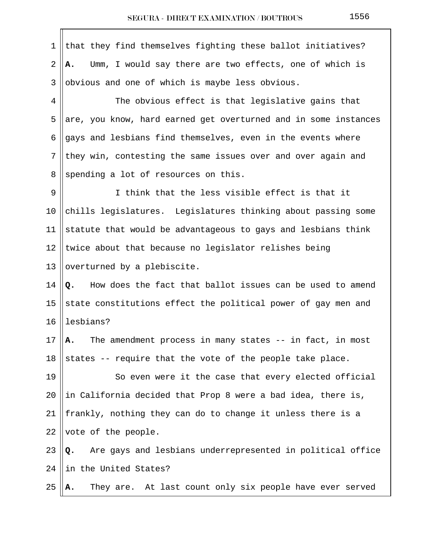1 that they find themselves fighting these ballot initiatives? 2 **A.** Umm, I would say there are two effects, one of which is  $3$  ||obvious and one of which is maybe less obvious. 4 The obvious effect is that legislative gains that 5 are, you know, hard earned get overturned and in some instances 6  $\parallel$  gays and lesbians find themselves, even in the events where  $7$  they win, contesting the same issues over and over again and 8 spending a lot of resources on this. 9 I think that the less visible effect is that it 10  $\|$  chills legislatures. Legislatures thinking about passing some 11 Statute that would be advantageous to gays and lesbians think 12 Utwice about that because no legislator relishes being 13 || overturned by a plebiscite. 14 **Q.** How does the fact that ballot issues can be used to amend 15 State constitutions effect the political power of gay men and  $16$  | lesbians? 17 **A.** The amendment process in many states -- in fact, in most 18 states -- require that the vote of the people take place. 19 || So even were it the case that every elected official 20 In California decided that Prop 8 were a bad idea, there is, 21 || frankly, nothing they can do to change it unless there is a 22 vote of the people. 23 **Q.** Are gays and lesbians underrepresented in political office  $24$  ||in the United States? 25 **A.** They are. At last count only six people have ever served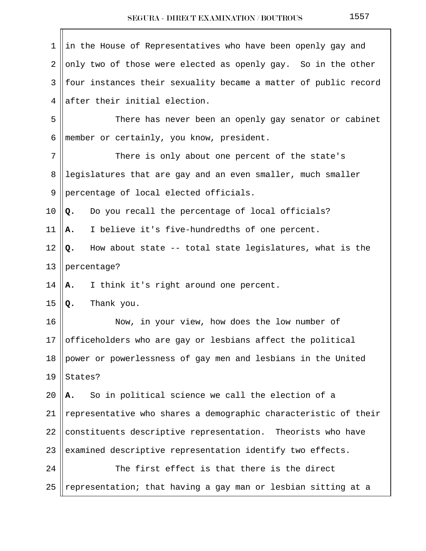| 1  | in the House of Representatives who have been openly gay and    |
|----|-----------------------------------------------------------------|
| 2  | only two of those were elected as openly gay. So in the other   |
| 3  | four instances their sexuality became a matter of public record |
| 4  | after their initial election.                                   |
| 5  | There has never been an openly gay senator or cabinet           |
| 6  | member or certainly, you know, president.                       |
| 7  | There is only about one percent of the state's                  |
| 8  | legislatures that are gay and an even smaller, much smaller     |
| 9  | percentage of local elected officials.                          |
| 10 | Do you recall the percentage of local officials?<br>Q.          |
| 11 | I believe it's five-hundredths of one percent.<br>Α.            |
| 12 | How about state -- total state legislatures, what is the<br>Q.  |
| 13 | percentage?                                                     |
| 14 | I think it's right around one percent.<br>А.                    |
| 15 | Thank you.<br>Q.                                                |
| 16 | Now, in your view, how does the low number of                   |
| 17 | officeholders who are gay or lesbians affect the political      |
| 18 | power or powerlessness of gay men and lesbians in the United    |
| 19 | States?                                                         |
| 20 | So in political science we call the election of a<br>А.         |
| 21 | representative who shares a demographic characteristic of their |
| 22 | constituents descriptive representation. Theorists who have     |
| 23 | examined descriptive representation identify two effects.       |
| 24 | The first effect is that there is the direct                    |
| 25 | representation; that having a gay man or lesbian sitting at a   |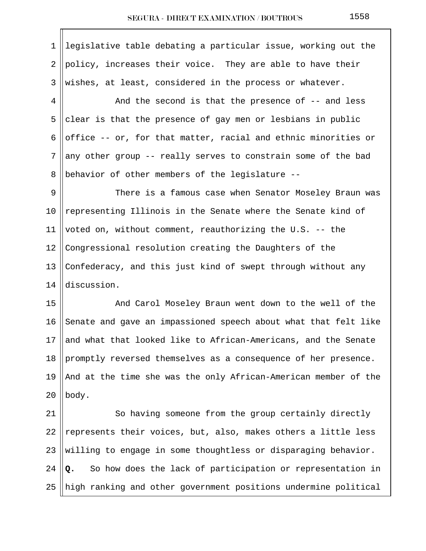1 legislative table debating a particular issue, working out the 2  $\parallel$  policy, increases their voice. They are able to have their  $3$  wishes, at least, considered in the process or whatever.  $4 \parallel$  and the second is that the presence of  $-$  and less 5 clear is that the presence of gay men or lesbians in public 6 office  $-$ - or, for that matter, racial and ethnic minorities or  $7$  any other group -- really serves to constrain some of the bad 8 Behavior of other members of the legislature  $-$ - 9 There is a famous case when Senator Moseley Braun was 10 || representing Illinois in the Senate where the Senate kind of 11 | voted on, without comment, reauthorizing the U.S.  $-$ - the 12 Congressional resolution creating the Daughters of the 13  $\vert$  Confederacy, and this just kind of swept through without any 14 discussion. 15 || And Carol Moseley Braun went down to the well of the 16 Senate and gave an impassioned speech about what that felt like 17 and what that looked like to African-Americans, and the Senate 18  $\parallel$  promptly reversed themselves as a consequence of her presence. 19 || And at the time she was the only  $A$ frican-American member of the  $20$  | body. 21 || So having someone from the group certainly directly 22 || represents their voices, but, also, makes others a little less 23 Willing to engage in some thoughtless or disparaging behavior.  $24$   $\mathbf{Q}$ . So how does the lack of participation or representation in

 $25$  ||high ranking and other government positions undermine political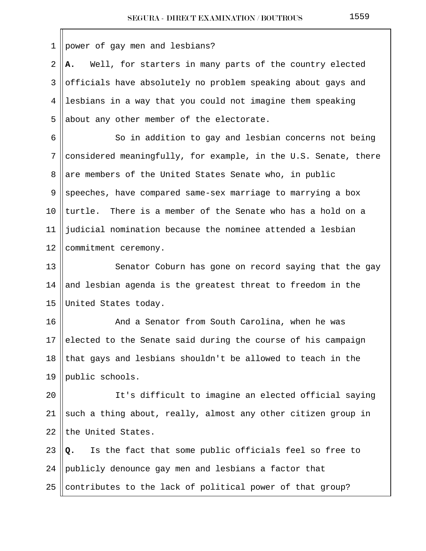1 power of gay men and lesbians?

 2 **A.** Well, for starters in many parts of the country elected 3 || officials have absolutely no problem speaking about gays and 4 lesbians in a way that you could not imagine them speaking  $5$  ||about any other member of the electorate.

6 || So in addition to gay and lesbian concerns not being  $7$  considered meaningfully, for example, in the U.S. Senate, there 8 are members of the United States Senate who, in public  $9 \parallel$  speeches, have compared same-sex marriage to marrying a box 10  $\parallel$  turtle. There is a member of the Senate who has a hold on a 11 judicial nomination because the nominee attended a lesbian 12 | commitment ceremony.

13 || Senator Coburn has gone on record saying that the gay 14 and lesbian agenda is the greatest threat to freedom in the 15 United States today.

16 | And a Senator from South Carolina, when he was 17 elected to the Senate said during the course of his campaign 18 that gays and lesbians shouldn't be allowed to teach in the 19 ||public schools.

20 || It's difficult to imagine an elected official saying 21  $\parallel$  such a thing about, really, almost any other citizen group in 22 the United States.

23 **Q.** Is the fact that some public officials feel so free to 24 publicly denounce gay men and lesbians a factor that 25 contributes to the lack of political power of that group?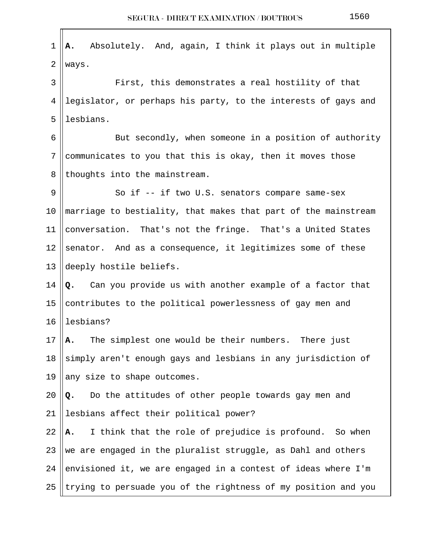| 1  | Absolutely. And, again, I think it plays out in multiple<br>Α. |
|----|----------------------------------------------------------------|
| 2  | ways.                                                          |
| 3  | First, this demonstrates a real hostility of that              |
| 4  | legislator, or perhaps his party, to the interests of gays and |
| 5  | lesbians.                                                      |
| 6  | But secondly, when someone in a position of authority          |
| 7  | communicates to you that this is okay, then it moves those     |
| 8  | thoughts into the mainstream.                                  |
| 9  | So if -- if two U.S. senators compare same-sex                 |
| 10 | marriage to bestiality, that makes that part of the mainstream |
| 11 | conversation. That's not the fringe. That's a United States    |
| 12 | senator. And as a consequence, it legitimizes some of these    |
| 13 | deeply hostile beliefs.                                        |
| 14 | Can you provide us with another example of a factor that<br>Q. |
| 15 | contributes to the political powerlessness of gay men and      |
| 16 | lesbians?                                                      |
| 17 | A. The simplest one would be their numbers. There just         |
| 18 | simply aren't enough gays and lesbians in any jurisdiction of  |
| 19 | any size to shape outcomes.                                    |
| 20 | Do the attitudes of other people towards gay men and<br>Q.     |
| 21 | lesbians affect their political power?                         |
| 22 | I think that the role of prejudice is profound. So when<br>А.  |
| 23 | we are engaged in the pluralist struggle, as Dahl and others   |
| 24 | envisioned it, we are engaged in a contest of ideas where I'm  |
| 25 | trying to persuade you of the rightness of my position and you |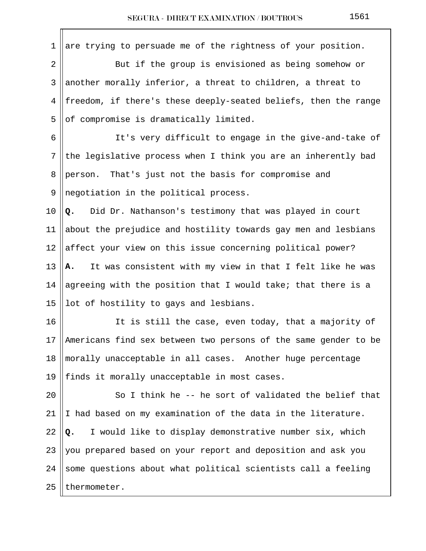1 are trying to persuade me of the rightness of your position. 2 But if the group is envisioned as being somehow or 3 ||another morally inferior, a threat to children, a threat to 4 freedom, if there's these deeply-seated beliefs, then the range  $5$  of compromise is dramatically limited. 6 || It's very difficult to engage in the give-and-take of  $7$  the legislative process when I think you are an inherently bad 8 person. That's just not the basis for compromise and  $9$  || negotiation in the political process. 10 **Q.** Did Dr. Nathanson's testimony that was played in court 11  $\parallel$  about the prejudice and hostility towards gay men and lesbians 12  $\parallel$  affect your view on this issue concerning political power? 13 **A.** It was consistent with my view in that I felt like he was 14 || agreeing with the position that I would take; that there is a 15 || lot of hostility to gays and lesbians. 16 || It is still the case, even today, that a majority of 17 || Americans find sex between two persons of the same gender to be 18 morally unacceptable in all cases. Another huge percentage 19 || finds it morally unacceptable in most cases. 20  $\parallel$  So I think he -- he sort of validated the belief that 21  $\parallel$  I had based on my examination of the data in the literature. 22  $\left\| \mathbf{Q}_{\cdot} \right\|$  I would like to display demonstrative number six, which 23  $\parallel$  you prepared based on your report and deposition and ask you 24 Some questions about what political scientists call a feeling  $25$  | thermometer.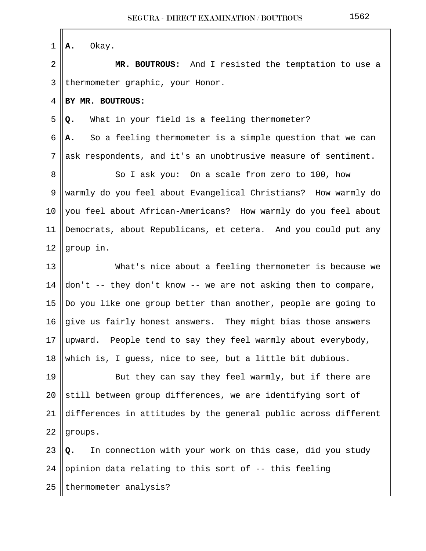| $1 \parallel A$ . | Okay. |
|-------------------|-------|
|-------------------|-------|

 2 **MR. BOUTROUS:** And I resisted the temptation to use a 3 || thermometer graphic, your Honor.

4 **BY MR. BOUTROUS:** 

5 **Q.** What in your field is a feeling thermometer?

 $6$   $\parallel$  **A.** So a feeling thermometer is a simple question that we can  $7$  ask respondents, and it's an unobtrusive measure of sentiment.

8 || So I ask you: On a scale from zero to 100, how 9 warmly do you feel about Evangelical Christians? How warmly do 10  $\parallel$  you feel about African-Americans? How warmly do you feel about 11 Democrats, about Republicans, et cetera. And you could put any 12  $\parallel$  group in.

13 What's nice about a feeling thermometer is because we 14  $\parallel$  don't -- they don't know -- we are not asking them to compare, 15 ||Do you like one group better than another, people are going to 16 give us fairly honest answers. They might bias those answers 17 ||upward. People tend to say they feel warmly about everybody, 18 which is, I guess, nice to see, but a little bit dubious.

19 || But they can say they feel warmly, but if there are 20  $\parallel$  still between group differences, we are identifying sort of 21 differences in attitudes by the general public across different  $22$  ||groups.

23 **Q.** In connection with your work on this case, did you study 24 || opinion data relating to this sort of  $-$ - this feeling 25 || thermometer analysis?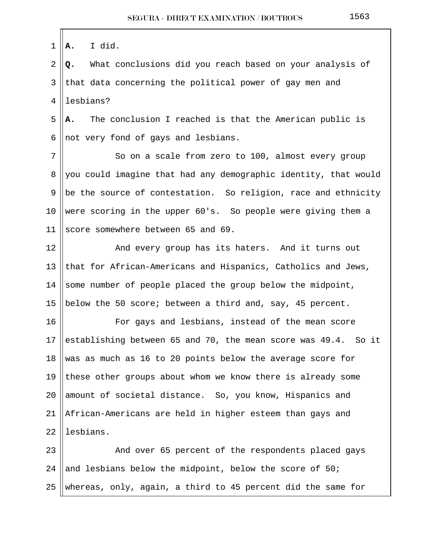1 **A.** I did.

 2 **Q.** What conclusions did you reach based on your analysis of  $3$  || that data concerning the political power of gay men and 4 llesbians?

 5 **A.** The conclusion I reached is that the American public is 6 not very fond of gays and lesbians.

7 || So on a scale from zero to 100, almost every group 8 you could imagine that had any demographic identity, that would 9 || be the source of contestation. So religion, race and ethnicity 10 were scoring in the upper 60's. So people were giving them a 11 Score somewhere between 65 and 69.

12 || The Mand every group has its haters. And it turns out 13  $\parallel$  that for African-Americans and Hispanics, Catholics and Jews, 14 Some number of people placed the group below the midpoint, 15 || below the 50 score; between a third and, say, 45 percent.

16 || For gays and lesbians, instead of the mean score 17 || establishing between 65 and 70, the mean score was  $49.4$ . So it 18 Was as much as 16 to 20 points below the average score for 19  $\parallel$  these other groups about whom we know there is already some 20  $\parallel$  amount of societal distance. So, you know, Hispanics and 21 African-Americans are held in higher esteem than gays and  $22$  lesbians.

23 || And over 65 percent of the respondents placed gays 24 and lesbians below the midpoint, below the score of  $50$ ; 25 ||whereas, only, again, a third to 45 percent did the same for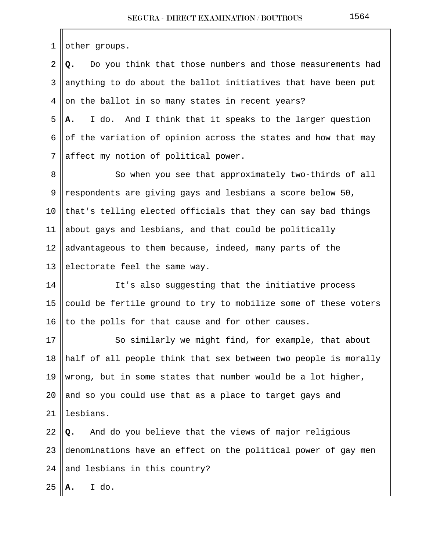$1$  | other groups.

 2 **Q.** Do you think that those numbers and those measurements had 3 ||anything to do about the ballot initiatives that have been put  $4 \parallel$  on the ballot in so many states in recent years? 5 **A.** I do. And I think that it speaks to the larger question 6 of the variation of opinion across the states and how that may  $7$  affect my notion of political power.

8 || So when you see that approximately two-thirds of all 9 || respondents are giving gays and lesbians a score below 50, 10  $\|$  that's telling elected officials that they can say bad things 11  $\parallel$  about gays and lesbians, and that could be politically 12  $\parallel$  advantageous to them because, indeed, many parts of the 13 electorate feel the same way.

14 || It's also suggesting that the initiative process 15 could be fertile ground to try to mobilize some of these voters 16 || to the polls for that cause and for other causes.

17 || So similarly we might find, for example, that about 18  $\parallel$  half of all people think that sex between two people is morally 19 Wrong, but in some states that number would be a lot higher, 20  $\parallel$  and so you could use that as a place to target gays and 21 || lesbians. 22 **Q.** And do you believe that the views of major religious 23 denominations have an effect on the political power of gay men

24 and lesbians in this country?

 $25 \, \|\mathbf{A.} \quad I \, do.$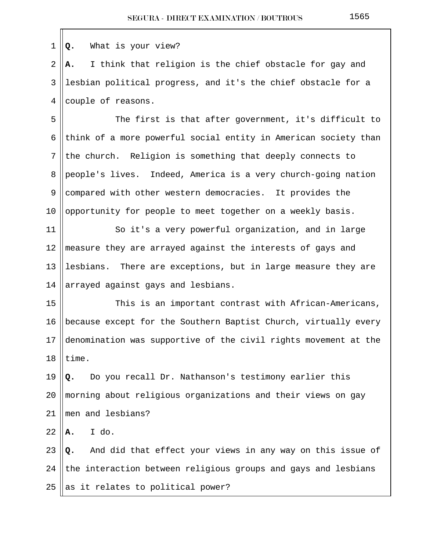| 1  | What is your view?<br>Q.                                           |
|----|--------------------------------------------------------------------|
| 2  | I think that religion is the chief obstacle for gay and<br>Α.      |
| 3  | lesbian political progress, and it's the chief obstacle for a      |
| 4  | couple of reasons.                                                 |
| 5  | The first is that after government, it's difficult to              |
| 6  | think of a more powerful social entity in American society than    |
| 7  | the church. Religion is something that deeply connects to          |
| 8  | people's lives. Indeed, America is a very church-going nation      |
| 9  | compared with other western democracies. It provides the           |
| 10 | opportunity for people to meet together on a weekly basis.         |
| 11 | So it's a very powerful organization, and in large                 |
| 12 | measure they are arrayed against the interests of gays and         |
| 13 | lesbians.<br>There are exceptions, but in large measure they are   |
| 14 | arrayed against gays and lesbians.                                 |
| 15 | This is an important contrast with African-Americans,              |
| 16 | because except for the Southern Baptist Church, virtually every    |
|    | 17 denomination was supportive of the civil rights movement at the |
| 18 | time.                                                              |
| 19 | Do you recall Dr. Nathanson's testimony earlier this<br>Q.         |
| 20 | morning about religious organizations and their views on gay       |
| 21 | men and lesbians?                                                  |
| 22 | I do.<br>А.                                                        |
| 23 | And did that effect your views in any way on this issue of<br>Q.   |
| 24 | the interaction between religious groups and gays and lesbians     |
| 25 | as it relates to political power?                                  |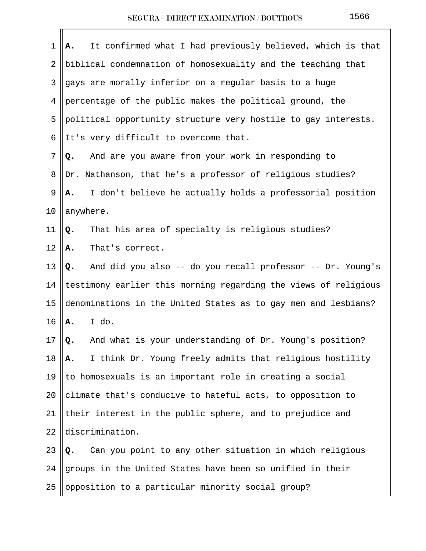| 1  | It confirmed what I had previously believed, which is that<br>Α. |
|----|------------------------------------------------------------------|
| 2  | biblical condemnation of homosexuality and the teaching that     |
| 3  | gays are morally inferior on a regular basis to a huge           |
| 4  | percentage of the public makes the political ground, the         |
| 5  | political opportunity structure very hostile to gay interests.   |
| 6  | It's very difficult to overcome that.                            |
| 7  | And are you aware from your work in responding to<br>Q.          |
| 8  | Dr. Nathanson, that he's a professor of religious studies?       |
| 9  | I don't believe he actually holds a professorial position<br>Α.  |
| 10 | anywhere.                                                        |
| 11 | That his area of specialty is religious studies?<br>Q.           |
| 12 | That's correct.<br>Α.                                            |
| 13 | And did you also -- do you recall professor -- Dr. Young's<br>Q. |
| 14 | testimony earlier this morning regarding the views of religious  |
| 15 | denominations in the United States as to gay men and lesbians?   |
| 16 | I do.<br>A.                                                      |
| 17 | And what is your understanding of Dr. Young's position?<br>Q.    |
| 18 | I think Dr. Young freely admits that religious hostility<br>Α.   |
| 19 | to homosexuals is an important role in creating a social         |
| 20 | climate that's conducive to hateful acts, to opposition to       |
| 21 | their interest in the public sphere, and to prejudice and        |
| 22 | discrimination.                                                  |
| 23 | Can you point to any other situation in which religious<br>Q.    |
| 24 | groups in the United States have been so unified in their        |
| 25 | opposition to a particular minority social group?                |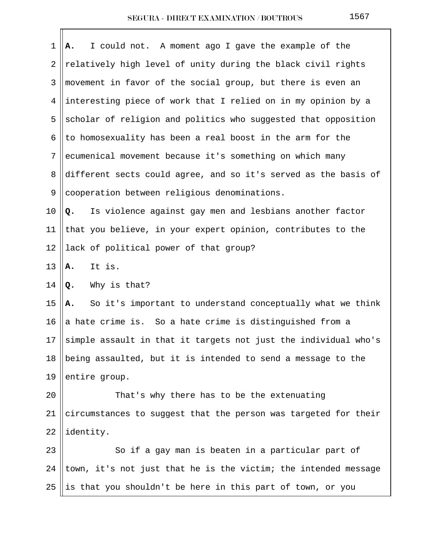| 1     | I could not. A moment ago I gave the example of the<br>Α.        |
|-------|------------------------------------------------------------------|
| 2     | relatively high level of unity during the black civil rights     |
| 3     | movement in favor of the social group, but there is even an      |
| 4     | interesting piece of work that I relied on in my opinion by a    |
| 5     | scholar of religion and politics who suggested that opposition   |
| 6     | to homosexuality has been a real boost in the arm for the        |
| 7     | ecumenical movement because it's something on which many         |
| 8     | different sects could agree, and so it's served as the basis of  |
| 9     | cooperation between religious denominations.                     |
| 10    | Q. Is violence against gay men and lesbians another factor       |
| 11    | that you believe, in your expert opinion, contributes to the     |
| 12    | lack of political power of that group?                           |
| 13    | It is.<br>A.                                                     |
| 14    | Why is that?<br>Q.                                               |
| 15    | So it's important to understand conceptually what we think<br>Α. |
| 16    | a hate crime is. So a hate crime is distinguished from a         |
| 17 II | simple assault in that it targets not just the individual who's  |
| 18    | being assaulted, but it is intended to send a message to the     |
| 19    | entire group.                                                    |
| 20    | That's why there has to be the extenuating                       |
| 21    | circumstances to suggest that the person was targeted for their  |
| 22    | identity.                                                        |
| 23    | So if a gay man is beaten in a particular part of                |
| 24    | town, it's not just that he is the victim; the intended message  |
| 25    | is that you shouldn't be here in this part of town, or you       |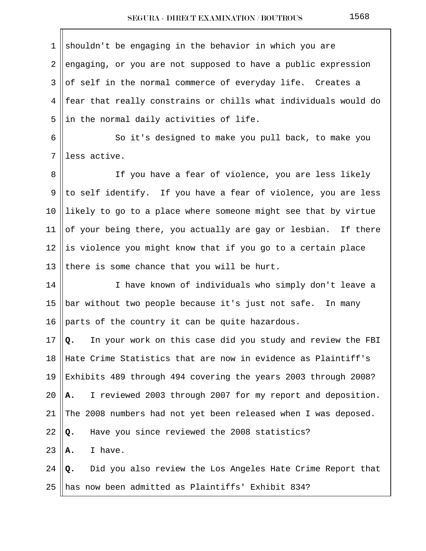| 1  | shouldn't be engaging in the behavior in which you are           |
|----|------------------------------------------------------------------|
| 2  | engaging, or you are not supposed to have a public expression    |
| 3  | of self in the normal commerce of everyday life. Creates a       |
| 4  | fear that really constrains or chills what individuals would do  |
| 5  | in the normal daily activities of life.                          |
| 6  | So it's designed to make you pull back, to make you              |
| 7  | less active.                                                     |
| 8  | If you have a fear of violence, you are less likely              |
| 9  | to self identify. If you have a fear of violence, you are less   |
| 10 | likely to go to a place where someone might see that by virtue   |
| 11 | of your being there, you actually are gay or lesbian. If there   |
| 12 | is violence you might know that if you go to a certain place     |
| 13 | there is some chance that you will be hurt.                      |
| 14 | I have known of individuals who simply don't leave a             |
| 15 | bar without two people because it's just not safe. In many       |
| 16 | parts of the country it can be quite hazardous.                  |
| 17 | In your work on this case did you study and review the FBI<br>Q. |
| 18 | Hate Crime Statistics that are now in evidence as Plaintiff's    |
| 19 | Exhibits 489 through 494 covering the years 2003 through 2008?   |
| 20 | I reviewed 2003 through 2007 for my report and deposition.<br>А. |
| 21 | The 2008 numbers had not yet been released when I was deposed.   |
| 22 | Have you since reviewed the 2008 statistics?<br>Q.               |
| 23 | I have.<br>Α.                                                    |
| 24 | Did you also review the Los Angeles Hate Crime Report that<br>Q. |
| 25 | has now been admitted as Plaintiffs' Exhibit 834?                |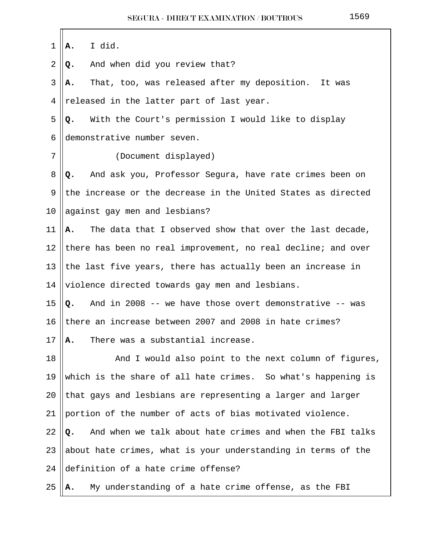| 1              | I did.<br>Α.                                                    |
|----------------|-----------------------------------------------------------------|
| $\overline{2}$ | And when did you review that?<br>Q.                             |
| 3              | That, too, was released after my deposition. It was<br>А.       |
| 4              | released in the latter part of last year.                       |
| 5              | With the Court's permission I would like to display<br>Q.       |
| 6              | demonstrative number seven.                                     |
| 7              | (Document displayed)                                            |
| 8              | And ask you, Professor Segura, have rate crimes been on<br>Q.   |
| 9              | the increase or the decrease in the United States as directed   |
| 10             | against gay men and lesbians?                                   |
| 11             | The data that I observed show that over the last decade,<br>Α.  |
| 12             | there has been no real improvement, no real decline; and over   |
| 13             | the last five years, there has actually been an increase in     |
| 14             | violence directed towards gay men and lesbians.                 |
| 15             | And in 2008 -- we have those overt demonstrative -- was<br>Q.   |
| 16             | there an increase between 2007 and 2008 in hate crimes?         |
| 17             | There was a substantial increase.<br>Α.                         |
| 18             | And I would also point to the next column of figures,           |
| 19             | which is the share of all hate crimes. So what's happening is   |
| 20             | that gays and lesbians are representing a larger and larger     |
| 21             | portion of the number of acts of bias motivated violence.       |
| 22             | And when we talk about hate crimes and when the FBI talks<br>Q. |
| 23             | about hate crimes, what is your understanding in terms of the   |
| 24             | definition of a hate crime offense?                             |
| 25             | My understanding of a hate crime offense, as the FBI<br>А.      |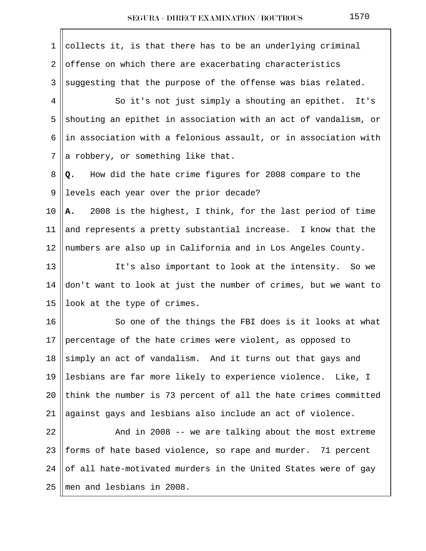| 1              | collects it, is that there has to be an underlying criminal           |
|----------------|-----------------------------------------------------------------------|
| $\overline{2}$ | offense on which there are exacerbating characteristics               |
| 3              | suggesting that the purpose of the offense was bias related.          |
| 4              | So it's not just simply a shouting an epithet. It's                   |
| 5              | shouting an epithet in association with an act of vandalism, or       |
| 6              | in association with a felonious assault, or in association with       |
| 7              | a robbery, or something like that.                                    |
| 8              | How did the hate crime figures for 2008 compare to the<br>Q.          |
| 9              | levels each year over the prior decade?                               |
| 10             | 2008 is the highest, I think, for the last period of time<br>Α.       |
| 11             | and represents a pretty substantial increase. I know that the         |
| 12             | numbers are also up in California and in Los Angeles County.          |
| 13             | It's also important to look at the intensity. So we                   |
| 14             | don't want to look at just the number of crimes, but we want to       |
| 15             | look at the type of crimes.                                           |
| 16             | So one of the things the FBI does is it looks at what                 |
| 17             | $\parallel$ percentage of the hate crimes were violent, as opposed to |
| 18             | simply an act of vandalism. And it turns out that gays and            |
| 19             | lesbians are far more likely to experience violence. Like, I          |
| 20             | think the number is 73 percent of all the hate crimes committed       |
| 21             | against gays and lesbians also include an act of violence.            |
| 22             | And in 2008 -- we are talking about the most extreme                  |
| 23             | forms of hate based violence, so rape and murder. 71 percent          |
| 24             | of all hate-motivated murders in the United States were of gay        |
| 25             | men and lesbians in 2008.                                             |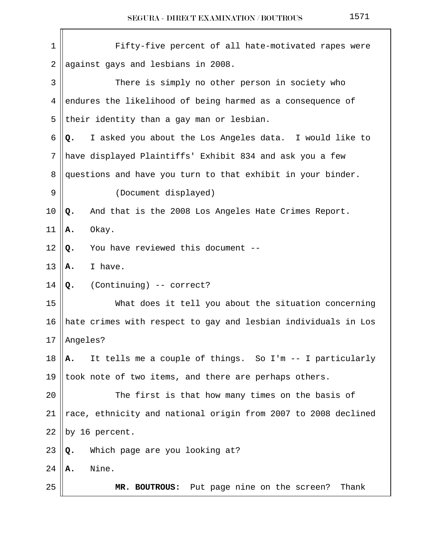| $\mathbf 1$    | Fifty-five percent of all hate-motivated rapes were            |
|----------------|----------------------------------------------------------------|
| $\overline{2}$ | against gays and lesbians in 2008.                             |
| 3              | There is simply no other person in society who                 |
| 4              | endures the likelihood of being harmed as a consequence of     |
| 5              | their identity than a gay man or lesbian.                      |
| 6              | I asked you about the Los Angeles data. I would like to<br>Q.  |
| 7              | have displayed Plaintiffs' Exhibit 834 and ask you a few       |
| 8              | questions and have you turn to that exhibit in your binder.    |
| 9              | (Document displayed)                                           |
| 10             | And that is the 2008 Los Angeles Hate Crimes Report.<br>Q.     |
| 11             | Okay.<br>Α.                                                    |
| 12             | You have reviewed this document --<br>Q.                       |
| 13             | I have.<br>Α.                                                  |
| 14             | (Continuing) -- correct?<br>Q.                                 |
| 15             | What does it tell you about the situation concerning           |
| 16             | hate crimes with respect to gay and lesbian individuals in Los |
|                | $17$   Angeles?                                                |
| 18             | It tells me a couple of things. So I'm -- I particularly<br>Α. |
| 19             | took note of two items, and there are perhaps others.          |
| 20             | The first is that how many times on the basis of               |
| 21             | race, ethnicity and national origin from 2007 to 2008 declined |
| 22             | by 16 percent.                                                 |
| 23             | Which page are you looking at?<br>Q.                           |
| 24             | Nine.<br>Α.                                                    |
| 25             | MR. BOUTROUS: Put page nine on the screen?<br>Thank            |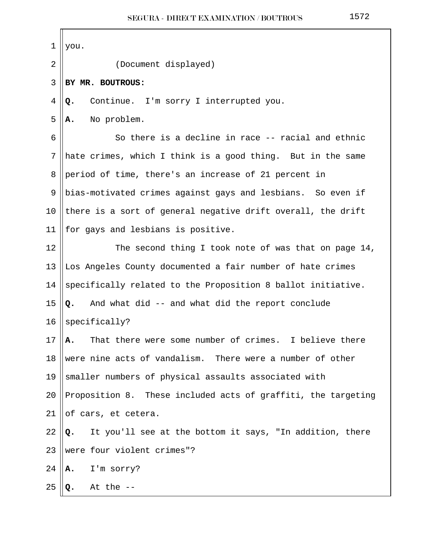| 1  | you.                                                           |
|----|----------------------------------------------------------------|
| 2  | (Document displayed)                                           |
| 3  | BY MR. BOUTROUS:                                               |
| 4  | Continue. I'm sorry I interrupted you.<br>Q.                   |
| 5  | No problem.<br>А.                                              |
| 6  | So there is a decline in race -- racial and ethnic             |
| 7  | hate crimes, which I think is a good thing. But in the same    |
| 8  | period of time, there's an increase of 21 percent in           |
| 9  | bias-motivated crimes against gays and lesbians. So even if    |
| 10 | there is a sort of general negative drift overall, the drift   |
| 11 | for gays and lesbians is positive.                             |
| 12 | The second thing I took note of was that on page 14,           |
| 13 | Los Angeles County documented a fair number of hate crimes     |
| 14 | specifically related to the Proposition 8 ballot initiative.   |
| 15 | And what did -- and what did the report conclude<br>Q.         |
| 16 | specifically?                                                  |
| 17 | That there were some number of crimes. I believe there<br>А.   |
| 18 | were nine acts of vandalism. There were a number of other      |
| 19 | smaller numbers of physical assaults associated with           |
| 20 | Proposition 8. These included acts of graffiti, the targeting  |
| 21 | of cars, et cetera.                                            |
| 22 | It you'll see at the bottom it says, "In addition, there<br>Q. |
| 23 | were four violent crimes"?                                     |
| 24 | I'm sorry?<br>Α.                                               |
| 25 | At the $-$<br>Q.                                               |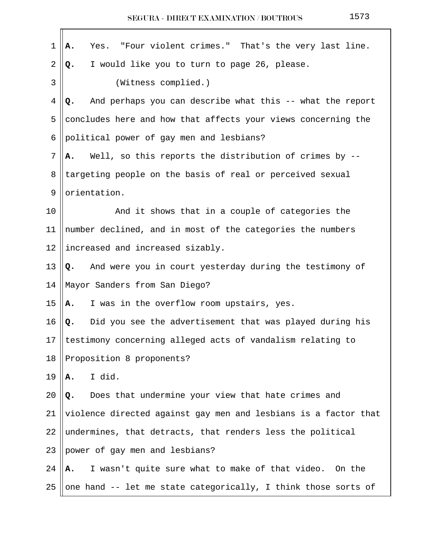| 1               | Yes. "Four violent crimes." That's the very last line.<br>Α.    |
|-----------------|-----------------------------------------------------------------|
| 2               | I would like you to turn to page 26, please.<br>Q.              |
| 3               | (Witness complied.)                                             |
| 4               | And perhaps you can describe what this -- what the report<br>Q. |
| 5               | concludes here and how that affects your views concerning the   |
| 6               | political power of gay men and lesbians?                        |
| 7               | Well, so this reports the distribution of crimes by --<br>A.    |
| 8               | targeting people on the basis of real or perceived sexual       |
| 9               | orientation.                                                    |
| 10              | And it shows that in a couple of categories the                 |
| 11              | number declined, and in most of the categories the numbers      |
| 12              | increased and increased sizably.                                |
| 13              | And were you in court yesterday during the testimony of<br>Q.   |
| 14              | Mayor Sanders from San Diego?                                   |
| 15              | I was in the overflow room upstairs, yes.<br>А.                 |
| 16              | Did you see the advertisement that was played during his<br>Q.  |
| 17 <sup>1</sup> | testimony concerning alleged acts of vandalism relating to      |
| 18              | Proposition 8 proponents?                                       |
| 19              | I did.<br>Α.                                                    |
| 20              | Does that undermine your view that hate crimes and<br>Q.        |
| 21              | violence directed against gay men and lesbians is a factor that |
| 22              | undermines, that detracts, that renders less the political      |
| 23              | power of gay men and lesbians?                                  |
| 24              | I wasn't quite sure what to make of that video. On the<br>Α.    |
| 25              | one hand -- let me state categorically, I think those sorts of  |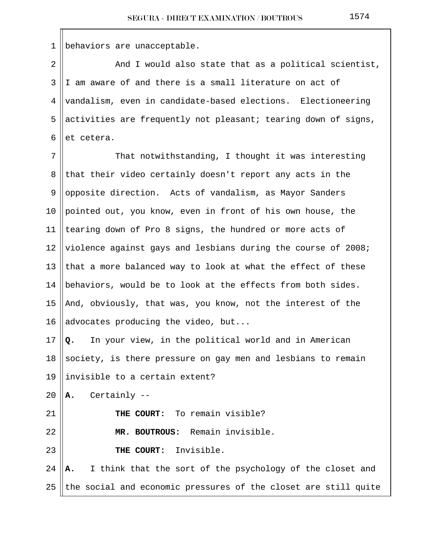1 | behaviors are unacceptable.

 $2 \parallel$  and I would also state that as a political scientist, 3 I am aware of and there is a small literature on act of 4 vandalism, even in candidate-based elections. Electioneering 5 activities are frequently not pleasant; tearing down of signs,  $6$  let cetera.

7 || That notwithstanding, I thought it was interesting 8 that their video certainly doesn't report any acts in the 9 opposite direction. Acts of vandalism, as Mayor Sanders 10 || pointed out, you know, even in front of his own house, the 11 || tearing down of Pro 8 signs, the hundred or more acts of 12 Violence against gays and lesbians during the course of 2008; 13 that a more balanced way to look at what the effect of these 14  $\parallel$  behaviors, would be to look at the effects from both sides. 15  $\parallel$  And, obviously, that was, you know, not the interest of the 16 || advocates producing the video, but...

17 **Q.** In your view, in the political world and in American 18 Society, is there pressure on gay men and lesbians to remain 19  $\parallel$  invisible to a certain extent?

20  $\parallel$ **A.** Certainly  $-$ 

21 || THE COURT: To remain visible?

22 **MR. BOUTROUS:** Remain invisible.

23 **THE COURT:** Invisible.

24 **A.** I think that the sort of the psychology of the closet and 25  $\parallel$  the social and economic pressures of the closet are still quite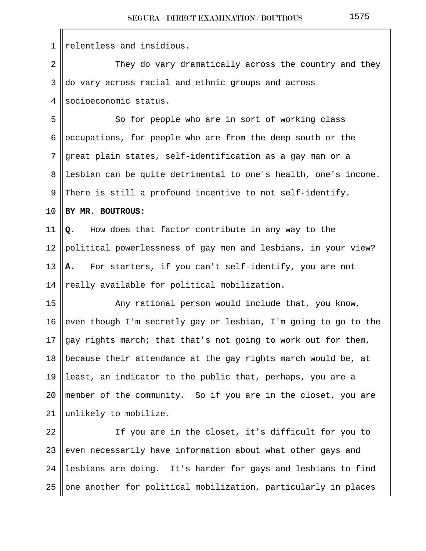$1$  || relentless and insidious. 2 They do vary dramatically across the country and they  $3 \parallel$ do vary across racial and ethnic groups and across 4 Socioeconomic status. 5 So for people who are in sort of working class 6 ||  $o$ ccupations, for people who are from the deep south or the 7 great plain states, self-identification as a gay man or a 8 ||lesbian can be quite detrimental to one's health, one's income. 9 There is still a profound incentive to not self-identify. 10 **BY MR. BOUTROUS:**  11 **Q.** How does that factor contribute in any way to the 12 political powerlessness of gay men and lesbians, in your view? 13 **A.** For starters, if you can't self-identify, you are not 14  $\parallel$  really available for political mobilization. 15 || Any rational person would include that, you know, 16 even though I'm secretly gay or lesbian, I'm going to go to the 17  $\log x$  rights march; that that's not going to work out for them, 18 || because their attendance at the gay rights march would be, at 19 least, an indicator to the public that, perhaps, you are a 20 member of the community. So if you are in the closet, you are 21  $\parallel$  unlikely to mobilize. 22 || If you are in the closet, it's difficult for you to 23 even necessarily have information about what other gays and 24 || lesbians are doing. It's harder for gays and lesbians to find

25 ||one another for political mobilization, particularly in places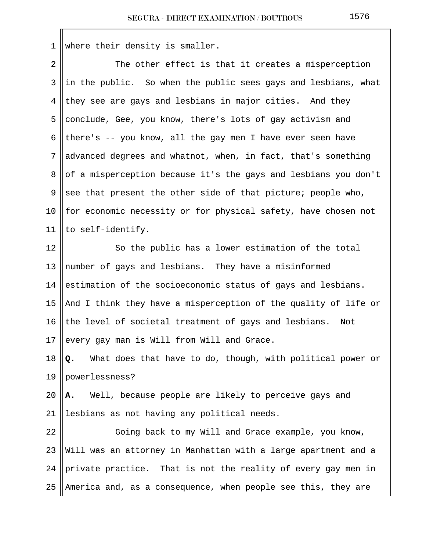1 where their density is smaller.

| $\overline{a}$ | The other effect is that it creates a misperception              |
|----------------|------------------------------------------------------------------|
| 3              | in the public. So when the public sees gays and lesbians, what   |
| 4              | they see are gays and lesbians in major cities. And they         |
| 5              | conclude, Gee, you know, there's lots of gay activism and        |
| 6              | there's -- you know, all the gay men I have ever seen have       |
| 7              | advanced degrees and whatnot, when, in fact, that's something    |
| 8              | of a misperception because it's the gays and lesbians you don't  |
| 9              | see that present the other side of that picture; people who,     |
| 10             | for economic necessity or for physical safety, have chosen not   |
| 11             | to self-identify.                                                |
| 12             | So the public has a lower estimation of the total                |
| 13             | number of gays and lesbians. They have a misinformed             |
| 14             | estimation of the socioeconomic status of gays and lesbians.     |
| 15             | And I think they have a misperception of the quality of life or  |
| 16             | the level of societal treatment of gays and lesbians. Not        |
| 17             | every gay man is Will from Will and Grace.                       |
| 18             | What does that have to do, though, with political power or<br>Q. |
| 19             | powerlessness?                                                   |
| 20             | Well, because people are likely to perceive gays and<br>А.       |
| 21             | lesbians as not having any political needs.                      |
| 22             | Going back to my Will and Grace example, you know,               |
| 23             | Will was an attorney in Manhattan with a large apartment and a   |
| 24             | private practice. That is not the reality of every gay men in    |
| 25             | America and, as a consequence, when people see this, they are    |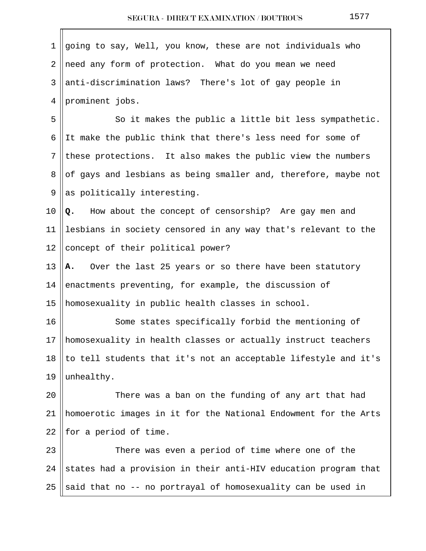| 1  | going to say, Well, you know, these are not individuals who     |
|----|-----------------------------------------------------------------|
| 2  | need any form of protection. What do you mean we need           |
| 3  | anti-discrimination laws? There's lot of gay people in          |
| 4  | prominent jobs.                                                 |
| 5  | So it makes the public a little bit less sympathetic.           |
| 6  | It make the public think that there's less need for some of     |
| 7  | these protections. It also makes the public view the numbers    |
| 8  | of gays and lesbians as being smaller and, therefore, maybe not |
| 9  | as politically interesting.                                     |
| 10 | How about the concept of censorship? Are gay men and<br>Q.      |
| 11 | lesbians in society censored in any way that's relevant to the  |
| 12 | concept of their political power?                               |
| 13 | A. Over the last 25 years or so there have been statutory       |
| 14 | enactments preventing, for example, the discussion of           |
| 15 | homosexuality in public health classes in school.               |
| 16 | Some states specifically forbid the mentioning of               |
| 17 | homosexuality in health classes or actually instruct teachers   |
| 18 | to tell students that it's not an acceptable lifestyle and it's |
| 19 | unhealthy.                                                      |
| 20 | There was a ban on the funding of any art that had              |
| 21 | homoerotic images in it for the National Endowment for the Arts |
| 22 | for a period of time.                                           |
| 23 | There was even a period of time where one of the                |
| 24 | states had a provision in their anti-HIV education program that |
| 25 | said that no -- no portrayal of homosexuality can be used in    |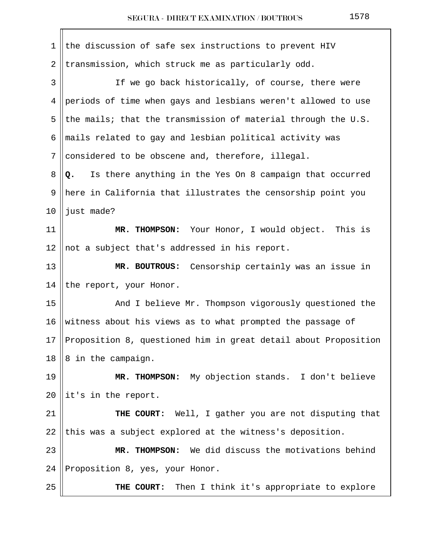| 1              | the discussion of safe sex instructions to prevent HIV          |
|----------------|-----------------------------------------------------------------|
| $\overline{2}$ | transmission, which struck me as particularly odd.              |
| 3              | If we go back historically, of course, there were               |
| 4              | periods of time when gays and lesbians weren't allowed to use   |
| 5              | the mails; that the transmission of material through the U.S.   |
| 6              | mails related to gay and lesbian political activity was         |
| 7              | considered to be obscene and, therefore, illegal.               |
| 8              | Is there anything in the Yes On 8 campaign that occurred<br>Q.  |
| 9              | here in California that illustrates the censorship point you    |
| 10             | just made?                                                      |
| 11             | MR. THOMPSON: Your Honor, I would object. This is               |
| 12             | not a subject that's addressed in his report.                   |
| 13             | MR. BOUTROUS: Censorship certainly was an issue in              |
| 14             | the report, your Honor.                                         |
| 15             | And I believe Mr. Thompson vigorously questioned the            |
| 16             | witness about his views as to what prompted the passage of      |
| 17             | Proposition 8, questioned him in great detail about Proposition |
| 18             | 8 in the campaign.                                              |
| 19             | MR. THOMPSON: My objection stands. I don't believe              |
| 20             | it's in the report.                                             |
| 21             | THE COURT: Well, I gather you are not disputing that            |
| 22             | this was a subject explored at the witness's deposition.        |
| 23             | MR. THOMPSON: We did discuss the motivations behind             |
| 24             | Proposition 8, yes, your Honor.                                 |
| 25             | Then I think it's appropriate to explore<br>THE COURT:          |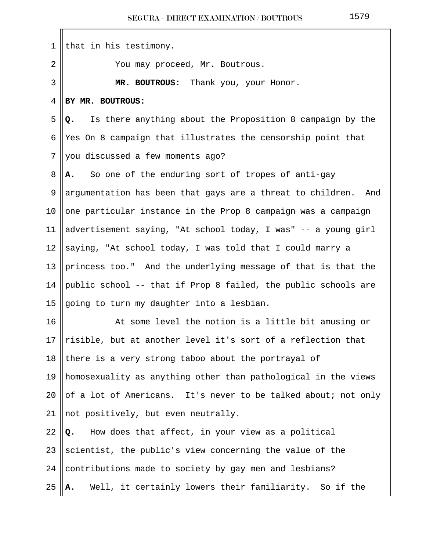| 1  | that in his testimony.                                               |
|----|----------------------------------------------------------------------|
| 2  | You may proceed, Mr. Boutrous.                                       |
| 3  | MR. BOUTROUS: Thank you, your Honor.                                 |
| 4  | BY MR. BOUTROUS:                                                     |
| 5  | Is there anything about the Proposition 8 campaign by the<br>Q.      |
| 6  | Yes On 8 campaign that illustrates the censorship point that         |
| 7  | you discussed a few moments ago?                                     |
| 8  | So one of the enduring sort of tropes of anti-gay<br>А.              |
| 9  | argumentation has been that gays are a threat to children. And       |
| 10 | one particular instance in the Prop 8 campaign was a campaign        |
| 11 | advertisement saying, "At school today, I was" -- a young girl       |
| 12 | saying, "At school today, I was told that I could marry a            |
| 13 | princess too." And the underlying message of that is that the        |
| 14 | public school -- that if Prop 8 failed, the public schools are       |
| 15 | going to turn my daughter into a lesbian.                            |
| 16 | At some level the notion is a little bit amusing or                  |
| 17 | $\vert$ risible, but at another level it's sort of a reflection that |
| 18 | there is a very strong taboo about the portrayal of                  |
| 19 | homosexuality as anything other than pathological in the views       |
| 20 | of a lot of Americans. It's never to be talked about; not only       |
| 21 | not positively, but even neutrally.                                  |
| 22 | How does that affect, in your view as a political<br>Q.              |
| 23 | scientist, the public's view concerning the value of the             |
| 24 | contributions made to society by gay men and lesbians?               |
| 25 | Well, it certainly lowers their familiarity. So if the<br>Α.         |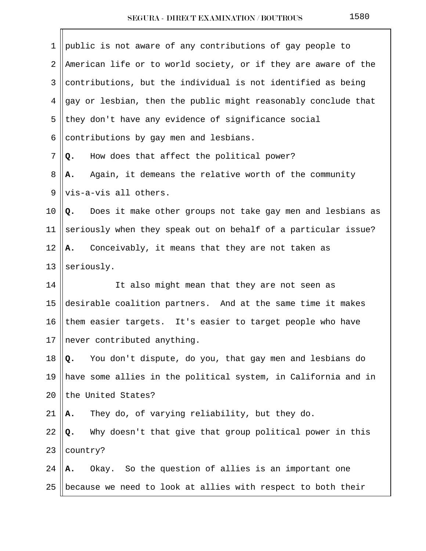| $\mathbf 1$    | public is not aware of any contributions of gay people to        |
|----------------|------------------------------------------------------------------|
| $\overline{2}$ | American life or to world society, or if they are aware of the   |
| 3              | contributions, but the individual is not identified as being     |
| 4              | gay or lesbian, then the public might reasonably conclude that   |
| 5              | they don't have any evidence of significance social              |
| 6              | contributions by gay men and lesbians.                           |
| 7              | How does that affect the political power?<br>Q.                  |
| 8              | Again, it demeans the relative worth of the community<br>Α.      |
| 9              | vis-a-vis all others.                                            |
| 10             | Does it make other groups not take gay men and lesbians as<br>Q. |
| 11             | seriously when they speak out on behalf of a particular issue?   |
| 12             | A. Conceivably, it means that they are not taken as              |
| 13             | seriously.                                                       |
| 14             | It also might mean that they are not seen as                     |
| 15             | desirable coalition partners. And at the same time it makes      |
| 16             | them easier targets. It's easier to target people who have       |
| 17             | never contributed anything.                                      |
| 18             | You don't dispute, do you, that gay men and lesbians do<br>Q.    |
| 19             | have some allies in the political system, in California and in   |
| 20             | the United States?                                               |
| 21             | They do, of varying reliability, but they do.<br>Α.              |
| 22             | Why doesn't that give that group political power in this<br>Q.   |
| 23             | country?                                                         |
| 24             | Okay. So the question of allies is an important one<br>А.        |
| 25             | because we need to look at allies with respect to both their     |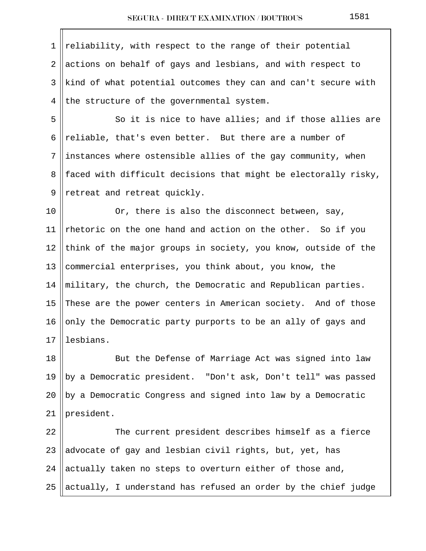1 || reliability, with respect to the range of their potential  $\parallel$  actions on behalf of gays and lesbians, and with respect to ||kind of what potential outcomes they can and can't secure with the structure of the governmental system.

5 So it is nice to have allies; and if those allies are 6  $\vert$  reliable, that's even better. But there are a number of  $7$  ||instances where ostensible allies of the gay community, when 8 || faced with difficult decisions that might be electorally risky,  $9$  || retreat and retreat quickly.

10 || Or, there is also the disconnect between, say, 11 Thetoric on the one hand and action on the other. So if you 12 think of the major groups in society, you know, outside of the 13 || commercial enterprises, you think about, you know, the 14 military, the church, the Democratic and Republican parties. 15 These are the power centers in American society. And of those 16  $\vert$  only the Democratic party purports to be an ally of gays and 17 llesbians.

18 || But the Defense of Marriage Act was signed into law 19 ||by a Democratic president. "Don't ask, Don't tell" was passed  $20$  |by a Democratic Congress and signed into law by a Democratic 21 | president.

  $\parallel$  The current president describes himself as a fierce  $\parallel$  advocate of gay and lesbian civil rights, but, yet, has 24 actually taken no steps to overturn either of those and,  $\parallel$  actually, I understand has refused an order by the chief judge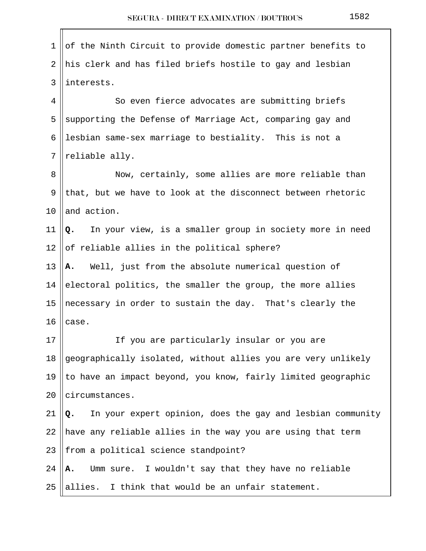| $\mathbf 1$    | of the Ninth Circuit to provide domestic partner benefits to     |
|----------------|------------------------------------------------------------------|
| $\overline{2}$ | his clerk and has filed briefs hostile to gay and lesbian        |
| 3              | interests.                                                       |
| 4              | So even fierce advocates are submitting briefs                   |
| 5              | supporting the Defense of Marriage Act, comparing gay and        |
| 6              | lesbian same-sex marriage to bestiality. This is not a           |
| 7              | reliable ally.                                                   |
| 8              | Now, certainly, some allies are more reliable than               |
| 9              | that, but we have to look at the disconnect between rhetoric     |
| 10             | and action.                                                      |
| 11             | In your view, is a smaller group in society more in need<br>Q.   |
| 12             | of reliable allies in the political sphere?                      |
| 13             | Well, just from the absolute numerical question of<br>Α.         |
| 14             | electoral politics, the smaller the group, the more allies       |
| 15             | necessary in order to sustain the day. That's clearly the        |
| 16             | case.                                                            |
| $17\,$         | If you are particularly insular or you are                       |
| 18             | geographically isolated, without allies you are very unlikely    |
| 19             | to have an impact beyond, you know, fairly limited geographic    |
| 20             | circumstances.                                                   |
| 21             | In your expert opinion, does the gay and lesbian community<br>Q. |
| 22             | have any reliable allies in the way you are using that term      |
| 23             | from a political science standpoint?                             |
| 24             | Umm sure. I wouldn't say that they have no reliable<br>Α.        |
| 25             | allies. I think that would be an unfair statement.               |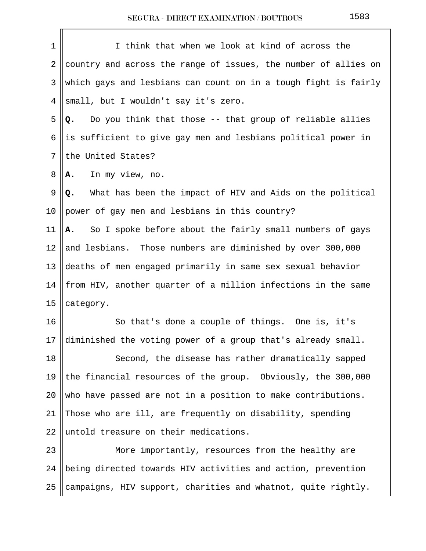| $\mathbf 1$    | I think that when we look at kind of across the                 |
|----------------|-----------------------------------------------------------------|
| 2              | country and across the range of issues, the number of allies on |
| 3              | which gays and lesbians can count on in a tough fight is fairly |
| 4              | small, but I wouldn't say it's zero.                            |
| 5              | Do you think that those -- that group of reliable allies<br>Q.  |
| 6              | is sufficient to give gay men and lesbians political power in   |
| $7\phantom{.}$ | the United States?                                              |
| 8              | In my view, no.<br>Α.                                           |
| 9              | What has been the impact of HIV and Aids on the political<br>Q. |
| $10 \,$        | power of gay men and lesbians in this country?                  |
| 11             | So I spoke before about the fairly small numbers of gays<br>Α.  |
| 12             | and lesbians. Those numbers are diminished by over 300,000      |
| 13             | deaths of men engaged primarily in same sex sexual behavior     |
| 14             | from HIV, another quarter of a million infections in the same   |
| 15             | category.                                                       |
| 16             | So that's done a couple of things. One is, it's                 |
| 17             | diminished the voting power of a group that's already small.    |
| 18             | Second, the disease has rather dramatically sapped              |
| 19             | the financial resources of the group. Obviously, the 300,000    |
| 20             | who have passed are not in a position to make contributions.    |
| 21             | Those who are ill, are frequently on disability, spending       |
| 22             | untold treasure on their medications.                           |
| 23             | More importantly, resources from the healthy are                |
| 24             | being directed towards HIV activities and action, prevention    |
| 25             | campaigns, HIV support, charities and whatnot, quite rightly.   |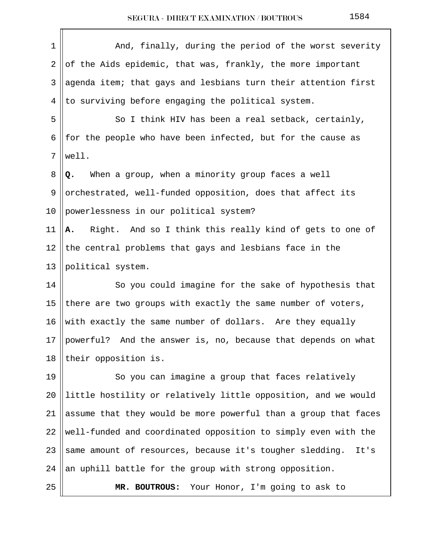| 1  | And, finally, during the period of the worst severity            |
|----|------------------------------------------------------------------|
| 2  | of the Aids epidemic, that was, frankly, the more important      |
| 3  | agenda item; that gays and lesbians turn their attention first   |
| 4  | to surviving before engaging the political system.               |
| 5  | So I think HIV has been a real setback, certainly,               |
| 6  | for the people who have been infected, but for the cause as      |
| 7  | well.                                                            |
| 8  | When a group, when a minority group faces a well<br>Q.           |
| 9  | orchestrated, well-funded opposition, does that affect its       |
| 10 | powerlessness in our political system?                           |
| 11 | Right. And so I think this really kind of gets to one of<br>Α.   |
| 12 | the central problems that gays and lesbians face in the          |
| 13 | political system.                                                |
| 14 | So you could imagine for the sake of hypothesis that             |
| 15 | there are two groups with exactly the same number of voters,     |
| 16 | with exactly the same number of dollars. Are they equally        |
| 17 | powerful? And the answer is, no, because that depends on what    |
| 18 | their opposition is.                                             |
| 19 | So you can imagine a group that faces relatively                 |
| 20 | little hostility or relatively little opposition, and we would   |
| 21 | assume that they would be more powerful than a group that faces  |
| 22 | well-funded and coordinated opposition to simply even with the   |
| 23 | same amount of resources, because it's tougher sledding.<br>It's |
| 24 | an uphill battle for the group with strong opposition.           |
| 25 | MR. BOUTROUS: Your Honor, I'm going to ask to                    |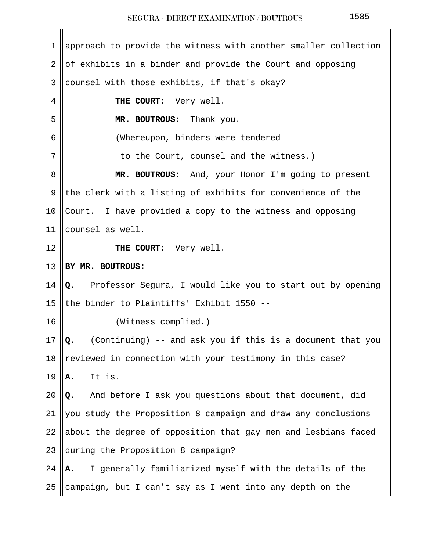| $\mathbf 1$ | approach to provide the witness with another smaller collection  |
|-------------|------------------------------------------------------------------|
| 2           | of exhibits in a binder and provide the Court and opposing       |
| 3           | counsel with those exhibits, if that's okay?                     |
| 4           | THE COURT: Very well.                                            |
| 5           | MR. BOUTROUS: Thank you.                                         |
| 6           | (Whereupon, binders were tendered                                |
| 7           | to the Court, counsel and the witness.)                          |
| 8           | MR. BOUTROUS: And, your Honor I'm going to present               |
| 9           | the clerk with a listing of exhibits for convenience of the      |
| 10          | Court. I have provided a copy to the witness and opposing        |
| 11          | counsel as well.                                                 |
| 12          | THE COURT: Very well.                                            |
| 13          | BY MR. BOUTROUS:                                                 |
| 14          | Q. Professor Segura, I would like you to start out by opening    |
| 15          | the binder to Plaintiffs' Exhibit 1550 --                        |
| 16          | (Witness complied.)                                              |
| 17          | (Continuing) -- and ask you if this is a document that you<br>Q. |
| 18          | reviewed in connection with your testimony in this case?         |
| 19          | It is.<br>Α.                                                     |
| 20          | And before I ask you questions about that document, did<br>Q.    |
| 21          | you study the Proposition 8 campaign and draw any conclusions    |
| 22          | about the degree of opposition that gay men and lesbians faced   |
| 23          | during the Proposition 8 campaign?                               |
| 24          | I generally familiarized myself with the details of the<br>А.    |
| 25          | campaign, but I can't say as I went into any depth on the        |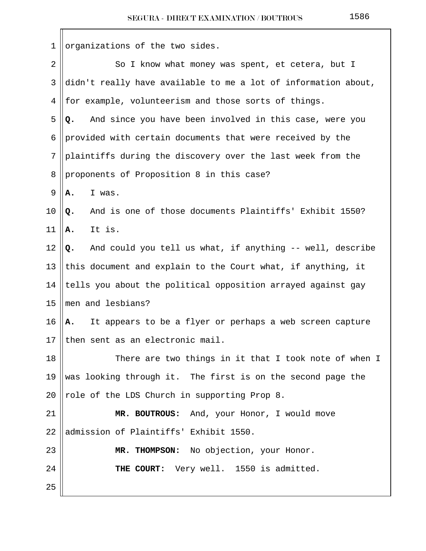| 1  | organizations of the two sides.                                 |
|----|-----------------------------------------------------------------|
| 2  | So I know what money was spent, et cetera, but I                |
| 3  | didn't really have available to me a lot of information about,  |
| 4  | for example, volunteerism and those sorts of things.            |
| 5  | And since you have been involved in this case, were you<br>Q.   |
| 6  | provided with certain documents that were received by the       |
| 7  | plaintiffs during the discovery over the last week from the     |
| 8  | proponents of Proposition 8 in this case?                       |
| 9  | I was.<br>Α.                                                    |
| 10 | And is one of those documents Plaintiffs' Exhibit 1550?<br>Q.   |
| 11 | It is.<br>Α.                                                    |
| 12 | And could you tell us what, if anything -- well, describe<br>Q. |
| 13 | this document and explain to the Court what, if anything, it    |
| 14 | tells you about the political opposition arrayed against gay    |
| 15 | men and lesbians?                                               |
| 16 | It appears to be a flyer or perhaps a web screen capture<br>Α.  |
| 17 | then sent as an electronic mail.                                |
| 18 | There are two things in it that I took note of when I           |
| 19 | was looking through it. The first is on the second page the     |
| 20 | role of the LDS Church in supporting Prop 8.                    |
| 21 | MR. BOUTROUS: And, your Honor, I would move                     |
| 22 | admission of Plaintiffs' Exhibit 1550.                          |
| 23 | MR. THOMPSON: No objection, your Honor.                         |
| 24 | THE COURT: Very well. 1550 is admitted.                         |
| 25 |                                                                 |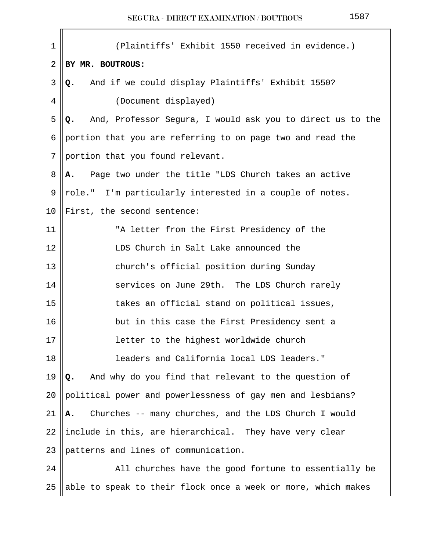| $\mathbf 1$    | (Plaintiffs' Exhibit 1550 received in evidence.)                  |
|----------------|-------------------------------------------------------------------|
| $\overline{2}$ | BY MR. BOUTROUS:                                                  |
| 3              | And if we could display Plaintiffs' Exhibit 1550?<br>Q.           |
| 4              | (Document displayed)                                              |
| 5              | And, Professor Segura, I would ask you to direct us to the<br>Q.  |
| 6              | portion that you are referring to on page two and read the        |
| 7              | portion that you found relevant.                                  |
| 8              | Page two under the title "LDS Church takes an active<br><b>A.</b> |
| 9              | role." I'm particularly interested in a couple of notes.          |
| 10             | First, the second sentence:                                       |
| 11             | "A letter from the First Presidency of the                        |
| 12             | LDS Church in Salt Lake announced the                             |
| 13             | church's official position during Sunday                          |
| 14             | services on June 29th. The LDS Church rarely                      |
| 15             | takes an official stand on political issues,                      |
| 16             | but in this case the First Presidency sent a                      |
| $17$           | letter to the highest worldwide church                            |
| 18             | leaders and California local LDS leaders."                        |
| 19             | And why do you find that relevant to the question of<br>Q.        |
| 20             | political power and powerlessness of gay men and lesbians?        |
| 21             | Churches -- many churches, and the LDS Church I would<br>Α.       |
| 22             | include in this, are hierarchical. They have very clear           |
| 23             | patterns and lines of communication.                              |
| 24             | All churches have the good fortune to essentially be              |
| 25             | able to speak to their flock once a week or more, which makes     |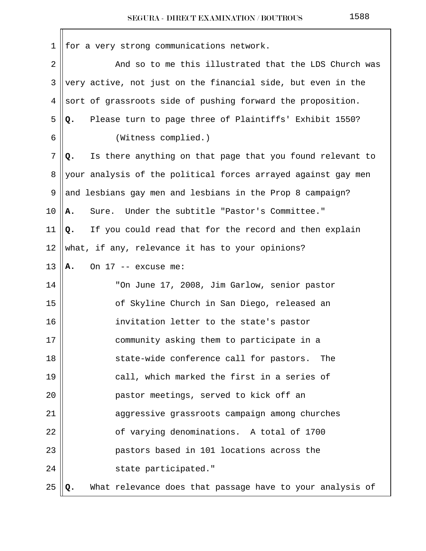|--|--|--|

| 1      | for a very strong communications network.                       |
|--------|-----------------------------------------------------------------|
| 2      | And so to me this illustrated that the LDS Church was           |
| 3      | very active, not just on the financial side, but even in the    |
| 4      | sort of grassroots side of pushing forward the proposition.     |
| 5      | Please turn to page three of Plaintiffs' Exhibit 1550?<br>Q.    |
| 6      | (Witness complied.)                                             |
| 7      | Is there anything on that page that you found relevant to<br>Q. |
| 8      | your analysis of the political forces arrayed against gay men   |
| 9      | and lesbians gay men and lesbians in the Prop 8 campaign?       |
| 10     | Under the subtitle "Pastor's Committee."<br>Sure.<br>Α.         |
| 11     | If you could read that for the record and then explain<br>Q.    |
| 12     | what, if any, relevance it has to your opinions?                |
| 13     | On $17$ -- excuse me:<br>Α.                                     |
| 14     | "On June 17, 2008, Jim Garlow, senior pastor                    |
| 15     | of Skyline Church in San Diego, released an                     |
| 16     | invitation letter to the state's pastor                         |
| $17\,$ | community asking them to participate in a                       |
| 18     | state-wide conference call for pastors.<br>The                  |
| 19     | call, which marked the first in a series of                     |
| 20     | pastor meetings, served to kick off an                          |
| 21     | aggressive grassroots campaign among churches                   |
| 22     | of varying denominations. A total of 1700                       |
| 23     | pastors based in 101 locations across the                       |
| 24     | state participated."                                            |
| 25     | What relevance does that passage have to your analysis of<br>Q. |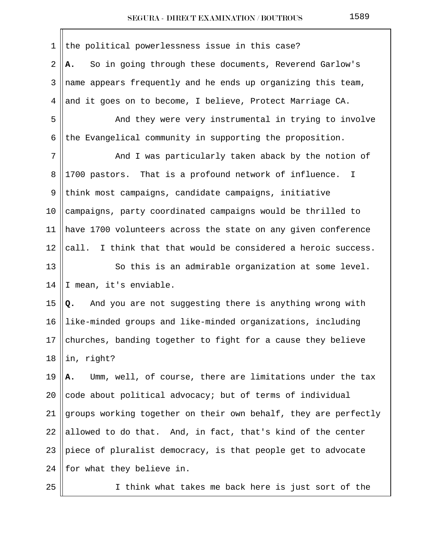| 1              | the political powerlessness issue in this case?                 |
|----------------|-----------------------------------------------------------------|
| $\overline{2}$ | So in going through these documents, Reverend Garlow's<br>А.    |
| 3              | name appears frequently and he ends up organizing this team,    |
| 4              | and it goes on to become, I believe, Protect Marriage CA.       |
| 5              | And they were very instrumental in trying to involve            |
| 6              | the Evangelical community in supporting the proposition.        |
| 7              | And I was particularly taken aback by the notion of             |
| 8              | 1700 pastors. That is a profound network of influence.<br>I     |
| 9              | think most campaigns, candidate campaigns, initiative           |
| 10             | campaigns, party coordinated campaigns would be thrilled to     |
| 11             | have 1700 volunteers across the state on any given conference   |
| 12             | call. I think that that would be considered a heroic success.   |
| 13             | So this is an admirable organization at some level.             |
| 14             | I mean, it's enviable.                                          |
| 15             | And you are not suggesting there is anything wrong with<br>Q.   |
| 16             | like-minded groups and like-minded organizations, including     |
| 17             | churches, banding together to fight for a cause they believe    |
| 18             | in, right?                                                      |
| 19             | Umm, well, of course, there are limitations under the tax<br>А. |
| 20             | code about political advocacy; but of terms of individual       |
| 21             | groups working together on their own behalf, they are perfectly |
| 22             | allowed to do that. And, in fact, that's kind of the center     |
| 23             | piece of pluralist democracy, is that people get to advocate    |
| 24             | for what they believe in.                                       |
| 25             | I think what takes me back here is just sort of the             |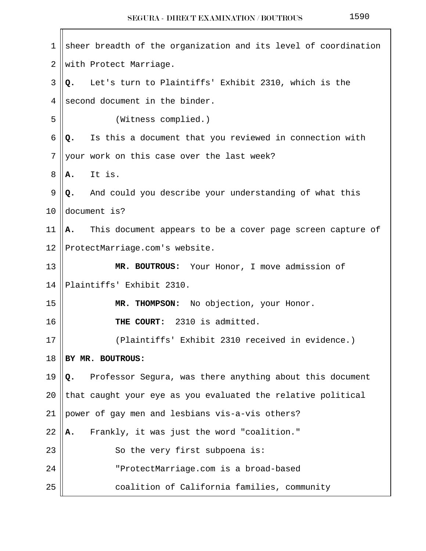$\mathbf{r}$ 

| 1  | sheer breadth of the organization and its level of coordination  |  |  |  |
|----|------------------------------------------------------------------|--|--|--|
| 2  | with Protect Marriage.                                           |  |  |  |
| 3  | Let's turn to Plaintiffs' Exhibit 2310, which is the<br>Q.       |  |  |  |
| 4  | second document in the binder.                                   |  |  |  |
| 5  | (Witness complied.)                                              |  |  |  |
| 6  | Is this a document that you reviewed in connection with<br>Q.    |  |  |  |
| 7  | your work on this case over the last week?                       |  |  |  |
| 8  | It is.<br>Α.                                                     |  |  |  |
| 9  | And could you describe your understanding of what this<br>Q.     |  |  |  |
| 10 | document is?                                                     |  |  |  |
| 11 | This document appears to be a cover page screen capture of<br>А. |  |  |  |
| 12 | ProtectMarriage.com's website.                                   |  |  |  |
| 13 | MR. BOUTROUS: Your Honor, I move admission of                    |  |  |  |
| 14 | Plaintiffs' Exhibit 2310.                                        |  |  |  |
| 15 | MR. THOMPSON: No objection, your Honor.                          |  |  |  |
| 16 | THE COURT: 2310 is admitted.                                     |  |  |  |
| 17 | (Plaintiffs' Exhibit 2310 received in evidence.)                 |  |  |  |
| 18 | BY MR. BOUTROUS:                                                 |  |  |  |
| 19 | Professor Segura, was there anything about this document<br>Q.   |  |  |  |
| 20 | that caught your eye as you evaluated the relative political     |  |  |  |
| 21 | power of gay men and lesbians vis-a-vis others?                  |  |  |  |
| 22 | Frankly, it was just the word "coalition."<br>Α.                 |  |  |  |
| 23 | So the very first subpoena is:                                   |  |  |  |
| 24 | "ProtectMarriage.com is a broad-based                            |  |  |  |
| 25 | coalition of California families, community                      |  |  |  |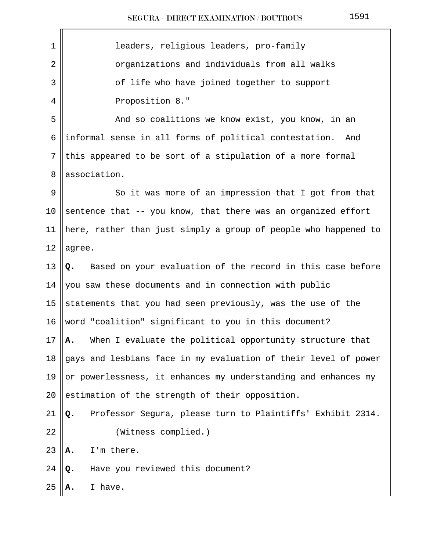| 1  | leaders, religious leaders, pro-family                           |  |  |
|----|------------------------------------------------------------------|--|--|
| 2  | organizations and individuals from all walks                     |  |  |
| 3  | of life who have joined together to support                      |  |  |
| 4  | Proposition 8."                                                  |  |  |
| 5  | And so coalitions we know exist, you know, in an                 |  |  |
| 6  | informal sense in all forms of political contestation. And       |  |  |
| 7  | this appeared to be sort of a stipulation of a more formal       |  |  |
| 8  | association.                                                     |  |  |
| 9  | So it was more of an impression that I got from that             |  |  |
| 10 | sentence that -- you know, that there was an organized effort    |  |  |
| 11 | here, rather than just simply a group of people who happened to  |  |  |
| 12 | agree.                                                           |  |  |
| 13 | Based on your evaluation of the record in this case before<br>Q. |  |  |
| 14 | you saw these documents and in connection with public            |  |  |
| 15 | statements that you had seen previously, was the use of the      |  |  |
| 16 | word "coalition" significant to you in this document?            |  |  |
| 17 | When I evaluate the political opportunity structure that<br>Α.   |  |  |
| 18 | gays and lesbians face in my evaluation of their level of power  |  |  |
| 19 | or powerlessness, it enhances my understanding and enhances my   |  |  |
| 20 | estimation of the strength of their opposition.                  |  |  |
| 21 | Professor Segura, please turn to Plaintiffs' Exhibit 2314.<br>Q. |  |  |
| 22 | (Witness complied.)                                              |  |  |
| 23 | I'm there.<br>Α.                                                 |  |  |
| 24 | Have you reviewed this document?<br>Q.                           |  |  |
| 25 | I have.<br>А.                                                    |  |  |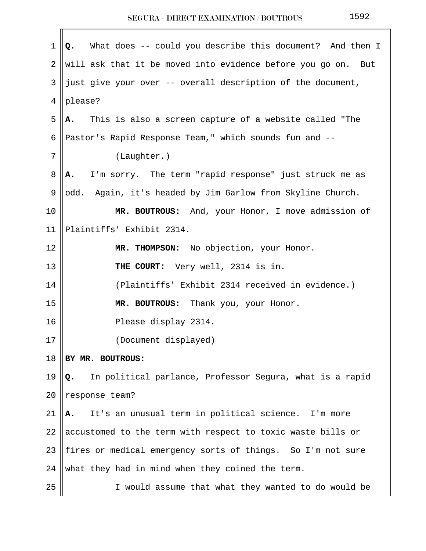| 1              | What does -- could you describe this document? And then I<br>Q. |  |  |  |
|----------------|-----------------------------------------------------------------|--|--|--|
| $\overline{2}$ | will ask that it be moved into evidence before you go on. But   |  |  |  |
| 3              | just give your over -- overall description of the document,     |  |  |  |
| 4              | please?                                                         |  |  |  |
| 5              | This is also a screen capture of a website called "The<br>А.    |  |  |  |
| 6              | Pastor's Rapid Response Team," which sounds fun and --          |  |  |  |
| 7              | (Laughter.)                                                     |  |  |  |
| 8              | I'm sorry. The term "rapid response" just struck me as<br>Α.    |  |  |  |
| 9              | Again, it's headed by Jim Garlow from Skyline Church.<br>odd.   |  |  |  |
| 10             | MR. BOUTROUS: And, your Honor, I move admission of              |  |  |  |
| 11             | Plaintiffs' Exhibit 2314.                                       |  |  |  |
| 12             | MR. THOMPSON: No objection, your Honor.                         |  |  |  |
| 13             | THE COURT: Very well, 2314 is in.                               |  |  |  |
| 14             | (Plaintiffs' Exhibit 2314 received in evidence.)                |  |  |  |
| 15             | MR. BOUTROUS:<br>Thank you, your Honor.                         |  |  |  |
| 16             | Please display 2314.                                            |  |  |  |
| $17$           | (Document displayed)                                            |  |  |  |
| 18             | BY MR. BOUTROUS:                                                |  |  |  |
| 19             | In political parlance, Professor Segura, what is a rapid<br>Q.  |  |  |  |
| 20             | response team?                                                  |  |  |  |
| 21             | It's an unusual term in political science. I'm more<br>А.       |  |  |  |
| 22             | accustomed to the term with respect to toxic waste bills or     |  |  |  |
| 23             | fires or medical emergency sorts of things. So I'm not sure     |  |  |  |
| 24             | what they had in mind when they coined the term.                |  |  |  |
| 25             | I would assume that what they wanted to do would be             |  |  |  |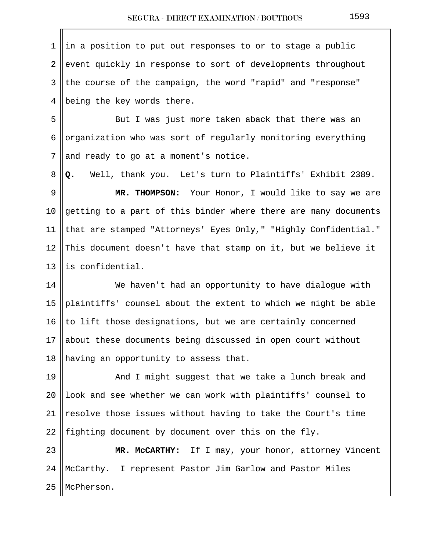$1 \parallel in$  a position to put out responses to or to stage a public  $2 \parallel$  event quickly in response to sort of developments throughout  $3$  the course of the campaign, the word "rapid" and "response" 4 || being the key words there.

5 || But I was just more taken aback that there was an 6 || organization who was sort of regularly monitoring everything  $7$  and ready to go at a moment's notice.

8 **Q.** Well, thank you. Let's turn to Plaintiffs' Exhibit 2389.

 9 **MR. THOMPSON:** Your Honor, I would like to say we are 10  $\parallel$  getting to a part of this binder where there are many documents 11 || that are stamped "Attorneys' Eyes Only," "Highly Confidential." 12 This document doesn't have that stamp on it, but we believe it 13 llis confidential.

14 || We haven't had an opportunity to have dialogue with 15 || plaintiffs' counsel about the extent to which we might be able 16 || to lift those designations, but we are certainly concerned 17 about these documents being discussed in open court without 18 || having an opportunity to assess that.

19 || And I might suggest that we take a lunch break and 20  $\parallel$  look and see whether we can work with plaintiffs' counsel to 21 || resolve those issues without having to take the Court's time 22 || fighting document by document over this on the fly.

23 **MR. McCARTHY:** If I may, your honor, attorney Vincent 24 McCarthy. I represent Pastor Jim Garlow and Pastor Miles 25 McPherson.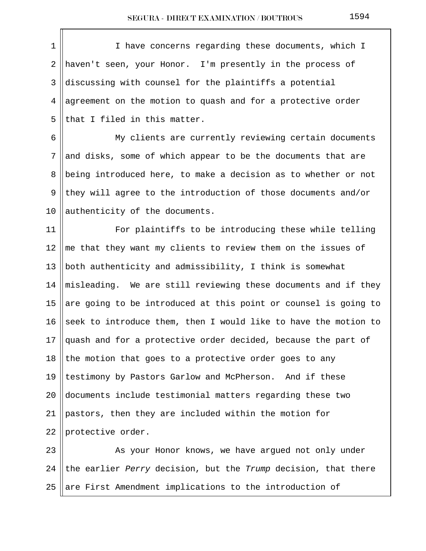1 || I have concerns regarding these documents, which I 2 haven't seen, your Honor. I'm presently in the process of 3 discussing with counsel for the plaintiffs a potential 4 || agreement on the motion to quash and for a protective order  $5$  || that I filed in this matter. 6 My clients are currently reviewing certain documents  $7$  and disks, some of which appear to be the documents that are 8 || being introduced here, to make a decision as to whether or not 9 they will agree to the introduction of those documents and/or 10  $\alpha$  authenticity of the documents. 11 || For plaintiffs to be introducing these while telling 12  $\parallel$  me that they want my clients to review them on the issues of 13  $\parallel$  both authenticity and admissibility, I think is somewhat 14  $\parallel$  misleading. We are still reviewing these documents and if they 15 are going to be introduced at this point or counsel is going to 16 seek to introduce them, then I would like to have the motion to 17  $\alpha$  and for a protective order decided, because the part of 18 the motion that goes to a protective order goes to any 19 || testimony by Pastors Garlow and McPherson. And if these 20  $\parallel$  documents include testimonial matters regarding these two 21  $\beta$  pastors, then they are included within the motion for 22  $|$  protective order. 23 || As your Honor knows, we have argued not only under 24 the earlier Perry decision, but the Trump decision, that there

25  $\parallel$  are First Amendment implications to the introduction of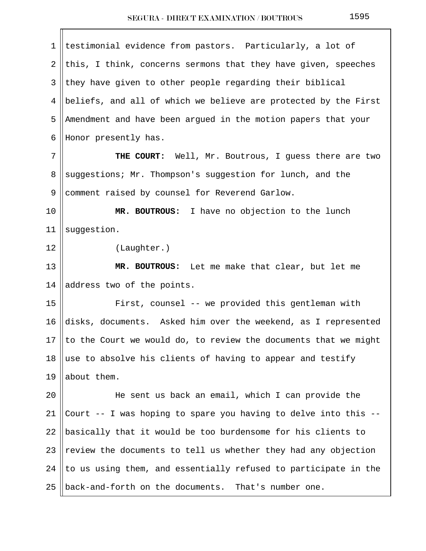| 1              | testimonial evidence from pastors. Particularly, a lot of       |  |  |
|----------------|-----------------------------------------------------------------|--|--|
| $\overline{a}$ | this, I think, concerns sermons that they have given, speeches  |  |  |
| 3              | they have given to other people regarding their biblical        |  |  |
| 4              | beliefs, and all of which we believe are protected by the First |  |  |
| 5              | Amendment and have been argued in the motion papers that your   |  |  |
| 6              | Honor presently has.                                            |  |  |
| 7              | THE COURT: Well, Mr. Boutrous, I guess there are two            |  |  |
| 8              | suggestions; Mr. Thompson's suggestion for lunch, and the       |  |  |
| 9              | comment raised by counsel for Reverend Garlow.                  |  |  |
| 10             | MR. BOUTROUS: I have no objection to the lunch                  |  |  |
| 11             | suggestion.                                                     |  |  |
| 12             | (Laughter.)                                                     |  |  |
| 13             | MR. BOUTROUS: Let me make that clear, but let me                |  |  |
| 14             | address two of the points.                                      |  |  |
| 15             | First, counsel -- we provided this gentleman with               |  |  |
| 16             | disks, documents. Asked him over the weekend, as I represented  |  |  |
| 17             | to the Court we would do, to review the documents that we might |  |  |
| 18             | use to absolve his clients of having to appear and testify      |  |  |
| 19             | about them.                                                     |  |  |
| 20             | He sent us back an email, which I can provide the               |  |  |
| 21             | Court -- I was hoping to spare you having to delve into this -- |  |  |
| 22             | basically that it would be too burdensome for his clients to    |  |  |
| 23             | review the documents to tell us whether they had any objection  |  |  |
| 24             | to us using them, and essentially refused to participate in the |  |  |
| 25             | back-and-forth on the documents. That's number one.             |  |  |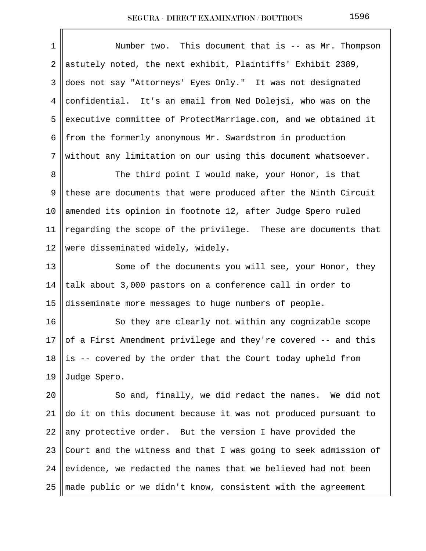| 1  | Number two. This document that is -- as Mr. Thompson            |
|----|-----------------------------------------------------------------|
| 2  | astutely noted, the next exhibit, Plaintiffs' Exhibit 2389,     |
| 3  | does not say "Attorneys' Eyes Only." It was not designated      |
| 4  | confidential. It's an email from Ned Dolejsi, who was on the    |
| 5  | executive committee of ProtectMarriage.com, and we obtained it  |
| 6  | from the formerly anonymous Mr. Swardstrom in production        |
| 7  | without any limitation on our using this document whatsoever.   |
| 8  | The third point I would make, your Honor, is that               |
| 9  | these are documents that were produced after the Ninth Circuit  |
| 10 | amended its opinion in footnote 12, after Judge Spero ruled     |
| 11 | regarding the scope of the privilege. These are documents that  |
| 12 | were disseminated widely, widely.                               |
| 13 | Some of the documents you will see, your Honor, they            |
| 14 | talk about 3,000 pastors on a conference call in order to       |
| 15 | disseminate more messages to huge numbers of people.            |
| 16 | So they are clearly not within any cognizable scope             |
| 17 | of a First Amendment privilege and they're covered -- and this  |
| 18 | is -- covered by the order that the Court today upheld from     |
| 19 | Judge Spero.                                                    |
| 20 | So and, finally, we did redact the names. We did not            |
| 21 | do it on this document because it was not produced pursuant to  |
| 22 | any protective order. But the version I have provided the       |
| 23 | Court and the witness and that I was going to seek admission of |
| 24 | evidence, we redacted the names that we believed had not been   |
| 25 | made public or we didn't know, consistent with the agreement    |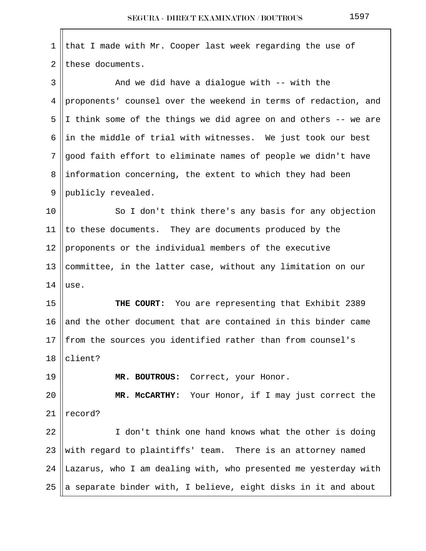| 1  | that I made with Mr. Cooper last week regarding the use of                |
|----|---------------------------------------------------------------------------|
| 2  | these documents.                                                          |
| 3  | And we did have a dialogue with $-$ - with the                            |
| 4  | proponents' counsel over the weekend in terms of redaction, and           |
| 5  | I think some of the things we did agree on and others -- we are           |
| 6  | in the middle of trial with witnesses. We just took our best              |
| 7  | good faith effort to eliminate names of people we didn't have             |
| 8  | information concerning, the extent to which they had been                 |
| 9  | publicly revealed.                                                        |
| 10 | So I don't think there's any basis for any objection                      |
| 11 | to these documents. They are documents produced by the                    |
| 12 | proponents or the individual members of the executive                     |
| 13 | committee, in the latter case, without any limitation on our              |
| 14 | use.                                                                      |
| 15 | THE COURT: You are representing that Exhibit 2389                         |
| 16 | and the other document that are contained in this binder came             |
|    | 17 $\parallel$ from the sources you identified rather than from counsel's |
| 18 | client?                                                                   |
| 19 | MR. BOUTROUS: Correct, your Honor.                                        |
| 20 | MR. McCARTHY: Your Honor, if I may just correct the                       |
| 21 | record?                                                                   |
| 22 | I don't think one hand knows what the other is doing                      |
| 23 | with regard to plaintiffs' team. There is an attorney named               |
| 24 | Lazarus, who I am dealing with, who presented me yesterday with           |
| 25 | a separate binder with, I believe, eight disks in it and about            |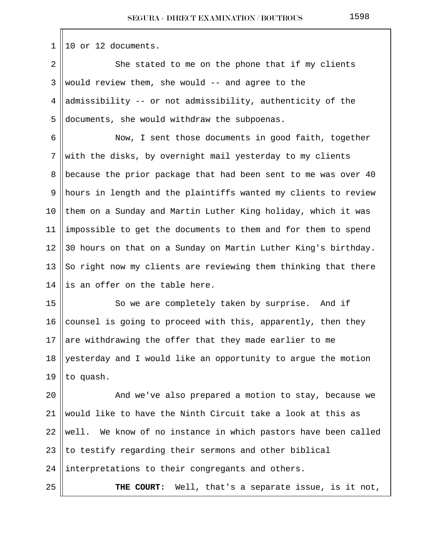$1 \parallel 10$  or 12 documents.

2 She stated to me on the phone that if my clients 3 Would review them, she would  $-$  and agree to the 4  $\parallel$  admissibility -- or not admissibility, authenticity of the 5 documents, she would withdraw the subpoenas.

6 || Now, I sent those documents in good faith, together  $7$  with the disks, by overnight mail yesterday to my clients 8 because the prior package that had been sent to me was over 40 9 hours in length and the plaintiffs wanted my clients to review 10  $\parallel$  them on a Sunday and Martin Luther King holiday, which it was 11 || impossible to get the documents to them and for them to spend 12 30 hours on that on a Sunday on Martin Luther King's birthday. 13  $\parallel$  So right now my clients are reviewing them thinking that there 14 lis an offer on the table here.

15 || So we are completely taken by surprise. And if 16  $\parallel$  counsel is going to proceed with this, apparently, then they 17 are withdrawing the offer that they made earlier to me 18 || yesterday and I would like an opportunity to argue the motion 19  $|$  to quash.

20 || And we've also prepared a motion to stay, because we 21 Would like to have the Ninth Circuit take a look at this as well. We know of no instance in which pastors have been called  $\parallel$  to testify regarding their sermons and other biblical ||interpretations to their congregants and others. **THE COURT:** Well, that's a separate issue, is it not,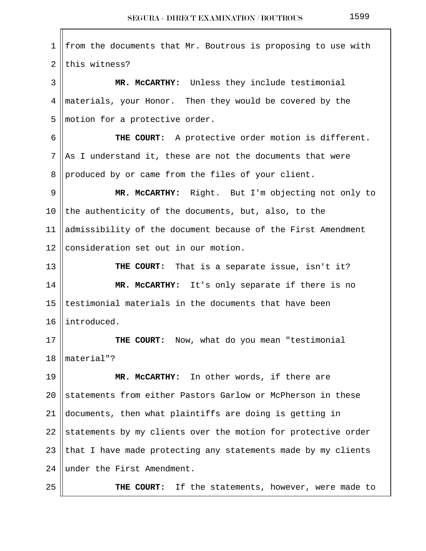1 || from the documents that Mr. Boutrous is proposing to use with  $2$  lthis witness? 3 **MR. McCARTHY:** Unless they include testimonial 4 materials, your Honor. Then they would be covered by the  $5$  ||motion for a protective order. 6 **THE COURT:** A protective order motion is different.  $7$  || As I understand it, these are not the documents that were 8 produced by or came from the files of your client. 9 **MR. McCARTHY:** Right. But I'm objecting not only to 10 the authenticity of the documents, but, also, to the 11 admissibility of the document because of the First Amendment 12 || consideration set out in our motion. 13 **THE COURT:** That is a separate issue, isn't it? 14 **MR. McCARTHY:** It's only separate if there is no 15  $|$  testimonial materials in the documents that have been 16 | introduced. 17 **THE COURT:** Now, what do you mean "testimonial 18 material"? 19 **MR. McCARTHY:** In other words, if there are 20 Statements from either Pastors Garlow or McPherson in these 21 documents, then what plaintiffs are doing is getting in 22 Statements by my clients over the motion for protective order 23 || that I have made protecting any statements made by my clients 24  $\parallel$  under the First Amendment. 25 **THE COURT:** If the statements, however, were made to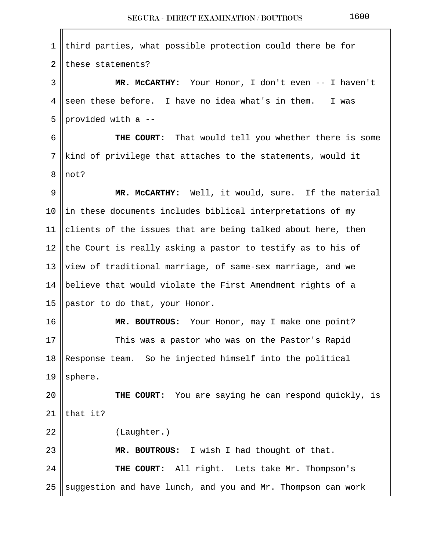1 third parties, what possible protection could there be for  $2$  these statements? 3 **MR. McCARTHY:** Your Honor, I don't even -- I haven't 4 seen these before. I have no idea what's in them. I was 5 || provided with a  $-$  6 **THE COURT:** That would tell you whether there is some  $7$  ||kind of privilege that attaches to the statements, would it 8 llnot? 9 **MR. McCARTHY:** Well, it would, sure. If the material 10  $\parallel$  in these documents includes biblical interpretations of my 11 clients of the issues that are being talked about here, then 12 the Court is really asking a pastor to testify as to his of 13 ||view of traditional marriage, of same-sex marriage, and we 14  $\parallel$  believe that would violate the First Amendment rights of a 15  $\beta$  pastor to do that, your Honor. 16 || **MR. BOUTROUS:** Your Honor, may I make one point? 17 || This was a pastor who was on the Pastor's Rapid  $18$  Response team. So he injected himself into the political 19 || sphere. 20 **THE COURT:** You are saying he can respond quickly, is 21  $\|$ that it? 22 | (Laughter.) 23 **MR. BOUTROUS:** I wish I had thought of that. 24 **THE COURT:** All right. Lets take Mr. Thompson's 25 Suggestion and have lunch, and you and Mr. Thompson can work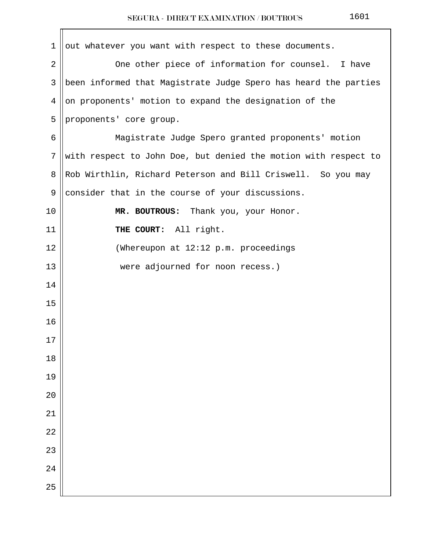| $\mathbf 1$     | out whatever you want with respect to these documents.          |
|-----------------|-----------------------------------------------------------------|
| 2               | One other piece of information for counsel. I have              |
| 3               | been informed that Magistrate Judge Spero has heard the parties |
| 4               | on proponents' motion to expand the designation of the          |
| 5               | proponents' core group.                                         |
| 6               | Magistrate Judge Spero granted proponents' motion               |
| $7\phantom{.0}$ | with respect to John Doe, but denied the motion with respect to |
| 8               | Rob Wirthlin, Richard Peterson and Bill Criswell. So you may    |
| 9               | consider that in the course of your discussions.                |
| 10              | MR. BOUTROUS: Thank you, your Honor.                            |
| 11              | THE COURT: All right.                                           |
| 12              | (Whereupon at 12:12 p.m. proceedings                            |
| 13              | were adjourned for noon recess.)                                |
| 14              |                                                                 |
| 15              |                                                                 |
| 16              |                                                                 |
| $17\,$          |                                                                 |
| 18              |                                                                 |
| 19              |                                                                 |
| 20              |                                                                 |
| 21              |                                                                 |
| 22              |                                                                 |
| 23              |                                                                 |
| 24              |                                                                 |
| 25              |                                                                 |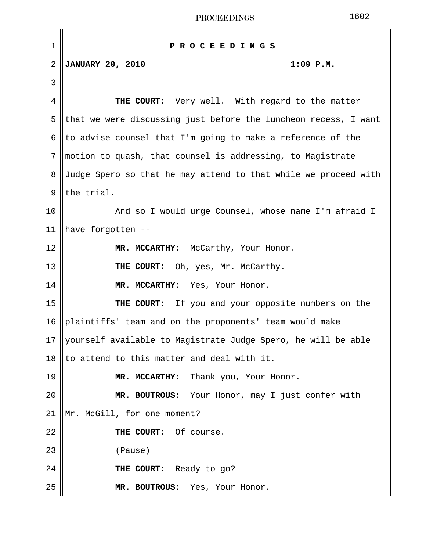| $\mathbf 1$    | ROCEEDINGS<br>Р                                                 |
|----------------|-----------------------------------------------------------------|
| $\overline{2}$ | <b>JANUARY 20, 2010</b><br>$1:09$ $P.M.$                        |
| 3              |                                                                 |
| 4              | THE COURT: Very well. With regard to the matter                 |
| 5              | that we were discussing just before the luncheon recess, I want |
| 6              | to advise counsel that I'm going to make a reference of the     |
| 7              | motion to quash, that counsel is addressing, to Magistrate      |
| 8              | Judge Spero so that he may attend to that while we proceed with |
| 9              | the trial.                                                      |
| 10             | And so I would urge Counsel, whose name I'm afraid I            |
| 11             | have forgotten --                                               |
| 12             | MR. MCCARTHY: McCarthy, Your Honor.                             |
| 13             | THE COURT: Oh, yes, Mr. McCarthy.                               |
| 14             | MR. MCCARTHY: Yes, Your Honor.                                  |
| 15             | THE COURT: If you and your opposite numbers on the              |
| 16             | plaintiffs' team and on the proponents' team would make         |
| 17             | yourself available to Magistrate Judge Spero, he will be able   |
| 18             | to attend to this matter and deal with it.                      |
| 19             | Thank you, Your Honor.<br>MR. MCCARTHY:                         |
| 20             | MR. BOUTROUS: Your Honor, may I just confer with                |
| 21             | Mr. McGill, for one moment?                                     |
| 22             | THE COURT: Of course.                                           |
| 23             | (Pause)                                                         |
| 24             | THE COURT: Ready to go?                                         |
| 25             | MR. BOUTROUS: Yes, Your Honor.                                  |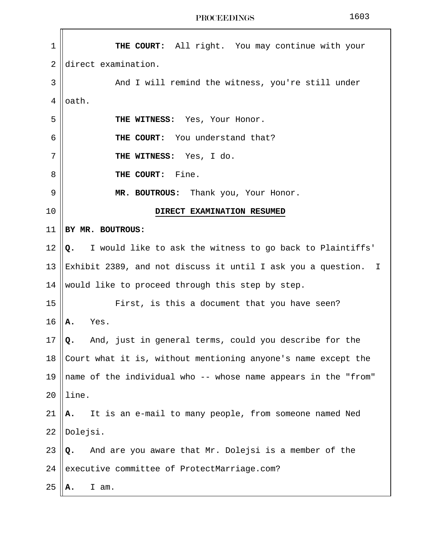| 1              | THE COURT: All right. You may continue with your                |
|----------------|-----------------------------------------------------------------|
| $\overline{2}$ | direct examination.                                             |
| 3              | And I will remind the witness, you're still under               |
| 4              | oath.                                                           |
| 5              | THE WITNESS: Yes, Your Honor.                                   |
| 6              | THE COURT: You understand that?                                 |
| 7              | THE WITNESS: Yes, I do.                                         |
| 8              | THE COURT:<br>Fine.                                             |
| 9              | MR. BOUTROUS: Thank you, Your Honor.                            |
| 10             | DIRECT EXAMINATION RESUMED                                      |
| 11             | BY MR. BOUTROUS:                                                |
| 12             | I would like to ask the witness to go back to Plaintiffs'<br>Q. |
| 13             | Exhibit 2389, and not discuss it until I ask you a question. I  |
| 14             | would like to proceed through this step by step.                |
| 15             | First, is this a document that you have seen?                   |
| 16             | Yes.<br>Α.                                                      |
| 17             | And, just in general terms, could you describe for the<br>Q.    |
| 18             | Court what it is, without mentioning anyone's name except the   |
| 19             | name of the individual who -- whose name appears in the "from"  |
| 20             | line.                                                           |
| 21             | It is an e-mail to many people, from someone named Ned<br>А.    |
| 22             | Dolejsi.                                                        |
| 23             | And are you aware that Mr. Dolejsi is a member of the<br>Q.     |
| 24             | executive committee of ProtectMarriage.com?                     |
| 25             | I am.<br>А.                                                     |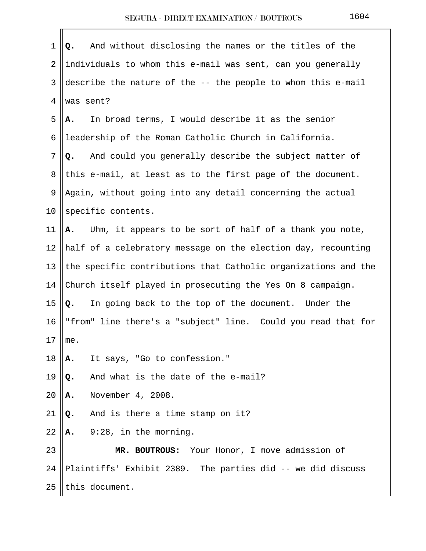| 1  | And without disclosing the names or the titles of the<br>Q.    |
|----|----------------------------------------------------------------|
| 2  | individuals to whom this e-mail was sent, can you generally    |
| 3  | describe the nature of the -- the people to whom this e-mail   |
| 4  | was sent?                                                      |
| 5  | In broad terms, I would describe it as the senior<br>Α.        |
| 6  | leadership of the Roman Catholic Church in California.         |
| 7  | And could you generally describe the subject matter of<br>Q.   |
| 8  | this e-mail, at least as to the first page of the document.    |
| 9  | Again, without going into any detail concerning the actual     |
| 10 | specific contents.                                             |
| 11 | Uhm, it appears to be sort of half of a thank you note,<br>Α.  |
| 12 | half of a celebratory message on the election day, recounting  |
| 13 | the specific contributions that Catholic organizations and the |
| 14 | Church itself played in prosecuting the Yes On 8 campaign.     |
| 15 | In going back to the top of the document. Under the<br>Q.      |
| 16 | "from" line there's a "subject" line. Could you read that for  |
| 17 | me.                                                            |
| 18 | It says, "Go to confession."<br>Α.                             |
| 19 | And what is the date of the e-mail?<br>Q.                      |
| 20 | November 4, 2008.<br>Α.                                        |
| 21 | And is there a time stamp on it?<br>Q.                         |
| 22 | 9:28, in the morning.<br>Α.                                    |
| 23 | MR. BOUTROUS: Your Honor, I move admission of                  |
| 24 | Plaintiffs' Exhibit 2389. The parties did -- we did discuss    |
| 25 | this document.                                                 |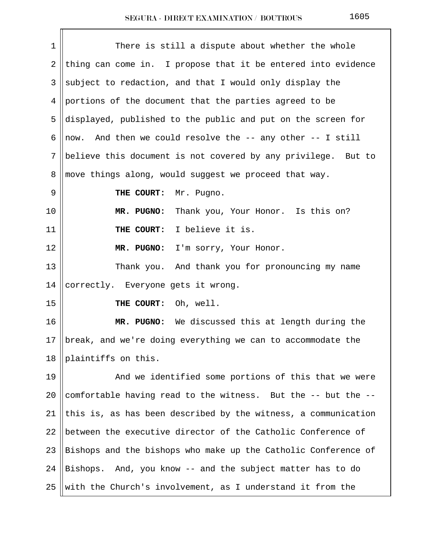| 1              | There is still a dispute about whether the whole               |
|----------------|----------------------------------------------------------------|
| $\overline{2}$ | thing can come in. I propose that it be entered into evidence  |
| 3              | subject to redaction, and that I would only display the        |
| 4              | portions of the document that the parties agreed to be         |
| 5              | displayed, published to the public and put on the screen for   |
| 6              | And then we could resolve the -- any other -- I still<br>now.  |
| 7              | believe this document is not covered by any privilege. But to  |
| 8              | move things along, would suggest we proceed that way.          |
| 9              | THE COURT:<br>Mr. Pugno.                                       |
| 10             | MR. PUGNO:<br>Thank you, Your Honor. Is this on?               |
| 11             | I believe it is.<br>THE COURT:                                 |
| 12             | MR. PUGNO:<br>I'm sorry, Your Honor.                           |
| 13             | Thank you. And thank you for pronouncing my name               |
| 14             | correctly. Everyone gets it wrong.                             |
| 15             | Oh, well.<br>THE COURT:                                        |
| 16             | MR. PUGNO: We discussed this at length during the              |
| 17             | break, and we're doing everything we can to accommodate the    |
| 18             | plaintiffs on this.                                            |
| 19             | And we identified some portions of this that we were           |
| 20             | comfortable having read to the witness. But the -- but the --  |
| 21             | this is, as has been described by the witness, a communication |
| 22             | between the executive director of the Catholic Conference of   |
| 23             | Bishops and the bishops who make up the Catholic Conference of |
| 24             | Bishops. And, you know -- and the subject matter has to do     |
| 25             | with the Church's involvement, as I understand it from the     |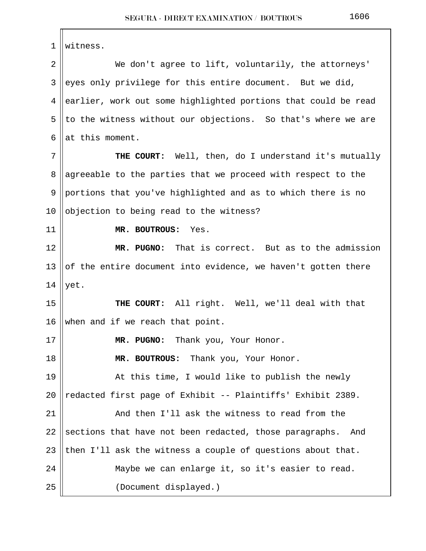1 witness. 2 We don't agree to lift, voluntarily, the attorneys' 3 eyes only privilege for this entire document. But we did, 4 earlier, work out some highlighted portions that could be read 5 || to the witness without our objections. So that's where we are 6 at this moment. 7 || THE COURT: Well, then, do I understand it's mutually 8 agreeable to the parties that we proceed with respect to the 9 portions that you've highlighted and as to which there is no 10  $\vert$  objection to being read to the witness? 11 **MR. BOUTROUS:** Yes. 12 **MR. PUGNO:** That is correct. But as to the admission 13  $\parallel$  of the entire document into evidence, we haven't gotten there 14  $|$  yet. 15 **THE COURT:** All right. Well, we'll deal with that 16 when and if we reach that point. 17 **MR. PUGNO:** Thank you, Your Honor. 18 **MR. BOUTROUS:** Thank you, Your Honor. 19 || At this time, I would like to publish the newly 20  $\parallel$  redacted first page of Exhibit -- Plaintiffs' Exhibit 2389. 21 | And then I'll ask the witness to read from the 22  $\parallel$  sections that have not been redacted, those paragraphs. And 23 || then I'll ask the witness a couple of questions about that. 24 || Maybe we can enlarge it, so it's easier to read. 25 (Document displayed.)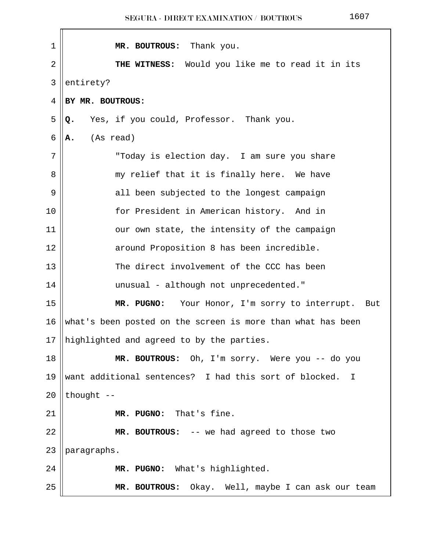| 1              | Thank you.<br>MR. BOUTROUS:                                 |
|----------------|-------------------------------------------------------------|
| $\overline{2}$ | THE WITNESS: Would you like me to read it in its            |
| 3              | entirety?                                                   |
| 4              | BY MR. BOUTROUS:                                            |
| 5              | Yes, if you could, Professor. Thank you.<br>Q.              |
| 6              | (As read)<br>Α.                                             |
| 7              | "Today is election day. I am sure you share                 |
| 8              | my relief that it is finally here. We have                  |
| 9              | all been subjected to the longest campaign                  |
| 10             | for President in American history. And in                   |
| 11             | our own state, the intensity of the campaign                |
| 12             | around Proposition 8 has been incredible.                   |
| 13             | The direct involvement of the CCC has been                  |
| 14             | unusual - although not unprecedented."                      |
| 15             | MR. PUGNO: Your Honor, I'm sorry to interrupt.<br>But       |
| 16             | what's been posted on the screen is more than what has been |
| 17             | highlighted and agreed to by the parties.                   |
| 18             | MR. BOUTROUS: Oh, I'm sorry. Were you -- do you             |
| 19             | want additional sentences? I had this sort of blocked. I    |
| 20             | thought --                                                  |
| 21             | MR. PUGNO: That's fine.                                     |
| 22             | MR. BOUTROUS: -- we had agreed to those two                 |
| 23             | paragraphs.                                                 |
| 24             | MR. PUGNO: What's highlighted.                              |
| 25             | MR. BOUTROUS: Okay. Well, maybe I can ask our team          |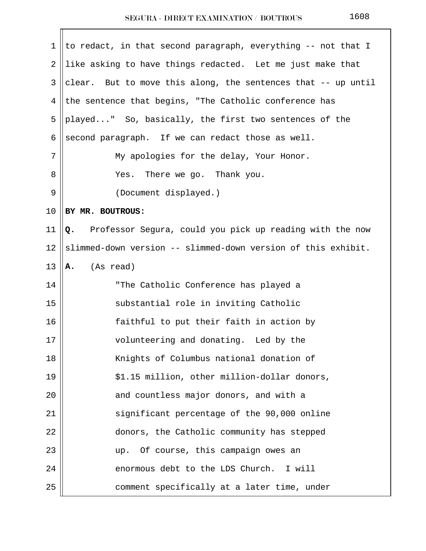| 1  | to redact, in that second paragraph, everything -- not that I  |
|----|----------------------------------------------------------------|
| 2  | like asking to have things redacted. Let me just make that     |
| 3  | clear. But to move this along, the sentences that -- up until  |
| 4  | the sentence that begins, "The Catholic conference has         |
| 5  | played" So, basically, the first two sentences of the          |
| 6  | second paragraph. If we can redact those as well.              |
| 7  | My apologies for the delay, Your Honor.                        |
| 8  | There we go. Thank you.<br>Yes.                                |
| 9  | (Document displayed.)                                          |
| 10 | BY MR. BOUTROUS:                                               |
| 11 | Professor Segura, could you pick up reading with the now<br>Q. |
| 12 | slimmed-down version -- slimmed-down version of this exhibit.  |
| 13 | (As read)<br>Α.                                                |
| 14 | "The Catholic Conference has played a                          |
| 15 | substantial role in inviting Catholic                          |
| 16 | faithful to put their faith in action by                       |
| 17 | volunteering and donating. Led by the                          |
| 18 | Knights of Columbus national donation of                       |
| 19 | \$1.15 million, other million-dollar donors,                   |
| 20 | and countless major donors, and with a                         |
| 21 | significant percentage of the 90,000 online                    |
| 22 | donors, the Catholic community has stepped                     |
| 23 | Of course, this campaign owes an<br>up.                        |
| 24 | enormous debt to the LDS Church. I will                        |
| 25 | comment specifically at a later time, under                    |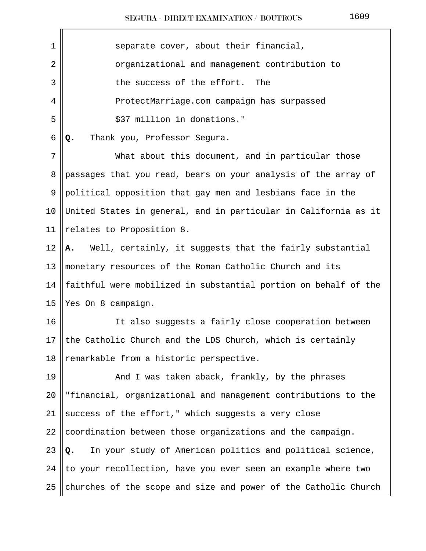| $\mathbf 1$    | separate cover, about their financial,                          |
|----------------|-----------------------------------------------------------------|
| $\overline{2}$ | organizational and management contribution to                   |
| 3              | the success of the effort.<br>The                               |
| 4              | ProtectMarriage.com campaign has surpassed                      |
| 5              | \$37 million in donations."                                     |
| 6              | Thank you, Professor Segura.<br>Q.                              |
| 7              | What about this document, and in particular those               |
| 8              | passages that you read, bears on your analysis of the array of  |
| 9              | political opposition that gay men and lesbians face in the      |
| 10             | United States in general, and in particular in California as it |
| 11             | relates to Proposition 8.                                       |
| 12             | Well, certainly, it suggests that the fairly substantial<br>А.  |
| 13             | monetary resources of the Roman Catholic Church and its         |
| 14             | faithful were mobilized in substantial portion on behalf of the |
| 15             | Yes On 8 campaign.                                              |
| 16             | It also suggests a fairly close cooperation between             |
| 17             | the Catholic Church and the LDS Church, which is certainly      |
| 18             | remarkable from a historic perspective.                         |
| 19             | And I was taken aback, frankly, by the phrases                  |
| 20             | "financial, organizational and management contributions to the  |
| 21             | success of the effort," which suggests a very close             |
| 22             | coordination between those organizations and the campaign.      |
| 23             | In your study of American politics and political science,<br>Q. |
| 24             | to your recollection, have you ever seen an example where two   |
| 25             | churches of the scope and size and power of the Catholic Church |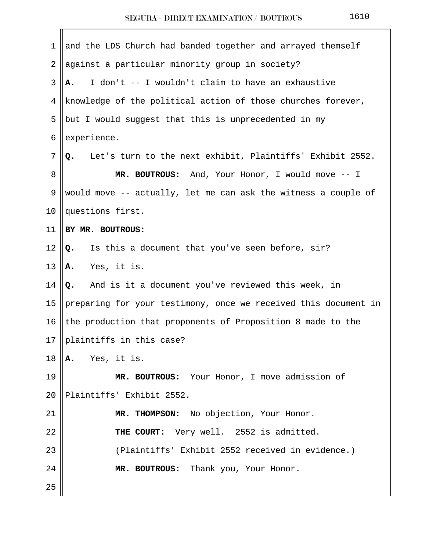| 1              | and the LDS Church had banded together and arrayed themself     |
|----------------|-----------------------------------------------------------------|
| $\overline{2}$ | against a particular minority group in society?                 |
| 3              | I don't -- I wouldn't claim to have an exhaustive<br>А.         |
| 4              | knowledge of the political action of those churches forever,    |
| 5              | but I would suggest that this is unprecedented in my            |
| 6              | experience.                                                     |
| 7              | Let's turn to the next exhibit, Plaintiffs' Exhibit 2552.<br>Q. |
| 8              | MR. BOUTROUS: And, Your Honor, I would move -- I                |
| 9              | would move -- actually, let me can ask the witness a couple of  |
| 10             | questions first.                                                |
| 11             | BY MR. BOUTROUS:                                                |
| 12             | Is this a document that you've seen before, sir?<br>Q.          |
| 13             | Yes, it is.<br>Α.                                               |
| 14             | And is it a document you've reviewed this week, in<br>Q.        |
| 15             | preparing for your testimony, once we received this document in |
| 16             | the production that proponents of Proposition 8 made to the     |
| 17             | plaintiffs in this case?                                        |
| 18             | Yes, it is.<br>Α.                                               |
| 19             | MR. BOUTROUS: Your Honor, I move admission of                   |
| 20             | Plaintiffs' Exhibit 2552.                                       |
| 21             | MR. THOMPSON: No objection, Your Honor.                         |
| 22             | THE COURT: Very well. 2552 is admitted.                         |
| 23             | (Plaintiffs' Exhibit 2552 received in evidence.)                |
| 24             | MR. BOUTROUS: Thank you, Your Honor.                            |
| 25             |                                                                 |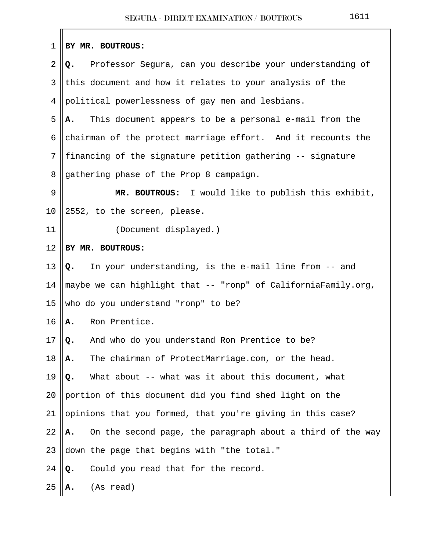| 1              | BY MR. BOUTROUS:                                                 |
|----------------|------------------------------------------------------------------|
| $\overline{2}$ | Professor Segura, can you describe your understanding of<br>Q.   |
| 3              | this document and how it relates to your analysis of the         |
| 4              | political powerlessness of gay men and lesbians.                 |
| 5              | This document appears to be a personal e-mail from the<br>А.     |
| 6              | chairman of the protect marriage effort. And it recounts the     |
| 7              | financing of the signature petition gathering -- signature       |
| 8              | gathering phase of the Prop 8 campaign.                          |
| 9              | MR. BOUTROUS: I would like to publish this exhibit,              |
| 10             | 2552, to the screen, please.                                     |
| 11             | (Document displayed.)                                            |
| 12             | BY MR. BOUTROUS:                                                 |
| 13             | In your understanding, is the e-mail line from -- and<br>Q.      |
| 14             | maybe we can highlight that -- "ronp" of CaliforniaFamily.org,   |
| 15             | who do you understand "ronp" to be?                              |
| 16             | Ron Prentice.<br>Α.                                              |
| 17             | And who do you understand Ron Prentice to be?<br>Q.              |
| 18             | The chairman of ProtectMarriage.com, or the head.<br>Α.          |
| 19             | What about -- what was it about this document, what<br>Q.        |
| 20             | portion of this document did you find shed light on the          |
| 21             | opinions that you formed, that you're giving in this case?       |
| 22             | On the second page, the paragraph about a third of the way<br>А. |
| 23             | down the page that begins with "the total."                      |
| 24             | Could you read that for the record.<br>Q.                        |
| 25             | (As read)<br>А.                                                  |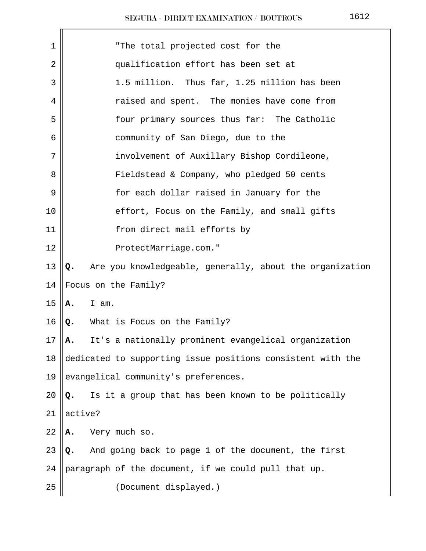| 1    | "The total projected cost for the                              |
|------|----------------------------------------------------------------|
| 2    | qualification effort has been set at                           |
| 3    | 1.5 million. Thus far, 1.25 million has been                   |
| 4    | raised and spent. The monies have come from                    |
| 5    | four primary sources thus far: The Catholic                    |
| 6    | community of San Diego, due to the                             |
| 7    | involvement of Auxillary Bishop Cordileone,                    |
| 8    | Fieldstead & Company, who pledged 50 cents                     |
| 9    | for each dollar raised in January for the                      |
| 10   | effort, Focus on the Family, and small gifts                   |
| 11   | from direct mail efforts by                                    |
| 12   | ProtectMarriage.com."                                          |
| 13   | Are you knowledgeable, generally, about the organization<br>Q. |
| 14   | Focus on the Family?                                           |
| 15   | I am.<br>Α.                                                    |
| 16   | What is Focus on the Family?<br>Q.                             |
| $17$ | It's a nationally prominent evangelical organization<br>А.     |
| 18   | dedicated to supporting issue positions consistent with the    |
| 19   | evangelical community's preferences.                           |
| 20   | Is it a group that has been known to be politically<br>Q.      |
| 21   | active?                                                        |
| 22   | Very much so.<br>Α.                                            |
| 23   | And going back to page 1 of the document, the first<br>Q.      |
| 24   | paragraph of the document, if we could pull that up.           |
| 25   | (Document displayed.)                                          |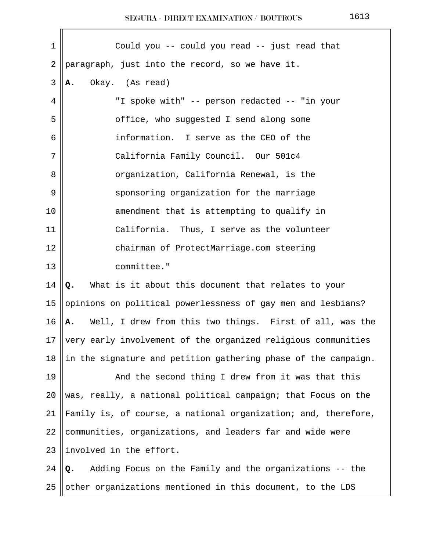| 1  | Could you -- could you read -- just read that                  |
|----|----------------------------------------------------------------|
| 2  | paragraph, just into the record, so we have it.                |
| 3  | Okay. (As read)<br>А.                                          |
| 4  | "I spoke with" -- person redacted -- "in your                  |
| 5  | office, who suggested I send along some                        |
| 6  | information. I serve as the CEO of the                         |
| 7  | California Family Council. Our 501c4                           |
| 8  | organization, California Renewal, is the                       |
| 9  | sponsoring organization for the marriage                       |
| 10 | amendment that is attempting to qualify in                     |
| 11 | California. Thus, I serve as the volunteer                     |
| 12 | chairman of ProtectMarriage.com steering                       |
| 13 | committee."                                                    |
| 14 | What is it about this document that relates to your<br>Q.      |
| 15 | opinions on political powerlessness of gay men and lesbians?   |
| 16 | Well, I drew from this two things. First of all, was the<br>Α. |
| 17 | very early involvement of the organized religious communities  |
| 18 | in the signature and petition gathering phase of the campaign. |
| 19 | And the second thing I drew from it was that this              |
| 20 | was, really, a national political campaign; that Focus on the  |
| 21 | Family is, of course, a national organization; and, therefore, |
| 22 | communities, organizations, and leaders far and wide were      |
| 23 | involved in the effort.                                        |
| 24 | Adding Focus on the Family and the organizations -- the<br>Q.  |
| 25 | other organizations mentioned in this document, to the LDS     |
|    |                                                                |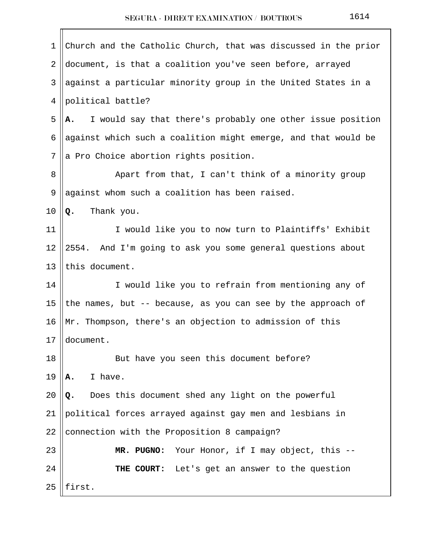| 1  | Church and the Catholic Church, that was discussed in the prior  |
|----|------------------------------------------------------------------|
| 2  | document, is that a coalition you've seen before, arrayed        |
| 3  | against a particular minority group in the United States in a    |
| 4  | political battle?                                                |
| 5  | I would say that there's probably one other issue position<br>А. |
| 6  | against which such a coalition might emerge, and that would be   |
| 7  | a Pro Choice abortion rights position.                           |
| 8  | Apart from that, I can't think of a minority group               |
| 9  | against whom such a coalition has been raised.                   |
| 10 | Thank you.<br>Q.                                                 |
| 11 | I would like you to now turn to Plaintiffs' Exhibit              |
| 12 | 2554. And I'm going to ask you some general questions about      |
| 13 | this document.                                                   |
| 14 | I would like you to refrain from mentioning any of               |
| 15 | the names, but -- because, as you can see by the approach of     |
| 16 | Mr. Thompson, there's an objection to admission of this          |
| 17 | document.                                                        |
| 18 | But have you seen this document before?                          |
| 19 | I have.<br>Α.                                                    |
| 20 | Does this document shed any light on the powerful<br>Q.          |
| 21 | political forces arrayed against gay men and lesbians in         |
| 22 | connection with the Proposition 8 campaign?                      |
| 23 | Your Honor, if I may object, this --<br>MR. PUGNO:               |
| 24 | THE COURT: Let's get an answer to the question                   |
| 25 | first.                                                           |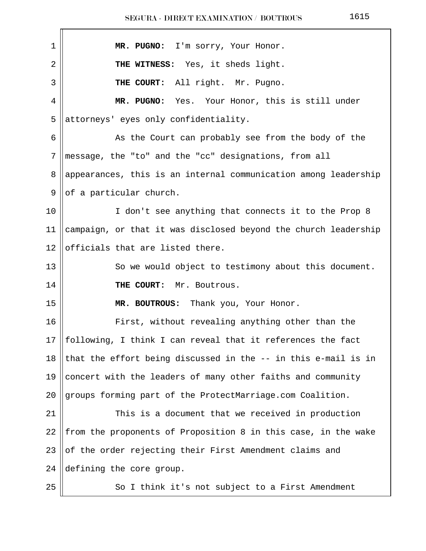| 1  | MR. PUGNO: I'm sorry, Your Honor.                               |
|----|-----------------------------------------------------------------|
| 2  | THE WITNESS: Yes, it sheds light.                               |
| 3  | THE COURT: All right. Mr. Pugno.                                |
| 4  | MR. PUGNO: Yes. Your Honor, this is still under                 |
| 5  | attorneys' eyes only confidentiality.                           |
| 6  | As the Court can probably see from the body of the              |
| 7  | message, the "to" and the "cc" designations, from all           |
| 8  | appearances, this is an internal communication among leadership |
| 9  | of a particular church.                                         |
| 10 | I don't see anything that connects it to the Prop 8             |
| 11 | campaign, or that it was disclosed beyond the church leadership |
| 12 | officials that are listed there.                                |
| 13 | So we would object to testimony about this document.            |
| 14 | THE COURT: Mr. Boutrous.                                        |
| 15 | MR. BOUTROUS: Thank you, Your Honor.                            |
| 16 | First, without revealing anything other than the                |
| 17 | following, I think I can reveal that it references the fact     |
| 18 | that the effort being discussed in the -- in this e-mail is in  |
| 19 | concert with the leaders of many other faiths and community     |
| 20 | groups forming part of the ProtectMarriage.com Coalition.       |
| 21 | This is a document that we received in production               |
| 22 | from the proponents of Proposition 8 in this case, in the wake  |
| 23 | of the order rejecting their First Amendment claims and         |
| 24 | defining the core group.                                        |
| 25 | So I think it's not subject to a First Amendment                |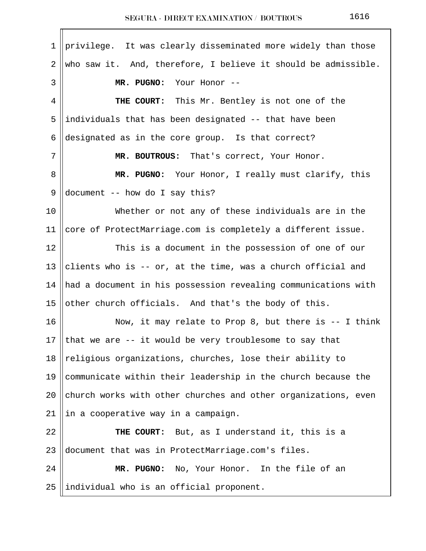1 privilege. It was clearly disseminated more widely than those  $2 \parallel$  who saw it. And, therefore, I believe it should be admissible. 3 **MR. PUGNO:** Your Honor -- 4 **THE COURT:** This Mr. Bentley is not one of the 5 ||individuals that has been designated  $-$ - that have been 6 designated as in the core group. Is that correct? 7 **MR. BOUTROUS:** That's correct, Your Honor. 8 **MR. PUGNO:** Your Honor, I really must clarify, this 9  $\vert$  document -- how do I say this? 10 Whether or not any of these individuals are in the 11  $\parallel$  core of ProtectMarriage.com is completely a different issue. 12 ||<br>This is a document in the possession of one of our 13 clients who is -- or, at the time, was a church official and 14 had a document in his possession revealing communications with 15  $\vert$  other church officials. And that's the body of this. 16 || Now, it may relate to Prop 8, but there is -- I think 17 || that we are  $-$  it would be very troublesome to say that 18  $\parallel$  religious organizations, churches, lose their ability to 19  $\parallel$  communicate within their leadership in the church because the 20  $\|$  church works with other churches and other organizations, even  $21$  ||in a cooperative way in a campaign. 22 **THE COURT:** But, as I understand it, this is a 23 ||document that was in ProtectMarriage.com's files. 24 **MR. PUGNO:** No, Your Honor. In the file of an  $25$  ||individual who is an official proponent.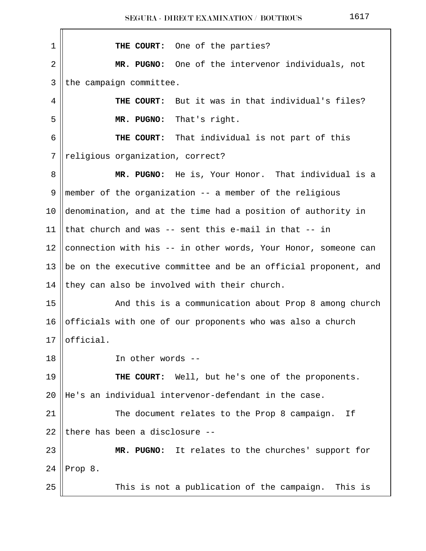| $\mathbf 1$ | THE COURT: One of the parties?                                  |
|-------------|-----------------------------------------------------------------|
| 2           | MR. PUGNO: One of the intervenor individuals, not               |
| 3           | the campaign committee.                                         |
| 4           | THE COURT: But it was in that individual's files?               |
| 5           | MR. PUGNO:<br>That's right.                                     |
| 6           | THE COURT: That individual is not part of this                  |
| 7           | religious organization, correct?                                |
| 8           | MR. PUGNO: He is, Your Honor. That individual is a              |
| 9           | member of the organization -- a member of the religious         |
| 10          | denomination, and at the time had a position of authority in    |
| 11          | that church and was -- sent this e-mail in that -- in           |
| 12          | connection with his -- in other words, Your Honor, someone can  |
| 13          | be on the executive committee and be an official proponent, and |
| 14          | they can also be involved with their church.                    |
| 15          | And this is a communication about Prop 8 among church           |
| 16          | officials with one of our proponents who was also a church      |
|             | $17 \parallel$ official                                         |
| 18          | In other words --                                               |
| 19          | THE COURT: Well, but he's one of the proponents.                |
| 20          | He's an individual intervenor-defendant in the case.            |
| 21          | The document relates to the Prop 8 campaign.<br>Ιf              |
| 22          | there has been a disclosure --                                  |
| 23          | MR. PUGNO: It relates to the churches' support for              |
| 24          | Prop 8.                                                         |
| 25          | This is not a publication of the campaign. This is              |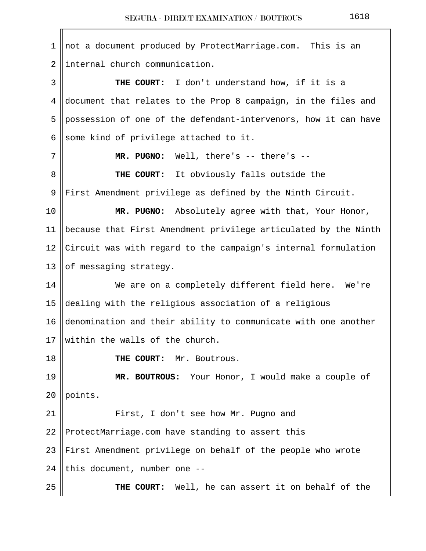| 1               | not a document produced by ProtectMarriage.com. This is an      |  |
|-----------------|-----------------------------------------------------------------|--|
| 2               | internal church communication.                                  |  |
| 3               | THE COURT: I don't understand how, if it is a                   |  |
| 4               | document that relates to the Prop 8 campaign, in the files and  |  |
| 5               | possession of one of the defendant-intervenors, how it can have |  |
| 6               | some kind of privilege attached to it.                          |  |
| 7               | MR. PUGNO: Well, there's $--$ there's $--$                      |  |
| 8               | THE COURT: It obviously falls outside the                       |  |
| 9               | First Amendment privilege as defined by the Ninth Circuit.      |  |
| 10              | MR. PUGNO:<br>Absolutely agree with that, Your Honor,           |  |
| 11              | because that First Amendment privilege articulated by the Ninth |  |
| 12              | Circuit was with regard to the campaign's internal formulation  |  |
| 13              | of messaging strategy.                                          |  |
| 14              | We are on a completely different field here. We're              |  |
| 15              | dealing with the religious association of a religious           |  |
| 16              | denomination and their ability to communicate with one another  |  |
| 17 <sub>1</sub> | within the walls of the church.                                 |  |
| 18              | THE COURT: Mr. Boutrous.                                        |  |
| 19              | MR. BOUTROUS: Your Honor, I would make a couple of              |  |
| 20              | points.                                                         |  |
| 21              | First, I don't see how Mr. Pugno and                            |  |
| 22              | ProtectMarriage.com have standing to assert this                |  |
| 23              | First Amendment privilege on behalf of the people who wrote     |  |
| 24              | this document, number one --                                    |  |
| 25              | THE COURT: Well, he can assert it on behalf of the              |  |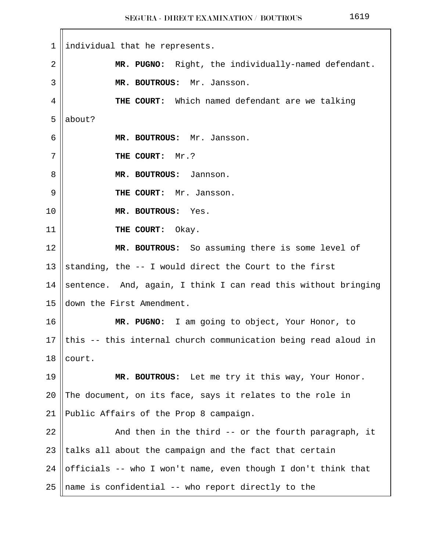|--|--|--|--|

| $\mathbf 1$    | individual that he represents.                                 |
|----------------|----------------------------------------------------------------|
| $\overline{2}$ | MR. PUGNO: Right, the individually-named defendant.            |
| 3              | MR. BOUTROUS: Mr. Jansson.                                     |
| 4              | THE COURT: Which named defendant are we talking                |
| 5              | about?                                                         |
| 6              | MR. BOUTROUS: Mr. Jansson.                                     |
| 7              | THE COURT: Mr.?                                                |
| 8              | MR. BOUTROUS: Jannson.                                         |
| 9              | THE COURT: Mr. Jansson.                                        |
| 10             | MR. BOUTROUS: Yes.                                             |
| 11             | THE COURT: Okay.                                               |
| 12             | MR. BOUTROUS: So assuming there is some level of               |
| 13             | standing, the -- I would direct the Court to the first         |
| 14             | sentence. And, again, I think I can read this without bringing |
| 15             | down the First Amendment.                                      |
| 16             | MR. PUGNO: I am going to object, Your Honor, to                |
| 17             | this -- this internal church communication being read aloud in |
| 18             | court.                                                         |
| 19             | MR. BOUTROUS: Let me try it this way, Your Honor.              |
| 20             | The document, on its face, says it relates to the role in      |
| 21             | Public Affairs of the Prop 8 campaign.                         |
| 22             | And then in the third -- or the fourth paragraph, it           |
| 23             | talks all about the campaign and the fact that certain         |
| 24             | officials -- who I won't name, even though I don't think that  |
| 25             | name is confidential -- who report directly to the             |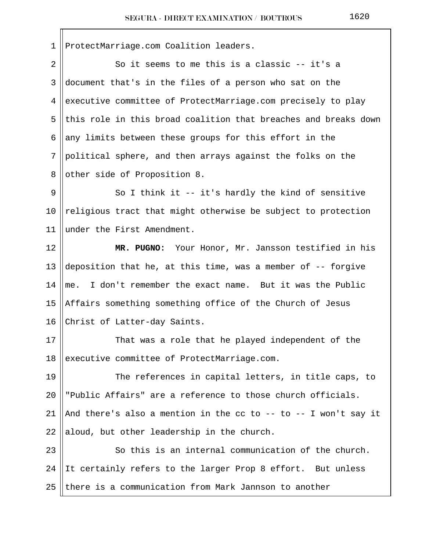1 | ProtectMarriage.com Coalition leaders.

 $2 \parallel$  So it seems to me this is a classic -- it's a 3 document that's in the files of a person who sat on the 4 executive committee of ProtectMarriage.com precisely to play  $5$  this role in this broad coalition that breaches and breaks down 6 any limits between these groups for this effort in the  $7$  political sphere, and then arrays against the folks on the 8 || other side of Proposition 8.  $9 \parallel$  So I think it -- it's hardly the kind of sensitive 10  $\parallel$  religious tract that might otherwise be subject to protection 11 under the First Amendment. 12 **MR. PUGNO:** Your Honor, Mr. Jansson testified in his 13 deposition that he, at this time, was a member of  $-$ - forgive 14 me. I don't remember the exact name. But it was the Public 15 Affairs something something office of the Church of Jesus 16 Christ of Latter-day Saints. 17 || That was a role that he played independent of the 18 executive committee of ProtectMarriage.com. 19 The references in capital letters, in title caps, to 20 "Public Affairs" are a reference to those church officials. 21 || And there's also a mention in the cc to -- to -- I won't say it 22 aloud, but other leadership in the church. 23 || So this is an internal communication of the church. 24  $\parallel$  It certainly refers to the larger Prop 8 effort. But unless 25 there is a communication from Mark Jannson to another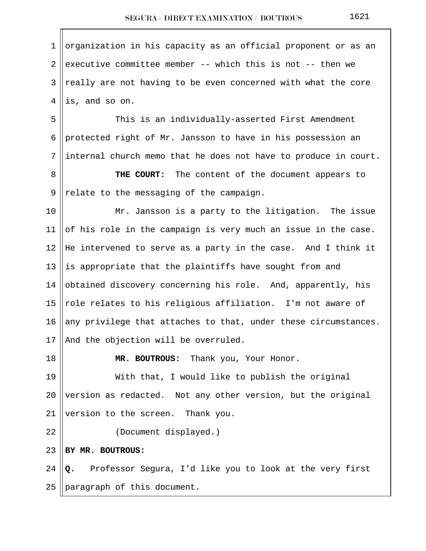1 ||organization in his capacity as an official proponent or as an 2 executive committee member -- which this is not -- then we 3 ||really are not having to be even concerned with what the core  $4$  ||is, and so on. 5 This is an individually-asserted First Amendment 6 || protected right of Mr. Jansson to have in his possession an  $7$  ||internal church memo that he does not have to produce in court. 8 **THE COURT:** The content of the document appears to  $9$  || relate to the messaging of the campaign. 10 || Mr. Jansson is a party to the litigation. The issue 11 || of his role in the campaign is very much an issue in the case. 12 He intervened to serve as a party in the case. And I think it 13  $\parallel$  is appropriate that the plaintiffs have sought from and 14  $\parallel$  obtained discovery concerning his role. And, apparently, his 15 || role relates to his religious affiliation. I'm not aware of 16  $\parallel$  any privilege that attaches to that, under these circumstances. 17 || And the objection will be overruled. 18 **MR. BOUTROUS:** Thank you, Your Honor. 19 With that, I would like to publish the original 20 || version as redacted. Not any other version, but the original 21 | version to the screen. Thank you. 22 || (Document displayed.) 23 **BY MR. BOUTROUS:** 24 **Q.** Professor Segura, I'd like you to look at the very first  $25$  | paragraph of this document.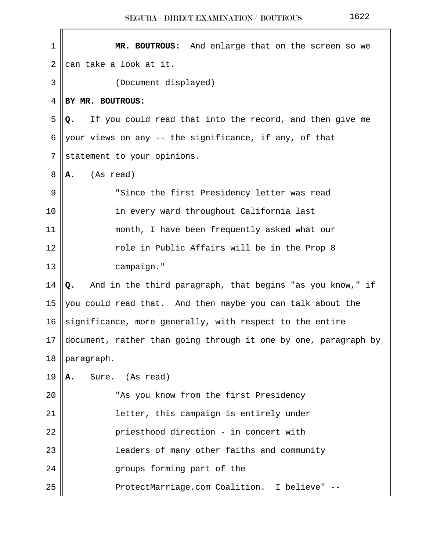| 1  | MR. BOUTROUS: And enlarge that on the screen so we              |  |  |
|----|-----------------------------------------------------------------|--|--|
| 2  | can take a look at it.                                          |  |  |
| 3  | (Document displayed)                                            |  |  |
|    |                                                                 |  |  |
| 4  | BY MR. BOUTROUS:                                                |  |  |
| 5  | If you could read that into the record, and then give me<br>Q.  |  |  |
| 6  | your views on any -- the significance, if any, of that          |  |  |
| 7  | statement to your opinions.                                     |  |  |
| 8  | (As read)<br>Α.                                                 |  |  |
| 9  | "Since the first Presidency letter was read                     |  |  |
| 10 | in every ward throughout California last                        |  |  |
| 11 | month, I have been frequently asked what our                    |  |  |
| 12 | role in Public Affairs will be in the Prop 8                    |  |  |
| 13 | campaign."                                                      |  |  |
| 14 | And in the third paragraph, that begins "as you know," if<br>Q. |  |  |
| 15 | you could read that. And then maybe you can talk about the      |  |  |
| 16 | significance, more generally, with respect to the entire        |  |  |
| 17 | document, rather than going through it one by one, paragraph by |  |  |
| 18 | paragraph.                                                      |  |  |
| 19 | Sure. (As read)<br>Α.                                           |  |  |
| 20 | "As you know from the first Presidency                          |  |  |
| 21 | letter, this campaign is entirely under                         |  |  |
| 22 | priesthood direction - in concert with                          |  |  |
| 23 | leaders of many other faiths and community                      |  |  |
| 24 | groups forming part of the                                      |  |  |
| 25 | ProtectMarriage.com Coalition. I believe" --                    |  |  |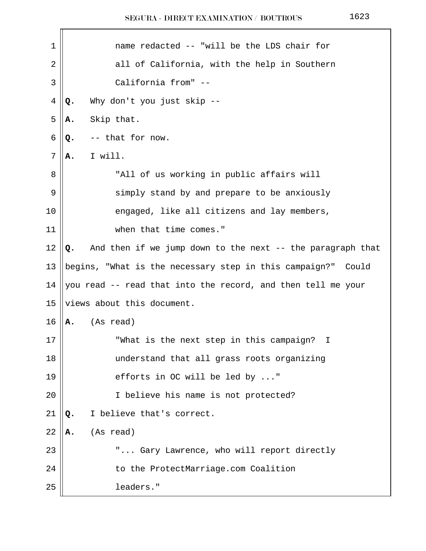$\mathbf{r}$ 

| 1              | name redacted -- "will be the LDS chair for                      |
|----------------|------------------------------------------------------------------|
| 2              | all of California, with the help in Southern                     |
| 3              | California from" --                                              |
| $\overline{4}$ | Why don't you just skip --<br>Q.                                 |
| 5              | Skip that.<br>Α.                                                 |
| 6              | -- that for now.<br>Q.                                           |
| 7              | I will.<br>Α.                                                    |
| 8              | "All of us working in public affairs will                        |
| 9              | simply stand by and prepare to be anxiously                      |
| 10             | engaged, like all citizens and lay members,                      |
| 11             | when that time comes."                                           |
| 12             | And then if we jump down to the next -- the paragraph that<br>Q. |
| 13             | begins, "What is the necessary step in this campaign?" Could     |
| 14             | you read -- read that into the record, and then tell me your     |
| 15             | views about this document.                                       |
| 16             | (As read)<br>А.                                                  |
| 17             | "What is the next step in this campaign?<br>I.                   |
| 18             | understand that all grass roots organizing                       |
| 19             | efforts in OC will be led by "                                   |
| 20             | I believe his name is not protected?                             |
| 21             | I believe that's correct.<br>Q.                                  |
| 22             | (As read)<br>Α.                                                  |
| 23             | " Gary Lawrence, who will report directly                        |
| 24             | to the ProtectMarriage.com Coalition                             |
| 25             | leaders."                                                        |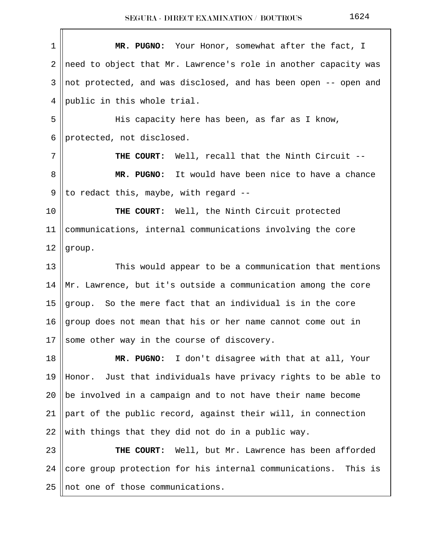| MR. PUGNO: Your Honor, somewhat after the fact, I                 |
|-------------------------------------------------------------------|
| need to object that Mr. Lawrence's role in another capacity was   |
| not protected, and was disclosed, and has been open -- open and   |
| public in this whole trial.                                       |
| His capacity here has been, as far as I know,                     |
| protected, not disclosed.                                         |
| THE COURT: Well, recall that the Ninth Circuit --                 |
| MR. PUGNO: It would have been nice to have a chance               |
| to redact this, maybe, with regard --                             |
| THE COURT: Well, the Ninth Circuit protected                      |
| communications, internal communications involving the core        |
| group.                                                            |
| This would appear to be a communication that mentions             |
| Mr. Lawrence, but it's outside a communication among the core     |
| group. So the mere fact that an individual is in the core         |
| group does not mean that his or her name cannot come out in       |
| some other way in the course of discovery.                        |
| MR. PUGNO: I don't disagree with that at all, Your                |
| Honor. Just that individuals have privacy rights to be able to    |
| be involved in a campaign and to not have their name become       |
| part of the public record, against their will, in connection      |
| with things that they did not do in a public way.                 |
| THE COURT: Well, but Mr. Lawrence has been afforded               |
| core group protection for his internal communications.<br>This is |
| not one of those communications.                                  |
|                                                                   |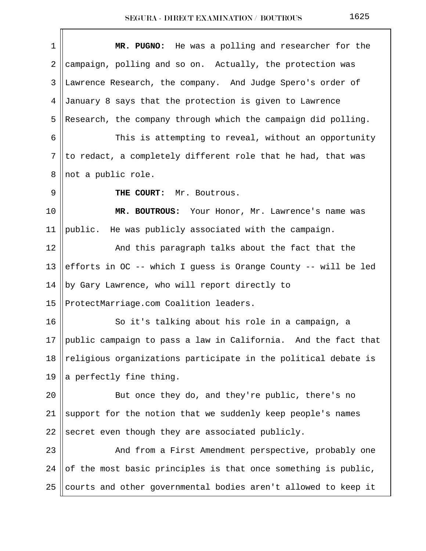| $\mathbf 1$ | MR. PUGNO: He was a polling and researcher for the             |
|-------------|----------------------------------------------------------------|
| 2           | campaign, polling and so on. Actually, the protection was      |
| 3           | Lawrence Research, the company. And Judge Spero's order of     |
| 4           | January 8 says that the protection is given to Lawrence        |
| 5           | Research, the company through which the campaign did polling.  |
| 6           | This is attempting to reveal, without an opportunity           |
| 7           | to redact, a completely different role that he had, that was   |
| 8           | not a public role.                                             |
| 9           | THE COURT:<br>Mr. Boutrous.                                    |
| 10          | MR. BOUTROUS: Your Honor, Mr. Lawrence's name was              |
| 11          | public. He was publicly associated with the campaign.          |
| 12          | And this paragraph talks about the fact that the               |
| 13          | efforts in OC -- which I guess is Orange County -- will be led |
| 14          | by Gary Lawrence, who will report directly to                  |
| 15          | ProtectMarriage.com Coalition leaders.                         |
| 16          | So it's talking about his role in a campaign, a                |
| 17          | public campaign to pass a law in California. And the fact that |
| 18          | religious organizations participate in the political debate is |
| 19          | a perfectly fine thing.                                        |
| 20          | But once they do, and they're public, there's no               |
| 21          | support for the notion that we suddenly keep people's names    |
| 22          | secret even though they are associated publicly.               |
| 23          | And from a First Amendment perspective, probably one           |
| 24          | of the most basic principles is that once something is public, |
| 25          | courts and other governmental bodies aren't allowed to keep it |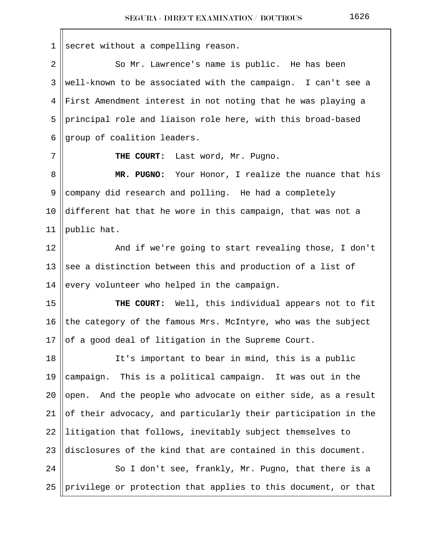$1$  secret without a compelling reason. 2 So Mr. Lawrence's name is public. He has been 3 ||well-known to be associated with the campaign. I can't see a 4 First Amendment interest in not noting that he was playing a 5 principal role and liaison role here, with this broad-based  $6$  ||group of coalition leaders. 7 || THE COURT: Last word, Mr. Pugno. 8 **MR. PUGNO:** Your Honor, I realize the nuance that his 9 company did research and polling. He had a completely 10  $\parallel$  different hat that he wore in this campaign, that was not a 11  $\parallel$  public hat. 12 || And if we're going to start revealing those, I don't 13 See a distinction between this and production of a list of 14 every volunteer who helped in the campaign. 15 **THE COURT:** Well, this individual appears not to fit 16 the category of the famous Mrs. McIntyre, who was the subject 17  $\vert\vert$  of a good deal of litigation in the Supreme Court. 18 It's important to bear in mind, this is a public 19  $\parallel$  campaign. This is a political campaign. It was out in the 20 || open. And the people who advocate on either side, as a result 21  $\parallel$  of their advocacy, and particularly their participation in the  $22$  ||litigation that follows, inevitably subject themselves to 23 disclosures of the kind that are contained in this document. 24 || So I don't see, frankly, Mr. Pugno, that there is a 25 || privilege or protection that applies to this document, or that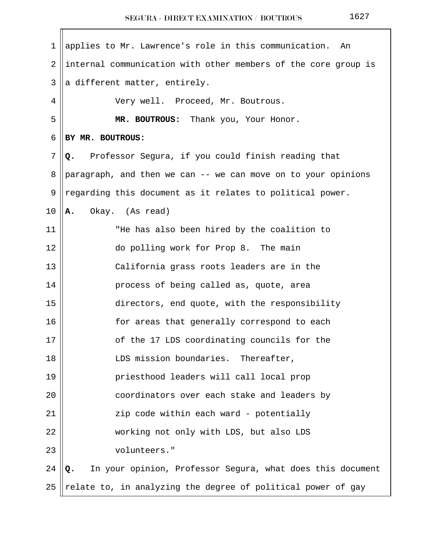| $\mathbf 1$ | applies to Mr. Lawrence's role in this communication.<br>An      |
|-------------|------------------------------------------------------------------|
| 2           | internal communication with other members of the core group is   |
| 3           | a different matter, entirely.                                    |
| 4           | Very well. Proceed, Mr. Boutrous.                                |
| 5           | MR. BOUTROUS: Thank you, Your Honor.                             |
| 6           | BY MR. BOUTROUS:                                                 |
| 7           | Professor Segura, if you could finish reading that<br>Q.         |
| 8           | paragraph, and then we can -- we can move on to your opinions    |
| 9           | regarding this document as it relates to political power.        |
| 10          | Okay. (As read)<br>Α.                                            |
| 11          | "He has also been hired by the coalition to                      |
| 12          | do polling work for Prop 8. The main                             |
| 13          | California grass roots leaders are in the                        |
| 14          | process of being called as, quote, area                          |
| 15          | directors, end quote, with the responsibility                    |
| 16          | for areas that generally correspond to each                      |
| 17          | of the 17 LDS coordinating councils for the                      |
| 18          | LDS mission boundaries. Thereafter,                              |
| 19          | priesthood leaders will call local prop                          |
| 20          | coordinators over each stake and leaders by                      |
| 21          | zip code within each ward - potentially                          |
| 22          | working not only with LDS, but also LDS                          |
| 23          | volunteers."                                                     |
| 24          | In your opinion, Professor Segura, what does this document<br>Q. |
| 25          | relate to, in analyzing the degree of political power of gay     |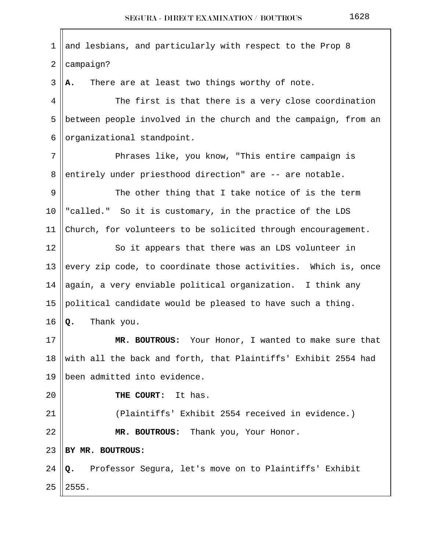| 1              | and lesbians, and particularly with respect to the Prop 8       |
|----------------|-----------------------------------------------------------------|
| $\overline{2}$ | campaign?                                                       |
| 3              | There are at least two things worthy of note.<br>Α.             |
| 4              | The first is that there is a very close coordination            |
| 5              | between people involved in the church and the campaign, from an |
| 6              | organizational standpoint.                                      |
| 7              | Phrases like, you know, "This entire campaign is                |
| 8              | entirely under priesthood direction" are -- are notable.        |
| 9              | The other thing that I take notice of is the term               |
| 10             | "called." So it is customary, in the practice of the LDS        |
| 11             | Church, for volunteers to be solicited through encouragement.   |
| 12             | So it appears that there was an LDS volunteer in                |
| 13             | every zip code, to coordinate those activities. Which is, once  |
| 14             | again, a very enviable political organization. I think any      |
| 15             | political candidate would be pleased to have such a thing.      |
| 16             | Thank you.<br>Q.                                                |
| 17             | MR. BOUTROUS: Your Honor, I wanted to make sure that            |
| 18             | with all the back and forth, that Plaintiffs' Exhibit 2554 had  |
| 19             | been admitted into evidence.                                    |
| 20             | THE COURT:<br>It has.                                           |
| 21             | (Plaintiffs' Exhibit 2554 received in evidence.)                |
| 22             | MR. BOUTROUS: Thank you, Your Honor.                            |
| 23             | BY MR. BOUTROUS:                                                |
| 24             | Professor Segura, let's move on to Plaintiffs' Exhibit<br>Q.    |
| 25             | 2555.                                                           |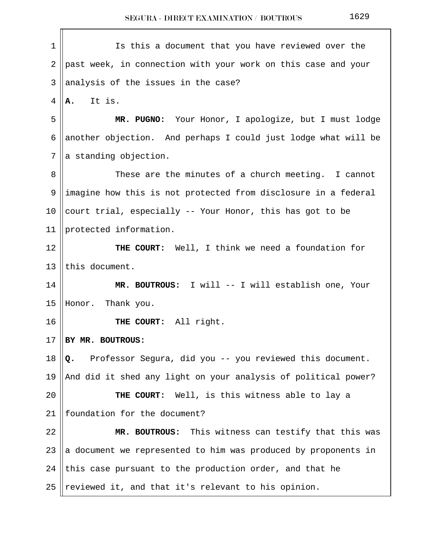| 1              | Is this a document that you have reviewed over the             |
|----------------|----------------------------------------------------------------|
| 2              | past week, in connection with your work on this case and your  |
| 3              | analysis of the issues in the case?                            |
| 4              | It is.<br>А.                                                   |
| 5              | MR. PUGNO: Your Honor, I apologize, but I must lodge           |
| 6              | another objection. And perhaps I could just lodge what will be |
| $7\phantom{.}$ | a standing objection.                                          |
| 8              | These are the minutes of a church meeting. I cannot            |
| 9              | imagine how this is not protected from disclosure in a federal |
| 10             | court trial, especially -- Your Honor, this has got to be      |
| 11             | protected information.                                         |
| 12             | THE COURT: Well, I think we need a foundation for              |
| 13             | this document.                                                 |
| 14             | MR. BOUTROUS: I will -- I will establish one, Your             |
| 15             | Honor.<br>Thank you.                                           |
| 16             | THE COURT: All right.                                          |
| 17             | BY MR. BOUTROUS:                                               |
| 18             | Professor Segura, did you -- you reviewed this document.<br>Q. |
| 19             | And did it shed any light on your analysis of political power? |
| 20             | THE COURT: Well, is this witness able to lay a                 |
| 21             | foundation for the document?                                   |
| 22             | MR. BOUTROUS: This witness can testify that this was           |
| 23             | a document we represented to him was produced by proponents in |
| 24             | this case pursuant to the production order, and that he        |
| 25             | reviewed it, and that it's relevant to his opinion.            |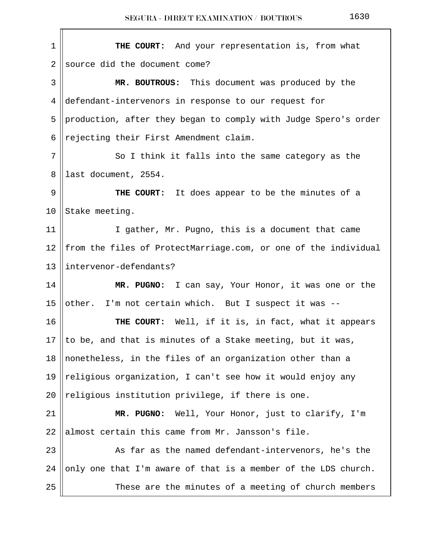| THE COURT: And your representation is, from what                |
|-----------------------------------------------------------------|
| source did the document come?                                   |
| MR. BOUTROUS: This document was produced by the                 |
| defendant-intervenors in response to our request for            |
| production, after they began to comply with Judge Spero's order |
| rejecting their First Amendment claim.                          |
| So I think it falls into the same category as the               |
| last document, 2554.                                            |
| <b>THE COURT:</b> It does appear to be the minutes of a         |
| Stake meeting.                                                  |
| I gather, Mr. Pugno, this is a document that came               |
| from the files of ProtectMarriage.com, or one of the individual |
| intervenor-defendants?                                          |
| MR. PUGNO: I can say, Your Honor, it was one or the             |
| other. I'm not certain which. But I suspect it was --           |
| THE COURT: Well, if it is, in fact, what it appears             |
| to be, and that is minutes of a Stake meeting, but it was,      |
| nonetheless, in the files of an organization other than a       |
| religious organization, I can't see how it would enjoy any      |
| religious institution privilege, if there is one.               |
| MR. PUGNO: Well, Your Honor, just to clarify, I'm               |
| almost certain this came from Mr. Jansson's file.               |
| As far as the named defendant-intervenors, he's the             |
| only one that I'm aware of that is a member of the LDS church.  |
| These are the minutes of a meeting of church members            |
|                                                                 |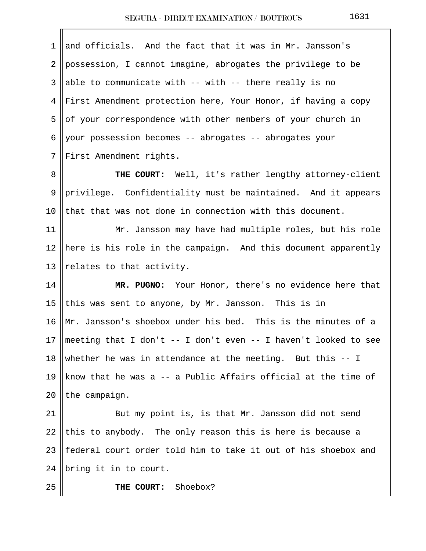| $\mathbf 1$    | and officials. And the fact that it was in Mr. Jansson's        |
|----------------|-----------------------------------------------------------------|
| $\overline{2}$ | possession, I cannot imagine, abrogates the privilege to be     |
| 3              | able to communicate with $--$ with $--$ there really is no      |
| 4              | First Amendment protection here, Your Honor, if having a copy   |
| 5              | of your correspondence with other members of your church in     |
| 6              | your possession becomes -- abrogates -- abrogates your          |
| 7              | First Amendment rights.                                         |
| 8              | THE COURT: Well, it's rather lengthy attorney-client            |
| 9              | privilege. Confidentiality must be maintained. And it appears   |
| 10             | that that was not done in connection with this document.        |
| 11             | Mr. Jansson may have had multiple roles, but his role           |
| 12             | here is his role in the campaign. And this document apparently  |
| 13             | relates to that activity.                                       |
| 14             | MR. PUGNO: Your Honor, there's no evidence here that            |
| 15             | this was sent to anyone, by Mr. Jansson. This is in             |
| 16             | Mr. Jansson's shoebox under his bed. This is the minutes of a   |
| 17             | meeting that I don't -- I don't even -- I haven't looked to see |
| 18             | whether he was in attendance at the meeting. But this $-$ - I   |
| 19             | know that he was a -- a Public Affairs official at the time of  |
| 20             | the campaign.                                                   |
| 21             | But my point is, is that Mr. Jansson did not send               |
| 22             | this to anybody. The only reason this is here is because a      |
| 23             | federal court order told him to take it out of his shoebox and  |
| 24             | bring it in to court.                                           |
| 25             | Shoebox?<br>THE COURT:                                          |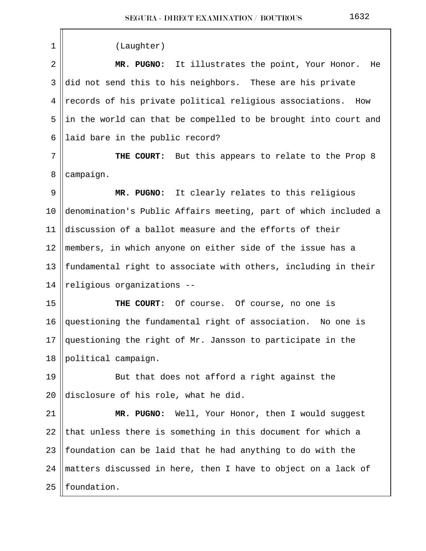1 (Laughter) 2 **MR. PUGNO:** It illustrates the point, Your Honor. He  $3 \parallel$ did not send this to his neighbors. These are his private 4 || records of his private political religious associations. How 5 ||in the world can that be compelled to be brought into court and 6 || laid bare in the public record?

7 **THE COURT:** But this appears to relate to the Prop 8  $8$  | campaign.

 9 **MR. PUGNO:** It clearly relates to this religious 10 denomination's Public Affairs meeting, part of which included a 11 discussion of a ballot measure and the efforts of their 12 members, in which anyone on either side of the issue has a 13  $\parallel$  fundamental right to associate with others, including in their 14  $\Vert$  religious organizations --

 **THE COURT:** Of course. Of course, no one is  $\vert$  questioning the fundamental right of association. No one is  $\parallel$  questioning the right of Mr. Jansson to participate in the 18 | political campaign.

19 || But that does not afford a right against the 20 disclosure of his role, what he did.

 **MR. PUGNO:** Well, Your Honor, then I would suggest 22 that unless there is something in this document for which a  $\parallel$  foundation can be laid that he had anything to do with the  $\parallel$  matters discussed in here, then I have to object on a lack of | foundation.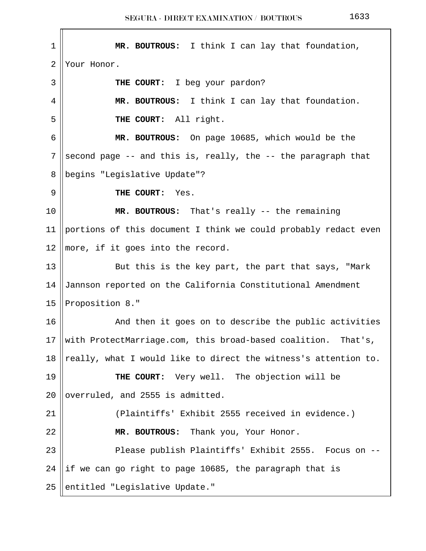1 **MR. BOUTROUS:** I think I can lay that foundation, 2 Your Honor. 3 **THE COURT:** I beg your pardon? 4 **MR. BOUTROUS:** I think I can lay that foundation. 5 **THE COURT:** All right. 6 **MR. BOUTROUS:** On page 10685, which would be the 7 second page  $-$ - and this is, really, the  $-$ - the paragraph that 8 || begins "Legislative Update"? 9 **THE COURT:** Yes. 10 **MR. BOUTROUS:** That's really -- the remaining 11 | portions of this document I think we could probably redact even 12  $\parallel$  more, if it goes into the record. 13 || But this is the key part, the part that says, "Mark 14 Jannson reported on the California Constitutional Amendment 15 Proposition 8." 16 And then it goes on to describe the public activities 17 With ProtectMarriage.com, this broad-based coalition. That's, 18 || really, what I would like to direct the witness's attention to. 19 **THE COURT:** Very well. The objection will be 20  $\sqrt{ }$  overruled, and 2555 is admitted. 21 (Plaintiffs' Exhibit 2555 received in evidence.) 22 **MR. BOUTROUS:** Thank you, Your Honor. 23 || Please publish Plaintiffs' Exhibit 2555. Focus on --24 ||if we can go right to page 10685, the paragraph that is 25 entitled "Legislative Update."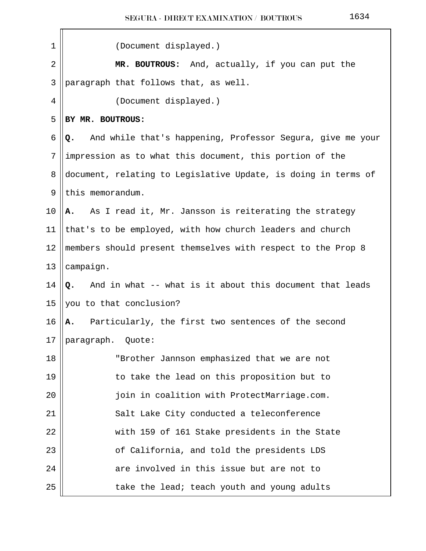| 1  | (Document displayed.)                                            |
|----|------------------------------------------------------------------|
| 2  | MR. BOUTROUS: And, actually, if you can put the                  |
| 3  | paragraph that follows that, as well.                            |
| 4  | (Document displayed.)                                            |
| 5  | BY MR. BOUTROUS:                                                 |
| 6  | And while that's happening, Professor Segura, give me your<br>Q. |
| 7  | impression as to what this document, this portion of the         |
| 8  | document, relating to Legislative Update, is doing in terms of   |
| 9  | this memorandum.                                                 |
| 10 | As I read it, Mr. Jansson is reiterating the strategy<br>A.      |
| 11 | that's to be employed, with how church leaders and church        |
| 12 | members should present themselves with respect to the Prop 8     |
| 13 | campaign.                                                        |
| 14 | Q. And in what -- what is it about this document that leads      |
| 15 | you to that conclusion?                                          |
| 16 | Particularly, the first two sentences of the second<br>Α.        |
| 17 | paragraph. Quote:                                                |
| 18 | "Brother Jannson emphasized that we are not                      |
| 19 | to take the lead on this proposition but to                      |
| 20 | join in coalition with ProtectMarriage.com.                      |
| 21 | Salt Lake City conducted a teleconference                        |
| 22 | with 159 of 161 Stake presidents in the State                    |
| 23 | of California, and told the presidents LDS                       |
| 24 | are involved in this issue but are not to                        |
| 25 | take the lead; teach youth and young adults                      |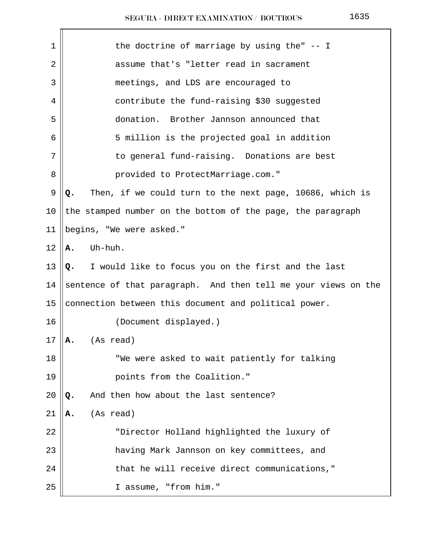| 1  | the doctrine of marriage by using the" $-$ I                   |
|----|----------------------------------------------------------------|
| 2  | assume that's "letter read in sacrament                        |
| 3  | meetings, and LDS are encouraged to                            |
| 4  | contribute the fund-raising \$30 suggested                     |
| 5  | donation. Brother Jannson announced that                       |
| 6  | 5 million is the projected goal in addition                    |
| 7  | to general fund-raising. Donations are best                    |
| 8  | provided to ProtectMarriage.com."                              |
| 9  | Then, if we could turn to the next page, 10686, which is<br>Q. |
| 10 | the stamped number on the bottom of the page, the paragraph    |
| 11 | begins, "We were asked."                                       |
| 12 | Uh-huh.<br>Α.                                                  |
| 13 | I would like to focus you on the first and the last<br>Q.      |
| 14 | sentence of that paragraph. And then tell me your views on the |
| 15 | connection between this document and political power.          |
| 16 | (Document displayed.)                                          |
| 17 | (As read)<br>А.                                                |
| 18 | "We were asked to wait patiently for talking                   |
| 19 | points from the Coalition."                                    |
| 20 | And then how about the last sentence?<br>Q.                    |
| 21 | (As read)<br>Α.                                                |
| 22 | "Director Holland highlighted the luxury of                    |
| 23 | having Mark Jannson on key committees, and                     |
| 24 | that he will receive direct communications,"                   |
| 25 | I assume, "from him."                                          |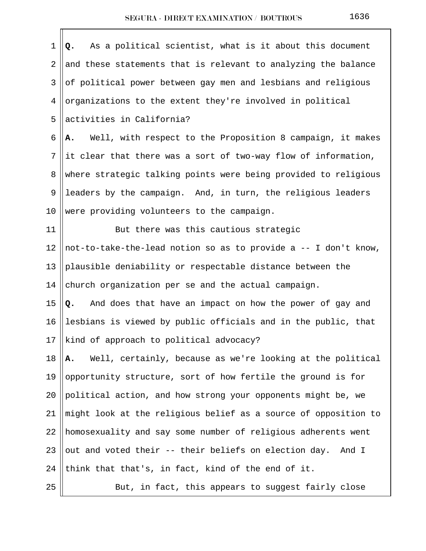| $\mathbf 1$    | As a political scientist, what is it about this document<br>Q.   |
|----------------|------------------------------------------------------------------|
| $\overline{2}$ | and these statements that is relevant to analyzing the balance   |
| 3              | of political power between gay men and lesbians and religious    |
| 4              | organizations to the extent they're involved in political        |
| 5              | activities in California?                                        |
| 6              | Well, with respect to the Proposition 8 campaign, it makes<br>Α. |
| 7              | it clear that there was a sort of two-way flow of information,   |
| 8              | where strategic talking points were being provided to religious  |
| 9              | leaders by the campaign. And, in turn, the religious leaders     |
| 10             | were providing volunteers to the campaign.                       |
| 11             | But there was this cautious strategic                            |
| 12             | not-to-take-the-lead notion so as to provide a -- I don't know,  |
| 13             | plausible deniability or respectable distance between the        |
| 14             | church organization per se and the actual campaign.              |
| 15             | And does that have an impact on how the power of gay and<br>Q.   |
| 16             | lesbians is viewed by public officials and in the public, that   |
| 17             | kind of approach to political advocacy?                          |
| 18             | Well, certainly, because as we're looking at the political<br>Α. |
| 19             | opportunity structure, sort of how fertile the ground is for     |
| 20             | political action, and how strong your opponents might be, we     |
| 21             | might look at the religious belief as a source of opposition to  |
| 22             | homosexuality and say some number of religious adherents went    |
| 23             | out and voted their -- their beliefs on election day. And I      |
| 24             | think that that's, in fact, kind of the end of it.               |
| 25             | But, in fact, this appears to suggest fairly close               |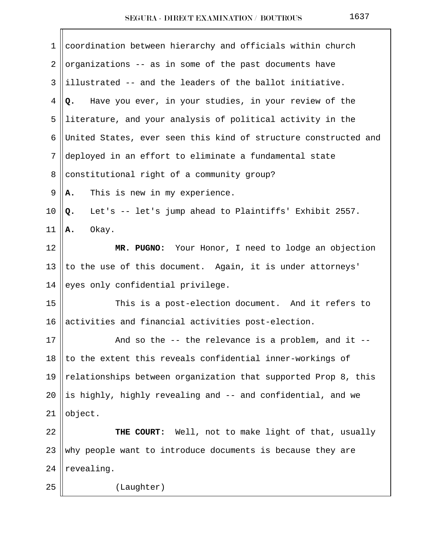| 1  | coordination between hierarchy and officials within church      |
|----|-----------------------------------------------------------------|
| 2  | organizations -- as in some of the past documents have          |
| 3  | illustrated -- and the leaders of the ballot initiative.        |
| 4  | Have you ever, in your studies, in your review of the<br>Q.     |
| 5  | literature, and your analysis of political activity in the      |
| 6  | United States, ever seen this kind of structure constructed and |
| 7  | deployed in an effort to eliminate a fundamental state          |
| 8  | constitutional right of a community group?                      |
| 9  | This is new in my experience.<br>Α.                             |
| 10 | Let's -- let's jump ahead to Plaintiffs' Exhibit 2557.<br>Q.    |
| 11 | Okay.<br>Α.                                                     |
| 12 | MR. PUGNO: Your Honor, I need to lodge an objection             |
| 13 | to the use of this document. Again, it is under attorneys'      |
| 14 | eyes only confidential privilege.                               |
| 15 | This is a post-election document. And it refers to              |
| 16 | activities and financial activities post-election.              |
| 17 | And so the -- the relevance is a problem, and it                |
| 18 | to the extent this reveals confidential inner-workings of       |
| 19 | relationships between organization that supported Prop 8, this  |
| 20 | is highly, highly revealing and -- and confidential, and we     |
| 21 | object.                                                         |
| 22 | THE COURT: Well, not to make light of that, usually             |
| 23 | why people want to introduce documents is because they are      |
| 24 | revealing.                                                      |
| 25 | (Laughter)                                                      |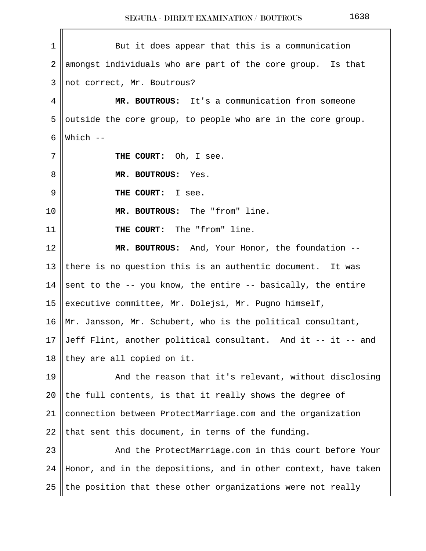| 1              | But it does appear that this is a communication                 |
|----------------|-----------------------------------------------------------------|
| $\overline{2}$ | amongst individuals who are part of the core group. Is that     |
| 3              | not correct, Mr. Boutrous?                                      |
| 4              | MR. BOUTROUS: It's a communication from someone                 |
| 5              | outside the core group, to people who are in the core group.    |
| 6              | Which $--$                                                      |
| 7              | THE COURT: Oh, I see.                                           |
| 8              | MR. BOUTROUS: Yes.                                              |
| 9              | THE COURT: I see.                                               |
| 10             | MR. BOUTROUS: The "from" line.                                  |
| 11             | THE COURT: The "from" line.                                     |
| 12             | MR. BOUTROUS: And, Your Honor, the foundation --                |
| 13             | there is no question this is an authentic document. It was      |
| 14             | sent to the -- you know, the entire -- basically, the entire    |
| 15             | executive committee, Mr. Dolejsi, Mr. Pugno himself,            |
| 16             | Mr. Jansson, Mr. Schubert, who is the political consultant,     |
| 17             | Jeff Flint, another political consultant. And it -- it -- and   |
| 18             | they are all copied on it.                                      |
| 19             | And the reason that it's relevant, without disclosing           |
| 20             | the full contents, is that it really shows the degree of        |
| 21             | connection between ProtectMarriage.com and the organization     |
| 22             | that sent this document, in terms of the funding.               |
| 23             | And the ProtectMarriage.com in this court before Your           |
| 24             | Honor, and in the depositions, and in other context, have taken |
| 25             | the position that these other organizations were not really     |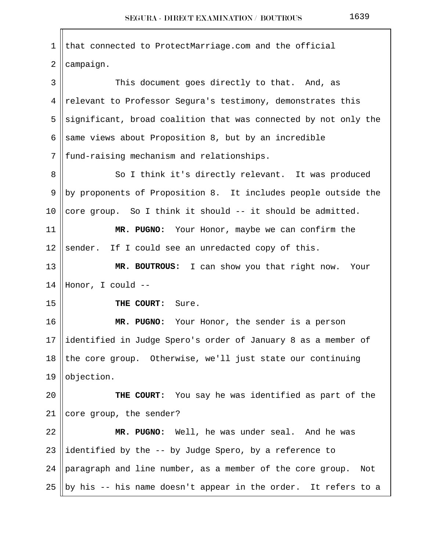$1 \parallel$  that connected to ProtectMarriage.com and the official  $2$  | campaign. 3 This document goes directly to that. And, as 4 || relevant to Professor Segura's testimony, demonstrates this 5 significant, broad coalition that was connected by not only the 6 same views about Proposition 8, but by an incredible 7 || fund-raising mechanism and relationships. 8 || So I think it's directly relevant. It was produced 9 ||by proponents of Proposition 8. It includes people outside the 10 core group. So I think it should  $-$  it should be admitted. 11 **MR. PUGNO:** Your Honor, maybe we can confirm the 12 Sender. If I could see an unredacted copy of this. 13 **MR. BOUTROUS:** I can show you that right now. Your 14 Honor, I could -- 15 **THE COURT:** Sure. 16 **MR. PUGNO:** Your Honor, the sender is a person 17 ||identified in Judge Spero's order of January 8 as a member of 18 the core group. Otherwise, we'll just state our continuing 19 || objection. 20 **THE COURT:** You say he was identified as part of the 21 || core group, the sender? 22 **MR. PUGNO:** Well, he was under seal. And he was 23 ||identified by the  $-$  by Judge Spero, by a reference to 24 paragraph and line number, as a member of the core group. Not 25 || by his -- his name doesn't appear in the order. It refers to a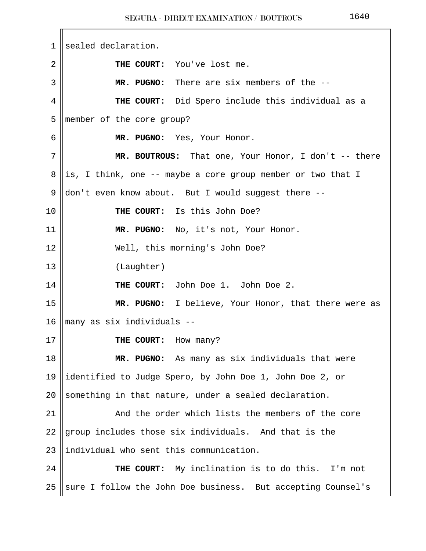1 sealed declaration. 2 **THE COURT:** You've lost me. 3 **MR. PUGNO:** There are six members of the -- 4 **THE COURT:** Did Spero include this individual as a 5 member of the core group? 6 **MR. PUGNO:** Yes, Your Honor. 7 **MR. BOUTROUS:** That one, Your Honor, I don't -- there 8 ||is, I think, one  $-$ - maybe a core group member or two that I 9  $\parallel$  don't even know about. But I would suggest there --10 **THE COURT:** Is this John Doe? 11 **MR. PUGNO:** No, it's not, Your Honor. 12 || Well, this morning's John Doe? 13 (Laughter) 14 **THE COURT:** John Doe 1. John Doe 2. 15 **MR. PUGNO:** I believe, Your Honor, that there were as 16 many as six individuals -- 17 **THE COURT:** How many? 18 **MR. PUGNO:** As many as six individuals that were 19 identified to Judge Spero, by John Doe 1, John Doe 2, or 20 Something in that nature, under a sealed declaration. 21 || The Mand the order which lists the members of the core 22 group includes those six individuals. And that is the  $23$  ||individual who sent this communication. 24 **THE COURT:** My inclination is to do this. I'm not 25 Sure I follow the John Doe business. But accepting Counsel's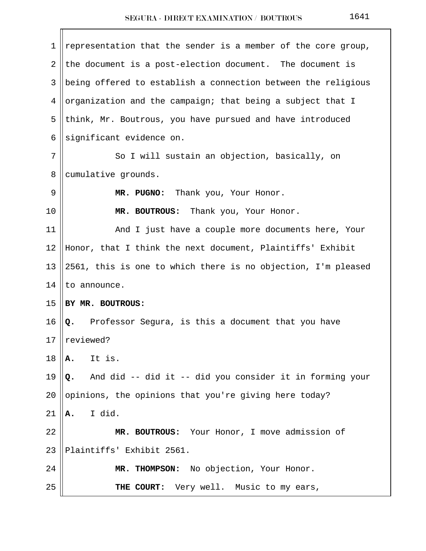| 1  | representation that the sender is a member of the core group,  |
|----|----------------------------------------------------------------|
| 2  | the document is a post-election document. The document is      |
| 3  | being offered to establish a connection between the religious  |
| 4  | organization and the campaign; that being a subject that I     |
| 5  | think, Mr. Boutrous, you have pursued and have introduced      |
| 6  | significant evidence on.                                       |
| 7  | So I will sustain an objection, basically, on                  |
| 8  | cumulative grounds.                                            |
| 9  | MR. PUGNO: Thank you, Your Honor.                              |
| 10 | MR. BOUTROUS:<br>Thank you, Your Honor.                        |
| 11 | And I just have a couple more documents here, Your             |
| 12 | Honor, that I think the next document, Plaintiffs' Exhibit     |
| 13 | 2561, this is one to which there is no objection, I'm pleased  |
| 14 | to announce.                                                   |
| 15 | BY MR. BOUTROUS:                                               |
| 16 | Professor Segura, is this a document that you have<br>Q.       |
| 17 | reviewed?                                                      |
| 18 | It is.<br>Α.                                                   |
| 19 | And did -- did it -- did you consider it in forming your<br>Q. |
| 20 | opinions, the opinions that you're giving here today?          |
| 21 | I did.<br>Α.                                                   |
| 22 | MR. BOUTROUS: Your Honor, I move admission of                  |
| 23 | Plaintiffs' Exhibit 2561.                                      |
| 24 | MR. THOMPSON: No objection, Your Honor.                        |
| 25 | THE COURT: Very well. Music to my ears,                        |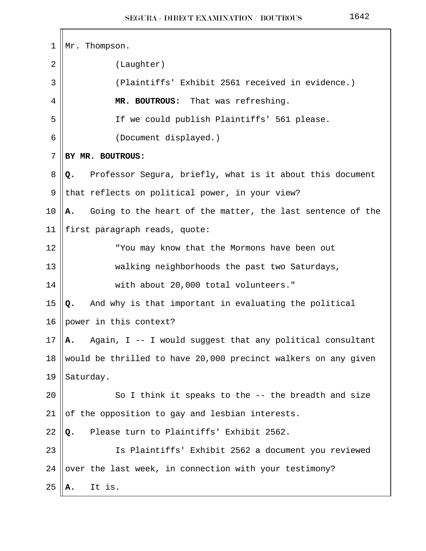$\mathbf{r}$ 

| $\mathbf 1$ | Mr. Thompson.                                                    |
|-------------|------------------------------------------------------------------|
| 2           | (Laughter)                                                       |
| 3           | (Plaintiffs' Exhibit 2561 received in evidence.)                 |
| 4           | MR. BOUTROUS: That was refreshing.                               |
| 5           | If we could publish Plaintiffs' 561 please.                      |
| 6           | (Document displayed.)                                            |
| 7           | BY MR. BOUTROUS:                                                 |
| 8           | Professor Segura, briefly, what is it about this document<br>Q.  |
| 9           | that reflects on political power, in your view?                  |
| 10          | Going to the heart of the matter, the last sentence of the<br>Α. |
| 11          | first paragraph reads, quote:                                    |
| 12          | "You may know that the Mormons have been out                     |
| 13          | walking neighborhoods the past two Saturdays,                    |
| 14          | with about 20,000 total volunteers."                             |
| 15          | And why is that important in evaluating the political<br>Q.      |
| 16          | power in this context?                                           |
| 17          | Again, I -- I would suggest that any political consultant<br>А.  |
| 18          | would be thrilled to have 20,000 precinct walkers on any given   |
| 19          | Saturday.                                                        |
| 20          | So I think it speaks to the -- the breadth and size              |
| 21          | of the opposition to gay and lesbian interests.                  |
| 22          | Please turn to Plaintiffs' Exhibit 2562.<br>Q.                   |
| 23          | Is Plaintiffs' Exhibit 2562 a document you reviewed              |
| 24          | over the last week, in connection with your testimony?           |
| 25          | It is.                                                           |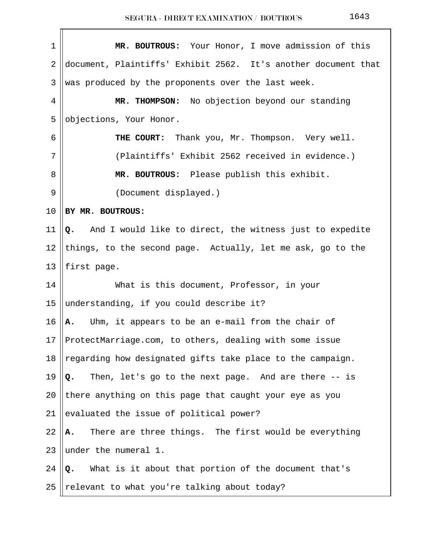| 1  | MR. BOUTROUS: Your Honor, I move admission of this             |
|----|----------------------------------------------------------------|
| 2  | document, Plaintiffs' Exhibit 2562. It's another document that |
| 3  | was produced by the proponents over the last week.             |
| 4  | MR. THOMPSON: No objection beyond our standing                 |
| 5  | objections, Your Honor.                                        |
| 6  | THE COURT: Thank you, Mr. Thompson. Very well.                 |
| 7  | (Plaintiffs' Exhibit 2562 received in evidence.)               |
| 8  | MR. BOUTROUS: Please publish this exhibit.                     |
| 9  | (Document displayed.)                                          |
| 10 | BY MR. BOUTROUS:                                               |
| 11 | And I would like to direct, the witness just to expedite<br>Q. |
| 12 | things, to the second page. Actually, let me ask, go to the    |
| 13 | first page.                                                    |
| 14 | What is this document, Professor, in your                      |
| 15 | understanding, if you could describe it?                       |
| 16 | Uhm, it appears to be an e-mail from the chair of<br>Α.        |
| 17 | ProtectMarriage.com, to others, dealing with some issue        |
| 18 | regarding how designated gifts take place to the campaign.     |
| 19 | Then, let's go to the next page. And are there -- is<br>Q.     |
| 20 | there anything on this page that caught your eye as you        |
| 21 | evaluated the issue of political power?                        |
| 22 | There are three things. The first would be everything<br>Α.    |
| 23 | under the numeral 1.                                           |
| 24 | What is it about that portion of the document that's<br>Q.     |
| 25 | relevant to what you're talking about today?                   |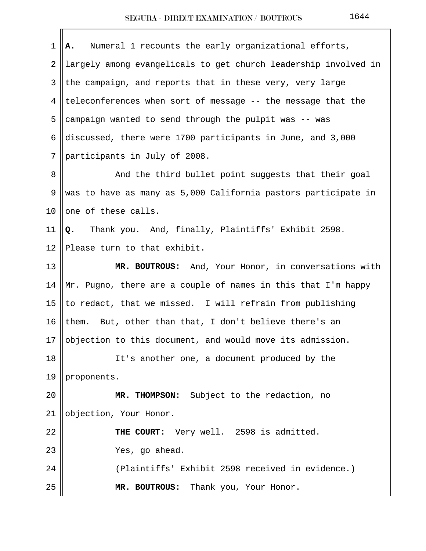| 1  | Numeral 1 recounts the early organizational efforts,<br>Α.      |
|----|-----------------------------------------------------------------|
| 2  | largely among evangelicals to get church leadership involved in |
| 3  | the campaign, and reports that in these very, very large        |
| 4  | teleconferences when sort of message -- the message that the    |
| 5  | campaign wanted to send through the pulpit was -- was           |
| 6  | discussed, there were 1700 participants in June, and 3,000      |
| 7  | participants in July of 2008.                                   |
| 8  | And the third bullet point suggests that their goal             |
| 9  | was to have as many as 5,000 California pastors participate in  |
| 10 | one of these calls.                                             |
| 11 | Thank you. And, finally, Plaintiffs' Exhibit 2598.<br>Q.        |
| 12 | Please turn to that exhibit.                                    |
| 13 | MR. BOUTROUS: And, Your Honor, in conversations with            |
| 14 | Mr. Pugno, there are a couple of names in this that I'm happy   |
| 15 | to redact, that we missed. I will refrain from publishing       |
| 16 | them. But, other than that, I don't believe there's an          |
| 17 | objection to this document, and would move its admission.       |
| 18 | It's another one, a document produced by the                    |
| 19 | proponents.                                                     |
| 20 | MR. THOMPSON: Subject to the redaction, no                      |
| 21 | objection, Your Honor.                                          |
| 22 | THE COURT: Very well. 2598 is admitted.                         |
| 23 | Yes, go ahead.                                                  |
| 24 | (Plaintiffs' Exhibit 2598 received in evidence.)                |
| 25 | Thank you, Your Honor.<br>MR. BOUTROUS:                         |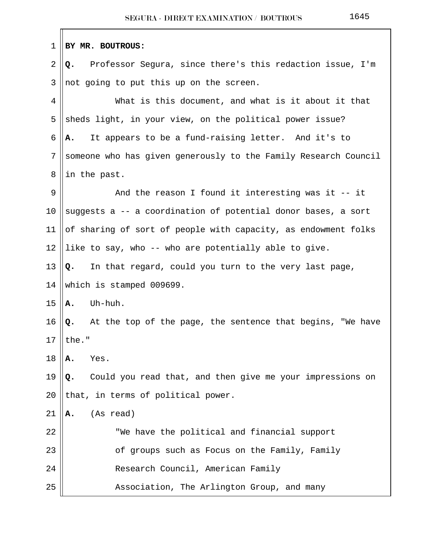| 1  | BY MR. BOUTROUS:                                                |
|----|-----------------------------------------------------------------|
| 2  | Professor Segura, since there's this redaction issue, I'm<br>Q. |
| 3  | not going to put this up on the screen.                         |
| 4  | What is this document, and what is it about it that             |
| 5  | sheds light, in your view, on the political power issue?        |
| 6  | It appears to be a fund-raising letter. And it's to<br>А.       |
| 7  | someone who has given generously to the Family Research Council |
| 8  | in the past.                                                    |
| 9  | And the reason I found it interesting was it $-$ it             |
| 10 | suggests a -- a coordination of potential donor bases, a sort   |
| 11 | of sharing of sort of people with capacity, as endowment folks  |
| 12 | like to say, who -- who are potentially able to give.           |
| 13 | In that regard, could you turn to the very last page,<br>Q.     |
| 14 | which is stamped 009699.                                        |
| 15 | Uh-huh.<br>Α.                                                   |
| 16 | Q. At the top of the page, the sentence that begins, "We have   |
| 17 | $\mathsf{l}$ the.<br>Ш                                          |
| 18 | Yes.<br>А.                                                      |
| 19 | Could you read that, and then give me your impressions on<br>Q. |
| 20 | that, in terms of political power.                              |
| 21 | (As read)<br>Α.                                                 |
| 22 | "We have the political and financial support                    |
| 23 | of groups such as Focus on the Family, Family                   |
| 24 | Research Council, American Family                               |
| 25 | Association, The Arlington Group, and many                      |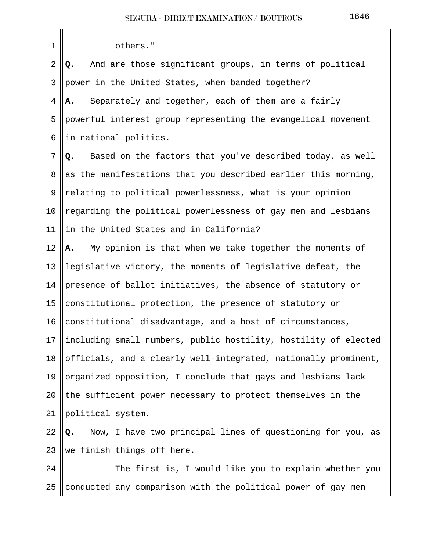| 1          | others."                                                         |
|------------|------------------------------------------------------------------|
| $\sqrt{2}$ | And are those significant groups, in terms of political<br>Q.    |
| 3          | power in the United States, when banded together?                |
| 4          | Separately and together, each of them are a fairly<br>А.         |
| 5          | powerful interest group representing the evangelical movement    |
| 6          | in national politics.                                            |
| 7          | Based on the factors that you've described today, as well<br>Q.  |
| 8          | as the manifestations that you described earlier this morning,   |
| 9          | relating to political powerlessness, what is your opinion        |
| 10         | regarding the political powerlessness of gay men and lesbians    |
| 11         | in the United States and in California?                          |
| 12         | My opinion is that when we take together the moments of<br>А.    |
| 13         | legislative victory, the moments of legislative defeat, the      |
| 14         | presence of ballot initiatives, the absence of statutory or      |
| 15         | constitutional protection, the presence of statutory or          |
| 16         | constitutional disadvantage, and a host of circumstances,        |
| 17         | including small numbers, public hostility, hostility of elected  |
| 18         | officials, and a clearly well-integrated, nationally prominent,  |
| 19         | organized opposition, I conclude that gays and lesbians lack     |
| 20         | the sufficient power necessary to protect themselves in the      |
| 21         | political system.                                                |
| 22         | Now, I have two principal lines of questioning for you, as<br>Q. |
| 23         | we finish things off here.                                       |
| 24         | The first is, I would like you to explain whether you            |
| 25         | conducted any comparison with the political power of gay men     |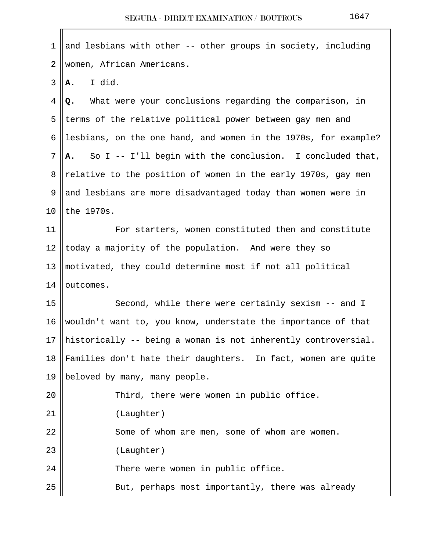| 1              | and lesbians with other -- other groups in society, including   |
|----------------|-----------------------------------------------------------------|
| $\overline{2}$ | women, African Americans.                                       |
| 3              | I did.<br>Α.                                                    |
| 4              | What were your conclusions regarding the comparison, in<br>Q.   |
| 5              | terms of the relative political power between gay men and       |
| 6              | lesbians, on the one hand, and women in the 1970s, for example? |
| 7              | So I -- I'll begin with the conclusion. I concluded that,<br>A. |
| 8              | relative to the position of women in the early 1970s, gay men   |
| 9              | and lesbians are more disadvantaged today than women were in    |
| 10             | the 1970s.                                                      |
| 11             | For starters, women constituted then and constitute             |
| 12             | today a majority of the population. And were they so            |
| 13             | motivated, they could determine most if not all political       |
| 14             | outcomes.                                                       |
| 15             | Second, while there were certainly sexism -- and I              |
| 16             | wouldn't want to, you know, understate the importance of that   |
| 17             | historically -- being a woman is not inherently controversial.  |
| 18             | Families don't hate their daughters. In fact, women are quite   |
| 19             | beloved by many, many people.                                   |
| 20             | Third, there were women in public office.                       |
| 21             | (Laughter)                                                      |
| 22             | Some of whom are men, some of whom are women.                   |
| 23             | (Laughter)                                                      |
| 24             | There were women in public office.                              |
| 25             | But, perhaps most importantly, there was already                |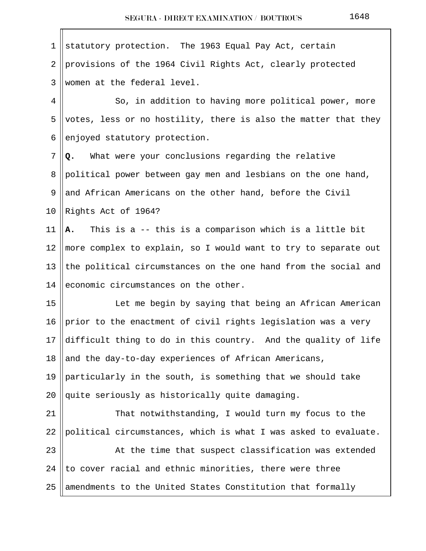| 1              | statutory protection. The 1963 Equal Pay Act, certain           |
|----------------|-----------------------------------------------------------------|
| $\overline{2}$ | provisions of the 1964 Civil Rights Act, clearly protected      |
| 3              | women at the federal level.                                     |
| 4              | So, in addition to having more political power, more            |
| 5              | votes, less or no hostility, there is also the matter that they |
| 6              | enjoyed statutory protection.                                   |
| 7              | What were your conclusions regarding the relative<br>Q.         |
| 8              | political power between gay men and lesbians on the one hand,   |
| 9              | and African Americans on the other hand, before the Civil       |
| 10             | Rights Act of 1964?                                             |
| 11             | This is a -- this is a comparison which is a little bit<br>Α.   |
| 12             | more complex to explain, so I would want to try to separate out |
| 13             | the political circumstances on the one hand from the social and |
| 14             | economic circumstances on the other.                            |
| 15             | Let me begin by saying that being an African American           |
| 16             | prior to the enactment of civil rights legislation was a very   |
| 17             | difficult thing to do in this country. And the quality of life  |
| 18             | and the day-to-day experiences of African Americans,            |
| 19             | particularly in the south, is something that we should take     |
| 20             | quite seriously as historically quite damaging.                 |
| 21             | That notwithstanding, I would turn my focus to the              |
| 22             | political circumstances, which is what I was asked to evaluate. |
| 23             | At the time that suspect classification was extended            |
| 24             | to cover racial and ethnic minorities, there were three         |
| 25             | amendments to the United States Constitution that formally      |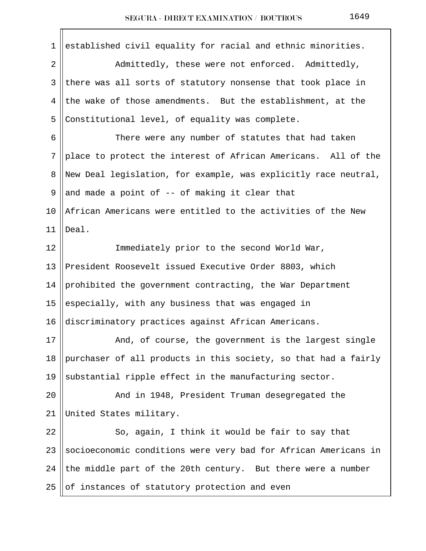| 1          | established civil equality for racial and ethnic minorities.    |
|------------|-----------------------------------------------------------------|
| $\sqrt{2}$ | Admittedly, these were not enforced. Admittedly,                |
| 3          | there was all sorts of statutory nonsense that took place in    |
| 4          | the wake of those amendments. But the establishment, at the     |
| 5          | Constitutional level, of equality was complete.                 |
| 6          | There were any number of statutes that had taken                |
| 7          | place to protect the interest of African Americans. All of the  |
| 8          | New Deal legislation, for example, was explicitly race neutral, |
| 9          | and made a point of -- of making it clear that                  |
| 10         | African Americans were entitled to the activities of the New    |
| 11         | Deal.                                                           |
| 12         | Immediately prior to the second World War,                      |
| 13         | President Roosevelt issued Executive Order 8803, which          |
| 14         | prohibited the government contracting, the War Department       |
| 15         | especially, with any business that was engaged in               |
| 16         | discriminatory practices against African Americans.             |
| 17         | And, of course, the government is the largest single            |
| 18         | purchaser of all products in this society, so that had a fairly |
| 19         | substantial ripple effect in the manufacturing sector.          |
| 20         | And in 1948, President Truman desegregated the                  |
| 21         | United States military.                                         |
| 22         | So, again, I think it would be fair to say that                 |
| 23         | socioeconomic conditions were very bad for African Americans in |
| 24         | the middle part of the 20th century. But there were a number    |
| 25         | of instances of statutory protection and even                   |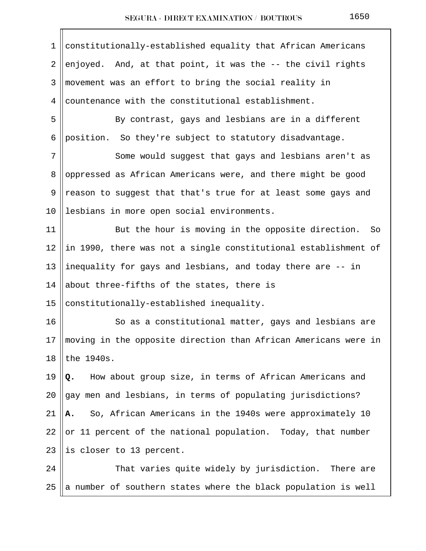| $\mathbf 1$ | constitutionally-established equality that African Americans    |
|-------------|-----------------------------------------------------------------|
| 2           | enjoyed. And, at that point, it was the -- the civil rights     |
| 3           | movement was an effort to bring the social reality in           |
| 4           | countenance with the constitutional establishment.              |
| 5           | By contrast, gays and lesbians are in a different               |
| 6           | position. So they're subject to statutory disadvantage.         |
| 7           | Some would suggest that gays and lesbians aren't as             |
| 8           | oppressed as African Americans were, and there might be good    |
| 9           | reason to suggest that that's true for at least some gays and   |
| 10          | lesbians in more open social environments.                      |
| 11          | But the hour is moving in the opposite direction. So            |
| 12          | in 1990, there was not a single constitutional establishment of |
| 13          | inequality for gays and lesbians, and today there are -- in     |
| 14          | about three-fifths of the states, there is                      |
| 15          | constitutionally-established inequality.                        |
| 16          | So as a constitutional matter, gays and lesbians are            |
| 17          | moving in the opposite direction than African Americans were in |
| 18          | the 1940s.                                                      |
| 19          | How about group size, in terms of African Americans and<br>Q.   |
| 20          | gay men and lesbians, in terms of populating jurisdictions?     |
| 21          | So, African Americans in the 1940s were approximately 10<br>А.  |
| 22          | or 11 percent of the national population. Today, that number    |
| 23          | is closer to 13 percent.                                        |
| 24          | That varies quite widely by jurisdiction. There are             |
| 25          | a number of southern states where the black population is well  |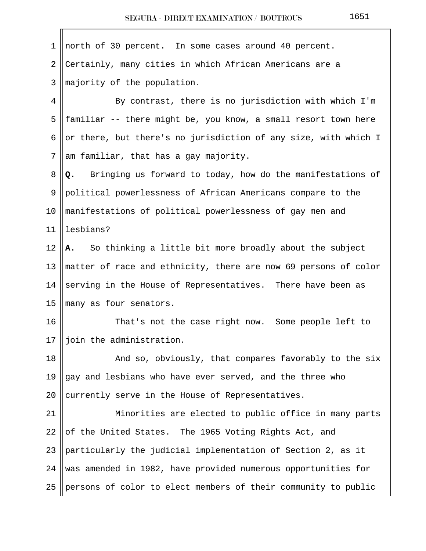1 north of 30 percent. In some cases around 40 percent. 2 Certainly, many cities in which African Americans are a  $3$  ||majority of the population. 4 By contrast, there is no jurisdiction with which I'm 5 || familiar -- there might be, you know, a small resort town here 6 or there, but there's no jurisdiction of any size, with which I  $7$  am familiar, that has a gay majority. 8 **Q.** Bringing us forward to today, how do the manifestations of 9 political powerlessness of African Americans compare to the 10 manifestations of political powerlessness of gay men and 11 lesbians? 12 **A.** So thinking a little bit more broadly about the subject 13 matter of race and ethnicity, there are now 69 persons of color 14 serving in the House of Representatives. There have been as 15 || many as four senators. 16 || That's not the case right now. Some people left to 17 || join the administration. 18 || And so, obviously, that compares favorably to the six 19  $\parallel$  gay and lesbians who have ever served, and the three who 20  $\alpha$  currently serve in the House of Representatives. 21 || Minorities are elected to public office in many parts 22  $\vert$  of the United States. The 1965 Voting Rights Act, and 23  $\beta$  particularly the judicial implementation of Section 2, as it 24 Was amended in 1982, have provided numerous opportunities for 25 persons of color to elect members of their community to public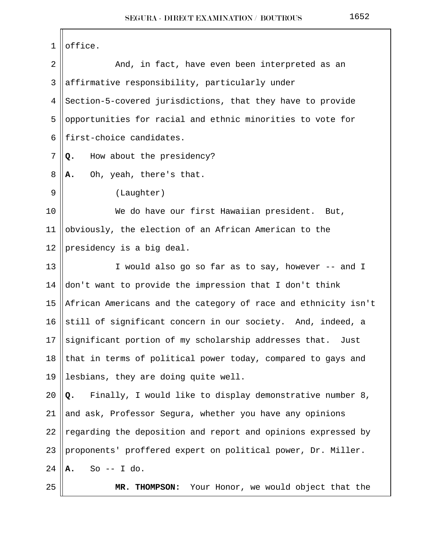| 1  | office.                                                        |
|----|----------------------------------------------------------------|
| 2  | And, in fact, have even been interpreted as an                 |
| 3  | affirmative responsibility, particularly under                 |
| 4  | Section-5-covered jurisdictions, that they have to provide     |
| 5  | opportunities for racial and ethnic minorities to vote for     |
| 6  | first-choice candidates.                                       |
| 7  | How about the presidency?<br>Q.                                |
| 8  | Oh, yeah, there's that.<br>Α.                                  |
| 9  | (Laughter)                                                     |
| 10 | We do have our first Hawaiian president. But,                  |
| 11 | obviously, the election of an African American to the          |
| 12 | presidency is a big deal.                                      |
| 13 | I would also go so far as to say, however -- and I             |
| 14 | don't want to provide the impression that I don't think        |
| 15 | African Americans and the category of race and ethnicity isn't |
| 16 | still of significant concern in our society. And, indeed, a    |
| 17 | significant portion of my scholarship addresses that.<br>Just  |
| 18 | that in terms of political power today, compared to gays and   |
| 19 | lesbians, they are doing quite well.                           |
| 20 | Finally, I would like to display demonstrative number 8,<br>Q. |
| 21 | and ask, Professor Segura, whether you have any opinions       |
| 22 | regarding the deposition and report and opinions expressed by  |
| 23 | proponents' proffered expert on political power, Dr. Miller.   |
| 24 | So $--$ I do.<br>А.                                            |
| 25 | Your Honor, we would object that the<br>MR. THOMPSON:          |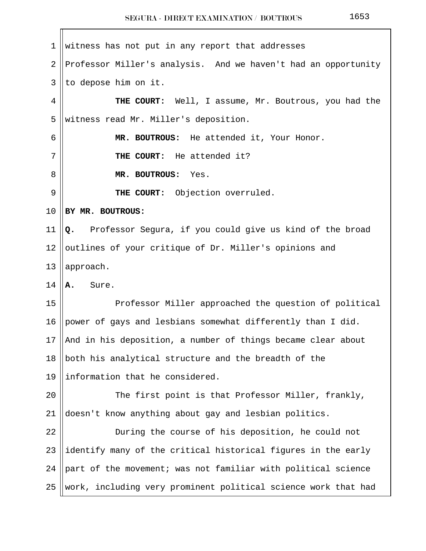$1$  witness has not put in any report that addresses 2 Professor Miller's analysis. And we haven't had an opportunity  $3$  || to depose him on it. 4 **THE COURT:** Well, I assume, Mr. Boutrous, you had the 5 Westness read Mr. Miller's deposition. 6 **MR. BOUTROUS:** He attended it, Your Honor. 7 **THE COURT:** He attended it? 8 **MR. BOUTROUS:** Yes. 9 **THE COURT:** Objection overruled. 10 **BY MR. BOUTROUS:** 11 **Q.** Professor Segura, if you could give us kind of the broad 12 || outlines of your critique of Dr. Miller's opinions and 13  $\parallel$  approach. 14 **A.** Sure. 15 || Professor Miller approached the question of political 16 power of gays and lesbians somewhat differently than I did. 17 || And in his deposition, a number of things became clear about 18  $\parallel$  both his analytical structure and the breadth of the 19  $\parallel$  information that he considered. 20 || The first point is that Professor Miller, frankly, 21 doesn't know anything about gay and lesbian politics. 22 | During the course of his deposition, he could not 23  $\parallel$  identify many of the critical historical figures in the early 24  $\beta$  part of the movement; was not familiar with political science 25 || work, including very prominent political science work that had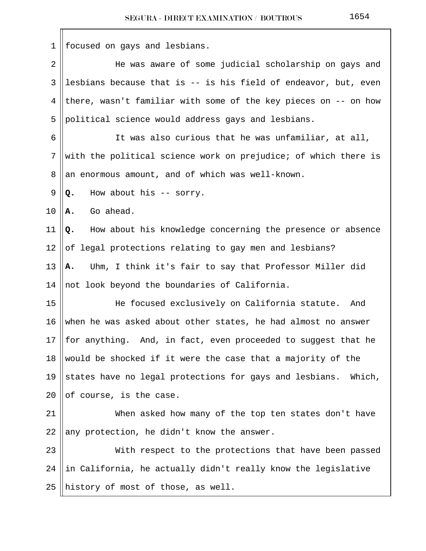| 1              | focused on gays and lesbians.                                    |
|----------------|------------------------------------------------------------------|
| $\overline{2}$ | He was aware of some judicial scholarship on gays and            |
| 3              | lesbians because that is -- is his field of endeavor, but, even  |
| 4              | there, wasn't familiar with some of the key pieces on -- on how  |
| 5              | political science would address gays and lesbians.               |
| 6              | It was also curious that he was unfamiliar, at all,              |
| 7              | with the political science work on prejudice; of which there is  |
| 8              | an enormous amount, and of which was well-known.                 |
| 9              | How about his -- sorry.<br>Q.                                    |
| 10             | Go ahead.<br>Α.                                                  |
| 11             | How about his knowledge concerning the presence or absence<br>Q. |
| 12             | of legal protections relating to gay men and lesbians?           |
| 13             | Uhm, I think it's fair to say that Professor Miller did<br>Α.    |
| 14             | not look beyond the boundaries of California.                    |
| 15             | He focused exclusively on California statute.<br>And             |
| 16             | when he was asked about other states, he had almost no answer    |
| 17             | for anything. And, in fact, even proceeded to suggest that he    |
| 18             | would be shocked if it were the case that a majority of the      |
| 19             | states have no legal protections for gays and lesbians. Which,   |
| 20             | of course, is the case.                                          |
| 21             | When asked how many of the top ten states don't have             |
| 22             | any protection, he didn't know the answer.                       |
| 23             | With respect to the protections that have been passed            |
| 24             | in California, he actually didn't really know the legislative    |
| 25             | history of most of those, as well.                               |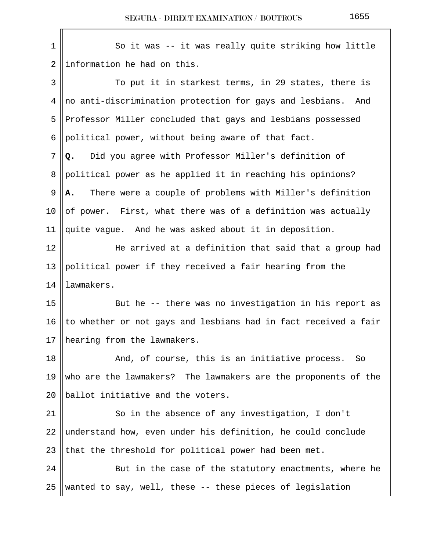| $1\,$          | So it was -- it was really quite striking how little            |
|----------------|-----------------------------------------------------------------|
| $\overline{2}$ | information he had on this.                                     |
| 3              | To put it in starkest terms, in 29 states, there is             |
| 4              | no anti-discrimination protection for gays and lesbians.<br>And |
| 5              | Professor Miller concluded that gays and lesbians possessed     |
| 6              | political power, without being aware of that fact.              |
| 7              | Did you agree with Professor Miller's definition of<br>Q.       |
| 8              | political power as he applied it in reaching his opinions?      |
| 9              | There were a couple of problems with Miller's definition<br>Α.  |
| 10             | of power. First, what there was of a definition was actually    |
| 11             | quite vague. And he was asked about it in deposition.           |
| 12             | He arrived at a definition that said that a group had           |
| 13             | political power if they received a fair hearing from the        |
| 14             | lawmakers.                                                      |
| 15             | But he -- there was no investigation in his report as           |
| 16             | to whether or not gays and lesbians had in fact received a fair |
| 17             | hearing from the lawmakers.                                     |
| 18             | And, of course, this is an initiative process.<br>So            |
| 19             | who are the lawmakers? The lawmakers are the proponents of the  |
| 20             | ballot initiative and the voters.                               |
| 21             | So in the absence of any investigation, I don't                 |
| 22             | understand how, even under his definition, he could conclude    |
| 23             | that the threshold for political power had been met.            |
| 24             | But in the case of the statutory enactments, where he           |
| 25             | wanted to say, well, these -- these pieces of legislation       |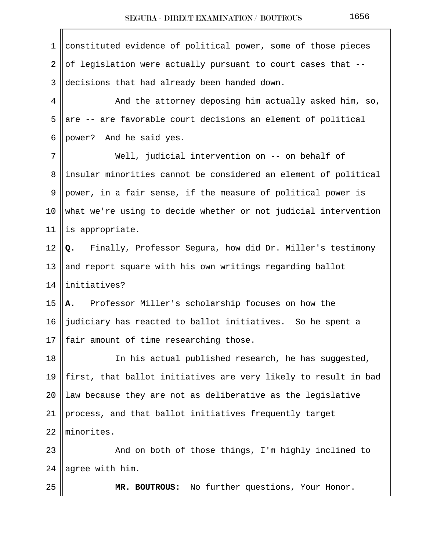1 constituted evidence of political power, some of those pieces 2 of legislation were actually pursuant to court cases that  $-$ -3 decisions that had already been handed down. 4 And the attorney deposing him actually asked him, so, 5 are  $-$  are favorable court decisions an element of political 6 || power? And he said yes. 7 Well, judicial intervention on -- on behalf of 8 ||insular minorities cannot be considered an element of political 9  $\parallel$  power, in a fair sense, if the measure of political power is 10 what we're using to decide whether or not judicial intervention 11 || is appropriate. 12 **Q.** Finally, Professor Segura, how did Dr. Miller's testimony 13  $\parallel$  and report square with his own writings regarding ballot 14 initiatives? 15 **A.** Professor Miller's scholarship focuses on how the 16  $\parallel$  judiciary has reacted to ballot initiatives. So he spent a 17  $\parallel$  fair amount of time researching those. 18 || The his actual published research, he has suggested, 19  $\parallel$  first, that ballot initiatives are very likely to result in bad 20  $\parallel$  law because they are not as deliberative as the legislative 21 || process, and that ballot initiatives frequently target 22 minorites. 23 And on both of those things, I'm highly inclined to  $24$  agree with him. 25 **MR. BOUTROUS:** No further questions, Your Honor.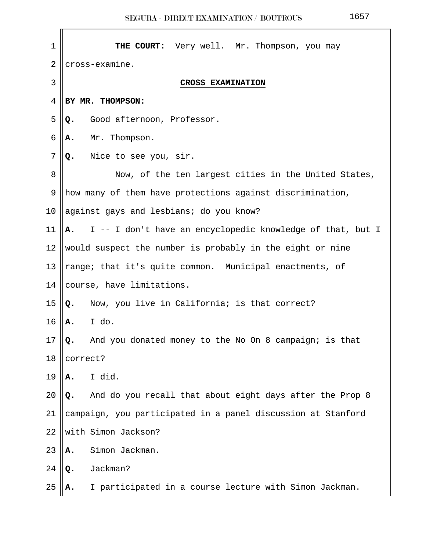| $\mathbf 1$    | THE COURT: Very well. Mr. Thompson, you may                      |
|----------------|------------------------------------------------------------------|
| $\overline{2}$ | cross-examine.                                                   |
| 3              | CROSS EXAMINATION                                                |
| 4              | BY MR. THOMPSON:                                                 |
| 5              | Good afternoon, Professor.<br>Q.                                 |
| 6              | Mr. Thompson.<br>Α.                                              |
| 7              | Nice to see you, sir.<br>Q.                                      |
| 8              | Now, of the ten largest cities in the United States,             |
| 9              | how many of them have protections against discrimination,        |
| 10             | against gays and lesbians; do you know?                          |
| 11             | I -- I don't have an encyclopedic knowledge of that, but I<br>Α. |
| 12             | would suspect the number is probably in the eight or nine        |
| 13             | range; that it's quite common. Municipal enactments, of          |
| 14             | course, have limitations.                                        |
| 15             | Now, you live in California; is that correct?<br>Q.              |
| 16             | I do.<br>Α.                                                      |
| $17\,$         | And you donated money to the No On 8 campaign; is that<br>Q.     |
| 18             | correct?                                                         |
| 19             | I did.<br>Α.                                                     |
| 20             | And do you recall that about eight days after the Prop 8<br>Q.   |
| 21             | campaign, you participated in a panel discussion at Stanford     |
| 22             | with Simon Jackson?                                              |
| 23             | Simon Jackman.<br>Α.                                             |
| 24             | Jackman?<br>Q.                                                   |
| 25             | I participated in a course lecture with Simon Jackman.           |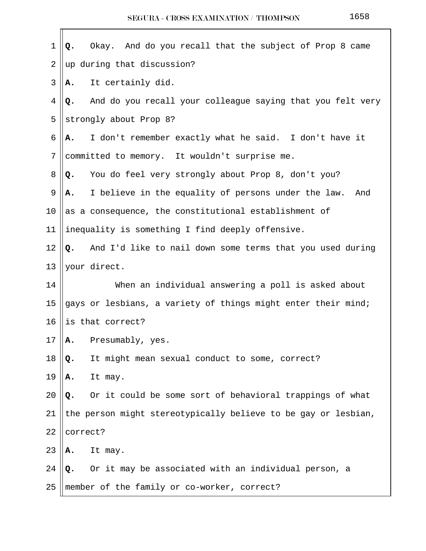| $\mathbf 1$    | And do you recall that the subject of Prop 8 came<br>Okay.<br>Q. |
|----------------|------------------------------------------------------------------|
| $\overline{2}$ | up during that discussion?                                       |
| 3              | It certainly did.<br>А.                                          |
| 4              | And do you recall your colleague saying that you felt very<br>Q. |
| 5              | strongly about Prop 8?                                           |
| 6              | I don't remember exactly what he said. I don't have it<br>Α.     |
| 7              | committed to memory. It wouldn't surprise me.                    |
| 8              | You do feel very strongly about Prop 8, don't you?<br>Q.         |
| 9              | I believe in the equality of persons under the law.<br>And<br>Α. |
| 10             | as a consequence, the constitutional establishment of            |
| 11             | inequality is something I find deeply offensive.                 |
| 12             | And I'd like to nail down some terms that you used during<br>Q.  |
| 13             | your direct.                                                     |
| 14             | When an individual answering a poll is asked about               |
| 15             | gays or lesbians, a variety of things might enter their mind;    |
| 16             | is that correct?                                                 |
| 17             | Presumably, yes.<br>Α.                                           |
| 18             | It might mean sexual conduct to some, correct?<br>Q.             |
| 19             | It may.<br>Α.                                                    |
| 20             | Or it could be some sort of behavioral trappings of what<br>Q.   |
| 21             | the person might stereotypically believe to be gay or lesbian,   |
| 22             | correct?                                                         |
| 23             | It may.<br>Α.                                                    |
| 24             | Or it may be associated with an individual person, a<br>Q.       |
| 25             | member of the family or co-worker, correct?                      |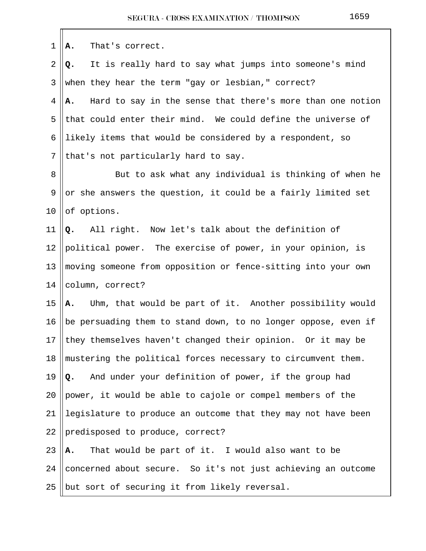| 1              | That's correct.<br>Α.                                            |
|----------------|------------------------------------------------------------------|
| $\overline{2}$ | It is really hard to say what jumps into someone's mind<br>Q.    |
| 3              | when they hear the term "gay or lesbian," correct?               |
| 4              | Hard to say in the sense that there's more than one notion<br>А. |
| 5              | that could enter their mind. We could define the universe of     |
| 6              | likely items that would be considered by a respondent, so        |
| 7              | that's not particularly hard to say.                             |
| 8              | But to ask what any individual is thinking of when he            |
| 9              | or she answers the question, it could be a fairly limited set    |
| 10             | of options.                                                      |
| 11             | All right. Now let's talk about the definition of<br>Q.          |
| 12             | political power. The exercise of power, in your opinion, is      |
| 13             | moving someone from opposition or fence-sitting into your own    |
| 14             | column, correct?                                                 |
| 15             | Uhm, that would be part of it. Another possibility would<br>Α.   |
| 16             | be persuading them to stand down, to no longer oppose, even if   |
| 17             | they themselves haven't changed their opinion. Or it may be      |
| 18             | mustering the political forces necessary to circumvent them.     |
| 19             | And under your definition of power, if the group had<br>Q.       |
| 20             | power, it would be able to cajole or compel members of the       |
| 21             | legislature to produce an outcome that they may not have been    |
| 22             | predisposed to produce, correct?                                 |
| 23             | That would be part of it. I would also want to be<br>Α.          |
| 24             | concerned about secure. So it's not just achieving an outcome    |
| 25             | but sort of securing it from likely reversal.                    |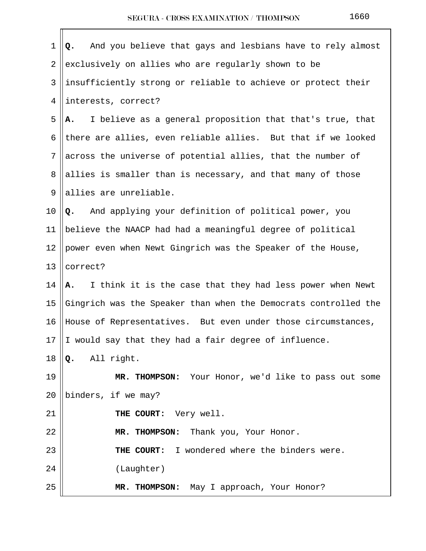| $\mathbf 1$     | And you believe that gays and lesbians have to rely almost<br>Q. |
|-----------------|------------------------------------------------------------------|
| $\overline{2}$  | exclusively on allies who are regularly shown to be              |
| 3               | insufficiently strong or reliable to achieve or protect their    |
| 4               | interests, correct?                                              |
| 5               | I believe as a general proposition that that's true, that<br>А.  |
| 6               | there are allies, even reliable allies. But that if we looked    |
| $7\phantom{.}$  | across the universe of potential allies, that the number of      |
| 8               | allies is smaller than is necessary, and that many of those      |
| 9               | allies are unreliable.                                           |
| 10              | Q. And applying your definition of political power, you          |
| 11              | believe the NAACP had had a meaningful degree of political       |
| 12              | power even when Newt Gingrich was the Speaker of the House,      |
| 13              | correct?                                                         |
| 14              | I think it is the case that they had less power when Newt<br>A.  |
| 15              | Gingrich was the Speaker than when the Democrats controlled the  |
| 16              | House of Representatives. But even under those circumstances,    |
| 17 <sup>1</sup> | I would say that they had a fair degree of influence.            |
| 18              | All right.<br>Q.                                                 |
| 19              | MR. THOMPSON: Your Honor, we'd like to pass out some             |
| 20              | binders, if we may?                                              |
| 21              | THE COURT: Very well.                                            |
| 22              | MR. THOMPSON: Thank you, Your Honor.                             |
| 23              | THE COURT: I wondered where the binders were.                    |
| 24              | (Laughter)                                                       |
| 25              | May I approach, Your Honor?<br>MR. THOMPSON:                     |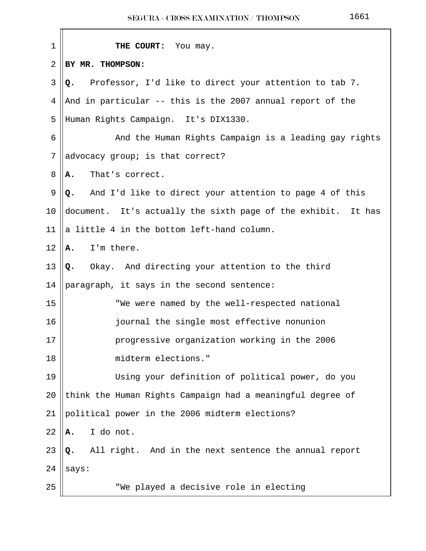| $\mathbf 1$ | THE COURT: You may.                                           |
|-------------|---------------------------------------------------------------|
| 2           | BY MR. THOMPSON:                                              |
| 3           | Professor, I'd like to direct your attention to tab 7.<br>Q.  |
| 4           | And in particular -- this is the 2007 annual report of the    |
| 5           | Human Rights Campaign. It's DIX1330.                          |
| 6           | And the Human Rights Campaign is a leading gay rights         |
| 7           | advocacy group; is that correct?                              |
| 8           | That's correct.<br>Α.                                         |
| 9           | And I'd like to direct your attention to page 4 of this<br>Q. |
| 10          | document. It's actually the sixth page of the exhibit. It has |
| 11          | a little 4 in the bottom left-hand column.                    |
| 12          | I'm there.<br>Α.                                              |
| 13          | Okay. And directing your attention to the third<br>Q.         |
| 14          | paragraph, it says in the second sentence:                    |
| 15          | "We were named by the well-respected national                 |
| 16          | journal the single most effective nonunion                    |
| $17\,$      | progressive organization working in the 2006                  |
| 18          | midterm elections."                                           |
| 19          | Using your definition of political power, do you              |
| 20          | think the Human Rights Campaign had a meaningful degree of    |
| 21          | political power in the 2006 midterm elections?                |
| 22          | I do not.<br>Α.                                               |
| 23          | All right. And in the next sentence the annual report<br>Q.   |
| 24          | says:                                                         |
| 25          | "We played a decisive role in electing                        |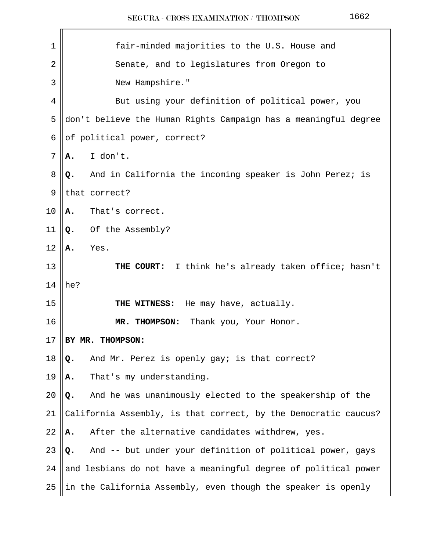| $\mathbf 1$    | fair-minded majorities to the U.S. House and                    |  |
|----------------|-----------------------------------------------------------------|--|
| $\overline{2}$ | Senate, and to legislatures from Oregon to                      |  |
| 3              | New Hampshire."                                                 |  |
| 4              | But using your definition of political power, you               |  |
| 5              | don't believe the Human Rights Campaign has a meaningful degree |  |
| 6              | of political power, correct?                                    |  |
| 7              | I don't.<br>А.                                                  |  |
| 8              | And in California the incoming speaker is John Perez; is<br>Q.  |  |
| 9              | that correct?                                                   |  |
| 10             | That's correct.<br>А.                                           |  |
| 11             | Of the Assembly?<br>Q.                                          |  |
| 12             | Yes.<br>Α.                                                      |  |
| 13             | I think he's already taken office; hasn't<br>THE COURT:         |  |
| 14             | he?                                                             |  |
| 15             | He may have, actually.<br>THE WITNESS:                          |  |
| 16             | Thank you, Your Honor.<br>MR. THOMPSON:                         |  |
| 17             | BY MR. THOMPSON:                                                |  |
| 18             | And Mr. Perez is openly gay; is that correct?<br>Q.             |  |
| 19             | That's my understanding.<br>Α.                                  |  |
| 20             | And he was unanimously elected to the speakership of the<br>Q.  |  |
| 21             | California Assembly, is that correct, by the Democratic caucus? |  |
| 22             | After the alternative candidates withdrew, yes.<br>Α.           |  |
| 23             | And -- but under your definition of political power, gays<br>Q. |  |
| 24             | and lesbians do not have a meaningful degree of political power |  |
| 25             | in the California Assembly, even though the speaker is openly   |  |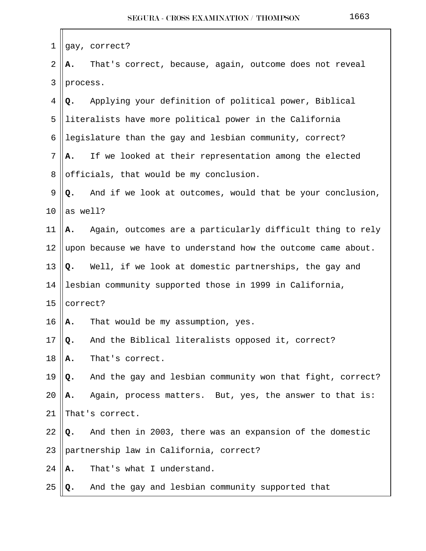| 1              |          | gay, correct?                                                  |
|----------------|----------|----------------------------------------------------------------|
| $\overline{2}$ | А.       | That's correct, because, again, outcome does not reveal        |
| 3              | process. |                                                                |
| 4              | Q.       | Applying your definition of political power, Biblical          |
| 5              |          | literalists have more political power in the California        |
| 6              |          | legislature than the gay and lesbian community, correct?       |
| 7              | Α.       | If we looked at their representation among the elected         |
| 8              |          | officials, that would be my conclusion.                        |
| 9              | Q.       | And if we look at outcomes, would that be your conclusion,     |
| 10             | as well? |                                                                |
| 11             | А.       | Again, outcomes are a particularly difficult thing to rely     |
| 12             |          | upon because we have to understand how the outcome came about. |
| 13             |          | Q. Well, if we look at domestic partnerships, the gay and      |
| 14             |          | lesbian community supported those in 1999 in California,       |
| 15             | correct? |                                                                |
| 16             | Α.       | That would be my assumption, yes.                              |
| 17             | Q.       | And the Biblical literalists opposed it, correct?              |
| 18             | Α.       | That's correct.                                                |
| 19             | Q.       | And the gay and lesbian community won that fight, correct?     |
| 20             | Α.       | Again, process matters. But, yes, the answer to that is:       |
| 21             |          | That's correct.                                                |
| 22             | Q.       | And then in 2003, there was an expansion of the domestic       |
| 23             |          | partnership law in California, correct?                        |
| 24             | Α.       | That's what I understand.                                      |
| 25             | Q.       | And the gay and lesbian community supported that               |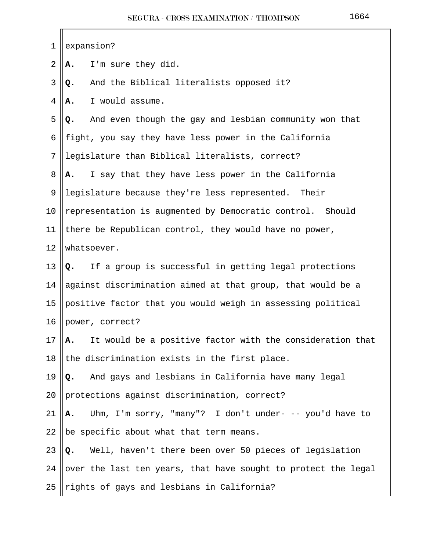| 1  | expansion?                                                      |
|----|-----------------------------------------------------------------|
| 2  | I'm sure they did.<br>Α.                                        |
| 3  | And the Biblical literalists opposed it?<br>Q.                  |
| 4  | I would assume.<br>Α.                                           |
| 5  | And even though the gay and lesbian community won that<br>Q.    |
| 6  | fight, you say they have less power in the California           |
| 7  | legislature than Biblical literalists, correct?                 |
| 8  | I say that they have less power in the California<br>Α.         |
| 9  | legislature because they're less represented.<br>Their          |
| 10 | representation is augmented by Democratic control. Should       |
| 11 | there be Republican control, they would have no power,          |
| 12 | whatsoever.                                                     |
| 13 | If a group is successful in getting legal protections<br>Q.     |
| 14 | against discrimination aimed at that group, that would be a     |
| 15 | positive factor that you would weigh in assessing political     |
| 16 | power, correct?                                                 |
| 17 | It would be a positive factor with the consideration that<br>Α. |
| 18 | the discrimination exists in the first place.                   |
| 19 | And gays and lesbians in California have many legal<br>Q.       |
| 20 | protections against discrimination, correct?                    |
| 21 | Uhm, I'm sorry, "many"? I don't under- -- you'd have to<br>Α.   |
| 22 | be specific about what that term means.                         |
| 23 | Well, haven't there been over 50 pieces of legislation<br>Q.    |
| 24 | over the last ten years, that have sought to protect the legal  |
| 25 | rights of gays and lesbians in California?                      |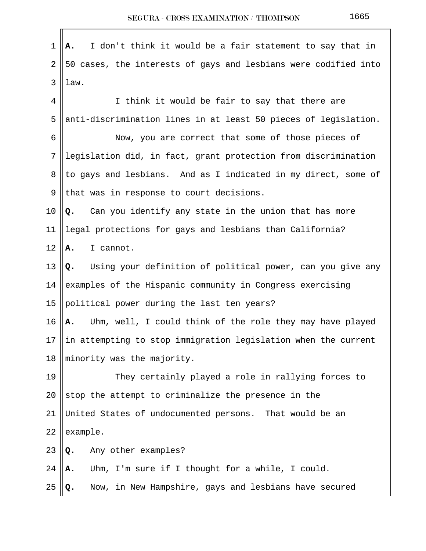$1 \parallel A$ . I don't think it would be a fair statement to say that in  $2 \parallel 50$  cases, the interests of gays and lesbians were codified into  $3$  |  $1$ aw. 4 || I think it would be fair to say that there are 5 ||anti-discrimination lines in at least 50 pieces of legislation. 6 || Now, you are correct that some of those pieces of 7 || legislation did, in fact, grant protection from discrimination 8 || to gays and lesbians. And as I indicated in my direct, some of  $9$  || that was in response to court decisions. 10 **Q.** Can you identify any state in the union that has more 11 legal protections for gays and lesbians than California?  $12 \parallel \mathbf{A}$ . I cannot. 13 **Q.** Using your definition of political power, can you give any 14 examples of the Hispanic community in Congress exercising 15 || political power during the last ten years? 16 **A.** Uhm, well, I could think of the role they may have played 17  $\parallel$  in attempting to stop immigration legislation when the current 18  $\parallel$  minority was the majority. 19 || They certainly played a role in rallying forces to 20  $\parallel$  stop the attempt to criminalize the presence in the 21 United States of undocumented persons. That would be an  $22$  | example. 23 **Q.** Any other examples? 24 **A.** Uhm, I'm sure if I thought for a while, I could. 25 **Q.** Now, in New Hampshire, gays and lesbians have secured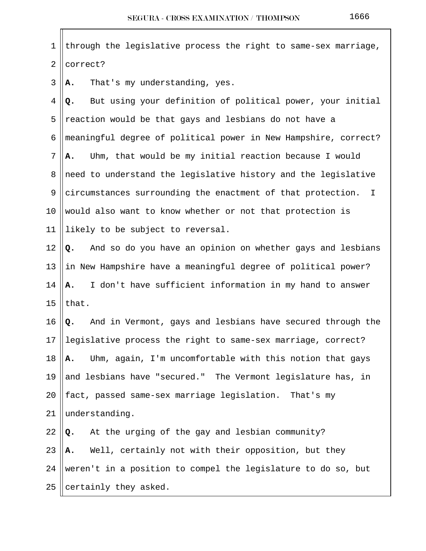1 || through the legislative process the right to same-sex marriage,  $2$  | correct?

 $3 \parallel \mathbf{A}$ . That's my understanding, yes.

 4 **Q.** But using your definition of political power, your initial 5 || reaction would be that gays and lesbians do not have a 6 meaningful degree of political power in New Hampshire, correct? 7 **A.** Uhm, that would be my initial reaction because I would 8 need to understand the legislative history and the legislative 9 circumstances surrounding the enactment of that protection. I 10 Would also want to know whether or not that protection is 11 || likely to be subject to reversal.

 **Q.** And so do you have an opinion on whether gays and lesbians  $\parallel$  in New Hampshire have a meaningful degree of political power? **A.** I don't have sufficient information in my hand to answer  $\vert$  that.

16 **Q.** And in Vermont, gays and lesbians have secured through the 17 legislative process the right to same-sex marriage, correct? 18 **A.** Uhm, again, I'm uncomfortable with this notion that gays 19  $\parallel$  and lesbians have "secured." The Vermont legislature has, in 20 || fact, passed same-sex marriage legislation. That's my 21 understanding.

 $\left\| \mathbf{Q}_{\bullet} \right\|$  At the urging of the gay and lesbian community? **A.** Well, certainly not with their opposition, but they 24 ||weren't in a position to compel the legislature to do so, but ||certainly they asked.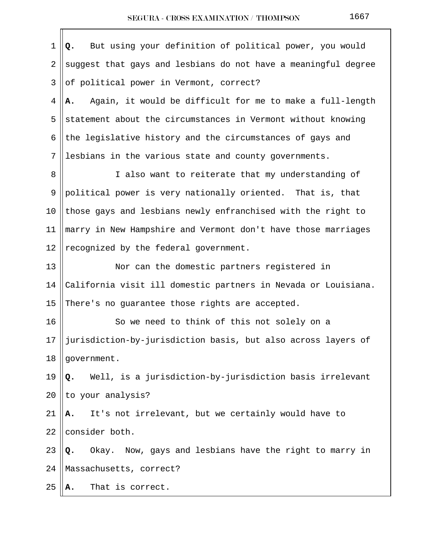| $\mathbf{1}$ | But using your definition of political power, you would<br>Q.    |
|--------------|------------------------------------------------------------------|
| 2            | suggest that gays and lesbians do not have a meaningful degree   |
| 3            | of political power in Vermont, correct?                          |
| 4            | Again, it would be difficult for me to make a full-length<br>А.  |
| 5            | statement about the circumstances in Vermont without knowing     |
| 6            | the legislative history and the circumstances of gays and        |
| 7            | lesbians in the various state and county governments.            |
| 8            | I also want to reiterate that my understanding of                |
| 9            | political power is very nationally oriented. That is, that       |
| 10           | those gays and lesbians newly enfranchised with the right to     |
| 11           | marry in New Hampshire and Vermont don't have those marriages    |
| 12           | recognized by the federal government.                            |
| 13           | Nor can the domestic partners registered in                      |
| 14           | California visit ill domestic partners in Nevada or Louisiana.   |
| 15           | There's no guarantee those rights are accepted.                  |
| 16           | So we need to think of this not solely on a                      |
| 17           | jurisdiction-by-jurisdiction basis, but also across layers of    |
| 18           | government.                                                      |
| 19           | Well, is a jurisdiction-by-jurisdiction basis irrelevant<br>Q.   |
| 20           | to your analysis?                                                |
| 21           | It's not irrelevant, but we certainly would have to<br>Α.        |
| 22           | consider both.                                                   |
| 23           | Now, gays and lesbians have the right to marry in<br>Okay.<br>Q. |
| 24           | Massachusetts, correct?                                          |
| 25           | That is correct.<br>А.                                           |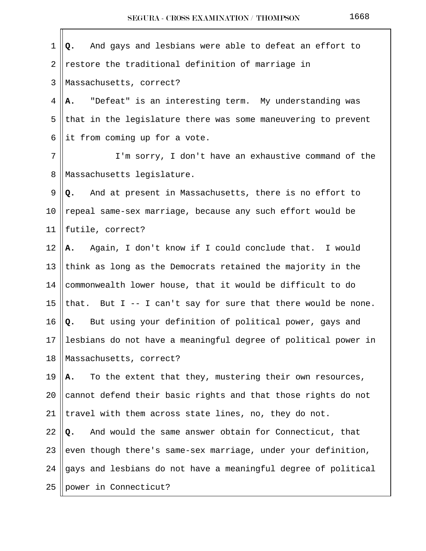| 1  | And gays and lesbians were able to defeat an effort to<br>Q.     |
|----|------------------------------------------------------------------|
| 2  | restore the traditional definition of marriage in                |
| 3  | Massachusetts, correct?                                          |
| 4  | A. "Defeat" is an interesting term. My understanding was         |
| 5  | that in the legislature there was some maneuvering to prevent    |
| 6  | it from coming up for a vote.                                    |
| 7  | I'm sorry, I don't have an exhaustive command of the             |
| 8  | Massachusetts legislature.                                       |
| 9  | Q. And at present in Massachusetts, there is no effort to        |
| 10 | repeal same-sex marriage, because any such effort would be       |
| 11 | futile, correct?                                                 |
| 12 | Again, I don't know if I could conclude that. I would<br>А.      |
| 13 | think as long as the Democrats retained the majority in the      |
| 14 | commonwealth lower house, that it would be difficult to do       |
| 15 | that. But $I - - I$ can't say for sure that there would be none. |
| 16 | But using your definition of political power, gays and<br>Q.     |
| 17 | lesbians do not have a meaningful degree of political power in   |
| 18 | Massachusetts, correct?                                          |
| 19 | To the extent that they, mustering their own resources,<br>Α.    |
| 20 | cannot defend their basic rights and that those rights do not    |
| 21 | travel with them across state lines, no, they do not.            |
| 22 | And would the same answer obtain for Connecticut, that<br>Q.     |
| 23 | even though there's same-sex marriage, under your definition,    |
| 24 | gays and lesbians do not have a meaningful degree of political   |
| 25 | power in Connecticut?                                            |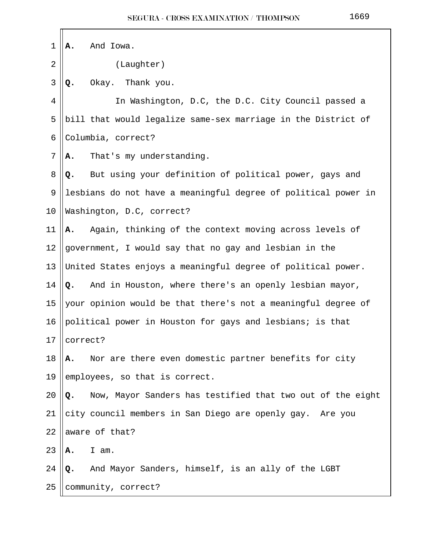| 1              | Α.       | And Iowa.                                                      |
|----------------|----------|----------------------------------------------------------------|
| $\overline{2}$ |          | (Laughter)                                                     |
| 3              | Q.       | Okay. Thank you.                                               |
| 4              |          | In Washington, D.C, the D.C. City Council passed a             |
| 5              |          | bill that would legalize same-sex marriage in the District of  |
| 6              |          | Columbia, correct?                                             |
| 7              | А.       | That's my understanding.                                       |
| 8              | Q.       | But using your definition of political power, gays and         |
| 9              |          | lesbians do not have a meaningful degree of political power in |
| 10             |          | Washington, D.C, correct?                                      |
| 11             | Α.       | Again, thinking of the context moving across levels of         |
| 12             |          | government, I would say that no gay and lesbian in the         |
| 13             |          | United States enjoys a meaningful degree of political power.   |
| 14             | Q.       | And in Houston, where there's an openly lesbian mayor,         |
| 15             |          | your opinion would be that there's not a meaningful degree of  |
| 16             |          | political power in Houston for gays and lesbians; is that      |
| 17             | correct? |                                                                |
| 18             | Α.       | Nor are there even domestic partner benefits for city          |
| 19             |          | employees, so that is correct.                                 |
| 20             | Q.       | Now, Mayor Sanders has testified that two out of the eight     |
| 21             |          | city council members in San Diego are openly gay. Are you      |
| 22             |          | aware of that?                                                 |
| 23             | Α.       | I am.                                                          |
| 24             | Q.       | And Mayor Sanders, himself, is an ally of the LGBT             |
| 25             |          | community, correct?                                            |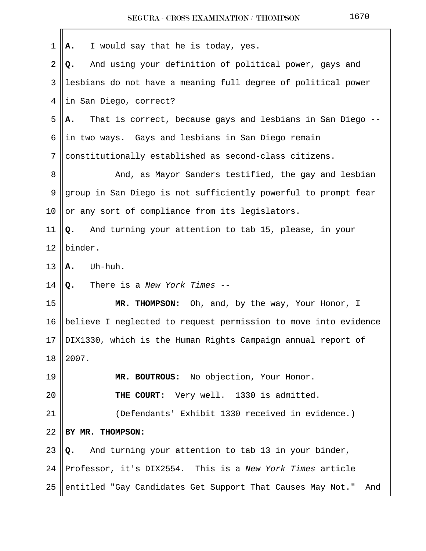| 1  | I would say that he is today, yes.<br>Α.                          |
|----|-------------------------------------------------------------------|
| 2  | And using your definition of political power, gays and<br>Q.      |
| 3  | lesbians do not have a meaning full degree of political power     |
| 4  | in San Diego, correct?                                            |
| 5  | That is correct, because gays and lesbians in San Diego -<br>А.   |
| 6  | in two ways. Gays and lesbians in San Diego remain                |
| 7  | constitutionally established as second-class citizens.            |
| 8  | And, as Mayor Sanders testified, the gay and lesbian              |
| 9  | group in San Diego is not sufficiently powerful to prompt fear    |
| 10 | or any sort of compliance from its legislators.                   |
| 11 | And turning your attention to tab 15, please, in your<br>Q.       |
| 12 | binder.                                                           |
| 13 | Uh-huh.<br>Α.                                                     |
| 14 | There is a New York Times --<br>$Q_{\bullet}$                     |
| 15 | MR. THOMPSON: Oh, and, by the way, Your Honor, I                  |
| 16 | believe I neglected to request permission to move into evidence   |
| 17 | DIX1330, which is the Human Rights Campaign annual report of      |
| 18 | 2007.                                                             |
| 19 | MR. BOUTROUS: No objection, Your Honor.                           |
| 20 | THE COURT: Very well. 1330 is admitted.                           |
| 21 | (Defendants' Exhibit 1330 received in evidence.)                  |
| 22 | BY MR. THOMPSON:                                                  |
| 23 | And turning your attention to tab 13 in your binder,<br>Q.        |
| 24 | Professor, it's DIX2554. This is a New York Times article         |
| 25 | entitled "Gay Candidates Get Support That Causes May Not."<br>And |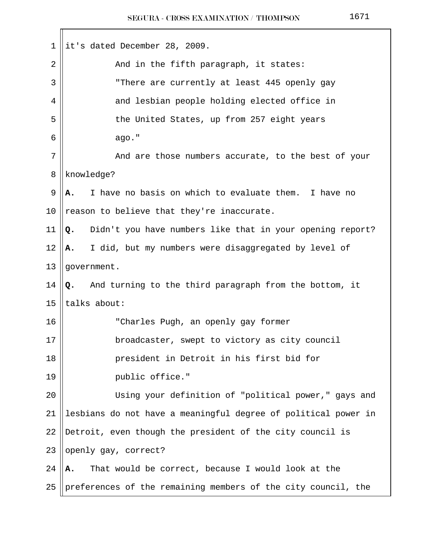| 1      | it's dated December 28, 2009.                                   |
|--------|-----------------------------------------------------------------|
| 2      | And in the fifth paragraph, it states:                          |
| 3      | "There are currently at least 445 openly gay                    |
| 4      | and lesbian people holding elected office in                    |
| 5      | the United States, up from 257 eight years                      |
| 6      | ago."                                                           |
| 7      | And are those numbers accurate, to the best of your             |
| 8      | knowledge?                                                      |
| 9      | I have no basis on which to evaluate them. I have no<br>А.      |
| 10     | reason to believe that they're inaccurate.                      |
| 11     | Didn't you have numbers like that in your opening report?<br>Q. |
| 12     | I did, but my numbers were disaggregated by level of<br>А.      |
| 13     | government.                                                     |
| 14     | Q. And turning to the third paragraph from the bottom, it       |
| 15     | talks about:                                                    |
| 16     | "Charles Pugh, an openly gay former                             |
| $17\,$ | broadcaster, swept to victory as city council                   |
| 18     | president in Detroit in his first bid for                       |
| 19     | public office."                                                 |
| 20     | Using your definition of "political power," gays and            |
| 21     | lesbians do not have a meaningful degree of political power in  |
| 22     | Detroit, even though the president of the city council is       |
| 23     | openly gay, correct?                                            |
| 24     | That would be correct, because I would look at the<br>А.        |
| 25     | preferences of the remaining members of the city council, the   |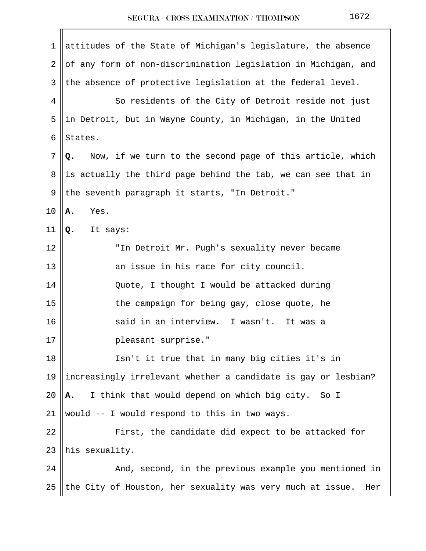| 1      | attitudes of the State of Michigan's legislature, the absence     |
|--------|-------------------------------------------------------------------|
| 2      | of any form of non-discrimination legislation in Michigan, and    |
| 3      | the absence of protective legislation at the federal level.       |
| 4      | So residents of the City of Detroit reside not just               |
| 5      | in Detroit, but in Wayne County, in Michigan, in the United       |
| 6      | States.                                                           |
| 7      | Now, if we turn to the second page of this article, which<br>Q.   |
| 8      | is actually the third page behind the tab, we can see that in     |
| 9      | the seventh paragraph it starts, "In Detroit."                    |
| 10     | Yes.<br>Α.                                                        |
| 11     | Q.<br>It says:                                                    |
| 12     | "In Detroit Mr. Pugh's sexuality never became                     |
| 13     | an issue in his race for city council.                            |
| 14     | Quote, I thought I would be attacked during                       |
| 15     | the campaign for being gay, close quote, he                       |
| 16     | said in an interview. I wasn't. It was a                          |
| $17\,$ | pleasant surprise."                                               |
| 18     | Isn't it true that in many big cities it's in                     |
| 19     | increasingly irrelevant whether a candidate is gay or lesbian?    |
| 20     | I think that would depend on which big city. So I<br>А.           |
| 21     | would -- I would respond to this in two ways.                     |
| 22     | First, the candidate did expect to be attacked for                |
| 23     | his sexuality.                                                    |
| 24     | And, second, in the previous example you mentioned in             |
| 25     | the City of Houston, her sexuality was very much at issue.<br>Her |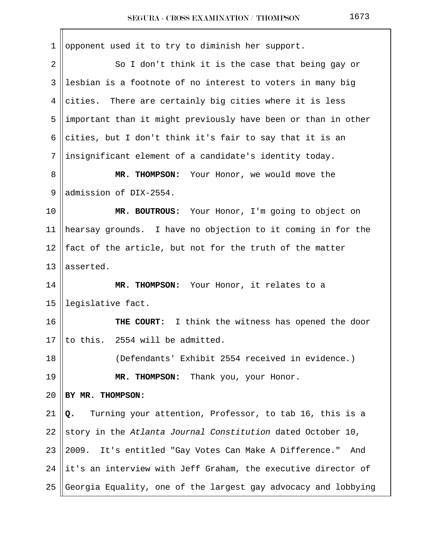| 1  | opponent used it to try to diminish her support.                 |
|----|------------------------------------------------------------------|
| 2  | So I don't think it is the case that being gay or                |
| 3  | lesbian is a footnote of no interest to voters in many big       |
| 4  | cities. There are certainly big cities where it is less          |
| 5  | important than it might previously have been or than in other    |
| 6  | cities, but I don't think it's fair to say that it is an         |
| 7  | insignificant element of a candidate's identity today.           |
| 8  | MR. THOMPSON: Your Honor, we would move the                      |
| 9  | admission of DIX-2554.                                           |
| 10 | MR. BOUTROUS: Your Honor, I'm going to object on                 |
| 11 | hearsay grounds. I have no objection to it coming in for the     |
| 12 | fact of the article, but not for the truth of the matter         |
| 13 | asserted.                                                        |
| 14 | MR. THOMPSON: Your Honor, it relates to a                        |
| 15 | legislative fact.                                                |
| 16 | THE COURT: I think the witness has opened the door               |
| 17 | to this. 2554 will be admitted.                                  |
| 18 | (Defendants' Exhibit 2554 received in evidence.)                 |
| 19 | MR. THOMPSON: Thank you, your Honor.                             |
| 20 | BY MR. THOMPSON:                                                 |
| 21 | Turning your attention, Professor, to tab 16, this is a<br>Q.    |
| 22 | story in the Atlanta Journal Constitution dated October 10,      |
| 23 | It's entitled "Gay Votes Can Make A Difference."<br>2009.<br>And |
| 24 | it's an interview with Jeff Graham, the executive director of    |
| 25 | Georgia Equality, one of the largest gay advocacy and lobbying   |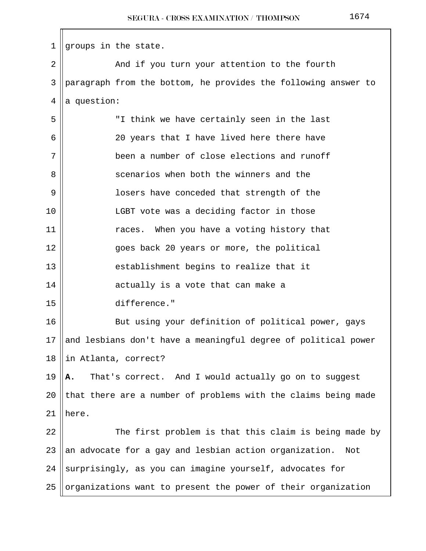| $\mathbf{1}$ | groups in the state.                                           |
|--------------|----------------------------------------------------------------|
| 2            | And if you turn your attention to the fourth                   |
| 3            | paragraph from the bottom, he provides the following answer to |
| 4            | a question:                                                    |
| 5            | "I think we have certainly seen in the last                    |
| 6            | 20 years that I have lived here there have                     |
| 7            | been a number of close elections and runoff                    |
| 8            | scenarios when both the winners and the                        |
| 9            | losers have conceded that strength of the                      |
| 10           | LGBT vote was a deciding factor in those                       |
| 11           | races. When you have a voting history that                     |
| 12           | goes back 20 years or more, the political                      |
| 13           | establishment begins to realize that it                        |
| 14           | actually is a vote that can make a                             |
| 15           | difference."                                                   |
| 16           | But using your definition of political power, gays             |
| 17           | and lesbians don't have a meaningful degree of political power |
| 18           | in Atlanta, correct?                                           |
| 19           | That's correct. And I would actually go on to suggest<br>Α.    |
| 20           | that there are a number of problems with the claims being made |
| 21           | here.                                                          |
| 22           | The first problem is that this claim is being made by          |
| 23           | an advocate for a gay and lesbian action organization.<br>Not  |
| 24           | surprisingly, as you can imagine yourself, advocates for       |
| 25           | organizations want to present the power of their organization  |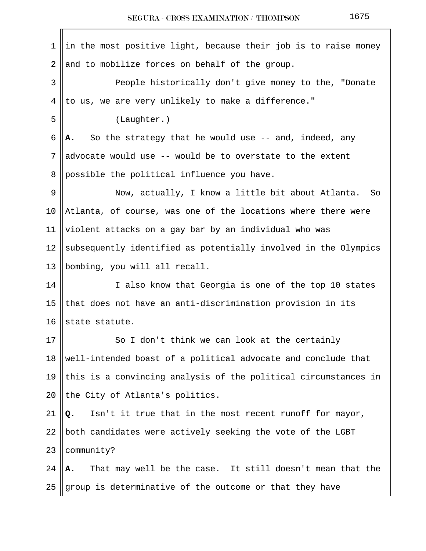| 1  | in the most positive light, because their job is to raise money |  |  |  |
|----|-----------------------------------------------------------------|--|--|--|
| 2  | and to mobilize forces on behalf of the group.                  |  |  |  |
| 3  | People historically don't give money to the, "Donate            |  |  |  |
| 4  | to us, we are very unlikely to make a difference."              |  |  |  |
| 5  | (Laughter.)                                                     |  |  |  |
| 6  | So the strategy that he would use -- and, indeed, any<br>А.     |  |  |  |
| 7  | advocate would use -- would be to overstate to the extent       |  |  |  |
| 8  | possible the political influence you have.                      |  |  |  |
| 9  | Now, actually, I know a little bit about Atlanta.<br>So         |  |  |  |
| 10 | Atlanta, of course, was one of the locations where there were   |  |  |  |
| 11 | violent attacks on a gay bar by an individual who was           |  |  |  |
| 12 | subsequently identified as potentially involved in the Olympics |  |  |  |
| 13 | bombing, you will all recall.                                   |  |  |  |
| 14 | I also know that Georgia is one of the top 10 states            |  |  |  |
| 15 | that does not have an anti-discrimination provision in its      |  |  |  |
| 16 | state statute.                                                  |  |  |  |
| 17 | So I don't think we can look at the certainly                   |  |  |  |
| 18 | well-intended boast of a political advocate and conclude that   |  |  |  |
| 19 | this is a convincing analysis of the political circumstances in |  |  |  |
| 20 | the City of Atlanta's politics.                                 |  |  |  |
| 21 | Isn't it true that in the most recent runoff for mayor,<br>Q.   |  |  |  |
| 22 | both candidates were actively seeking the vote of the LGBT      |  |  |  |
| 23 | community?                                                      |  |  |  |
| 24 | That may well be the case. It still doesn't mean that the<br>Α. |  |  |  |
| 25 | group is determinative of the outcome or that they have         |  |  |  |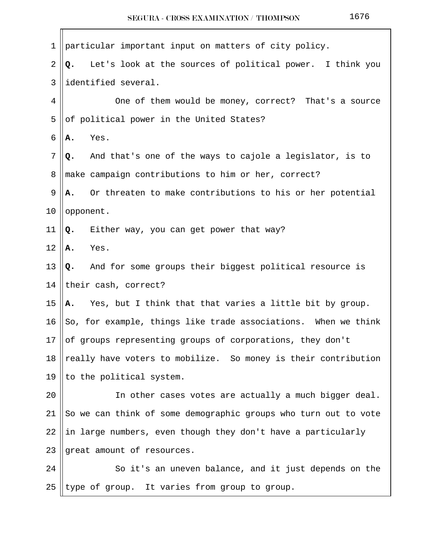| $\mathbf 1$ | particular important input on matters of city policy.           |
|-------------|-----------------------------------------------------------------|
| 2           | Let's look at the sources of political power. I think you<br>Q. |
| 3           | identified several.                                             |
| 4           | One of them would be money, correct? That's a source            |
| 5           | of political power in the United States?                        |
| 6           | Yes.<br>Α.                                                      |
| 7           | And that's one of the ways to cajole a legislator, is to<br>Q.  |
| 8           | make campaign contributions to him or her, correct?             |
| 9           | Or threaten to make contributions to his or her potential<br>Α. |
| $10 \,$     | opponent.                                                       |
| 11          | Either way, you can get power that way?<br>Q.                   |
| 12          | Yes.<br>Α.                                                      |
| 13          | Q. And for some groups their biggest political resource is      |
| 14          | their cash, correct?                                            |
| 15          | Yes, but I think that that varies a little bit by group.<br>Α.  |
| 16          | So, for example, things like trade associations. When we think  |
| 17          | of groups representing groups of corporations, they don't       |
| 18          | really have voters to mobilize. So money is their contribution  |
| 19          | to the political system.                                        |
| 20          | In other cases votes are actually a much bigger deal.           |
| 21          | So we can think of some demographic groups who turn out to vote |
| 22          | in large numbers, even though they don't have a particularly    |
| 23          | great amount of resources.                                      |
| 24          | So it's an uneven balance, and it just depends on the           |
| 25          | type of group. It varies from group to group.                   |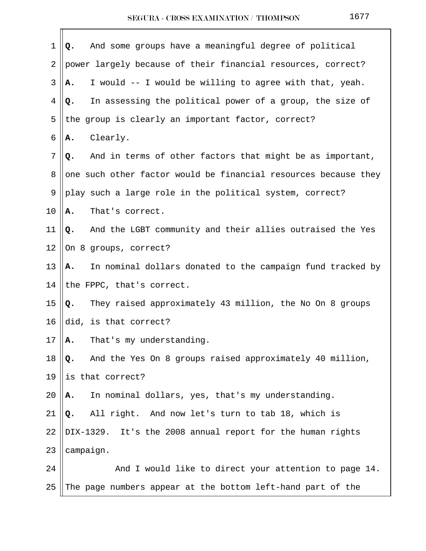| 1  | And some groups have a meaningful degree of political<br>Q.      |
|----|------------------------------------------------------------------|
| 2  | power largely because of their financial resources, correct?     |
| 3  | I would -- I would be willing to agree with that, yeah.<br>А.    |
| 4  | In assessing the political power of a group, the size of<br>Q.   |
| 5  | the group is clearly an important factor, correct?               |
| 6  | Clearly.<br>Α.                                                   |
| 7  | And in terms of other factors that might be as important,<br>Q.  |
| 8  | one such other factor would be financial resources because they  |
| 9  | play such a large role in the political system, correct?         |
| 10 | That's correct.<br>Α.                                            |
| 11 | And the LGBT community and their allies outraised the Yes<br>Q.  |
| 12 | On 8 groups, correct?                                            |
| 13 | In nominal dollars donated to the campaign fund tracked by<br>А. |
| 14 | the FPPC, that's correct.                                        |
| 15 | They raised approximately 43 million, the No On 8 groups<br>Q.   |
| 16 | did, is that correct?                                            |
| 17 | That's my understanding.<br>А.                                   |
| 18 | And the Yes On 8 groups raised approximately 40 million,<br>Q.   |
| 19 | is that correct?                                                 |
| 20 | In nominal dollars, yes, that's my understanding.<br>А.          |
| 21 | Q. All right. And now let's turn to tab 18, which is             |
| 22 | DIX-1329. It's the 2008 annual report for the human rights       |
| 23 | campaign.                                                        |
| 24 | And I would like to direct your attention to page 14.            |
| 25 | The page numbers appear at the bottom left-hand part of the      |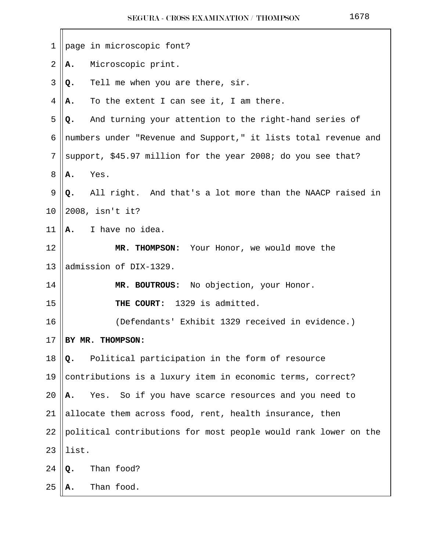| 1              | page in microscopic font?                                       |  |
|----------------|-----------------------------------------------------------------|--|
| $\overline{2}$ | Microscopic print.<br>Α.                                        |  |
| 3              | Tell me when you are there, sir.<br>Q.                          |  |
| 4              | To the extent I can see it, I am there.<br>А.                   |  |
| 5              | And turning your attention to the right-hand series of<br>Q.    |  |
| 6              | numbers under "Revenue and Support," it lists total revenue and |  |
| 7              | support, \$45.97 million for the year 2008; do you see that?    |  |
| 8              | Yes.<br>Α.                                                      |  |
| 9              | All right. And that's a lot more than the NAACP raised in<br>Q. |  |
| 10             | 2008, isn't it?                                                 |  |
| 11             | I have no idea.<br>Α.                                           |  |
| 12             | MR. THOMPSON: Your Honor, we would move the                     |  |
| 13             | admission of DIX-1329.                                          |  |
| 14             | MR. BOUTROUS: No objection, your Honor.                         |  |
| 15             | 1329 is admitted.<br>THE COURT:                                 |  |
| 16             | (Defendants' Exhibit 1329 received in evidence.)                |  |
| 17             | BY MR. THOMPSON:                                                |  |
| 18             | Political participation in the form of resource<br>Q.           |  |
| 19             | contributions is a luxury item in economic terms, correct?      |  |
| 20             | So if you have scarce resources and you need to<br>Yes.<br>Α.   |  |
| 21             | allocate them across food, rent, health insurance, then         |  |
| 22             | political contributions for most people would rank lower on the |  |
| 23             | list.                                                           |  |
| 24             | Than food?<br>Q.                                                |  |
| 25             | Than food.<br>А.                                                |  |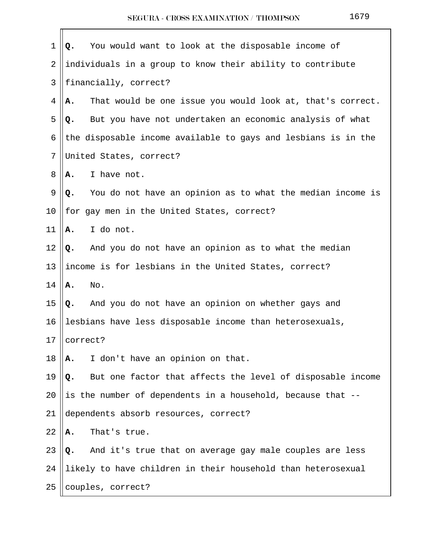| $\mathbf 1$    | You would want to look at the disposable income of<br>Q.         |  |
|----------------|------------------------------------------------------------------|--|
| $\overline{2}$ | individuals in a group to know their ability to contribute       |  |
| 3              | financially, correct?                                            |  |
| 4              | That would be one issue you would look at, that's correct.<br>Α. |  |
| 5              | But you have not undertaken an economic analysis of what<br>Q.   |  |
| 6              | the disposable income available to gays and lesbians is in the   |  |
| 7              | United States, correct?                                          |  |
| 8              | I have not.<br>Α.                                                |  |
| 9              | You do not have an opinion as to what the median income is<br>Q. |  |
| 10             | for gay men in the United States, correct?                       |  |
| 11             | I do not.<br>Α.                                                  |  |
| 12             | And you do not have an opinion as to what the median<br>Q.       |  |
| 13             | income is for lesbians in the United States, correct?            |  |
| 14             | No.<br>Α.                                                        |  |
| 15             | And you do not have an opinion on whether gays and<br>Q.         |  |
| 16             | lesbians have less disposable income than heterosexuals,         |  |
| 17             | correct?                                                         |  |
| 18             | I don't have an opinion on that.<br>Α.                           |  |
| 19             | But one factor that affects the level of disposable income<br>Q. |  |
| 20             | is the number of dependents in a household, because that --      |  |
| 21             | dependents absorb resources, correct?                            |  |
| 22             | That's true.<br>Α.                                               |  |
| 23             | And it's true that on average gay male couples are less<br>Q.    |  |
| 24             | likely to have children in their household than heterosexual     |  |
| 25             | couples, correct?                                                |  |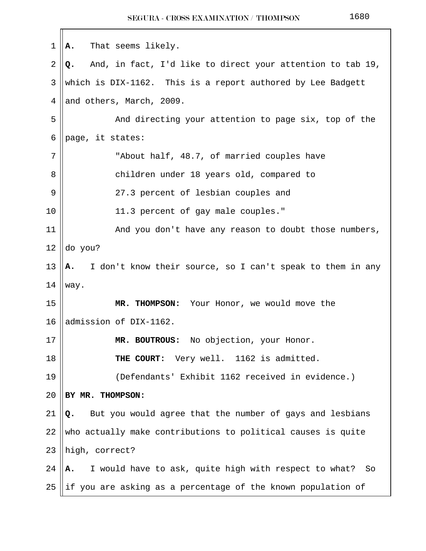1 **A.** That seems likely. 2 **Q.** And, in fact, I'd like to direct your attention to tab 19, 3 Which is DIX-1162. This is a report authored by Lee Badgett  $4$  || and others, March, 2009. 5 And directing your attention to page six, top of the 6 || page, it states: 7 || Tabout half, 48.7, of married couples have 8 || children under 18 years old, compared to 9 27.3 percent of lesbian couples and 10 || 11.3 percent of gay male couples." 11 || And you don't have any reason to doubt those numbers,  $12$  do you? 13 **A.** I don't know their source, so I can't speak to them in any  $14$  way. 15 **MR. THOMPSON:** Your Honor, we would move the 16 admission of DIX-1162. 17 **MR. BOUTROUS:** No objection, your Honor. 18 **THE COURT:** Very well. 1162 is admitted. 19 (Defendants' Exhibit 1162 received in evidence.) 20 **BY MR. THOMPSON:**  21  $\|\mathbf{Q}_{\bullet}\|$  But you would agree that the number of gays and lesbians  $22$  who actually make contributions to political causes is quite  $23$  ||high, correct? 24 **A.** I would have to ask, quite high with respect to what? So 25  $\parallel$ if you are asking as a percentage of the known population of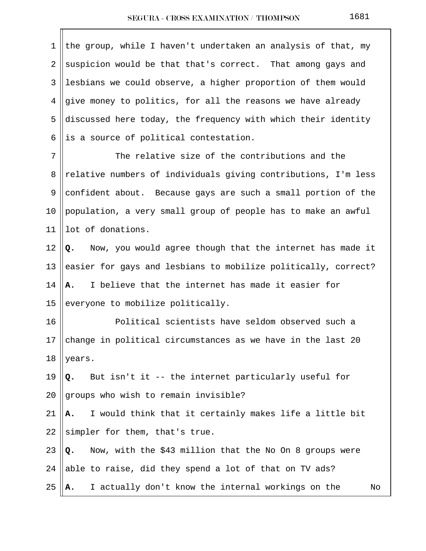| 1  | the group, while I haven't undertaken an analysis of that, my   |
|----|-----------------------------------------------------------------|
| 2  | suspicion would be that that's correct. That among gays and     |
| 3  | lesbians we could observe, a higher proportion of them would    |
| 4  | give money to politics, for all the reasons we have already     |
| 5  | discussed here today, the frequency with which their identity   |
| 6  | is a source of political contestation.                          |
| 7  | The relative size of the contributions and the                  |
| 8  | relative numbers of individuals giving contributions, I'm less  |
| 9  | confident about. Because gays are such a small portion of the   |
| 10 | population, a very small group of people has to make an awful   |
| 11 | lot of donations.                                               |
| 12 | Now, you would agree though that the internet has made it<br>Q. |
| 13 | easier for gays and lesbians to mobilize politically, correct?  |
| 14 | I believe that the internet has made it easier for<br>A.        |
| 15 | everyone to mobilize politically.                               |
| 16 | Political scientists have seldom observed such a                |
| 17 | change in political circumstances as we have in the last 20     |
| 18 | years.                                                          |
| 19 | But isn't it -- the internet particularly useful for<br>Q.      |
| 20 | groups who wish to remain invisible?                            |
| 21 | I would think that it certainly makes life a little bit<br>Α.   |
| 22 | simpler for them, that's true.                                  |
| 23 | Now, with the \$43 million that the No On 8 groups were<br>Q.   |
| 24 | able to raise, did they spend a lot of that on TV ads?          |
| 25 | I actually don't know the internal workings on the<br>No<br>Α.  |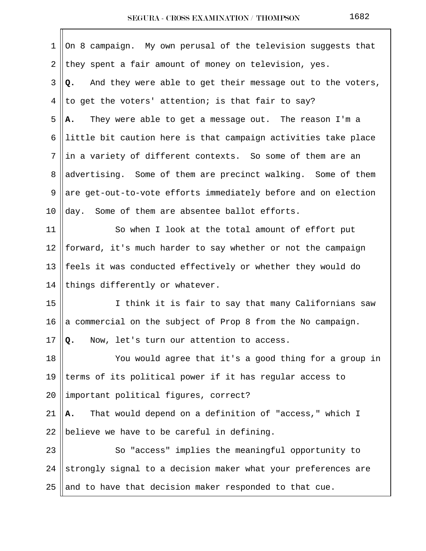| 1  | On 8 campaign. My own perusal of the television suggests that    |  |  |  |
|----|------------------------------------------------------------------|--|--|--|
| 2  | they spent a fair amount of money on television, yes.            |  |  |  |
| 3  | And they were able to get their message out to the voters,<br>Q. |  |  |  |
| 4  | to get the voters' attention; is that fair to say?               |  |  |  |
| 5  | They were able to get a message out. The reason I'm a<br>Α.      |  |  |  |
| 6  | little bit caution here is that campaign activities take place   |  |  |  |
| 7  | in a variety of different contexts. So some of them are an       |  |  |  |
| 8  | advertising. Some of them are precinct walking. Some of them     |  |  |  |
| 9  | are get-out-to-vote efforts immediately before and on election   |  |  |  |
| 10 | Some of them are absentee ballot efforts.<br>day.                |  |  |  |
| 11 | So when I look at the total amount of effort put                 |  |  |  |
| 12 | forward, it's much harder to say whether or not the campaign     |  |  |  |
| 13 | feels it was conducted effectively or whether they would do      |  |  |  |
| 14 | things differently or whatever.                                  |  |  |  |
| 15 | I think it is fair to say that many Californians saw             |  |  |  |
| 16 | a commercial on the subject of Prop 8 from the No campaign.      |  |  |  |
| 17 | Now, let's turn our attention to access.<br>Q.                   |  |  |  |
| 18 | You would agree that it's a good thing for a group in            |  |  |  |
| 19 | terms of its political power if it has regular access to         |  |  |  |
| 20 | important political figures, correct?                            |  |  |  |
| 21 | That would depend on a definition of "access," which I<br>Α.     |  |  |  |
| 22 | believe we have to be careful in defining.                       |  |  |  |
| 23 | So "access" implies the meaningful opportunity to                |  |  |  |
| 24 | strongly signal to a decision maker what your preferences are    |  |  |  |
| 25 | and to have that decision maker responded to that cue.           |  |  |  |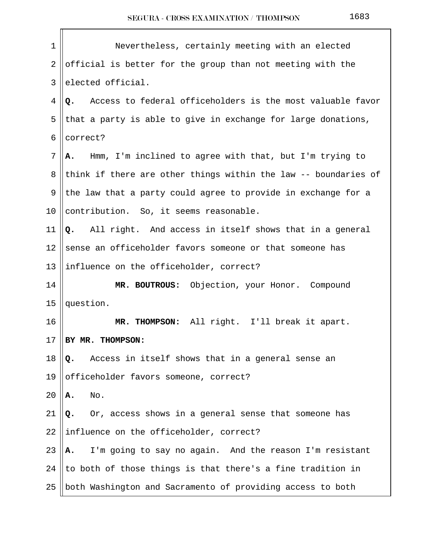| 1              | Nevertheless, certainly meeting with an elected                  |  |  |
|----------------|------------------------------------------------------------------|--|--|
| $\overline{2}$ | official is better for the group than not meeting with the       |  |  |
| 3              | elected official.                                                |  |  |
| 4              | Access to federal officeholders is the most valuable favor<br>Q. |  |  |
| 5              | that a party is able to give in exchange for large donations,    |  |  |
| 6              | correct?                                                         |  |  |
| $7\phantom{.}$ | Hmm, I'm inclined to agree with that, but I'm trying to<br>А.    |  |  |
| 8              | think if there are other things within the law -- boundaries of  |  |  |
| 9              | the law that a party could agree to provide in exchange for a    |  |  |
| 10             | contribution. So, it seems reasonable.                           |  |  |
| 11             | All right. And access in itself shows that in a general<br>Q.    |  |  |
| 12             | sense an officeholder favors someone or that someone has         |  |  |
| 13             | influence on the officeholder, correct?                          |  |  |
| 14             | MR. BOUTROUS: Objection, your Honor. Compound                    |  |  |
| 15             | question.                                                        |  |  |
| 16             | MR. THOMPSON: All right. I'll break it apart.                    |  |  |
| 17             | BY MR. THOMPSON:                                                 |  |  |
| 18             | Access in itself shows that in a general sense an<br>Q.          |  |  |
| 19             | officeholder favors someone, correct?                            |  |  |
| 20             | No.<br>Α.                                                        |  |  |
| 21             | Or, access shows in a general sense that someone has<br>Q.       |  |  |
| 22             | influence on the officeholder, correct?                          |  |  |
| 23             | I'm going to say no again. And the reason I'm resistant<br>Α.    |  |  |
| 24             | to both of those things is that there's a fine tradition in      |  |  |
| 25             | both Washington and Sacramento of providing access to both       |  |  |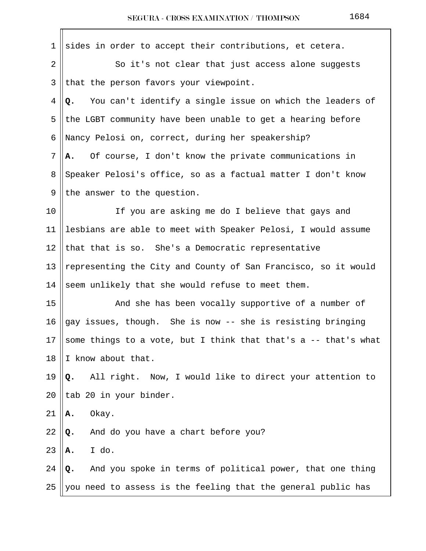| $\mathbf 1$    | sides in order to accept their contributions, et cetera.        |
|----------------|-----------------------------------------------------------------|
| 2              | So it's not clear that just access alone suggests               |
| 3              | that the person favors your viewpoint.                          |
| 4              | Q. You can't identify a single issue on which the leaders of    |
| 5              | the LGBT community have been unable to get a hearing before     |
| 6              | Nancy Pelosi on, correct, during her speakership?               |
| $7\phantom{.}$ | Of course, I don't know the private communications in<br>А.     |
| 8              | Speaker Pelosi's office, so as a factual matter I don't know    |
| 9              | the answer to the question.                                     |
| 10             | If you are asking me do I believe that gays and                 |
| 11             | lesbians are able to meet with Speaker Pelosi, I would assume   |
| 12             | that that is so. She's a Democratic representative              |
| 13             | representing the City and County of San Francisco, so it would  |
| 14             | seem unlikely that she would refuse to meet them.               |
| 15             | And she has been vocally supportive of a number of              |
| 16             | gay issues, though. She is now -- she is resisting bringing     |
| 17             | some things to a vote, but I think that that's a -- that's what |
| 18             | I know about that.                                              |
| 19             | All right. Now, I would like to direct your attention to<br>Q.  |
| 20             | tab 20 in your binder.                                          |
| 21             | Okay.<br>Α.                                                     |
| 22             | And do you have a chart before you?<br>Q.                       |
| 23             | I do.<br>Α.                                                     |
| 24             | And you spoke in terms of political power, that one thing<br>Q. |
| 25             | you need to assess is the feeling that the general public has   |
|                |                                                                 |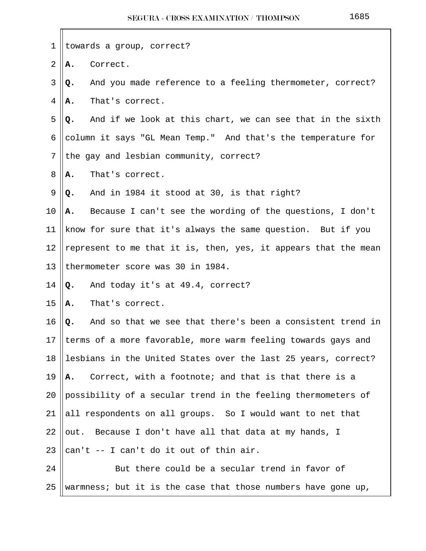| $\mathbf 1$    |                                         | towards a group, correct?                                       |
|----------------|-----------------------------------------|-----------------------------------------------------------------|
| $\overline{2}$ | Α.                                      | Correct.                                                        |
| 3              | Q.                                      | And you made reference to a feeling thermometer, correct?       |
| 4              | Α.                                      | That's correct.                                                 |
| 5              | Q.                                      | And if we look at this chart, we can see that in the sixth      |
| 6              |                                         | column it says "GL Mean Temp." And that's the temperature for   |
| 7              | the gay and lesbian community, correct? |                                                                 |
| 8              | Α.                                      | That's correct.                                                 |
| 9              | Q.                                      | And in 1984 it stood at 30, is that right?                      |
| 10             | А.                                      | Because I can't see the wording of the questions, I don't       |
| 11             |                                         | know for sure that it's always the same question. But if you    |
| 12             |                                         | represent to me that it is, then, yes, it appears that the mean |
| 13             |                                         | thermometer score was 30 in 1984.                               |
| 14             | Q.                                      | And today it's at 49.4, correct?                                |
| 15             | Α.                                      | That's correct.                                                 |
| 16             | Q.                                      | And so that we see that there's been a consistent trend in      |
| 17             |                                         | terms of a more favorable, more warm feeling towards gays and   |
| 18             |                                         | lesbians in the United States over the last 25 years, correct?  |
| 19             | Α.                                      | Correct, with a footnote; and that is that there is a           |
| 20             |                                         | possibility of a secular trend in the feeling thermometers of   |
| 21             |                                         | all respondents on all groups. So I would want to net that      |
| 22             |                                         | out. Because I don't have all that data at my hands, I          |
| 23             |                                         | can't -- I can't do it out of thin air.                         |
| 24             |                                         | But there could be a secular trend in favor of                  |
| 25             |                                         | warmness; but it is the case that those numbers have gone up,   |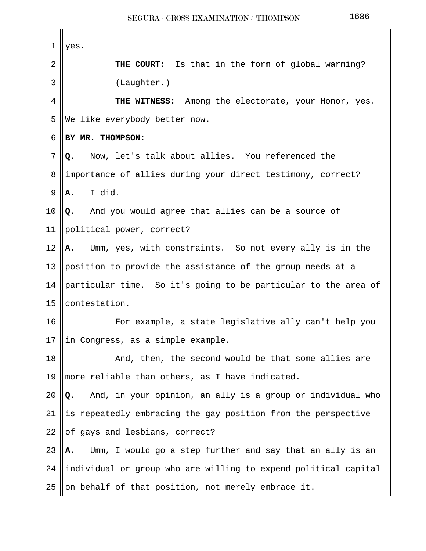| $\mathbf 1$ | yes.                                                             |  |  |
|-------------|------------------------------------------------------------------|--|--|
| 2           | <b>THE COURT:</b> Is that in the form of global warming?         |  |  |
| 3           | (Laughter.)                                                      |  |  |
| 4           | THE WITNESS:<br>Among the electorate, your Honor, yes.           |  |  |
| 5           | We like everybody better now.                                    |  |  |
| 6           | BY MR. THOMPSON:                                                 |  |  |
| 7           | Now, let's talk about allies. You referenced the<br>Q.           |  |  |
| 8           | importance of allies during your direct testimony, correct?      |  |  |
| 9           | I did.<br>Α.                                                     |  |  |
| 10          | Q. And you would agree that allies can be a source of            |  |  |
| 11          | political power, correct?                                        |  |  |
| 12          | Umm, yes, with constraints. So not every ally is in the<br>А.    |  |  |
| 13          | position to provide the assistance of the group needs at a       |  |  |
| 14          | particular time. So it's going to be particular to the area of   |  |  |
| 15          | contestation.                                                    |  |  |
| 16          | For example, a state legislative ally can't help you             |  |  |
| 17          | in Congress, as a simple example.                                |  |  |
| 18          | And, then, the second would be that some allies are              |  |  |
| 19          | more reliable than others, as I have indicated.                  |  |  |
| 20          | And, in your opinion, an ally is a group or individual who<br>Q. |  |  |
| 21          | is repeatedly embracing the gay position from the perspective    |  |  |
| 22          | of gays and lesbians, correct?                                   |  |  |
| 23          | Umm, I would go a step further and say that an ally is an<br>Α.  |  |  |
| 24          | individual or group who are willing to expend political capital  |  |  |
| 25          | on behalf of that position, not merely embrace it.               |  |  |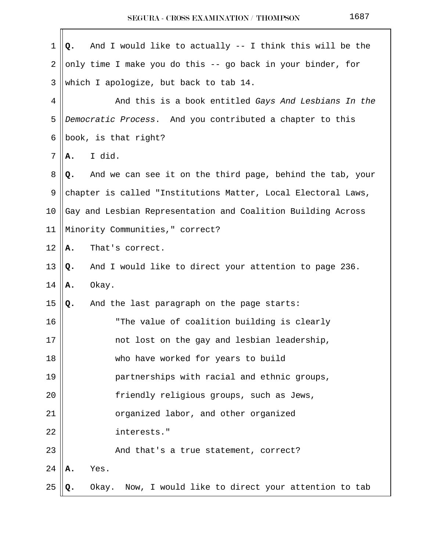| $\mathbf 1$    | And I would like to actually -- I think this will be the<br>Q.  |
|----------------|-----------------------------------------------------------------|
| $\overline{2}$ | only time I make you do this -- go back in your binder, for     |
| 3              | which I apologize, but back to tab 14.                          |
| 4              | And this is a book entitled Gays And Lesbians In the            |
| 5              | Democratic Process. And you contributed a chapter to this       |
| 6              | book, is that right?                                            |
| 7              | I did.<br>Α.                                                    |
| 8              | And we can see it on the third page, behind the tab, your<br>Q. |
| 9              | chapter is called "Institutions Matter, Local Electoral Laws,   |
| $10 \,$        | Gay and Lesbian Representation and Coalition Building Across    |
| 11             | Minority Communities, " correct?                                |
| 12             | That's correct.<br>А.                                           |
| 13             | And I would like to direct your attention to page 236.<br>Q.    |
| 14             | Okay.<br>Α.                                                     |
| 15             | And the last paragraph on the page starts:<br>Q.                |
| 16             | "The value of coalition building is clearly                     |
| $17\,$         | not lost on the gay and lesbian leadership,                     |
| 18             | who have worked for years to build                              |
| 19             | partnerships with racial and ethnic groups,                     |
| 20             | friendly religious groups, such as Jews,                        |
| 21             | organized labor, and other organized                            |
| 22             | interests."                                                     |
| 23             | And that's a true statement, correct?                           |
| 24             | Yes.<br>А.                                                      |
| 25             | Now, I would like to direct your attention to tab<br>Okay.      |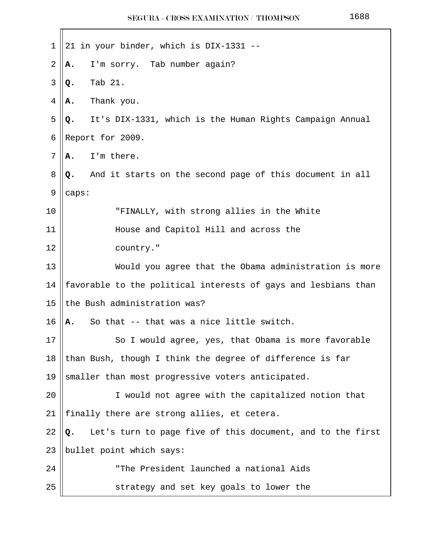|--|--|--|--|

| 1  | 21 in your binder, which is DIX-1331 --                          |
|----|------------------------------------------------------------------|
| 2  | I'm sorry. Tab number again?<br>Α.                               |
| 3  | Tab 21.<br>Q.                                                    |
| 4  | Thank you.<br>Α.                                                 |
| 5  | It's DIX-1331, which is the Human Rights Campaign Annual<br>Q.   |
| 6  | Report for 2009.                                                 |
| 7  | I'm there.<br>Α.                                                 |
| 8  | And it starts on the second page of this document in all<br>Q.   |
| 9  | caps:                                                            |
| 10 | "FINALLY, with strong allies in the White                        |
| 11 | House and Capitol Hill and across the                            |
| 12 | country."                                                        |
| 13 | Would you agree that the Obama administration is more            |
| 14 | favorable to the political interests of gays and lesbians than   |
| 15 | the Bush administration was?                                     |
| 16 | So that -- that was a nice little switch.<br>Α.                  |
| 17 | So I would agree, yes, that Obama is more favorable              |
| 18 | than Bush, though I think the degree of difference is far        |
| 19 | smaller than most progressive voters anticipated.                |
| 20 | I would not agree with the capitalized notion that               |
| 21 | finally there are strong allies, et cetera.                      |
| 22 | Let's turn to page five of this document, and to the first<br>Q. |
| 23 | bullet point which says:                                         |
| 24 | "The President launched a national Aids                          |
| 25 | strategy and set key goals to lower the                          |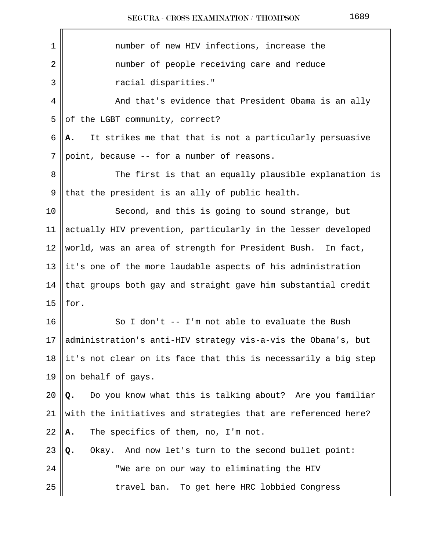| 1  | number of new HIV infections, increase the                     |
|----|----------------------------------------------------------------|
| 2  | number of people receiving care and reduce                     |
| 3  | racial disparities."                                           |
| 4  | And that's evidence that President Obama is an ally            |
| 5  | of the LGBT community, correct?                                |
| 6  | It strikes me that that is not a particularly persuasive<br>Α. |
| 7  | point, because -- for a number of reasons.                     |
| 8  | The first is that an equally plausible explanation is          |
| 9  | that the president is an ally of public health.                |
| 10 | Second, and this is going to sound strange, but                |
| 11 | actually HIV prevention, particularly in the lesser developed  |
| 12 | world, was an area of strength for President Bush.<br>In fact, |
| 13 | it's one of the more laudable aspects of his administration    |
| 14 | that groups both gay and straight gave him substantial credit  |
| 15 | for.                                                           |
| 16 | So I don't -- I'm not able to evaluate the Bush                |
| 17 | administration's anti-HIV strategy vis-a-vis the Obama's, but  |
| 18 | it's not clear on its face that this is necessarily a big step |
| 19 | on behalf of gays.                                             |
| 20 | Do you know what this is talking about? Are you familiar<br>Q. |
| 21 | with the initiatives and strategies that are referenced here?  |
| 22 | The specifics of them, no, I'm not.<br>Α.                      |
| 23 | Okay. And now let's turn to the second bullet point:<br>Q.     |
| 24 | "We are on our way to eliminating the HIV                      |
| 25 | To get here HRC lobbied Congress<br>travel ban.                |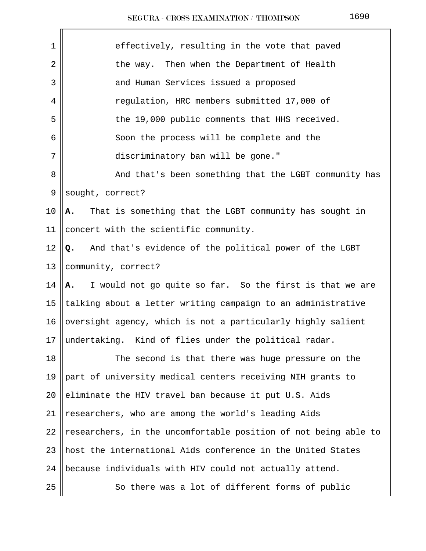| SEGURA - CROSS EXAMINATION / THOMPSON |  | 1690 |
|---------------------------------------|--|------|
|---------------------------------------|--|------|

| 1       | effectively, resulting in the vote that paved                   |
|---------|-----------------------------------------------------------------|
| 2       | the way. Then when the Department of Health                     |
| 3       | and Human Services issued a proposed                            |
| 4       | regulation, HRC members submitted 17,000 of                     |
| 5       | the 19,000 public comments that HHS received.                   |
| 6       | Soon the process will be complete and the                       |
| 7       | discriminatory ban will be gone."                               |
| 8       | And that's been something that the LGBT community has           |
| 9       | sought, correct?                                                |
| 10      | That is something that the LGBT community has sought in<br>А.   |
| 11      | concert with the scientific community.                          |
| 12      | And that's evidence of the political power of the LGBT<br>Q.    |
| 13      | community, correct?                                             |
| 14      | I would not go quite so far. So the first is that we are<br>A., |
| 15      | talking about a letter writing campaign to an administrative    |
| 16      | oversight agency, which is not a particularly highly salient    |
| $17 \,$ | undertaking. Kind of flies under the political radar.           |
| 18      | The second is that there was huge pressure on the               |
| 19      | part of university medical centers receiving NIH grants to      |
| 20      | eliminate the HIV travel ban because it put U.S. Aids           |
| 21      | researchers, who are among the world's leading Aids             |
| 22      | researchers, in the uncomfortable position of not being able to |
| 23      | host the international Aids conference in the United States     |
| 24      | because individuals with HIV could not actually attend.         |
| 25      | So there was a lot of different forms of public                 |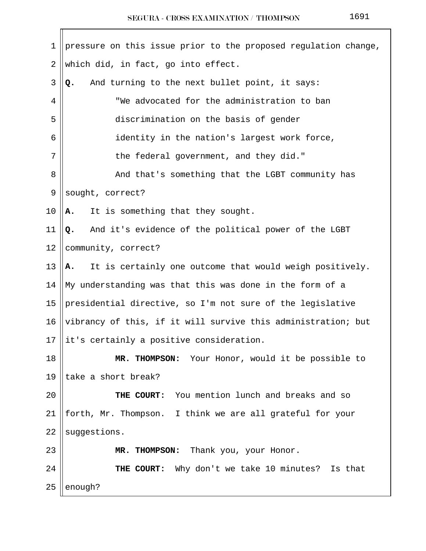| 1              | pressure on this issue prior to the proposed regulation change, |
|----------------|-----------------------------------------------------------------|
| $\overline{2}$ | which did, in fact, go into effect.                             |
| $\mathfrak{Z}$ | And turning to the next bullet point, it says:<br>Q.            |
| 4              | "We advocated for the administration to ban                     |
| 5              | discrimination on the basis of gender                           |
| 6              | identity in the nation's largest work force,                    |
| 7              | the federal government, and they did."                          |
| 8              | And that's something that the LGBT community has                |
| 9              | sought, correct?                                                |
| 10             | It is something that they sought.<br>Α.                         |
| 11             | And it's evidence of the political power of the LGBT<br>Q.      |
| 12             | community, correct?                                             |
| 13             | It is certainly one outcome that would weigh positively.<br>A.  |
| 14             | My understanding was that this was done in the form of a        |
| 15             | presidential directive, so I'm not sure of the legislative      |
| 16             | vibrancy of this, if it will survive this administration; but   |
| 17             | it's certainly a positive consideration.                        |
| 18             | MR. THOMPSON: Your Honor, would it be possible to               |
| 19             | take a short break?                                             |
| 20             | You mention lunch and breaks and so<br>THE COURT:               |
| 21             | forth, Mr. Thompson. I think we are all grateful for your       |
| 22             | suggestions.                                                    |
| 23             | Thank you, your Honor.<br>MR. THOMPSON:                         |
| 24             | THE COURT: Why don't we take 10 minutes? Is that                |
| 25             | enough?                                                         |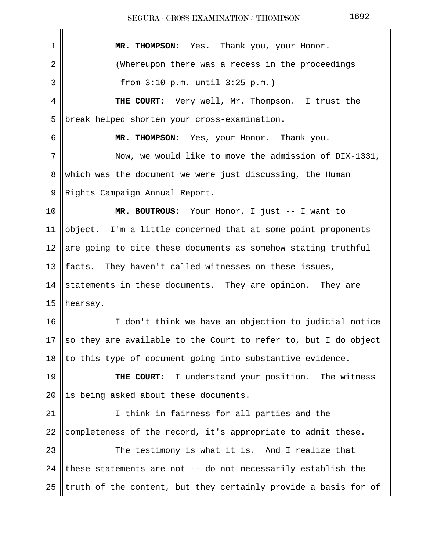| 1  | MR. THOMPSON: Yes. Thank you, your Honor.                                      |
|----|--------------------------------------------------------------------------------|
| 2  | (Whereupon there was a recess in the proceedings                               |
| 3  | from $3:10$ p.m. until $3:25$ p.m.)                                            |
| 4  | THE COURT: Very well, Mr. Thompson. I trust the                                |
| 5  | break helped shorten your cross-examination.                                   |
| 6  | MR. THOMPSON: Yes, your Honor. Thank you.                                      |
| 7  | Now, we would like to move the admission of DIX-1331,                          |
| 8  | which was the document we were just discussing, the Human                      |
| 9  | Rights Campaign Annual Report.                                                 |
| 10 | MR. BOUTROUS: Your Honor, I just -- I want to                                  |
| 11 | object. I'm a little concerned that at some point proponents                   |
| 12 | are going to cite these documents as somehow stating truthful                  |
| 13 | facts. They haven't called witnesses on these issues,                          |
| 14 | statements in these documents. They are opinion. They are                      |
| 15 | hearsay.                                                                       |
| 16 | I don't think we have an objection to judicial notice                          |
|    | 17 $\parallel$ so they are available to the Court to refer to, but I do object |
| 18 | to this type of document going into substantive evidence.                      |
| 19 | THE COURT: I understand your position. The witness                             |
| 20 | is being asked about these documents.                                          |
| 21 | I think in fairness for all parties and the                                    |
| 22 | completeness of the record, it's appropriate to admit these.                   |
| 23 | The testimony is what it is. And I realize that                                |
| 24 | these statements are not -- do not necessarily establish the                   |
| 25 | truth of the content, but they certainly provide a basis for of                |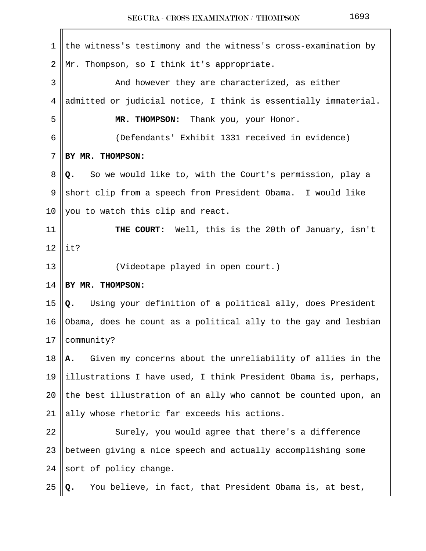| 1  | the witness's testimony and the witness's cross-examination by   |
|----|------------------------------------------------------------------|
| 2  | Mr. Thompson, so I think it's appropriate.                       |
| 3  | And however they are characterized, as either                    |
| 4  | admitted or judicial notice, I think is essentially immaterial.  |
| 5  | MR. THOMPSON: Thank you, your Honor.                             |
| 6  | (Defendants' Exhibit 1331 received in evidence)                  |
| 7  | BY MR. THOMPSON:                                                 |
| 8  | So we would like to, with the Court's permission, play a<br>Q.   |
| 9  | short clip from a speech from President Obama. I would like      |
| 10 | you to watch this clip and react.                                |
| 11 | THE COURT: Well, this is the 20th of January, isn't              |
| 12 | it?                                                              |
| 13 | (Videotape played in open court.)                                |
| 14 | BY MR. THOMPSON:                                                 |
| 15 | Using your definition of a political ally, does President<br>Q.  |
| 16 | Obama, does he count as a political ally to the gay and lesbian  |
| 17 | community?                                                       |
| 18 | Given my concerns about the unreliability of allies in the<br>Α. |
| 19 | illustrations I have used, I think President Obama is, perhaps,  |
| 20 | the best illustration of an ally who cannot be counted upon, an  |
| 21 | ally whose rhetoric far exceeds his actions.                     |
| 22 | Surely, you would agree that there's a difference                |
| 23 | between giving a nice speech and actually accomplishing some     |
| 24 | sort of policy change.                                           |
| 25 | You believe, in fact, that President Obama is, at best,<br>Q.    |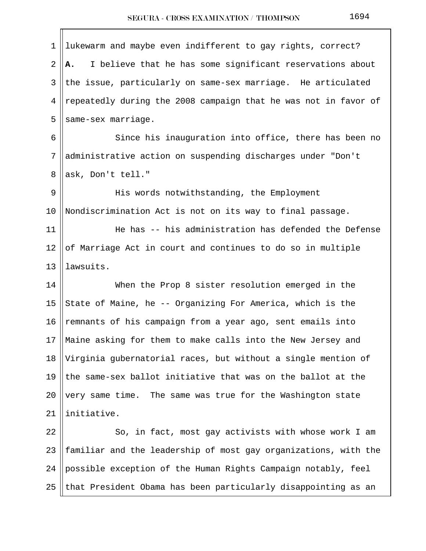| $\mathbf 1$ | lukewarm and maybe even indifferent to gay rights, correct?     |
|-------------|-----------------------------------------------------------------|
| 2           | I believe that he has some significant reservations about<br>Α. |
| 3           | the issue, particularly on same-sex marriage. He articulated    |
| 4           | repeatedly during the 2008 campaign that he was not in favor of |
| 5           | same-sex marriage.                                              |
| 6           | Since his inauguration into office, there has been no           |
| 7           | administrative action on suspending discharges under "Don't     |
| 8           | ask, Don't tell."                                               |
| 9           | His words notwithstanding, the Employment                       |
| 10          | Nondiscrimination Act is not on its way to final passage.       |
| 11          | He has -- his administration has defended the Defense           |
| 12          | of Marriage Act in court and continues to do so in multiple     |
| 13          | lawsuits.                                                       |
| 14          | When the Prop 8 sister resolution emerged in the                |
| 15          | State of Maine, he -- Organizing For America, which is the      |
| 16          | remnants of his campaign from a year ago, sent emails into      |
| 17          | Maine asking for them to make calls into the New Jersey and     |
| 18          | Virginia gubernatorial races, but without a single mention of   |
| 19          | the same-sex ballot initiative that was on the ballot at the    |
| 20          | very same time. The same was true for the Washington state      |
| 21          | initiative.                                                     |
| 22          | So, in fact, most gay activists with whose work I am            |
| 23          | familiar and the leadership of most gay organizations, with the |
| 24          | possible exception of the Human Rights Campaign notably, feel   |
| 25          | that President Obama has been particularly disappointing as an  |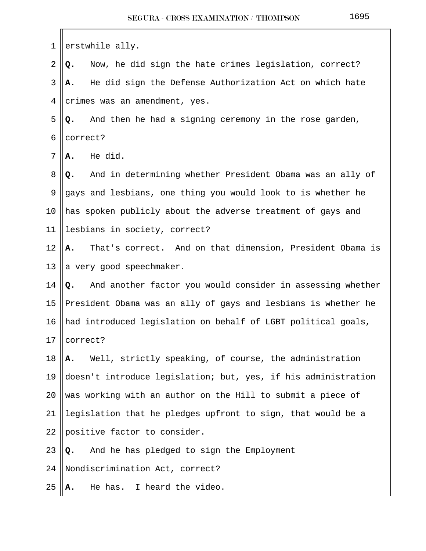| 1  | erstwhile ally.                                                  |
|----|------------------------------------------------------------------|
| 2  | Now, he did sign the hate crimes legislation, correct?<br>Q.     |
| 3  | He did sign the Defense Authorization Act on which hate<br>А.    |
| 4  | crimes was an amendment, yes.                                    |
| 5  | And then he had a signing ceremony in the rose garden,<br>Q.     |
| 6  | correct?                                                         |
| 7  | He did.<br>А.                                                    |
| 8  | And in determining whether President Obama was an ally of<br>Q.  |
| 9  | gays and lesbians, one thing you would look to is whether he     |
| 10 | has spoken publicly about the adverse treatment of gays and      |
| 11 | lesbians in society, correct?                                    |
| 12 | That's correct. And on that dimension, President Obama is<br>Α.  |
| 13 | a very good speechmaker.                                         |
| 14 | And another factor you would consider in assessing whether<br>Q. |
| 15 | President Obama was an ally of gays and lesbians is whether he   |
| 16 | had introduced legislation on behalf of LGBT political goals,    |
| 17 | correct?                                                         |
| 18 | Well, strictly speaking, of course, the administration<br>Α.     |
| 19 | doesn't introduce legislation; but, yes, if his administration   |
| 20 | was working with an author on the Hill to submit a piece of      |
| 21 | legislation that he pledges upfront to sign, that would be a     |
| 22 | positive factor to consider.                                     |
| 23 | And he has pledged to sign the Employment<br>Q.                  |
| 24 | Nondiscrimination Act, correct?                                  |
| 25 | He has.<br>I heard the video.<br>А.                              |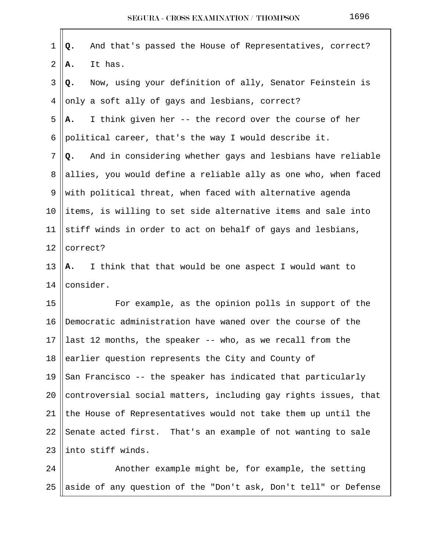| $\mathbf 1$    | And that's passed the House of Representatives, correct?<br>Q.   |  |
|----------------|------------------------------------------------------------------|--|
| $\overline{2}$ | It has.<br>Α.                                                    |  |
| 3              | Now, using your definition of ally, Senator Feinstein is<br>Q.   |  |
| 4              | only a soft ally of gays and lesbians, correct?                  |  |
| 5              | I think given her -- the record over the course of her<br>Α.     |  |
| 6              | political career, that's the way I would describe it.            |  |
| 7              | And in considering whether gays and lesbians have reliable<br>Q. |  |
| 8              | allies, you would define a reliable ally as one who, when faced  |  |
| 9              | with political threat, when faced with alternative agenda        |  |
| 10             | items, is willing to set side alternative items and sale into    |  |
| 11             | stiff winds in order to act on behalf of gays and lesbians,      |  |
| 12             | correct?                                                         |  |
| 13             | I think that that would be one aspect I would want to<br>Α.      |  |
| 14             | consider.                                                        |  |
| 15             | For example, as the opinion polls in support of the              |  |
| 16             | Democratic administration have waned over the course of the      |  |
| 17             | last 12 months, the speaker -- who, as we recall from the        |  |
| 18             | earlier question represents the City and County of               |  |
| 19             | San Francisco -- the speaker has indicated that particularly     |  |
| 20             | controversial social matters, including gay rights issues, that  |  |
| 21             | the House of Representatives would not take them up until the    |  |
| 22             | Senate acted first. That's an example of not wanting to sale     |  |
| 23             | into stiff winds.                                                |  |
| 24             | Another example might be, for example, the setting               |  |
| 25             | aside of any question of the "Don't ask, Don't tell" or Defense  |  |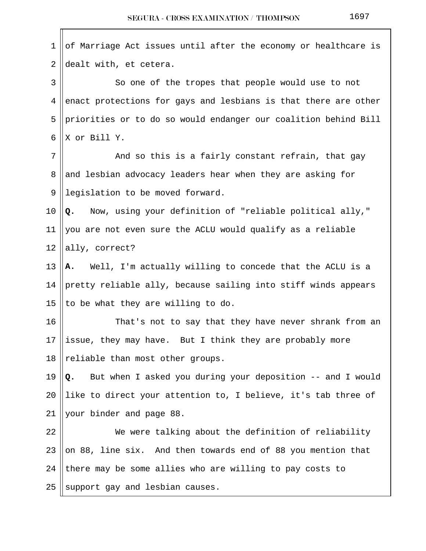| 1  | of Marriage Act issues until after the economy or healthcare is  |
|----|------------------------------------------------------------------|
| 2  | dealt with, et cetera.                                           |
| 3  | So one of the tropes that people would use to not                |
| 4  | enact protections for gays and lesbians is that there are other  |
| 5  | priorities or to do so would endanger our coalition behind Bill  |
| 6  | X or Bill Y.                                                     |
| 7  | And so this is a fairly constant refrain, that gay               |
| 8  | and lesbian advocacy leaders hear when they are asking for       |
| 9  | legislation to be moved forward.                                 |
| 10 | Q. Now, using your definition of "reliable political ally,"      |
| 11 | you are not even sure the ACLU would qualify as a reliable       |
| 12 | ally, correct?                                                   |
| 13 | A. Well, I'm actually willing to concede that the ACLU is a      |
| 14 | pretty reliable ally, because sailing into stiff winds appears   |
| 15 | to be what they are willing to do.                               |
| 16 | That's not to say that they have never shrank from an            |
| 17 | issue, they may have. But I think they are probably more         |
| 18 | reliable than most other groups.                                 |
| 19 | But when I asked you during your deposition -- and I would<br>Q. |
| 20 | like to direct your attention to, I believe, it's tab three of   |
| 21 | your binder and page 88.                                         |
| 22 | We were talking about the definition of reliability              |
| 23 | on 88, line six. And then towards end of 88 you mention that     |
| 24 | there may be some allies who are willing to pay costs to         |
| 25 | support gay and lesbian causes.                                  |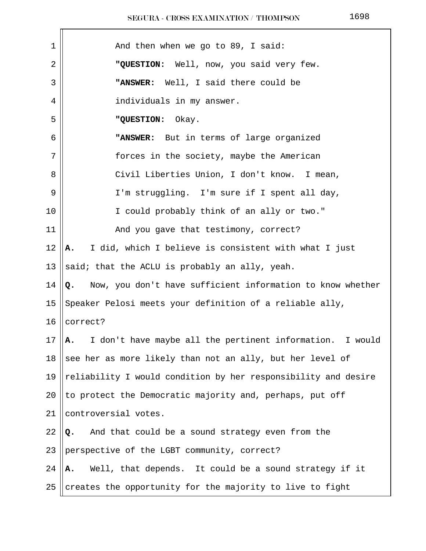| 1  | And then when we go to 89, I said:                               |
|----|------------------------------------------------------------------|
| 2  | "QUESTION: Well, now, you said very few.                         |
| 3  | "ANSWER: Well, I said there could be                             |
| 4  | individuals in my answer.                                        |
| 5  | "QUESTION:<br>Okay.                                              |
| 6  | "ANSWER: But in terms of large organized                         |
| 7  | forces in the society, maybe the American                        |
| 8  | Civil Liberties Union, I don't know. I mean,                     |
| 9  | I'm struggling. I'm sure if I spent all day,                     |
| 10 | I could probably think of an ally or two."                       |
| 11 | And you gave that testimony, correct?                            |
| 12 | I did, which I believe is consistent with what I just<br>Α.      |
| 13 | said; that the ACLU is probably an ally, yeah.                   |
| 14 | Now, you don't have sufficient information to know whether<br>Q. |
| 15 | Speaker Pelosi meets your definition of a reliable ally,         |
| 16 | correct?                                                         |
| 17 | I don't have maybe all the pertinent information. I would<br>Α.  |
| 18 | see her as more likely than not an ally, but her level of        |
| 19 | reliability I would condition by her responsibility and desire   |
| 20 | to protect the Democratic majority and, perhaps, put off         |
| 21 | controversial votes.                                             |
| 22 | And that could be a sound strategy even from the<br>Q.           |
| 23 | perspective of the LGBT community, correct?                      |
| 24 | Well, that depends. It could be a sound strategy if it<br>Α.     |
| 25 | creates the opportunity for the majority to live to fight        |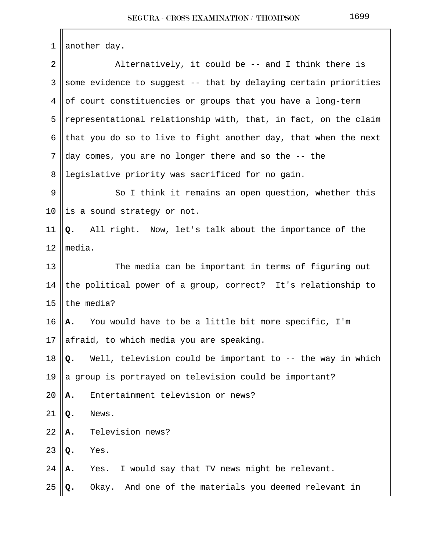| 1  | another day.                                                     |  |  |
|----|------------------------------------------------------------------|--|--|
| 2  | Alternatively, it could be -- and I think there is               |  |  |
| 3  | some evidence to suggest -- that by delaying certain priorities  |  |  |
| 4  | of court constituencies or groups that you have a long-term      |  |  |
| 5  | representational relationship with, that, in fact, on the claim  |  |  |
| 6  | that you do so to live to fight another day, that when the next  |  |  |
| 7  | day comes, you are no longer there and so the -- the             |  |  |
| 8  | legislative priority was sacrificed for no gain.                 |  |  |
| 9  | So I think it remains an open question, whether this             |  |  |
| 10 | is a sound strategy or not.                                      |  |  |
| 11 | All right. Now, let's talk about the importance of the<br>Q.     |  |  |
| 12 | media.                                                           |  |  |
| 13 | The media can be important in terms of figuring out              |  |  |
| 14 | the political power of a group, correct? It's relationship to    |  |  |
| 15 | the media?                                                       |  |  |
| 16 | Α.<br>You would have to be a little bit more specific, I'm       |  |  |
| 17 | afraid, to which media you are speaking.                         |  |  |
| 18 | Well, television could be important to -- the way in which<br>Q. |  |  |
| 19 | a group is portrayed on television could be important?           |  |  |
| 20 | Entertainment television or news?<br>А.                          |  |  |
| 21 | News.<br>Q.                                                      |  |  |
| 22 | Television news?<br>Α.                                           |  |  |
| 23 | Yes.<br>Q.                                                       |  |  |
| 24 | I would say that TV news might be relevant.<br>Yes.<br>Α.        |  |  |
| 25 | Okay. And one of the materials you deemed relevant in<br>Q.      |  |  |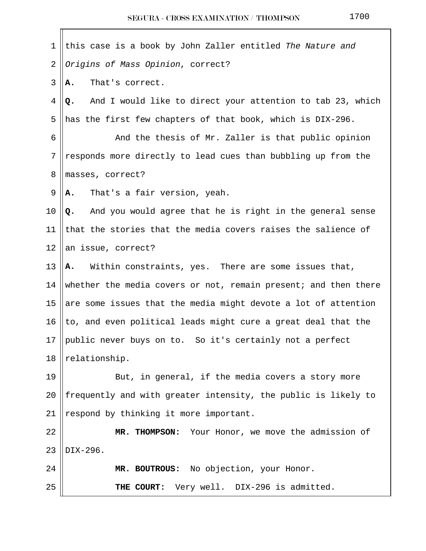| 1              | this case is a book by John Zaller entitled The Nature and       |
|----------------|------------------------------------------------------------------|
| $\overline{2}$ | Origins of Mass Opinion, correct?                                |
| 3              | That's correct.<br>А.                                            |
| 4              | And I would like to direct your attention to tab 23, which<br>Q. |
| 5              | has the first few chapters of that book, which is DIX-296.       |
| 6              | And the thesis of Mr. Zaller is that public opinion              |
| 7              | responds more directly to lead cues than bubbling up from the    |
| 8              | masses, correct?                                                 |
| 9              | That's a fair version, yeah.<br>А.                               |
| 10             | Q. And you would agree that he is right in the general sense     |
| 11             | that the stories that the media covers raises the salience of    |
| 12             | an issue, correct?                                               |
| 13             | A. Within constraints, yes. There are some issues that,          |
| 14             | whether the media covers or not, remain present; and then there  |
| 15             | are some issues that the media might devote a lot of attention   |
| 16             | to, and even political leads might cure a great deal that the    |
| 17             | public never buys on to. So it's certainly not a perfect         |
| 18             | relationship.                                                    |
| 19             | But, in general, if the media covers a story more                |
| 20             | frequently and with greater intensity, the public is likely to   |
| 21             | respond by thinking it more important.                           |
| 22             | MR. THOMPSON: Your Honor, we move the admission of               |
| 23             | DIX-296.                                                         |
| 24             | MR. BOUTROUS: No objection, your Honor.                          |
| 25             | THE COURT: Very well. DIX-296 is admitted.                       |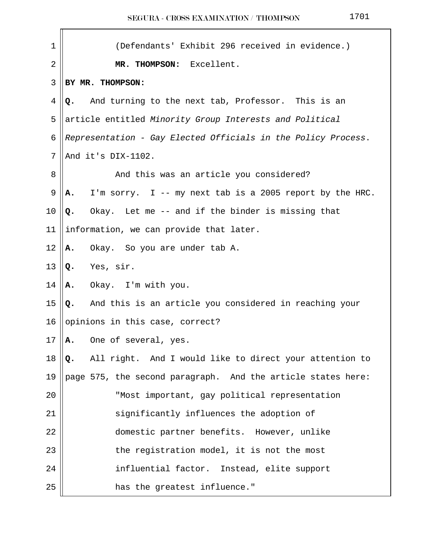| $\mathbf 1$ | (Defendants' Exhibit 296 received in evidence.)                |  |  |
|-------------|----------------------------------------------------------------|--|--|
| 2           | MR. THOMPSON: Excellent.                                       |  |  |
| 3           | BY MR. THOMPSON:                                               |  |  |
| 4           | And turning to the next tab, Professor. This is an<br>Q.       |  |  |
| 5           | article entitled Minority Group Interests and Political        |  |  |
| 6           | Representation - Gay Elected Officials in the Policy Process.  |  |  |
| 7           | And it's DIX-1102.                                             |  |  |
| 8           | And this was an article you considered?                        |  |  |
| 9           | I'm sorry. I -- my next tab is a 2005 report by the HRC.<br>Α. |  |  |
| 10          | Okay. Let me -- and if the binder is missing that<br>Q.        |  |  |
| 11          | information, we can provide that later.                        |  |  |
| 12          | Okay. So you are under tab A.<br>Α.                            |  |  |
| 13          | Yes, sir.<br>Q.                                                |  |  |
| 14          | Okay. I'm with you.<br>Α.                                      |  |  |
| 15          | And this is an article you considered in reaching your<br>Q.   |  |  |
| 16          | opinions in this case, correct?                                |  |  |
| 17          | One of several, yes.<br>А.                                     |  |  |
| 18          | All right. And I would like to direct your attention to<br>Q.  |  |  |
| 19          | page 575, the second paragraph. And the article states here:   |  |  |
| 20          | "Most important, gay political representation                  |  |  |
| 21          | significantly influences the adoption of                       |  |  |
| 22          | domestic partner benefits. However, unlike                     |  |  |
| 23          | the registration model, it is not the most                     |  |  |
| 24          | influential factor. Instead, elite support                     |  |  |
| 25          | has the greatest influence."                                   |  |  |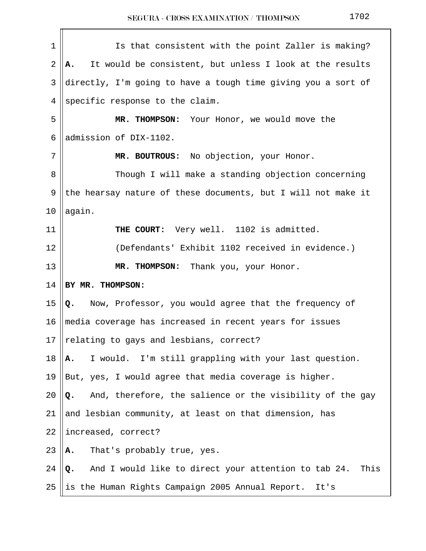| $\mathbf 1$ | Is that consistent with the point Zaller is making?                |  |  |
|-------------|--------------------------------------------------------------------|--|--|
| $\sqrt{2}$  | It would be consistent, but unless I look at the results<br>Α.     |  |  |
| 3           | directly, I'm going to have a tough time giving you a sort of      |  |  |
| 4           | specific response to the claim.                                    |  |  |
| 5           | MR. THOMPSON: Your Honor, we would move the                        |  |  |
| 6           | admission of DIX-1102.                                             |  |  |
| 7           | MR. BOUTROUS: No objection, your Honor.                            |  |  |
| 8           | Though I will make a standing objection concerning                 |  |  |
| 9           | the hearsay nature of these documents, but I will not make it      |  |  |
| 10          | again.                                                             |  |  |
| 11          | THE COURT: Very well. 1102 is admitted.                            |  |  |
| 12          | (Defendants' Exhibit 1102 received in evidence.)                   |  |  |
| 13          | MR. THOMPSON: Thank you, your Honor.                               |  |  |
| 14          | BY MR. THOMPSON:                                                   |  |  |
| 15          | Now, Professor, you would agree that the frequency of<br>Q.        |  |  |
| 16          | media coverage has increased in recent years for issues            |  |  |
| 17          | relating to gays and lesbians, correct?                            |  |  |
| 18          | I would. I'm still grappling with your last question.<br>Α.        |  |  |
| 19          | But, yes, I would agree that media coverage is higher.             |  |  |
| 20          | And, therefore, the salience or the visibility of the gay<br>Q.    |  |  |
| 21          | and lesbian community, at least on that dimension, has             |  |  |
| 22          | increased, correct?                                                |  |  |
| 23          | That's probably true, yes.<br>Α.                                   |  |  |
| 24          | And I would like to direct your attention to tab 24.<br>This<br>Q. |  |  |
| 25          | is the Human Rights Campaign 2005 Annual Report.<br>It's           |  |  |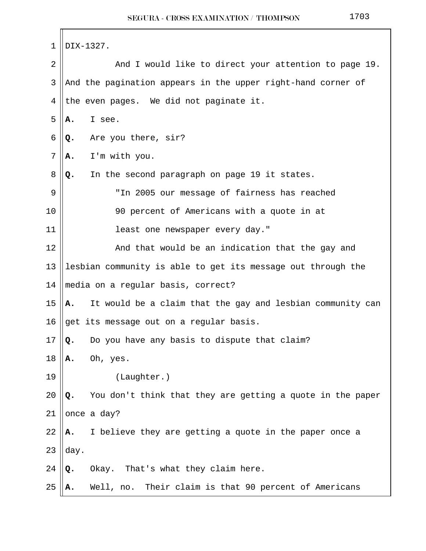| 1            | DIX-1327.                                                        |
|--------------|------------------------------------------------------------------|
| 2            | And I would like to direct your attention to page 19.            |
| $\mathbf{3}$ | And the pagination appears in the upper right-hand corner of     |
| 4            | the even pages. We did not paginate it.                          |
| 5            | I see.<br>А.                                                     |
| 6            | Are you there, sir?<br>Q.                                        |
| 7            | I'm with you.<br>Α.                                              |
| 8            | In the second paragraph on page 19 it states.<br>Q.              |
| 9            | "In 2005 our message of fairness has reached                     |
| 10           | 90 percent of Americans with a quote in at                       |
| 11           | least one newspaper every day."                                  |
| 12           | And that would be an indication that the gay and                 |
| 13           | lesbian community is able to get its message out through the     |
| 14           | media on a regular basis, correct?                               |
| 15           | It would be a claim that the gay and lesbian community can<br>А. |
| 16           | get its message out on a regular basis.                          |
| 17           | Do you have any basis to dispute that claim?<br>$\mathsf{o}$ .   |
| 18           | Oh, yes.<br>А.                                                   |
| 19           | (Laughter.)                                                      |
| 20           | You don't think that they are getting a quote in the paper<br>Q. |
| 21           | once a day?                                                      |
| 22           | I believe they are getting a quote in the paper once a<br>А.     |
| 23           | day.                                                             |
| 24           | Okay. That's what they claim here.<br>Q.                         |
| 25           | Well, no. Their claim is that 90 percent of Americans<br>Α.      |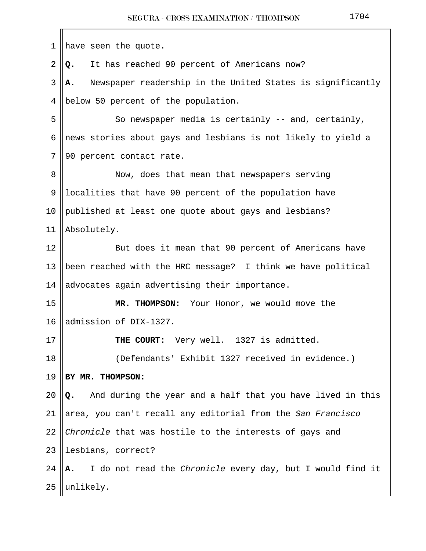| 1              | have seen the quote.                                             |
|----------------|------------------------------------------------------------------|
| $\overline{2}$ | It has reached 90 percent of Americans now?<br>Q.                |
| 3              | Newspaper readership in the United States is significantly<br>А. |
| 4              | below 50 percent of the population.                              |
| 5              | So newspaper media is certainly -- and, certainly,               |
| 6              | news stories about gays and lesbians is not likely to yield a    |
| 7              | 90 percent contact rate.                                         |
| 8              | Now, does that mean that newspapers serving                      |
| 9              | localities that have 90 percent of the population have           |
| 10             | published at least one quote about gays and lesbians?            |
| 11             | Absolutely.                                                      |
| 12             | But does it mean that 90 percent of Americans have               |
| 13             | been reached with the HRC message? I think we have political     |
| 14             | advocates again advertising their importance.                    |
| 15             | MR. THOMPSON: Your Honor, we would move the                      |
| 16             | admission of DIX-1327.                                           |
| 17             | THE COURT: Very well. 1327 is admitted.                          |
| 18             | (Defendants' Exhibit 1327 received in evidence.)                 |
| 19             | BY MR. THOMPSON:                                                 |
| 20             | And during the year and a half that you have lived in this<br>Q. |
| 21             | area, you can't recall any editorial from the San Francisco      |
| 22             | Chronicle that was hostile to the interests of gays and          |
| 23             | lesbians, correct?                                               |
| 24             | I do not read the Chronicle every day, but I would find it<br>А. |
| 25             | unlikely.                                                        |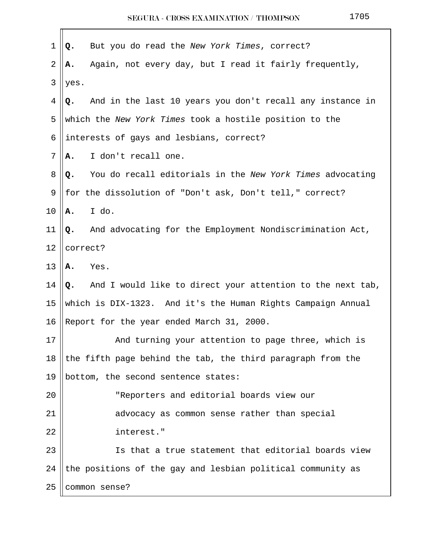| $\mathbf 1$    | But you do read the New York Times, correct?<br>Q.              |  |
|----------------|-----------------------------------------------------------------|--|
| $\overline{2}$ | Again, not every day, but I read it fairly frequently,<br>А.    |  |
| 3              | yes.                                                            |  |
| 4              | And in the last 10 years you don't recall any instance in<br>Q. |  |
| 5              | which the New York Times took a hostile position to the         |  |
| 6              | interests of gays and lesbians, correct?                        |  |
| 7              | I don't recall one.<br>А.                                       |  |
| 8              | You do recall editorials in the New York Times advocating<br>Q. |  |
| 9              | for the dissolution of "Don't ask, Don't tell," correct?        |  |
| 10             | I do.<br>Α.                                                     |  |
| 11             | And advocating for the Employment Nondiscrimination Act,<br>Q.  |  |
| 12             | correct?                                                        |  |
| 13             | Yes.<br>Α.                                                      |  |
| 14             | Q. And I would like to direct your attention to the next tab,   |  |
| 15             | which is DIX-1323. And it's the Human Rights Campaign Annual    |  |
| 16             | Report for the year ended March 31, 2000.                       |  |
| 17             | And turning your attention to page three, which is              |  |
| 18             | the fifth page behind the tab, the third paragraph from the     |  |
| 19             | bottom, the second sentence states:                             |  |
| 20             | "Reporters and editorial boards view our                        |  |
| 21             | advocacy as common sense rather than special                    |  |
| 22             | interest."                                                      |  |
| 23             | Is that a true statement that editorial boards view             |  |
| 24             | the positions of the gay and lesbian political community as     |  |
| 25             | common sense?                                                   |  |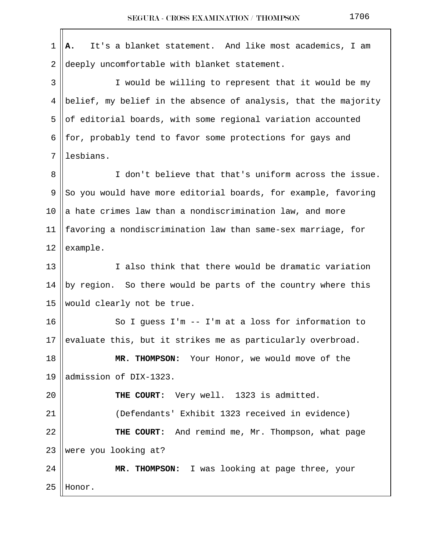$1 \parallel A$ . It's a blanket statement. And like most academics, I am 2 deeply uncomfortable with blanket statement. 3 || I would be willing to represent that it would be my 4 ||belief, my belief in the absence of analysis, that the majority  $5 \parallel$  of editorial boards, with some regional variation accounted 6 || for, probably tend to favor some protections for gays and 7 lesbians. 8 || T don't believe that that's uniform across the issue. 9 So you would have more editorial boards, for example, favoring 10  $\parallel$  a hate crimes law than a nondiscrimination law, and more 11  $\parallel$  favoring a nondiscrimination law than same-sex marriage, for 12  $|$  example. 13 I also think that there would be dramatic variation 14  $\parallel$  by region. So there would be parts of the country where this 15 || would clearly not be true.  $16$  So I quess I'm -- I'm at a loss for information to 17 evaluate this, but it strikes me as particularly overbroad. 18 **MR. THOMPSON:** Your Honor, we would move of the 19 ||admission of DIX-1323. 20 **THE COURT:** Very well. 1323 is admitted. 21 (Defendants' Exhibit 1323 received in evidence) 22 **THE COURT:** And remind me, Mr. Thompson, what page  $23$  were you looking at? 24 **MR. THOMPSON:** I was looking at page three, your  $25$  | Honor.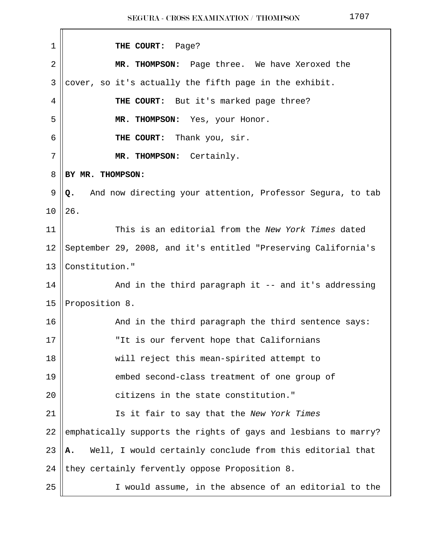| 1              | THE COURT: Page?                                                 |
|----------------|------------------------------------------------------------------|
| $\overline{2}$ | MR. THOMPSON: Page three. We have Xeroxed the                    |
| 3              | cover, so it's actually the fifth page in the exhibit.           |
| 4              | THE COURT: But it's marked page three?                           |
| 5              | MR. THOMPSON: Yes, your Honor.                                   |
| 6              | THE COURT: Thank you, sir.                                       |
| 7              | MR. THOMPSON: Certainly.                                         |
| 8              | BY MR. THOMPSON:                                                 |
| 9              | And now directing your attention, Professor Segura, to tab<br>Q. |
| 10             | 26.                                                              |
| 11             | This is an editorial from the New York Times dated               |
| 12             | September 29, 2008, and it's entitled "Preserving California's   |
| 13             | Constitution."                                                   |
| 14             | And in the third paragraph it -- and it's addressing             |
| 15             | Proposition 8.                                                   |
| 16             | And in the third paragraph the third sentence says:              |
| $17\,$         | "It is our fervent hope that Californians                        |
| 18             | will reject this mean-spirited attempt to                        |
| 19             | embed second-class treatment of one group of                     |
| 20             | citizens in the state constitution."                             |
| 21             | Is it fair to say that the New York Times                        |
| 22             | emphatically supports the rights of gays and lesbians to marry?  |
| 23             | Well, I would certainly conclude from this editorial that<br>Α.  |
| 24             | they certainly fervently oppose Proposition 8.                   |
| 25             | I would assume, in the absence of an editorial to the            |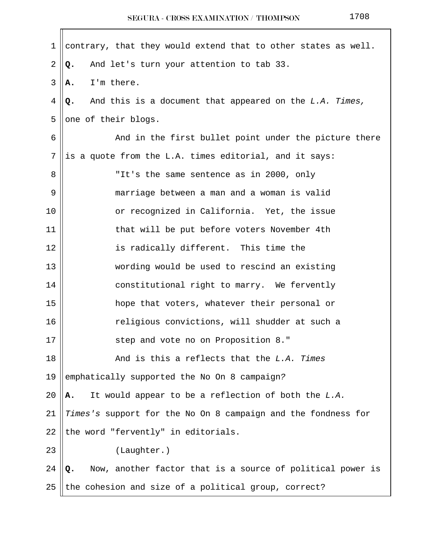|--|--|--|--|

| contrary, that they would extend that to other states as well.   |
|------------------------------------------------------------------|
| And let's turn your attention to tab 33.<br>Q.                   |
| I'm there.<br>А.                                                 |
| And this is a document that appeared on the L.A. Times,<br>Q.    |
| one of their blogs.                                              |
| And in the first bullet point under the picture there            |
| is a quote from the L.A. times editorial, and it says:           |
| "It's the same sentence as in 2000, only                         |
| marriage between a man and a woman is valid                      |
| or recognized in California. Yet, the issue                      |
| that will be put before voters November 4th                      |
| is radically different. This time the                            |
| wording would be used to rescind an existing                     |
| constitutional right to marry. We fervently                      |
| hope that voters, whatever their personal or                     |
| religious convictions, will shudder at such a                    |
| step and vote no on Proposition 8."                              |
| And is this a reflects that the L.A. Times                       |
| emphatically supported the No On 8 campaign?                     |
| It would appear to be a reflection of both the L.A.<br>Α.        |
| Times's support for the No On 8 campaign and the fondness for    |
| the word "fervently" in editorials.                              |
| (Laughter.)                                                      |
| Now, another factor that is a source of political power is<br>Q. |
| the cohesion and size of a political group, correct?             |
|                                                                  |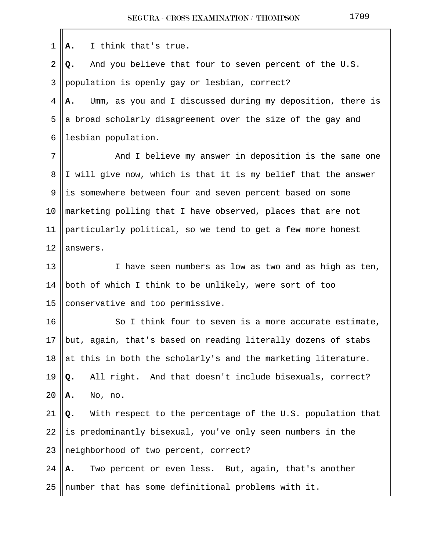$1 \parallel A$ . I think that's true. 2 **Q.** And you believe that four to seven percent of the U.S. 3 population is openly gay or lesbian, correct? 4 **A.** Umm, as you and I discussed during my deposition, there is 5 a broad scholarly disagreement over the size of the gay and 6 | lesbian population. 7 || And I believe my answer in deposition is the same one 8 I will give now, which is that it is my belief that the answer 9 is somewhere between four and seven percent based on some 10 marketing polling that I have observed, places that are not 11 particularly political, so we tend to get a few more honest 12 lanswers. 13 || I have seen numbers as low as two and as high as ten, 14 || both of which I think to be unlikely, were sort of too 15 conservative and too permissive. 16 || So I think four to seven is a more accurate estimate, 17  $\|$ but, again, that's based on reading literally dozens of stabs 18  $\parallel$  at this in both the scholarly's and the marketing literature. 19 **Q.** All right. And that doesn't include bisexuals, correct? 20 **A.** No, no. 21 **Q.** With respect to the percentage of the U.S. population that  $22$  ||is predominantly bisexual, you've only seen numbers in the  $23$  || neighborhood of two percent, correct? 24 **A.** Two percent or even less. But, again, that's another 25 || number that has some definitional problems with it.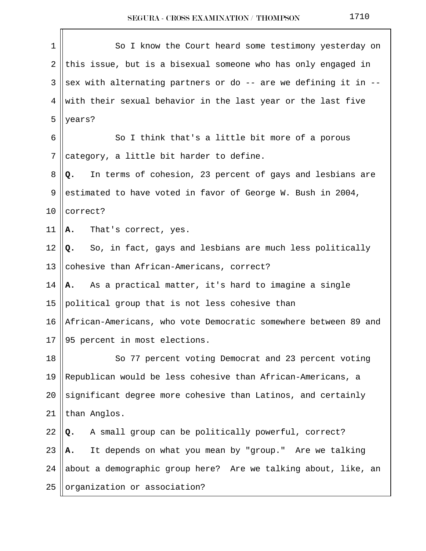| $\mathbf 1$ | So I know the Court heard some testimony yesterday on           |
|-------------|-----------------------------------------------------------------|
| 2           | this issue, but is a bisexual someone who has only engaged in   |
| 3           | sex with alternating partners or do -- are we defining it in -- |
| 4           | with their sexual behavior in the last year or the last five    |
| 5           | years?                                                          |
| 6           | So I think that's a little bit more of a porous                 |
| 7           | category, a little bit harder to define.                        |
| 8           | In terms of cohesion, 23 percent of gays and lesbians are<br>Q. |
| 9           | estimated to have voted in favor of George W. Bush in 2004,     |
| 10          | correct?                                                        |
| 11          | That's correct, yes.<br>Α.                                      |
| 12          | Q. So, in fact, gays and lesbians are much less politically     |
| 13          | cohesive than African-Americans, correct?                       |
| 14          | As a practical matter, it's hard to imagine a single<br>A.      |
| 15          | political group that is not less cohesive than                  |
| 16          | African-Americans, who vote Democratic somewhere between 89 and |
| 17          | 95 percent in most elections.                                   |
| 18          | So 77 percent voting Democrat and 23 percent voting             |
| 19          | Republican would be less cohesive than African-Americans, a     |
| 20          | significant degree more cohesive than Latinos, and certainly    |
| 21          | than Anglos.                                                    |
| 22          | A small group can be politically powerful, correct?<br>Q.       |
| 23          | It depends on what you mean by "group." Are we talking<br>Α.    |
| 24          | about a demographic group here? Are we talking about, like, an  |
| 25          | organization or association?                                    |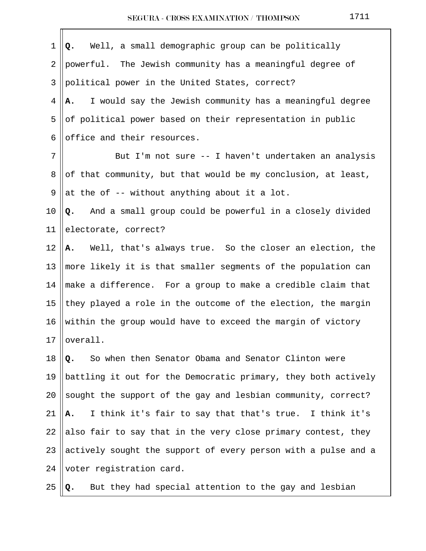| $\mathbf 1$ | Q. Well, a small demographic group can be politically          |
|-------------|----------------------------------------------------------------|
| 2           | powerful. The Jewish community has a meaningful degree of      |
| 3           | political power in the United States, correct?                 |
| 4           | I would say the Jewish community has a meaningful degree<br>Α. |
| 5           | of political power based on their representation in public     |
| 6           | office and their resources.                                    |
| 7           | But I'm not sure -- I haven't undertaken an analysis           |
| 8           | of that community, but that would be my conclusion, at least,  |
| 9           | at the of -- without anything about it a lot.                  |
| 10          | And a small group could be powerful in a closely divided<br>Q. |
| 11          | electorate, correct?                                           |
| 12          | A. Well, that's always true. So the closer an election, the    |
| 13          | more likely it is that smaller segments of the population can  |
| 14          | make a difference. For a group to make a credible claim that   |
| 15          | they played a role in the outcome of the election, the margin  |
| 16          | within the group would have to exceed the margin of victory    |
| 17          | overall.                                                       |
| 18          | So when then Senator Obama and Senator Clinton were<br>Q.      |
| 19          | battling it out for the Democratic primary, they both actively |
| 20          | sought the support of the gay and lesbian community, correct?  |
| 21          | I think it's fair to say that that's true. I think it's<br>Α.  |
| 22          | also fair to say that in the very close primary contest, they  |
| 23          | actively sought the support of every person with a pulse and a |
| 24          | voter registration card.                                       |
| 25          | But they had special attention to the gay and lesbian<br>Q.    |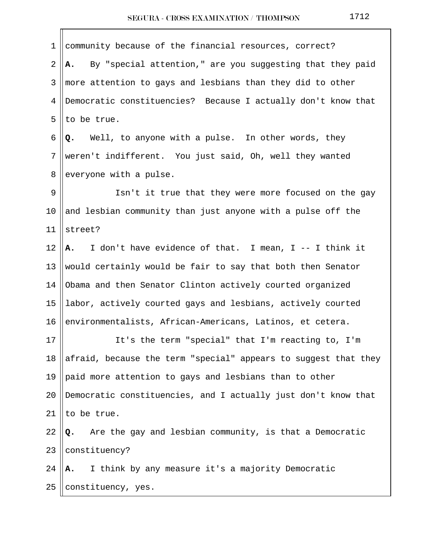| $\mathbf 1$    | community because of the financial resources, correct?          |
|----------------|-----------------------------------------------------------------|
| $\overline{2}$ | By "special attention," are you suggesting that they paid<br>A. |
| 3              | more attention to gays and lesbians than they did to other      |
| 4              | Democratic constituencies? Because I actually don't know that   |
| 5              | to be true.                                                     |
| 6              | Well, to anyone with a pulse. In other words, they<br>Q.        |
| $7\phantom{.}$ | weren't indifferent. You just said, Oh, well they wanted        |
| 8              | everyone with a pulse.                                          |
| 9              | Isn't it true that they were more focused on the gay            |
| 10             | and lesbian community than just anyone with a pulse off the     |
| 11             | street?                                                         |
| 12             | I don't have evidence of that. I mean, I -- I think it<br>A.    |
| 13             | would certainly would be fair to say that both then Senator     |
| 14             | Obama and then Senator Clinton actively courted organized       |
| 15             | labor, actively courted gays and lesbians, actively courted     |
| 16             | environmentalists, African-Americans, Latinos, et cetera.       |
| 17             | It's the term "special" that I'm reacting to, I'm               |
| 18             | afraid, because the term "special" appears to suggest that they |
| 19             | paid more attention to gays and lesbians than to other          |
| 20             | Democratic constituencies, and I actually just don't know that  |
| 21             | to be true.                                                     |
| 22             | Are the gay and lesbian community, is that a Democratic<br>Q.   |
| 23             | constituency?                                                   |
| 24             | I think by any measure it's a majority Democratic<br>А.         |
| 25             | constituency, yes.                                              |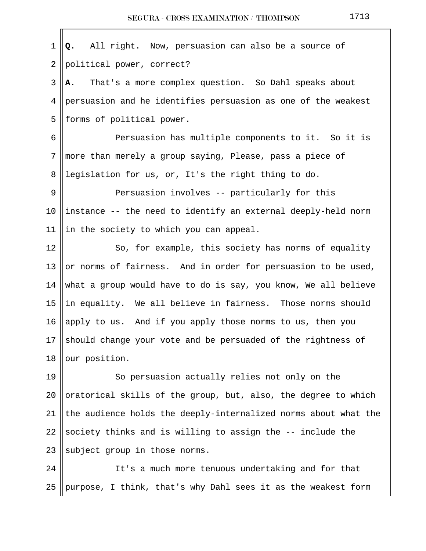1 **Q.** All right. Now, persuasion can also be a source of  $2$  | political power, correct? 3 **A.** That's a more complex question. So Dahl speaks about 4 persuasion and he identifies persuasion as one of the weakest  $5$  || forms of political power. 6 || Persuasion has multiple components to it. So it is 7 more than merely a group saying, Please, pass a piece of 8 || legislation for us, or, It's the right thing to do. 9 Persuasion involves -- particularly for this 10 ||instance  $-$ - the need to identify an external deeply-held norm 11 ||in the society to which you can appeal. 12 || So, for example, this society has norms of equality 13 || or norms of fairness. And in order for persuasion to be used, 14 what a group would have to do is say, you know, We all believe 15  $\parallel$  in equality. We all believe in fairness. Those norms should 16 apply to us. And if you apply those norms to us, then you 17 should change your vote and be persuaded of the rightness of  $18$  our position. 19 || So persuasion actually relies not only on the 20 ||oratorical skills of the group, but, also, the degree to which 21  $\parallel$  the audience holds the deeply-internalized norms about what the 22 Society thinks and is willing to assign the  $-$  include the 23  $\parallel$  subject group in those norms.

24 || It's a much more tenuous undertaking and for that 25 || purpose, I think, that's why Dahl sees it as the weakest form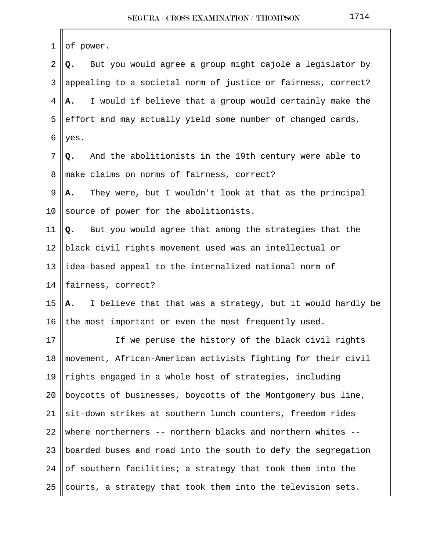| 1       | of power.                                                        |
|---------|------------------------------------------------------------------|
| 2       | But you would agree a group might cajole a legislator by<br>Q.   |
| 3       | appealing to a societal norm of justice or fairness, correct?    |
| 4       | I would if believe that a group would certainly make the<br>А.   |
| 5       | effort and may actually yield some number of changed cards,      |
| 6       | yes.                                                             |
| 7       | And the abolitionists in the 19th century were able to<br>Q.     |
| 8       | make claims on norms of fairness, correct?                       |
| 9       | They were, but I wouldn't look at that as the principal<br>Α.    |
| $10 \,$ | source of power for the abolitionists.                           |
| 11      | Q. But you would agree that among the strategies that the        |
| 12      | black civil rights movement used was an intellectual or          |
| 13      | idea-based appeal to the internalized national norm of           |
| 14      | fairness, correct?                                               |
| 15      | I believe that that was a strategy, but it would hardly be<br>А. |
| 16      | the most important or even the most frequently used.             |
| $17$    | If we peruse the history of the black civil rights               |
| 18      | movement, African-American activists fighting for their civil    |
| 19      | rights engaged in a whole host of strategies, including          |
| 20      | boycotts of businesses, boycotts of the Montgomery bus line,     |
| 21      | sit-down strikes at southern lunch counters, freedom rides       |
| 22      | where northerners -- northern blacks and northern whites --      |
| 23      | boarded buses and road into the south to defy the segregation    |
| 24      | of southern facilities; a strategy that took them into the       |
| 25      | courts, a strategy that took them into the television sets.      |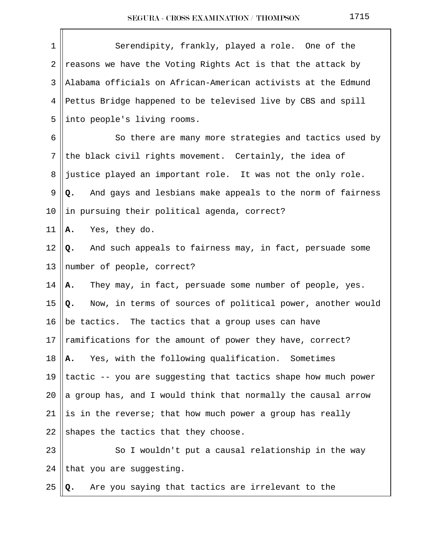| 1  | Serendipity, frankly, played a role. One of the                      |
|----|----------------------------------------------------------------------|
| 2  | reasons we have the Voting Rights Act is that the attack by          |
| 3  | Alabama officials on African-American activists at the Edmund        |
| 4  | Pettus Bridge happened to be televised live by CBS and spill         |
| 5  | into people's living rooms.                                          |
| 6  | So there are many more strategies and tactics used by                |
| 7  | the black civil rights movement. Certainly, the idea of              |
| 8  | justice played an important role. It was not the only role.          |
| 9  | And gays and lesbians make appeals to the norm of fairness<br>Q.     |
| 10 | in pursuing their political agenda, correct?                         |
| 11 | Yes, they do.<br>Α.                                                  |
| 12 | Q. And such appeals to fairness may, in fact, persuade some          |
| 13 | number of people, correct?                                           |
| 14 | They may, in fact, persuade some number of people, yes.<br><b>A.</b> |
| 15 | Now, in terms of sources of political power, another would<br>Q.     |
| 16 | be tactics. The tactics that a group uses can have                   |
| 17 | ramifications for the amount of power they have, correct?            |
| 18 | Yes, with the following qualification. Sometimes<br>Α.               |
| 19 | tactic -- you are suggesting that tactics shape how much power       |
| 20 | a group has, and I would think that normally the causal arrow        |
| 21 | is in the reverse; that how much power a group has really            |
| 22 | shapes the tactics that they choose.                                 |
| 23 | So I wouldn't put a causal relationship in the way                   |
| 24 | that you are suggesting.                                             |
| 25 | Are you saying that tactics are irrelevant to the<br>Q.              |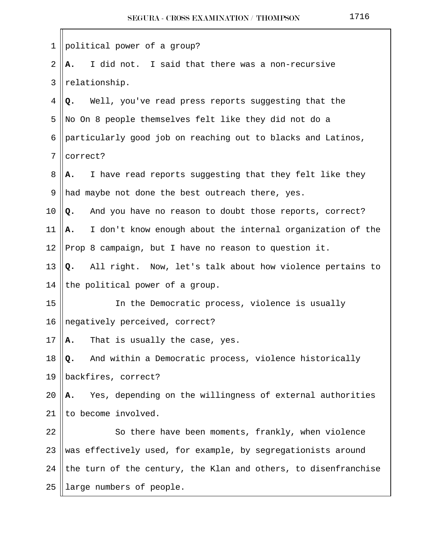| 1              | political power of a group?                                      |
|----------------|------------------------------------------------------------------|
| $\overline{2}$ | I did not. I said that there was a non-recursive<br>Α.           |
| 3              | relationship.                                                    |
| 4              | Well, you've read press reports suggesting that the<br>Q.        |
| 5              | No On 8 people themselves felt like they did not do a            |
| 6              | particularly good job on reaching out to blacks and Latinos,     |
| 7              | correct?                                                         |
| 8              | I have read reports suggesting that they felt like they<br>А.    |
| 9              | had maybe not done the best outreach there, yes.                 |
| 10             | And you have no reason to doubt those reports, correct?<br>Q.    |
| 11             | I don't know enough about the internal organization of the<br>Α. |
| 12             | Prop 8 campaign, but I have no reason to question it.            |
| 13             | Q. All right. Now, let's talk about how violence pertains to     |
| 14             | the political power of a group.                                  |
| 15             | In the Democratic process, violence is usually                   |
| 16             | negatively perceived, correct?                                   |
| 17             | A. That is usually the case, yes.                                |
| 18             | And within a Democratic process, violence historically<br>Q.     |
| 19             | backfires, correct?                                              |
| 20             | Yes, depending on the willingness of external authorities<br>Α.  |
| 21             | to become involved.                                              |
| 22             | So there have been moments, frankly, when violence               |
| 23             | was effectively used, for example, by segregationists around     |
| 24             | the turn of the century, the Klan and others, to disenfranchise  |
| 25             | large numbers of people.                                         |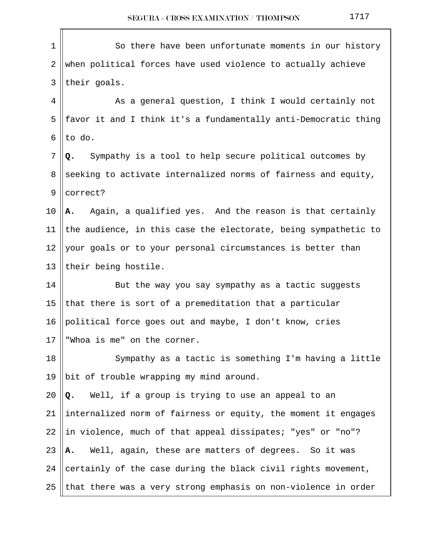| $1\,$          | So there have been unfortunate moments in our history           |
|----------------|-----------------------------------------------------------------|
| $\overline{2}$ | when political forces have used violence to actually achieve    |
| 3              | their goals.                                                    |
| 4              | As a general question, I think I would certainly not            |
| 5              | favor it and I think it's a fundamentally anti-Democratic thing |
| 6              | to do.                                                          |
| 7              | Sympathy is a tool to help secure political outcomes by<br>Q.   |
| 8              | seeking to activate internalized norms of fairness and equity,  |
| 9              | correct?                                                        |
| 10             | Again, a qualified yes. And the reason is that certainly<br>Α.  |
| 11             | the audience, in this case the electorate, being sympathetic to |
| 12             | your goals or to your personal circumstances is better than     |
| 13             | their being hostile.                                            |
| 14             | But the way you say sympathy as a tactic suggests               |
| 15             | that there is sort of a premeditation that a particular         |
| 16             | political force goes out and maybe, I don't know, cries         |
| 17             | "Whoa is me" on the corner.                                     |
| 18             | Sympathy as a tactic is something I'm having a little           |
| 19             | bit of trouble wrapping my mind around.                         |
| 20             | Well, if a group is trying to use an appeal to an<br>Q.         |
| 21             | internalized norm of fairness or equity, the moment it engages  |
| 22             | in violence, much of that appeal dissipates; "yes" or "no"?     |
| 23             | Well, again, these are matters of degrees. So it was<br>Α.      |
| 24             | certainly of the case during the black civil rights movement,   |
| 25             | that there was a very strong emphasis on non-violence in order  |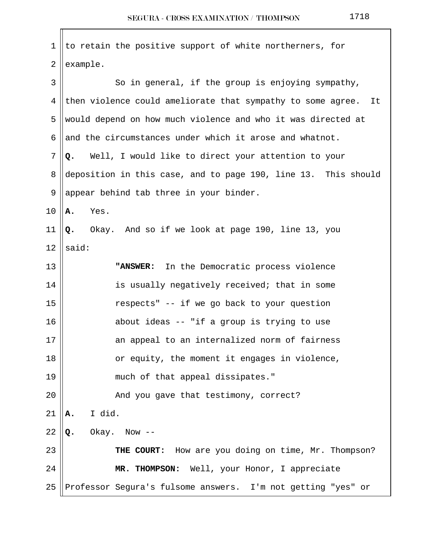| $\mathbf 1$    | to retain the positive support of white northerners, for          |
|----------------|-------------------------------------------------------------------|
| $\overline{2}$ | example.                                                          |
| 3              | So in general, if the group is enjoying sympathy,                 |
| 4              | then violence could ameliorate that sympathy to some agree.<br>It |
| 5              | would depend on how much violence and who it was directed at      |
| 6              | and the circumstances under which it arose and whatnot.           |
| 7              | Well, I would like to direct your attention to your<br>Q.         |
| 8              | deposition in this case, and to page 190, line 13. This should    |
| 9              | appear behind tab three in your binder.                           |
| 10             | Yes.<br>Α.                                                        |
| 11             | Okay. And so if we look at page 190, line 13, you<br>Q.           |
| 12             | said:                                                             |
| 13             | In the Democratic process violence<br>"ANSWER:                    |
| 14             | is usually negatively received; that in some                      |
| 15             | respects" -- if we go back to your question                       |
| 16             | about ideas -- "if a group is trying to use                       |
| $17\,$         | an appeal to an internalized norm of fairness                     |
| 18             | or equity, the moment it engages in violence,                     |
| 19             | much of that appeal dissipates."                                  |
| 20             | And you gave that testimony, correct?                             |
| 21             | I did.<br>Α.                                                      |
| 22             | Okay.<br>Now $--$<br>Q.                                           |
| 23             | THE COURT: How are you doing on time, Mr. Thompson?               |
| 24             | MR. THOMPSON: Well, your Honor, I appreciate                      |
| 25             | Professor Segura's fulsome answers. I'm not getting "yes" or      |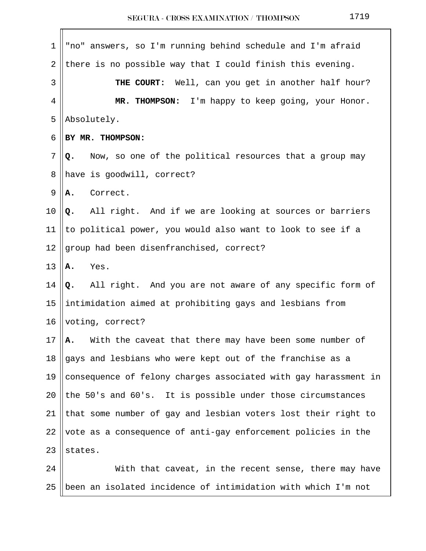| 1              | "no" answers, so I'm running behind schedule and I'm afraid     |
|----------------|-----------------------------------------------------------------|
| $\overline{2}$ | there is no possible way that I could finish this evening.      |
| 3              | Well, can you get in another half hour?<br>THE COURT:           |
| 4              | MR. THOMPSON: I'm happy to keep going, your Honor.              |
| 5              | Absolutely.                                                     |
| 6              | BY MR. THOMPSON:                                                |
| 7              | Now, so one of the political resources that a group may<br>Q.   |
| 8              | have is goodwill, correct?                                      |
| 9              | Correct.<br>Α.                                                  |
| 10             | All right. And if we are looking at sources or barriers<br>Q.   |
| 11             | to political power, you would also want to look to see if a     |
| 12             | group had been disenfranchised, correct?                        |
| 13             | Yes.<br>Α.                                                      |
| 14             | Q. All right. And you are not aware of any specific form of     |
| 15             | intimidation aimed at prohibiting gays and lesbians from        |
| 16             | voting, correct?                                                |
| 17             | With the caveat that there may have been some number of<br>А.   |
| 18             | gays and lesbians who were kept out of the franchise as a       |
| 19             | consequence of felony charges associated with gay harassment in |
| 20             | the 50's and 60's. It is possible under those circumstances     |
| 21             | that some number of gay and lesbian voters lost their right to  |
| 22             | vote as a consequence of anti-gay enforcement policies in the   |
| 23             | states.                                                         |
| 24             | With that caveat, in the recent sense, there may have           |
| 25             | been an isolated incidence of intimidation with which I'm not   |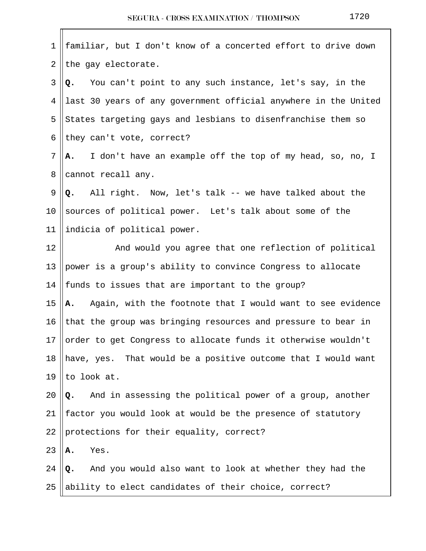| $\mathbf 1$    | familiar, but I don't know of a concerted effort to drive down         |
|----------------|------------------------------------------------------------------------|
| $\overline{2}$ | the gay electorate.                                                    |
| 3              | Q. You can't point to any such instance, let's say, in the             |
| 4              | last 30 years of any government official anywhere in the United        |
| 5              | States targeting gays and lesbians to disenfranchise them so           |
| 6              | they can't vote, correct?                                              |
| 7              | I don't have an example off the top of my head, so, no, I<br><b>A.</b> |
| 8              | cannot recall any.                                                     |
| 9              | Q. All right. Now, let's talk -- we have talked about the              |
| 10             | sources of political power. Let's talk about some of the               |
| 11             | indicia of political power.                                            |
| 12             | And would you agree that one reflection of political                   |
| 13             | power is a group's ability to convince Congress to allocate            |
| 14             | funds to issues that are important to the group?                       |
| 15             | Again, with the footnote that I would want to see evidence<br>Α.       |
| 16             | that the group was bringing resources and pressure to bear in          |
| 17             | order to get Congress to allocate funds it otherwise wouldn't          |
| 18             | have, yes. That would be a positive outcome that I would want          |
| 19             | to look at.                                                            |
| 20             | And in assessing the political power of a group, another<br>Q.         |
| 21             | factor you would look at would be the presence of statutory            |
| 22             | protections for their equality, correct?                               |
| 23             | Yes.<br>Α.                                                             |
| 24             | And you would also want to look at whether they had the<br>Q.          |
| 25             | ability to elect candidates of their choice, correct?                  |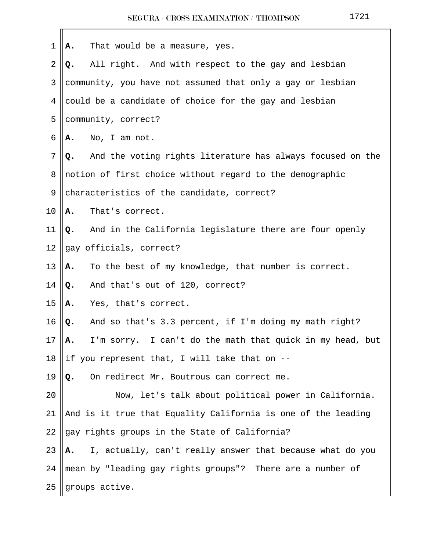| 1  | That would be a measure, yes.<br>Α.                              |
|----|------------------------------------------------------------------|
| 2  | All right. And with respect to the gay and lesbian<br>Q.         |
| 3  | community, you have not assumed that only a gay or lesbian       |
| 4  | could be a candidate of choice for the gay and lesbian           |
| 5  | community, correct?                                              |
| 6  | No, I am not.<br>Α.                                              |
| 7  | And the voting rights literature has always focused on the<br>Q. |
| 8  | notion of first choice without regard to the demographic         |
| 9  | characteristics of the candidate, correct?                       |
| 10 | That's correct.<br>Α.                                            |
| 11 | And in the California legislature there are four openly<br>Q.    |
| 12 | gay officials, correct?                                          |
| 13 | To the best of my knowledge, that number is correct.<br>Α.       |
| 14 | And that's out of 120, correct?<br>Q.                            |
| 15 | Yes, that's correct.<br>Α.                                       |
| 16 | And so that's 3.3 percent, if I'm doing my math right?<br>Q.     |
| 17 | I'm sorry. I can't do the math that quick in my head, but<br>А.  |
| 18 | if you represent that, I will take that on --                    |
| 19 | On redirect Mr. Boutrous can correct me.<br>Q.                   |
| 20 | Now, let's talk about political power in California.             |
| 21 | And is it true that Equality California is one of the leading    |
| 22 | gay rights groups in the State of California?                    |
| 23 | I, actually, can't really answer that because what do you<br>Α.  |
| 24 | mean by "leading gay rights groups"? There are a number of       |
| 25 | groups active.                                                   |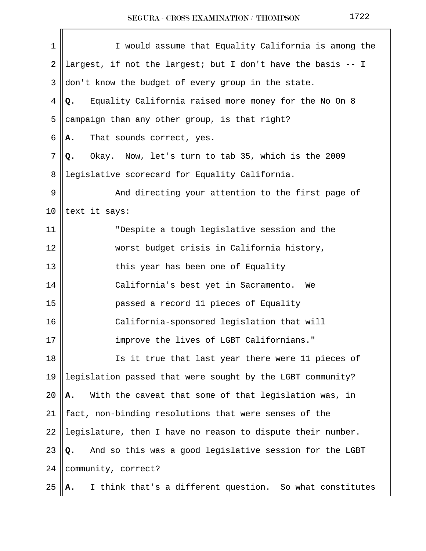| 1              | I would assume that Equality California is among the           |
|----------------|----------------------------------------------------------------|
| 2              | largest, if not the largest; but I don't have the basis -- I   |
| 3              | don't know the budget of every group in the state.             |
| $\overline{4}$ | Equality California raised more money for the No On 8<br>Q.    |
| 5              | campaign than any other group, is that right?                  |
| 6              | That sounds correct, yes.<br>Α.                                |
| 7              | Okay. Now, let's turn to tab 35, which is the 2009<br>Q.       |
| 8              | legislative scorecard for Equality California.                 |
| 9              | And directing your attention to the first page of              |
| 10             | text it says:                                                  |
| 11             | "Despite a tough legislative session and the                   |
| 12             | worst budget crisis in California history,                     |
| 13             | this year has been one of Equality                             |
| 14             | California's best yet in Sacramento.<br>We                     |
| 15             | passed a record 11 pieces of Equality                          |
| 16             | California-sponsored legislation that will                     |
| 17             | improve the lives of LGBT Californians."                       |
| 18             | Is it true that last year there were 11 pieces of              |
| 19             | legislation passed that were sought by the LGBT community?     |
| 20             | With the caveat that some of that legislation was, in<br>А.    |
| 21             | fact, non-binding resolutions that were senses of the          |
| 22             | legislature, then I have no reason to dispute their number.    |
| 23             | And so this was a good legislative session for the LGBT<br>Q.  |
| 24             | community, correct?                                            |
| 25             | I think that's a different question. So what constitutes<br>А. |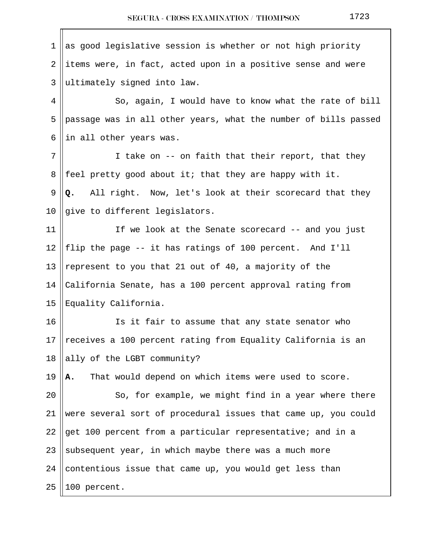$1$  as good legislative session is whether or not high priority  $2$  ||items were, in fact, acted upon in a positive sense and were  $3$  ||ultimately signed into law. 4 || So, again, I would have to know what the rate of bill 5 || passage was in all other years, what the number of bills passed 6  $\parallel$  in all other years was.  $7 \parallel$  I take on -- on faith that their report, that they 8 || feel pretty good about it; that they are happy with it. 9 **Q.** All right. Now, let's look at their scorecard that they 10  $\parallel$  give to different legislators. 11 || If we look at the Senate scorecard -- and you just 12 || flip the page  $-$ - it has ratings of 100 percent. And I'll 13 || represent to you that 21 out of 40, a majority of the 14 California Senate, has a 100 percent approval rating from 15 Equality California. 16 || Is it fair to assume that any state senator who 17 Teceives a 100 percent rating from Equality California is an 18  $\parallel$  ally of the LGBT community? 19 **A.** That would depend on which items were used to score. 20 || So, for example, we might find in a year where there 21 were several sort of procedural issues that came up, you could 22 get 100 percent from a particular representative; and in a 23 || subsequent year, in which maybe there was a much more 24 || contentious issue that came up, you would get less than  $25$  ||100 percent.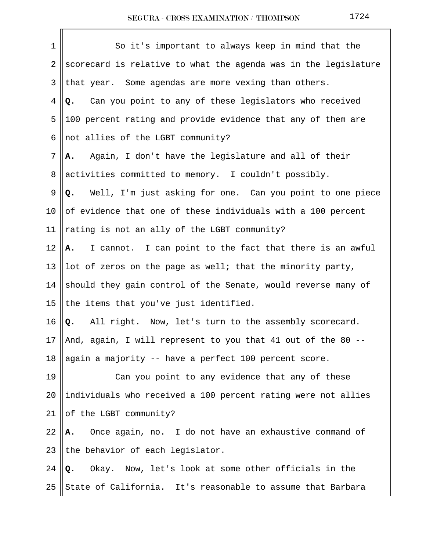| 1  | So it's important to always keep in mind that the               |
|----|-----------------------------------------------------------------|
| 2  | scorecard is relative to what the agenda was in the legislature |
| 3  | that year. Some agendas are more vexing than others.            |
| 4  | Q. Can you point to any of these legislators who received       |
| 5  | 100 percent rating and provide evidence that any of them are    |
| 6  | not allies of the LGBT community?                               |
| 7  | Again, I don't have the legislature and all of their<br>Α.      |
| 8  | activities committed to memory. I couldn't possibly.            |
| 9  | Q. Well, I'm just asking for one. Can you point to one piece    |
| 10 | of evidence that one of these individuals with a 100 percent    |
| 11 | rating is not an ally of the LGBT community?                    |
| 12 | I cannot. I can point to the fact that there is an awful<br>A.  |
| 13 | lot of zeros on the page as well; that the minority party,      |
| 14 | should they gain control of the Senate, would reverse many of   |
| 15 | the items that you've just identified.                          |
| 16 | All right. Now, let's turn to the assembly scorecard.<br>Q.     |
| 17 | And, again, I will represent to you that 41 out of the 80 --    |
| 18 | again a majority -- have a perfect 100 percent score.           |
| 19 | Can you point to any evidence that any of these                 |
| 20 | individuals who received a 100 percent rating were not allies   |
| 21 | of the LGBT community?                                          |
| 22 | Once again, no. I do not have an exhaustive command of<br>А.    |
| 23 | the behavior of each legislator.                                |
| 24 | Okay. Now, let's look at some other officials in the<br>Q.      |
| 25 | State of California. It's reasonable to assume that Barbara     |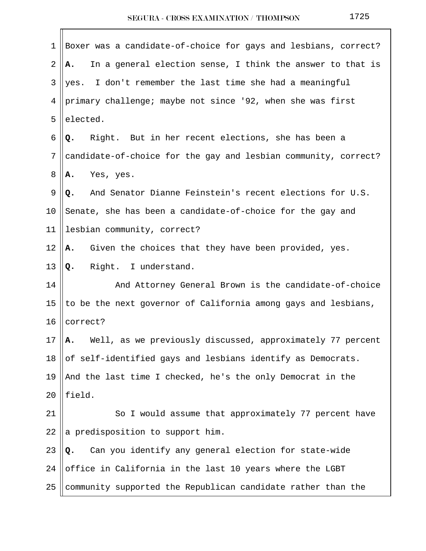| 1  | Boxer was a candidate-of-choice for gays and lesbians, correct?  |
|----|------------------------------------------------------------------|
| 2  | In a general election sense, I think the answer to that is<br>А. |
| 3  | yes. I don't remember the last time she had a meaningful         |
| 4  | primary challenge; maybe not since '92, when she was first       |
| 5  | elected.                                                         |
| 6  | Right. But in her recent elections, she has been a<br>Q.         |
| 7  | candidate-of-choice for the gay and lesbian community, correct?  |
| 8  | A. Yes, yes.                                                     |
| 9  | And Senator Dianne Feinstein's recent elections for U.S.<br>Q.   |
| 10 | Senate, she has been a candidate-of-choice for the gay and       |
| 11 | lesbian community, correct?                                      |
| 12 | Given the choices that they have been provided, yes.<br>Α.       |
| 13 | Right. I understand.<br>Q.                                       |
| 14 | And Attorney General Brown is the candidate-of-choice            |
| 15 | to be the next governor of California among gays and lesbians,   |
| 16 | correct?                                                         |
| 17 | Well, as we previously discussed, approximately 77 percent<br>Α. |
| 18 | of self-identified gays and lesbians identify as Democrats.      |
| 19 | And the last time I checked, he's the only Democrat in the       |
| 20 | field.                                                           |
| 21 | So I would assume that approximately 77 percent have             |
| 22 | a predisposition to support him.                                 |
| 23 | Can you identify any general election for state-wide<br>Q.       |
| 24 | office in California in the last 10 years where the LGBT         |
| 25 | community supported the Republican candidate rather than the     |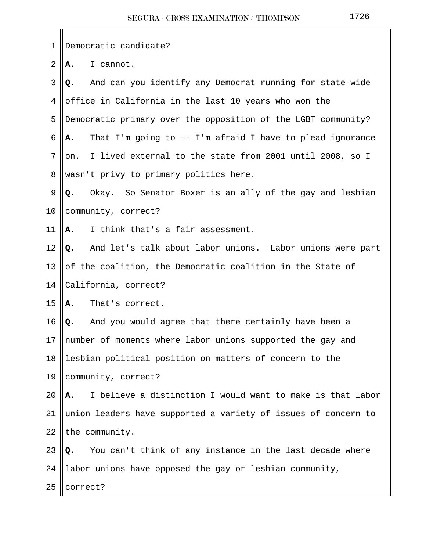| 1  | Democratic candidate?                                                     |
|----|---------------------------------------------------------------------------|
| 2  | I cannot.<br>Α.                                                           |
| 3  | And can you identify any Democrat running for state-wide<br>Q.            |
| 4  | office in California in the last 10 years who won the                     |
| 5  | Democratic primary over the opposition of the LGBT community?             |
| 6  | That I'm going to -- I'm afraid I have to plead ignorance<br>А.           |
| 7  | I lived external to the state from 2001 until 2008, so I<br>on.           |
| 8  | wasn't privy to primary politics here.                                    |
| 9  | Okay. So Senator Boxer is an ally of the gay and lesbian<br>Q.            |
| 10 | community, correct?                                                       |
| 11 | I think that's a fair assessment.<br>A.                                   |
| 12 | And let's talk about labor unions. Labor unions were part<br>Q.           |
| 13 | of the coalition, the Democratic coalition in the State of                |
| 14 | California, correct?                                                      |
| 15 | That's correct.<br>Α.                                                     |
| 16 | Q. And you would agree that there certainly have been a                   |
|    | 17    number of moments where labor unions supported the gay and          |
| 18 | lesbian political position on matters of concern to the                   |
| 19 | community, correct?                                                       |
| 20 | I believe a distinction I would want to make is that labor<br>Α.          |
| 21 | union leaders have supported a variety of issues of concern to            |
| 22 | the community.                                                            |
| 23 | You can't think of any instance in the last decade where<br>$Q_{\bullet}$ |
| 24 | labor unions have opposed the gay or lesbian community,                   |
| 25 | correct?                                                                  |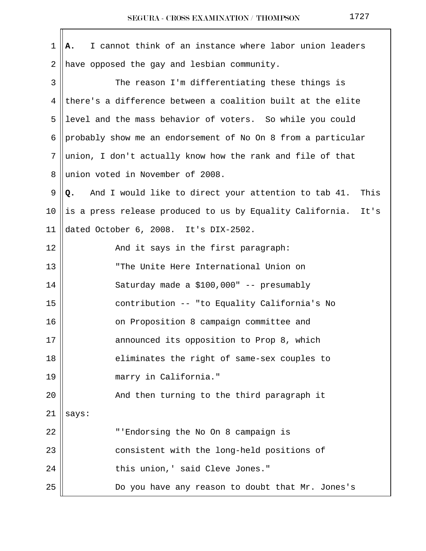| 1       | I cannot think of an instance where labor union leaders<br>Α.      |
|---------|--------------------------------------------------------------------|
| 2       | have opposed the gay and lesbian community.                        |
| 3       | The reason I'm differentiating these things is                     |
| 4       | there's a difference between a coalition built at the elite        |
| 5       | level and the mass behavior of voters. So while you could          |
| 6       | probably show me an endorsement of No On 8 from a particular       |
| 7       | union, I don't actually know how the rank and file of that         |
| 8       | union voted in November of 2008.                                   |
| 9       | And I would like to direct your attention to tab 41.<br>This<br>Q. |
| $10 \,$ | is a press release produced to us by Equality California.<br>It's  |
| 11      | dated October 6, 2008. It's DIX-2502.                              |
| 12      | And it says in the first paragraph:                                |
| 13      | "The Unite Here International Union on                             |
| 14      | Saturday made a \$100,000" -- presumably                           |
| 15      | contribution -- "to Equality California's No                       |
| 16      | on Proposition 8 campaign committee and                            |
| $17$    | announced its opposition to Prop 8, which                          |
| 18      | eliminates the right of same-sex couples to                        |
| 19      | marry in California."                                              |
| 20      | And then turning to the third paragraph it                         |
| 21      | says:                                                              |
| 22      | "'Endorsing the No On 8 campaign is                                |
| 23      | consistent with the long-held positions of                         |
| 24      | this union, ' said Cleve Jones."                                   |
| 25      | Do you have any reason to doubt that Mr. Jones's                   |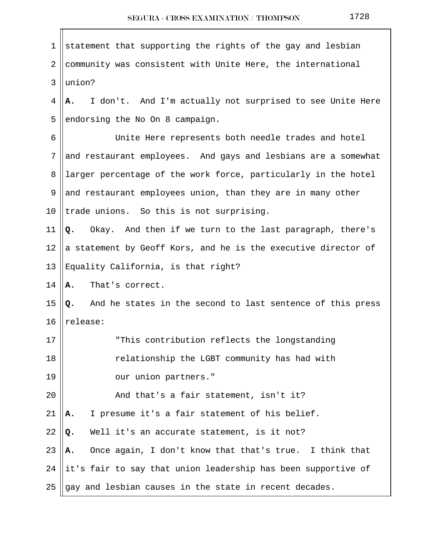| 1              | statement that supporting the rights of the gay and lesbian      |
|----------------|------------------------------------------------------------------|
| $\overline{2}$ | community was consistent with Unite Here, the international      |
| 3              | union?                                                           |
| 4              | I don't. And I'm actually not surprised to see Unite Here<br>А.  |
| 5              | endorsing the No On 8 campaign.                                  |
| 6              | Unite Here represents both needle trades and hotel               |
| 7              | and restaurant employees. And gays and lesbians are a somewhat   |
| 8              | larger percentage of the work force, particularly in the hotel   |
| 9              | and restaurant employees union, than they are in many other      |
| 10             | trade unions. So this is not surprising.                         |
| 11             | Okay. And then if we turn to the last paragraph, there's<br>Q.   |
| 12             | a statement by Geoff Kors, and he is the executive director of   |
| 13             | Equality California, is that right?                              |
| 14             | That's correct.<br>Α.                                            |
| 15             | And he states in the second to last sentence of this press<br>Q. |
| 16             | release:                                                         |
| 17             | "This contribution reflects the longstanding                     |
| 18             | relationship the LGBT community has had with                     |
| 19             | our union partners."                                             |
| 20             | And that's a fair statement, isn't it?                           |
| 21             | I presume it's a fair statement of his belief.<br>А.             |
| 22             | Well it's an accurate statement, is it not?<br>Q.                |
| 23             | Once again, I don't know that that's true. I think that<br>Α.    |
| 24             | it's fair to say that union leadership has been supportive of    |
| 25             | gay and lesbian causes in the state in recent decades.           |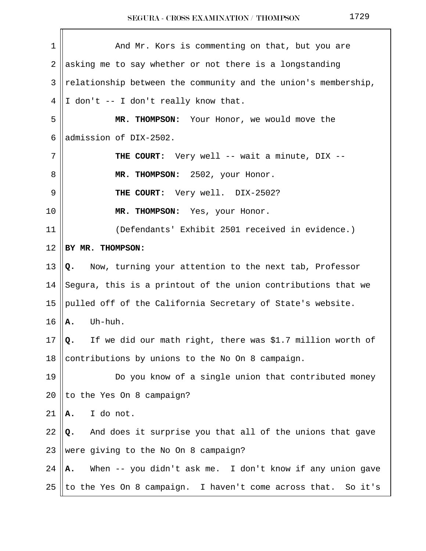| $\mathbf 1$    | And Mr. Kors is commenting on that, but you are                  |
|----------------|------------------------------------------------------------------|
| $\overline{2}$ | asking me to say whether or not there is a longstanding          |
| 3              | relationship between the community and the union's membership,   |
| 4              | I don't -- I don't really know that.                             |
| 5              | MR. THOMPSON: Your Honor, we would move the                      |
| 6              | admission of DIX-2502.                                           |
| 7              | <b>THE COURT:</b> Very well -- wait a minute, DIX --             |
| 8              | MR. THOMPSON: 2502, your Honor.                                  |
| 9              | THE COURT: Very well. DIX-2502?                                  |
| 10             | MR. THOMPSON: Yes, your Honor.                                   |
| 11             | (Defendants' Exhibit 2501 received in evidence.)                 |
| 12             | BY MR. THOMPSON:                                                 |
| 13             | Now, turning your attention to the next tab, Professor<br>Q.     |
| 14             | Segura, this is a printout of the union contributions that we    |
| 15             | pulled off of the California Secretary of State's website.       |
| 16             | Uh-huh.<br>Α.                                                    |
| 17             | If we did our math right, there was \$1.7 million worth of<br>Q. |
| 18             | contributions by unions to the No On 8 campaign.                 |
| 19             | Do you know of a single union that contributed money             |
| 20             | to the Yes On 8 campaign?                                        |
| 21             | I do not.<br>Α.                                                  |
| 22             | And does it surprise you that all of the unions that gave<br>Q.  |
| 23             | were giving to the No On 8 campaign?                             |
| 24             | When -- you didn't ask me. I don't know if any union gave<br>Α.  |
| 25             | to the Yes On 8 campaign. I haven't come across that. So it's    |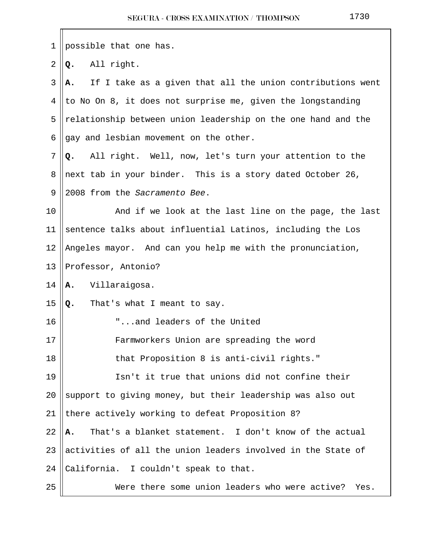| 1  | possible that one has.                                           |
|----|------------------------------------------------------------------|
| 2  | All right.<br>Q.                                                 |
| 3  | If I take as a given that all the union contributions went<br>А. |
| 4  | to No On 8, it does not surprise me, given the longstanding      |
| 5  | relationship between union leadership on the one hand and the    |
| 6  | gay and lesbian movement on the other.                           |
| 7  | All right. Well, now, let's turn your attention to the<br>Q.     |
| 8  | next tab in your binder. This is a story dated October 26,       |
| 9  | 2008 from the Sacramento Bee.                                    |
| 10 | And if we look at the last line on the page, the last            |
| 11 | sentence talks about influential Latinos, including the Los      |
| 12 | Angeles mayor. And can you help me with the pronunciation,       |
| 13 | Professor, Antonio?                                              |
| 14 | Villaraigosa.<br>Α.                                              |
| 15 | That's what I meant to say.<br>Q.                                |
| 16 | "and leaders of the United                                       |
| 17 | Farmworkers Union are spreading the word                         |
| 18 | that Proposition 8 is anti-civil rights."                        |
| 19 | Isn't it true that unions did not confine their                  |
| 20 | support to giving money, but their leadership was also out       |
| 21 | there actively working to defeat Proposition 8?                  |
| 22 | That's a blanket statement. I don't know of the actual<br>Α.     |
| 23 | activities of all the union leaders involved in the State of     |
| 24 | California. I couldn't speak to that.                            |
| 25 | Were there some union leaders who were active?<br>Yes.           |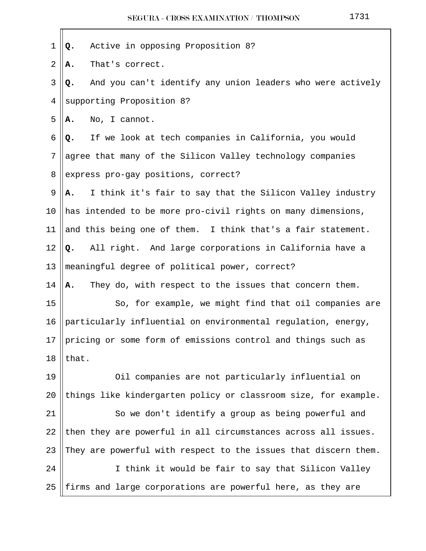| 1  | Active in opposing Proposition 8?<br>Q.                          |
|----|------------------------------------------------------------------|
| 2  | That's correct.<br>Α.                                            |
| 3  | And you can't identify any union leaders who were actively<br>Q. |
| 4  | supporting Proposition 8?                                        |
| 5  | No, I cannot.<br>Α.                                              |
| 6  | If we look at tech companies in California, you would<br>Q.      |
| 7  | agree that many of the Silicon Valley technology companies       |
| 8  | express pro-gay positions, correct?                              |
| 9  | I think it's fair to say that the Silicon Valley industry<br>Α.  |
| 10 | has intended to be more pro-civil rights on many dimensions,     |
| 11 | and this being one of them. I think that's a fair statement.     |
| 12 | All right. And large corporations in California have a<br>Q.     |
| 13 | meaningful degree of political power, correct?                   |
| 14 | They do, with respect to the issues that concern them.<br>A.     |
| 15 | So, for example, we might find that oil companies are            |
| 16 | particularly influential on environmental regulation, energy,    |
| 17 | pricing or some form of emissions control and things such as     |
| 18 | that.                                                            |
| 19 | Oil companies are not particularly influential on                |
| 20 | things like kindergarten policy or classroom size, for example.  |
| 21 | So we don't identify a group as being powerful and               |
| 22 | then they are powerful in all circumstances across all issues.   |
| 23 | They are powerful with respect to the issues that discern them.  |
| 24 | I think it would be fair to say that Silicon Valley              |
| 25 | firms and large corporations are powerful here, as they are      |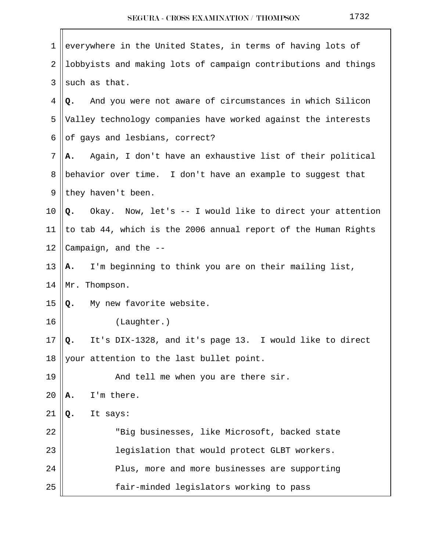| 1  | everywhere in the United States, in terms of having lots of     |  |  |  |  |  |
|----|-----------------------------------------------------------------|--|--|--|--|--|
| 2  | lobbyists and making lots of campaign contributions and things  |  |  |  |  |  |
| 3  | such as that.                                                   |  |  |  |  |  |
| 4  | And you were not aware of circumstances in which Silicon<br>Q.  |  |  |  |  |  |
| 5  | Valley technology companies have worked against the interests   |  |  |  |  |  |
| 6  | of gays and lesbians, correct?                                  |  |  |  |  |  |
| 7  | Again, I don't have an exhaustive list of their political<br>А. |  |  |  |  |  |
| 8  | behavior over time. I don't have an example to suggest that     |  |  |  |  |  |
| 9  | they haven't been.                                              |  |  |  |  |  |
| 10 | Okay. Now, let's -- I would like to direct your attention<br>Q. |  |  |  |  |  |
| 11 | to tab 44, which is the 2006 annual report of the Human Rights  |  |  |  |  |  |
| 12 | Campaign, and the --                                            |  |  |  |  |  |
| 13 | I'm beginning to think you are on their mailing list,<br>Α.     |  |  |  |  |  |
| 14 | Mr. Thompson.                                                   |  |  |  |  |  |
| 15 | My new favorite website.<br>Q.                                  |  |  |  |  |  |
| 16 | (Laughter.)                                                     |  |  |  |  |  |
| 17 | It's DIX-1328, and it's page 13. I would like to direct<br>Q.   |  |  |  |  |  |
| 18 | your attention to the last bullet point.                        |  |  |  |  |  |
| 19 | And tell me when you are there sir.                             |  |  |  |  |  |
| 20 | I'm there.<br>А.                                                |  |  |  |  |  |
| 21 | It says:<br>Q.                                                  |  |  |  |  |  |
| 22 | "Big businesses, like Microsoft, backed state                   |  |  |  |  |  |
| 23 | legislation that would protect GLBT workers.                    |  |  |  |  |  |
| 24 | Plus, more and more businesses are supporting                   |  |  |  |  |  |
| 25 | fair-minded legislators working to pass                         |  |  |  |  |  |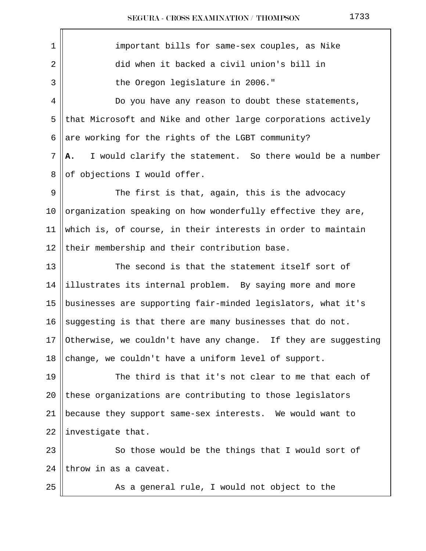1 || important bills for same-sex couples, as Nike 2 did when it backed a civil union's bill in 3 || The Oregon legislature in 2006." 4 || Do you have any reason to doubt these statements,  $5$  that Microsoft and Nike and other large corporations actively 6 are working for the rights of the LGBT community?  $7 \parallel \mathbf{A}$ . I would clarify the statement. So there would be a number 8 || of objections I would offer.  $9 \parallel$  The first is that, again, this is the advocacy 10 ||organization speaking on how wonderfully effective they are, 11 which is, of course, in their interests in order to maintain 12  $\parallel$  their membership and their contribution base. 13  $\parallel$  The second is that the statement itself sort of  $14$  ||illustrates its internal problem. By saying more and more 15 || businesses are supporting fair-minded legislators, what it's 16 Suggesting is that there are many businesses that do not. 17  $\vert$  Otherwise, we couldn't have any change. If they are suggesting 18 change, we couldn't have a uniform level of support. 19 The third is that it's not clear to me that each of 20  $\parallel$  these organizations are contributing to those legislators 21 because they support same-sex interests. We would want to 22  $\parallel$  investigate that. 23 || So those would be the things that I would sort of  $24$  ||throw in as a caveat. 25 || As a general rule, I would not object to the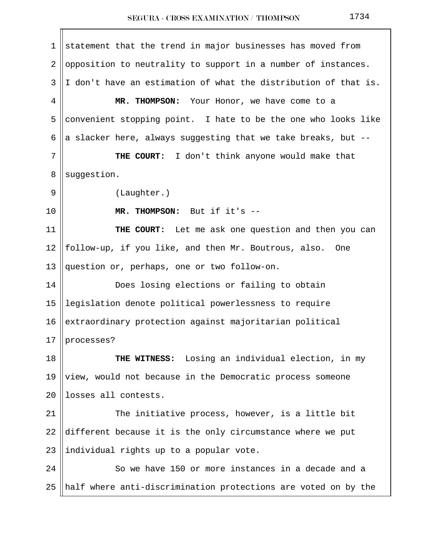1 statement that the trend in major businesses has moved from 2 ||opposition to neutrality to support in a number of instances.  $3 \parallel I$  don't have an estimation of what the distribution of that is. 4 **MR. THOMPSON:** Your Honor, we have come to a 5 convenient stopping point. I hate to be the one who looks like 6 a slacker here, always suggesting that we take breaks, but  $-$ 7 || THE COURT: I don't think anyone would make that 8 | suggestion. 9 || (Laughter.) 10 **MR. THOMPSON:** But if it's -- 11 **THE COURT:** Let me ask one question and then you can 12 || follow-up, if you like, and then Mr. Boutrous, also. One 13 question or, perhaps, one or two follow-on. 14 Does losing elections or failing to obtain 15 legislation denote political powerlessness to require 16 extraordinary protection against majoritarian political  $17$  | processes? 18 **THE WITNESS:** Losing an individual election, in my 19  $\parallel$  view, would not because in the Democratic process someone 20 llosses all contests. 21 || The initiative process, however, is a little bit 22  $\text{different}$  because it is the only circumstance where we put 23 ||individual rights up to a popular vote. 24 | So we have 150 or more instances in a decade and a 25  $\parallel$  half where anti-discrimination protections are voted on by the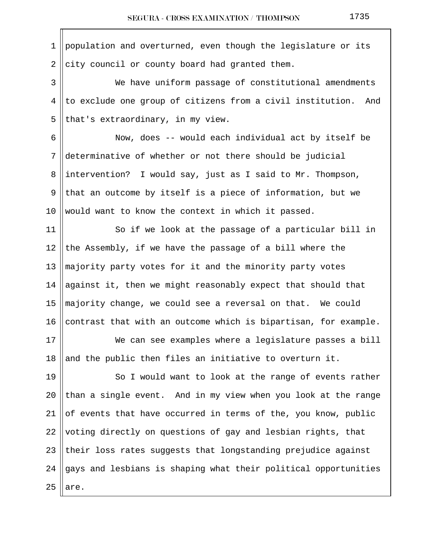1 population and overturned, even though the legislature or its  $2$  city council or county board had granted them. 3 We have uniform passage of constitutional amendments  $4$  to exclude one group of citizens from a civil institution. And 5 || that's extraordinary, in my view. 6 Now, does -- would each individual act by itself be 7 determinative of whether or not there should be judicial 8 ||intervention? I would say, just as I said to Mr. Thompson, 9 || that an outcome by itself is a piece of information, but we 10 Would want to know the context in which it passed. 11 || So if we look at the passage of a particular bill in 12 the Assembly, if we have the passage of a bill where the 13  $\parallel$  majority party votes for it and the minority party votes 14 against it, then we might reasonably expect that should that 15  $\parallel$  majority change, we could see a reversal on that. We could 16 || contrast that with an outcome which is bipartisan, for example. 17 We can see examples where a legislature passes a bill 18 and the public then files an initiative to overturn it. 19 || So I would want to look at the range of events rather 20 than a single event. And in my view when you look at the range 21  $\parallel$  of events that have occurred in terms of the, you know, public 22 voting directly on questions of gay and lesbian rights, that  $23$  ||their loss rates suggests that longstanding prejudice against 24  $\parallel$  gays and lesbians is shaping what their political opportunities  $25$  are.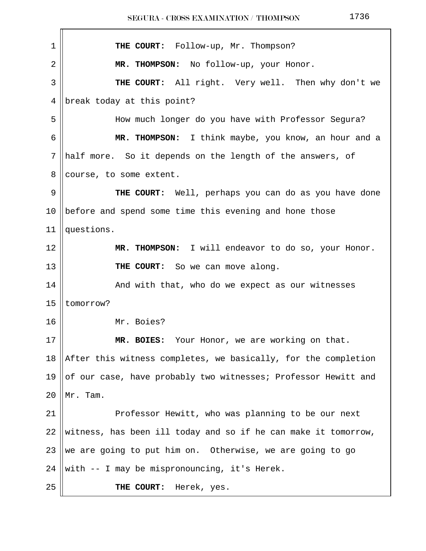| 1  | THE COURT: Follow-up, Mr. Thompson?                            |
|----|----------------------------------------------------------------|
| 2  | MR. THOMPSON: No follow-up, your Honor.                        |
| 3  | THE COURT: All right. Very well. Then why don't we             |
| 4  | break today at this point?                                     |
| 5  | How much longer do you have with Professor Segura?             |
| 6  | MR. THOMPSON: I think maybe, you know, an hour and a           |
| 7  | half more. So it depends on the length of the answers, of      |
| 8  | course, to some extent.                                        |
| 9  | THE COURT: Well, perhaps you can do as you have done           |
| 10 | before and spend some time this evening and hone those         |
| 11 | questions.                                                     |
| 12 | MR. THOMPSON: I will endeavor to do so, your Honor.            |
| 13 | THE COURT: So we can move along.                               |
| 14 | And with that, who do we expect as our witnesses               |
| 15 | tomorrow?                                                      |
| 16 | Mr. Boies?                                                     |
| 17 | MR. BOIES: Your Honor, we are working on that.                 |
| 18 | After this witness completes, we basically, for the completion |
| 19 | of our case, have probably two witnesses; Professor Hewitt and |
| 20 | Mr. Tam.                                                       |
| 21 | Professor Hewitt, who was planning to be our next              |
| 22 | witness, has been ill today and so if he can make it tomorrow, |
| 23 | we are going to put him on. Otherwise, we are going to go      |
| 24 | with -- I may be mispronouncing, it's Herek.                   |
| 25 | THE COURT:<br>Herek, yes.                                      |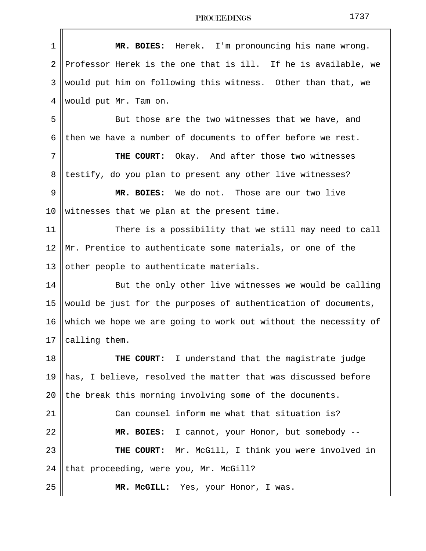| 1    | MR. BOIES: Herek. I'm pronouncing his name wrong.               |  |  |  |  |
|------|-----------------------------------------------------------------|--|--|--|--|
| 2    | Professor Herek is the one that is ill. If he is available, we  |  |  |  |  |
| 3    | would put him on following this witness. Other than that, we    |  |  |  |  |
| 4    | would put Mr. Tam on.                                           |  |  |  |  |
| 5    | But those are the two witnesses that we have, and               |  |  |  |  |
| 6    | then we have a number of documents to offer before we rest.     |  |  |  |  |
| 7    | THE COURT: Okay. And after those two witnesses                  |  |  |  |  |
| 8    | testify, do you plan to present any other live witnesses?       |  |  |  |  |
| 9    | MR. BOIES: We do not. Those are our two live                    |  |  |  |  |
| 10   | witnesses that we plan at the present time.                     |  |  |  |  |
| 11   | There is a possibility that we still may need to call           |  |  |  |  |
| 12   | Mr. Prentice to authenticate some materials, or one of the      |  |  |  |  |
| 13   | other people to authenticate materials.                         |  |  |  |  |
| 14   | But the only other live witnesses we would be calling           |  |  |  |  |
| 15   | would be just for the purposes of authentication of documents,  |  |  |  |  |
| 16   | which we hope we are going to work out without the necessity of |  |  |  |  |
| $17$ | $\parallel$ calling them.                                       |  |  |  |  |
| 18   | THE COURT: I understand that the magistrate judge               |  |  |  |  |
| 19   | has, I believe, resolved the matter that was discussed before   |  |  |  |  |
| 20   | the break this morning involving some of the documents.         |  |  |  |  |
| 21   | Can counsel inform me what that situation is?                   |  |  |  |  |
| 22   | MR. BOIES: I cannot, your Honor, but somebody --                |  |  |  |  |
| 23   | THE COURT: Mr. McGill, I think you were involved in             |  |  |  |  |
| 24   | that proceeding, were you, Mr. McGill?                          |  |  |  |  |
| 25   | MR. McGILL: Yes, your Honor, I was.                             |  |  |  |  |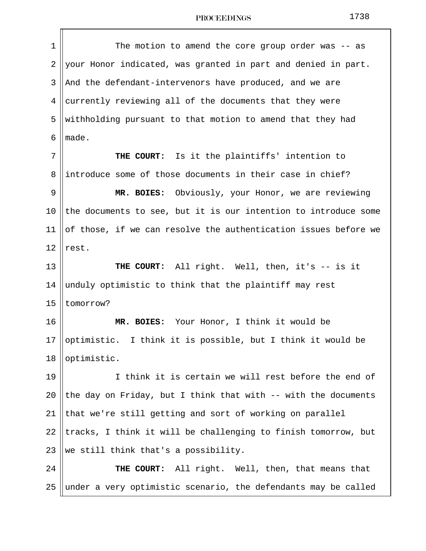1 || The motion to amend the core group order was -- as 2 your Honor indicated, was granted in part and denied in part. 3 || And the defendant-intervenors have produced, and we are 4 currently reviewing all of the documents that they were 5 Weithholding pursuant to that motion to amend that they had  $6$   $%$  made. 7 || THE COURT: Is it the plaintiffs' intention to 8 introduce some of those documents in their case in chief? 9 **MR. BOIES:** Obviously, your Honor, we are reviewing 10 the documents to see, but it is our intention to introduce some 11  $\parallel$  of those, if we can resolve the authentication issues before we  $12$  rest. 13 **THE COURT:** All right. Well, then, it's -- is it 14  $\parallel$  unduly optimistic to think that the plaintiff may rest 15  $|$  tomorrow? 16 **MR. BOIES:** Your Honor, I think it would be 17 || optimistic. I think it is possible, but I think it would be 18 ||optimistic. 19 || I think it is certain we will rest before the end of 20 || the day on Friday, but I think that with  $-$ - with the documents  $21$  that we're still getting and sort of working on parallel 22 || tracks, I think it will be challenging to finish tomorrow, but 23 We still think that's a possibility. 24 **THE COURT:** All right. Well, then, that means that 25 || under a very optimistic scenario, the defendants may be called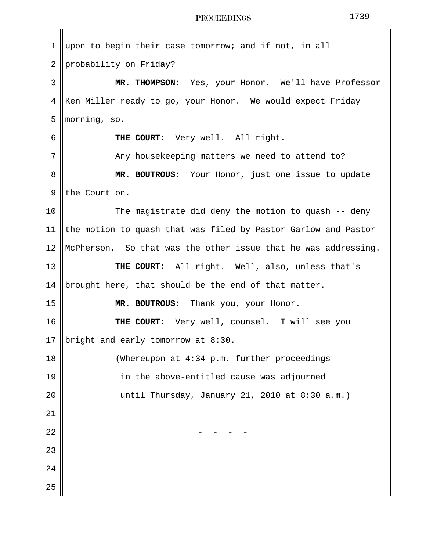| 1  | upon to begin their case tomorrow; and if not, in all          |  |  |  |  |  |
|----|----------------------------------------------------------------|--|--|--|--|--|
| 2  | probability on Friday?                                         |  |  |  |  |  |
| 3  | MR. THOMPSON: Yes, your Honor. We'll have Professor            |  |  |  |  |  |
| 4  | Ken Miller ready to go, your Honor. We would expect Friday     |  |  |  |  |  |
| 5  | morning, so.                                                   |  |  |  |  |  |
| 6  | THE COURT: Very well. All right.                               |  |  |  |  |  |
| 7  | Any housekeeping matters we need to attend to?                 |  |  |  |  |  |
| 8  | MR. BOUTROUS: Your Honor, just one issue to update             |  |  |  |  |  |
| 9  | the Court on.                                                  |  |  |  |  |  |
| 10 | The magistrate did deny the motion to quash -- deny            |  |  |  |  |  |
| 11 | the motion to quash that was filed by Pastor Garlow and Pastor |  |  |  |  |  |
| 12 | McPherson. So that was the other issue that he was addressing. |  |  |  |  |  |
| 13 | THE COURT: All right. Well, also, unless that's                |  |  |  |  |  |
| 14 | brought here, that should be the end of that matter.           |  |  |  |  |  |
| 15 | MR. BOUTROUS: Thank you, your Honor.                           |  |  |  |  |  |
| 16 | THE COURT: Very well, counsel. I will see you                  |  |  |  |  |  |
| 17 | bright and early tomorrow at 8:30.                             |  |  |  |  |  |
| 18 | (Whereupon at 4:34 p.m. further proceedings                    |  |  |  |  |  |
| 19 | in the above-entitled cause was adjourned                      |  |  |  |  |  |
| 20 | until Thursday, January 21, 2010 at 8:30 a.m.)                 |  |  |  |  |  |
| 21 |                                                                |  |  |  |  |  |
| 22 |                                                                |  |  |  |  |  |
| 23 |                                                                |  |  |  |  |  |
| 24 |                                                                |  |  |  |  |  |
| 25 |                                                                |  |  |  |  |  |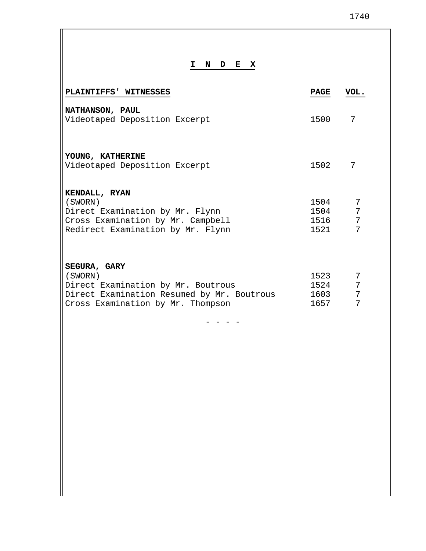## **I N D E X**

| PLAINTIFFS' WITNESSES                                                                                                                            | <b>PAGE</b>                  | VOL.                           |
|--------------------------------------------------------------------------------------------------------------------------------------------------|------------------------------|--------------------------------|
| NATHANSON, PAUL<br>Videotaped Deposition Excerpt                                                                                                 | 1500                         | 7                              |
| YOUNG, KATHERINE<br>Videotaped Deposition Excerpt                                                                                                | 1502                         | 7                              |
| KENDALL, RYAN<br>(SWORN)<br>Direct Examination by Mr. Flynn<br>Cross Examination by Mr. Campbell<br>Redirect Examination by Mr. Flynn            | 1504<br>1504<br>1516<br>1521 | 7<br>7<br>7<br>$7\overline{ }$ |
| SEGURA, GARY<br>(SWORN)<br>Direct Examination by Mr. Boutrous<br>Direct Examination Resumed by Mr. Boutrous<br>Cross Examination by Mr. Thompson | 1523<br>1524<br>1603<br>1657 | 7<br>7<br>7<br>7               |
|                                                                                                                                                  |                              |                                |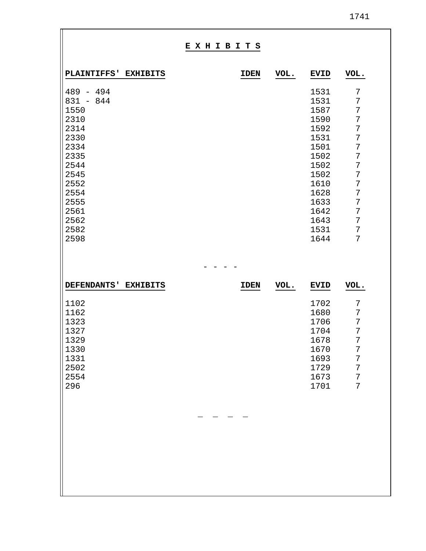|--|

|                                                                                                                                                    |                 | EXHIBITS |             |      |                                                                                                                                      |                                                                                   |
|----------------------------------------------------------------------------------------------------------------------------------------------------|-----------------|----------|-------------|------|--------------------------------------------------------------------------------------------------------------------------------------|-----------------------------------------------------------------------------------|
| PLAINTIFFS' EXHIBITS                                                                                                                               |                 |          | <b>IDEN</b> | VOL. | <b>EVID</b>                                                                                                                          | VOL.                                                                              |
| $489 - 494$<br>$831 - 844$<br>1550<br>2310<br>2314<br>2330<br>2334<br>2335<br>2544<br>2545<br>2552<br>2554<br>2555<br>2561<br>2562<br>2582<br>2598 |                 |          |             |      | 1531<br>1531<br>1587<br>1590<br>1592<br>1531<br>1501<br>1502<br>1502<br>1502<br>1610<br>1628<br>1633<br>1642<br>1643<br>1531<br>1644 | 7<br>7<br>7<br>7<br>7<br>7<br>7<br>7<br>7<br>7<br>7<br>7<br>7<br>7<br>7<br>7<br>7 |
|                                                                                                                                                    |                 |          |             |      |                                                                                                                                      |                                                                                   |
| <b>DEFENDANTS'</b><br>1102<br>1162<br>1323<br>1327<br>1329<br>1330<br>1331<br>2502<br>2554<br>296                                                  | <b>EXHIBITS</b> |          | <b>IDEN</b> | VOL. | <b>EVID</b><br>1702<br>1680<br>1706<br>1704<br>1678<br>1670<br>1693<br>1729<br>1673<br>1701                                          | VOL.<br>7<br>7<br>7<br>7<br>7<br>7<br>7<br>7<br>7<br>7                            |
|                                                                                                                                                    |                 |          |             |      |                                                                                                                                      |                                                                                   |

'n